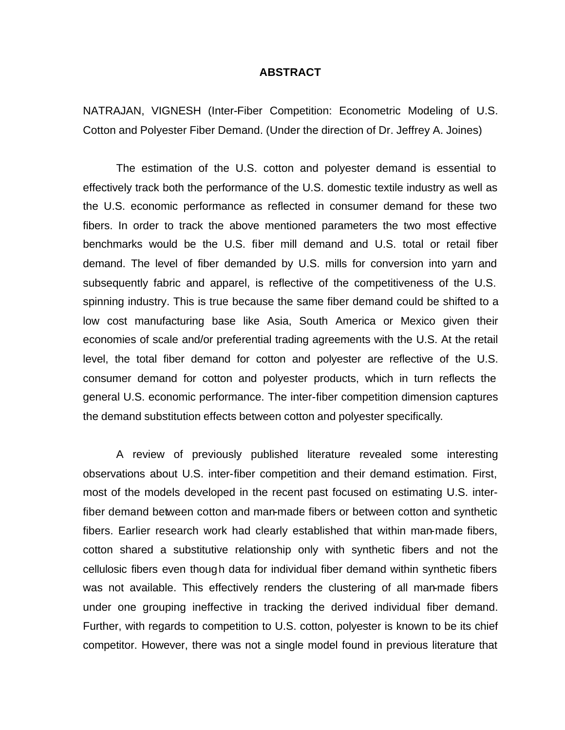#### **ABSTRACT**

NATRAJAN, VIGNESH (Inter-Fiber Competition: Econometric Modeling of U.S. Cotton and Polyester Fiber Demand. (Under the direction of Dr. Jeffrey A. Joines)

The estimation of the U.S. cotton and polyester demand is essential to effectively track both the performance of the U.S. domestic textile industry as well as the U.S. economic performance as reflected in consumer demand for these two fibers. In order to track the above mentioned parameters the two most effective benchmarks would be the U.S. fiber mill demand and U.S. total or retail fiber demand. The level of fiber demanded by U.S. mills for conversion into yarn and subsequently fabric and apparel, is reflective of the competitiveness of the U.S. spinning industry. This is true because the same fiber demand could be shifted to a low cost manufacturing base like Asia, South America or Mexico given their economies of scale and/or preferential trading agreements with the U.S. At the retail level, the total fiber demand for cotton and polyester are reflective of the U.S. consumer demand for cotton and polyester products, which in turn reflects the general U.S. economic performance. The inter-fiber competition dimension captures the demand substitution effects between cotton and polyester specifically.

A review of previously published literature revealed some interesting observations about U.S. inter-fiber competition and their demand estimation. First, most of the models developed in the recent past focused on estimating U.S. interfiber demand between cotton and man-made fibers or between cotton and synthetic fibers. Earlier research work had clearly established that within man-made fibers, cotton shared a substitutive relationship only with synthetic fibers and not the cellulosic fibers even though data for individual fiber demand within synthetic fibers was not available. This effectively renders the clustering of all man-made fibers under one grouping ineffective in tracking the derived individual fiber demand. Further, with regards to competition to U.S. cotton, polyester is known to be its chief competitor. However, there was not a single model found in previous literature that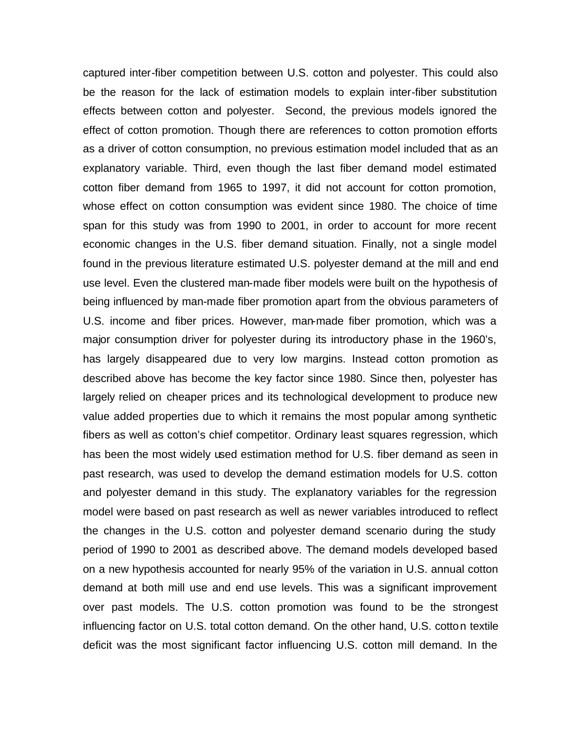captured inter-fiber competition between U.S. cotton and polyester. This could also be the reason for the lack of estimation models to explain inter-fiber substitution effects between cotton and polyester. Second, the previous models ignored the effect of cotton promotion. Though there are references to cotton promotion efforts as a driver of cotton consumption, no previous estimation model included that as an explanatory variable. Third, even though the last fiber demand model estimated cotton fiber demand from 1965 to 1997, it did not account for cotton promotion, whose effect on cotton consumption was evident since 1980. The choice of time span for this study was from 1990 to 2001, in order to account for more recent economic changes in the U.S. fiber demand situation. Finally, not a single model found in the previous literature estimated U.S. polyester demand at the mill and end use level. Even the clustered man-made fiber models were built on the hypothesis of being influenced by man-made fiber promotion apart from the obvious parameters of U.S. income and fiber prices. However, man-made fiber promotion, which was a major consumption driver for polyester during its introductory phase in the 1960's, has largely disappeared due to very low margins. Instead cotton promotion as described above has become the key factor since 1980. Since then, polyester has largely relied on cheaper prices and its technological development to produce new value added properties due to which it remains the most popular among synthetic fibers as well as cotton's chief competitor. Ordinary least squares regression, which has been the most widely used estimation method for U.S. fiber demand as seen in past research, was used to develop the demand estimation models for U.S. cotton and polyester demand in this study. The explanatory variables for the regression model were based on past research as well as newer variables introduced to reflect the changes in the U.S. cotton and polyester demand scenario during the study period of 1990 to 2001 as described above. The demand models developed based on a new hypothesis accounted for nearly 95% of the variation in U.S. annual cotton demand at both mill use and end use levels. This was a significant improvement over past models. The U.S. cotton promotion was found to be the strongest influencing factor on U.S. total cotton demand. On the other hand, U.S. cotton textile deficit was the most significant factor influencing U.S. cotton mill demand. In the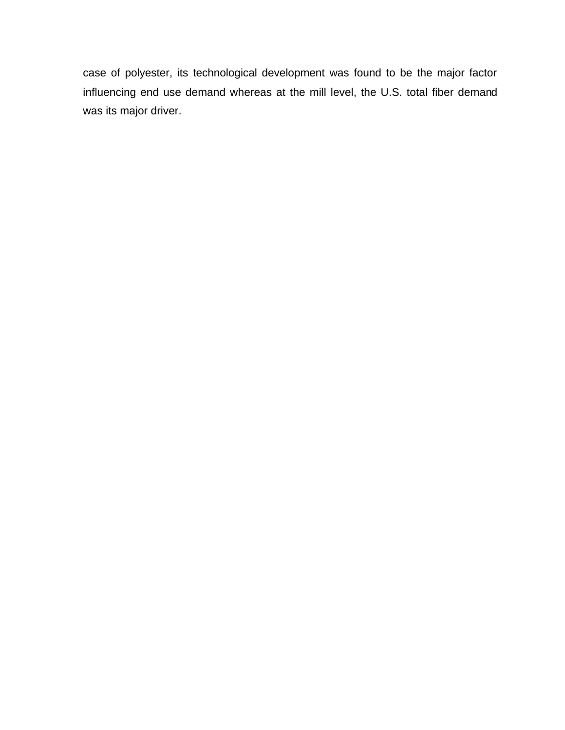case of polyester, its technological development was found to be the major factor influencing end use demand whereas at the mill level, the U.S. total fiber demand was its major driver.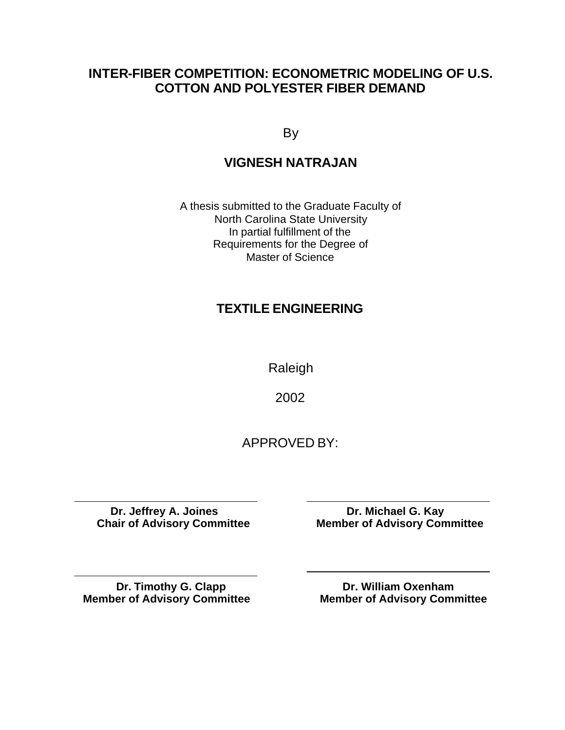# **INTER-FIBER COMPETITION: ECONOMETRIC MODELING OF U.S. COTTON AND POLYESTER FIBER DEMAND**

By

# **VIGNESH NATRAJAN**

A thesis submitted to the Graduate Faculty of North Carolina State University In partial fulfillment of the Requirements for the Degree of Master of Science

# **TEXTILE ENGINEERING**

Raleigh

2002

APPROVED BY:

**Dr. Jeffrey A. Joines** Dr. Michael G. Kay<br>Chair of Advisory Committee Member of Advisory Com

**Member of Advisory Committee** 

**Member of Advisory Committee** 

**Dr. Timothy G. Clapp**<br> **Dr. William Oxenham**<br> **Dr. William Oxenham**<br> **Dr. William Oxenham**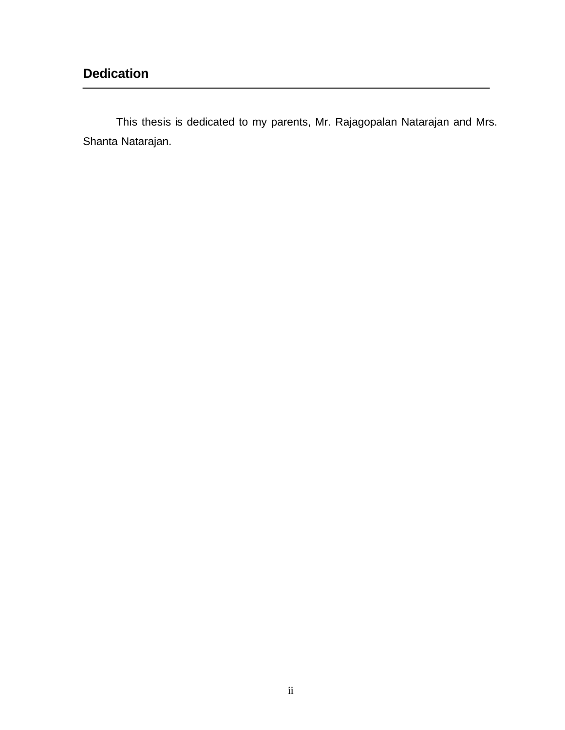This thesis is dedicated to my parents, Mr. Rajagopalan Natarajan and Mrs. Shanta Natarajan.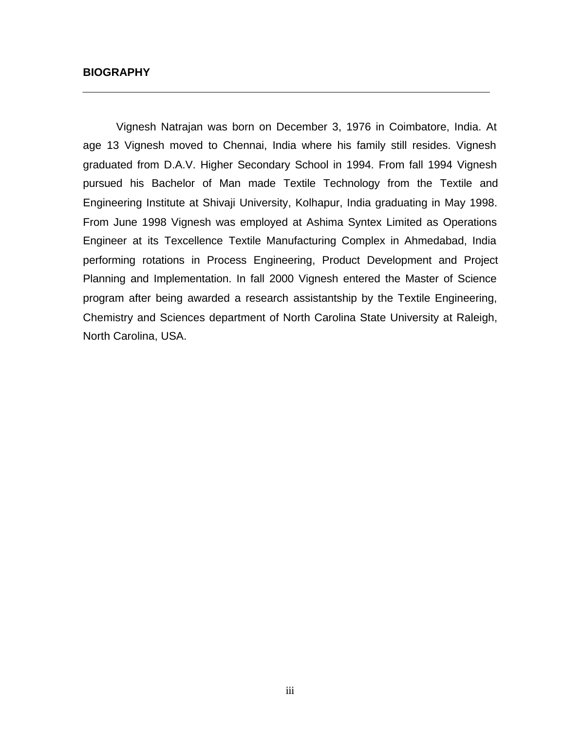#### **BIOGRAPHY**

Vignesh Natrajan was born on December 3, 1976 in Coimbatore, India. At age 13 Vignesh moved to Chennai, India where his family still resides. Vignesh graduated from D.A.V. Higher Secondary School in 1994. From fall 1994 Vignesh pursued his Bachelor of Man made Textile Technology from the Textile and Engineering Institute at Shivaji University, Kolhapur, India graduating in May 1998. From June 1998 Vignesh was employed at Ashima Syntex Limited as Operations Engineer at its Texcellence Textile Manufacturing Complex in Ahmedabad, India performing rotations in Process Engineering, Product Development and Project Planning and Implementation. In fall 2000 Vignesh entered the Master of Science program after being awarded a research assistantship by the Textile Engineering, Chemistry and Sciences department of North Carolina State University at Raleigh, North Carolina, USA.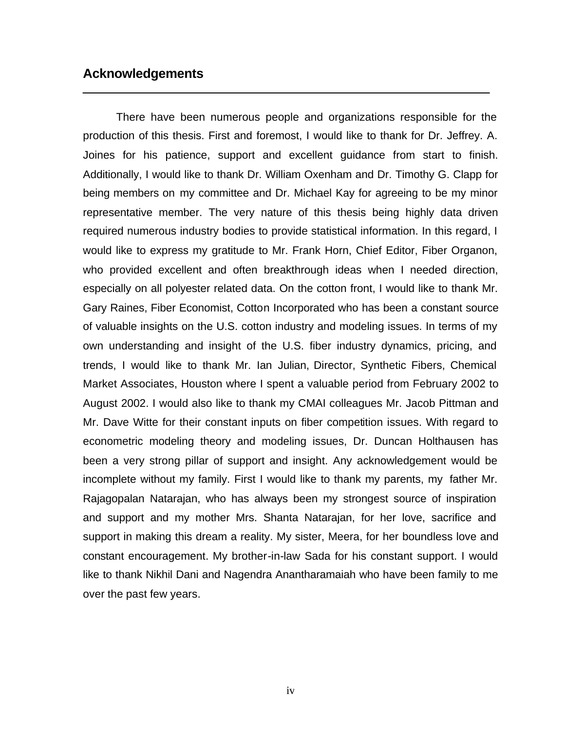### **Acknowledgements**

There have been numerous people and organizations responsible for the production of this thesis. First and foremost, I would like to thank for Dr. Jeffrey. A. Joines for his patience, support and excellent guidance from start to finish. Additionally, I would like to thank Dr. William Oxenham and Dr. Timothy G. Clapp for being members on my committee and Dr. Michael Kay for agreeing to be my minor representative member. The very nature of this thesis being highly data driven required numerous industry bodies to provide statistical information. In this regard, I would like to express my gratitude to Mr. Frank Horn, Chief Editor, Fiber Organon, who provided excellent and often breakthrough ideas when I needed direction, especially on all polyester related data. On the cotton front, I would like to thank Mr. Gary Raines, Fiber Economist, Cotton Incorporated who has been a constant source of valuable insights on the U.S. cotton industry and modeling issues. In terms of my own understanding and insight of the U.S. fiber industry dynamics, pricing, and trends, I would like to thank Mr. Ian Julian, Director, Synthetic Fibers, Chemical Market Associates, Houston where I spent a valuable period from February 2002 to August 2002. I would also like to thank my CMAI colleagues Mr. Jacob Pittman and Mr. Dave Witte for their constant inputs on fiber competition issues. With regard to econometric modeling theory and modeling issues, Dr. Duncan Holthausen has been a very strong pillar of support and insight. Any acknowledgement would be incomplete without my family. First I would like to thank my parents, my father Mr. Rajagopalan Natarajan, who has always been my strongest source of inspiration and support and my mother Mrs. Shanta Natarajan, for her love, sacrifice and support in making this dream a reality. My sister, Meera, for her boundless love and constant encouragement. My brother-in-law Sada for his constant support. I would like to thank Nikhil Dani and Nagendra Anantharamaiah who have been family to me over the past few years.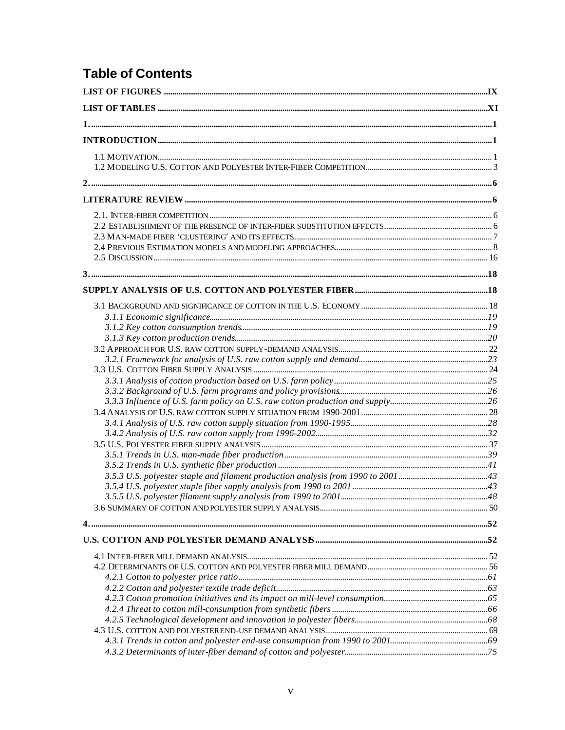# **Table of Contents**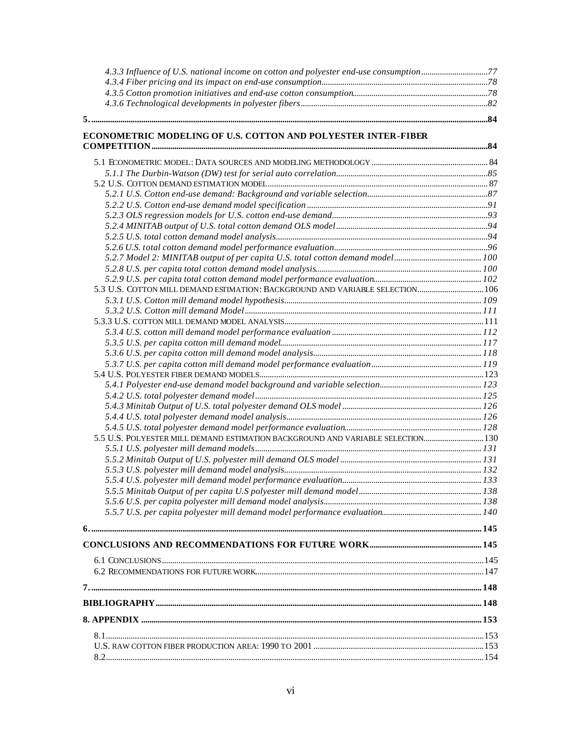| 4.3.3 Influence of U.S. national income on cotton and polyester end-use consumption |  |
|-------------------------------------------------------------------------------------|--|
|                                                                                     |  |
|                                                                                     |  |
|                                                                                     |  |
|                                                                                     |  |
|                                                                                     |  |

#### **ECONOMETRIC MODELING OF U.S. COTTON AND POLYESTER INTER-FIBER COMPETITION..................................................................................................................................................................84**

| 5.3 U.S. COTTON MILL DEMAND ESTIMATION: BACKGROUND AND VARIABLE SELECTION 106   |  |
|---------------------------------------------------------------------------------|--|
|                                                                                 |  |
|                                                                                 |  |
|                                                                                 |  |
|                                                                                 |  |
|                                                                                 |  |
|                                                                                 |  |
|                                                                                 |  |
|                                                                                 |  |
|                                                                                 |  |
|                                                                                 |  |
|                                                                                 |  |
|                                                                                 |  |
| 5.5 U.S. POLYESTER MILL DEMAND ESTIMATION BACKGROUND AND VARIABLE SELECTION 130 |  |
|                                                                                 |  |
|                                                                                 |  |
|                                                                                 |  |
|                                                                                 |  |
|                                                                                 |  |
|                                                                                 |  |
|                                                                                 |  |
|                                                                                 |  |
|                                                                                 |  |
|                                                                                 |  |
|                                                                                 |  |
|                                                                                 |  |
|                                                                                 |  |
|                                                                                 |  |
|                                                                                 |  |
|                                                                                 |  |
|                                                                                 |  |
|                                                                                 |  |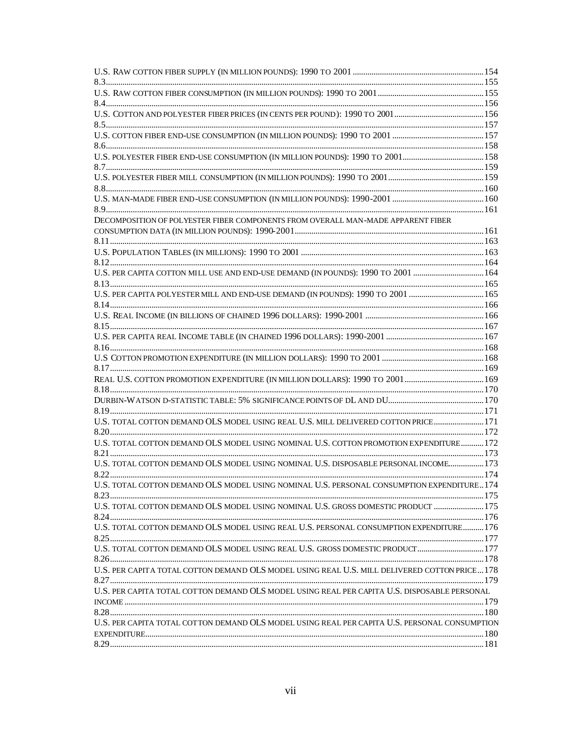| DECOMPOSITION OF POLYESTER FIBER COMPONENTS FROM OVERALL MAN-MADE APPARENT FIBER              |  |
|-----------------------------------------------------------------------------------------------|--|
|                                                                                               |  |
|                                                                                               |  |
|                                                                                               |  |
|                                                                                               |  |
| U.S. PER CAPITA COTTON MILL USE AND END-USE DEMAND (IN POUNDS): 1990 TO 2001 164              |  |
|                                                                                               |  |
| U.S. PER CAPITA POLYESTER MILL AND END-USE DEMAND (IN POUNDS): 1990 TO 2001 165               |  |
|                                                                                               |  |
|                                                                                               |  |
|                                                                                               |  |
|                                                                                               |  |
|                                                                                               |  |
|                                                                                               |  |
|                                                                                               |  |
|                                                                                               |  |
|                                                                                               |  |
|                                                                                               |  |
|                                                                                               |  |
| U.S. TOTAL COTTON DEMAND OLS MODEL USING REAL U.S. MILL DELIVERED COTTON PRICE 171            |  |
|                                                                                               |  |
| U.S. TOTAL COTTON DEMAND OLS MODEL USING NOMINAL U.S. COTTON PROMOTION EXPENDITURE 172        |  |
|                                                                                               |  |
| U.S. TOTAL COTTON DEMAND OLS MODEL USING NOMINAL U.S. DISPOSABLE PERSONAL INCOME 173          |  |
|                                                                                               |  |
| U.S. TOTAL COTTON DEMAND OLS MODEL USING NOMINAL U.S. PERSONAL CONSUMPTION EXPENDITURE174     |  |
|                                                                                               |  |
| U.S. TOTAL COTTON DEMAND OLS MODEL USING NOMINAL U.S. GROSS DOMESTIC PRODUCT  175             |  |
|                                                                                               |  |
| U.S. TOTAL COTTON DEMAND OLS MODEL USING REAL U.S. PERSONAL CONSUMPTION EXPENDITURE 176       |  |
|                                                                                               |  |
| U.S. TOTAL COTTON DEMAND OLS MODEL USING REAL U.S. GROSS DOMESTIC PRODUCT  177                |  |
|                                                                                               |  |
| U.S. PER CAPITA TOTAL COTTON DEMAND OLS MODEL USING REAL U.S. MILL DELIVERED COTTON PRICE 178 |  |
|                                                                                               |  |
| U.S. PER CAPITA TOTAL COTTON DEMAND OLS MODEL USING REAL PER CAPITA U.S. DISPOSABLE PERSONAL  |  |
|                                                                                               |  |
|                                                                                               |  |
| U.S. PER CAPITA TOTAL COTTON DEMAND OLS MODEL USING REAL PER CAPITA U.S. PERSONAL CONSUMPTION |  |
|                                                                                               |  |
|                                                                                               |  |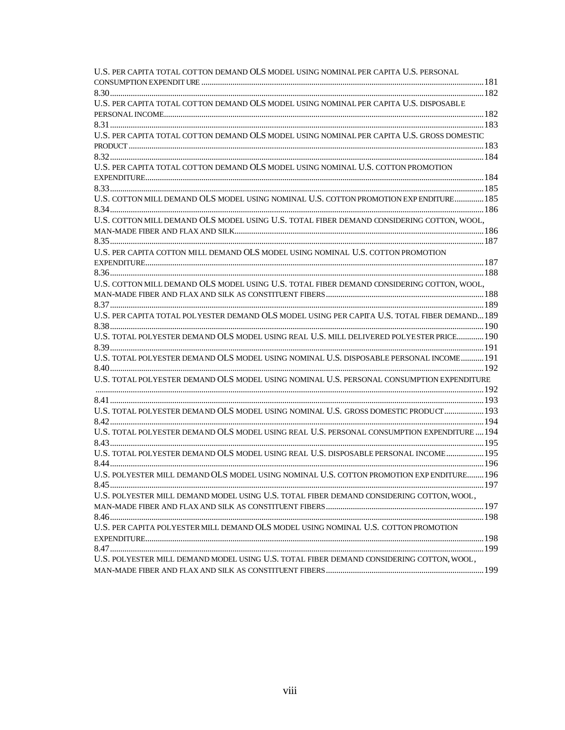| U.S. PER CAPITA TOTAL COTTON DEMAND OLS MODEL USING NOMINAL PER CAPITA U.S. PERSONAL           |  |
|------------------------------------------------------------------------------------------------|--|
|                                                                                                |  |
|                                                                                                |  |
| U.S. PER CAPITA TOTAL COTTON DEMAND OLS MODEL USING NOMINAL PER CAPITA U.S. DISPOSABLE         |  |
|                                                                                                |  |
|                                                                                                |  |
| U.S. PER CAPITA TOTAL COTTON DEMAND OLS MODEL USING NOMINAL PER CAPITA U.S. GROSS DOMESTIC     |  |
|                                                                                                |  |
|                                                                                                |  |
| U.S. PER CAPITA TOTAL COTTON DEMAND OLS MODEL USING NOMINAL U.S. COTTON PROMOTION              |  |
|                                                                                                |  |
|                                                                                                |  |
| U.S. COTTON MILL DEMAND OLS MODEL USING NOMINAL U.S. COTTON PROMOTION EXP ENDITURE 185         |  |
|                                                                                                |  |
| U.S. COTTON MILL DEMAND OLS MODEL USING U.S. TOTAL FIBER DEMAND CONSIDERING COTTON, WOOL,      |  |
|                                                                                                |  |
|                                                                                                |  |
| U.S. PER CAPITA COTTON MILL DEMAND OLS MODEL USING NOMINAL U.S. COTTON PROMOTION               |  |
|                                                                                                |  |
|                                                                                                |  |
| U.S. COTTON MILL DEMAND OLS MODEL USING U.S. TOTAL FIBER DEMAND CONSIDERING COTTON, WOOL,      |  |
|                                                                                                |  |
|                                                                                                |  |
| U.S. PER CAPITA TOTAL POL YESTER DEMAND OLS MODEL USING PER CAPITA U.S. TOTAL FIBER DEMAND 189 |  |
|                                                                                                |  |
| U.S. TOTAL POLYESTER DEMAND OLS MODEL USING REAL U.S. MILL DELIVERED POLYESTER PRICE 190       |  |
|                                                                                                |  |
| U.S. TOTAL POLYESTER DEMAND OLS MODEL USING NOMINAL U.S. DISPOSABLE PERSONAL INCOME 191        |  |
|                                                                                                |  |
| U.S. TOTAL POLYESTER DEMAND OLS MODEL USING NOMINAL U.S. PERSONAL CONSUMPTION EXPENDITURE      |  |
|                                                                                                |  |
|                                                                                                |  |
| U.S. TOTAL POLYESTER DEMAND OLS MODEL USING NOMINAL U.S. GROSS DOMESTIC PRODUCT 193            |  |
|                                                                                                |  |
| U.S. TOTAL POLYESTER DEMAND OLS MODEL USING REAL U.S. PERSONAL CONSUMPTION EXPENDITURE  194    |  |
|                                                                                                |  |
| U.S. TOTAL POLYESTER DEMAND OLS MODEL USING REAL U.S. DISPOSABLE PERSONAL INCOME 195           |  |
|                                                                                                |  |
| U.S. POLYESTER MILL DEMAND OLS MODEL USING NOMINAL U.S. COTTON PROMOTION EXP ENDITURE 196      |  |
|                                                                                                |  |
| U.S. POLYESTER MILL DEMAND MODEL USING U.S. TOTAL FIBER DEMAND CONSIDERING COTTON, WOOL,       |  |
|                                                                                                |  |
|                                                                                                |  |
| U.S. PER CAPITA POLYESTER MILL DEMAND OLS MODEL USING NOMINAL U.S. COTTON PROMOTION            |  |
|                                                                                                |  |
|                                                                                                |  |
| U.S. POLYESTER MILL DEMAND MODEL USING U.S. TOTAL FIBER DEMAND CONSIDERING COTTON, WOOL,       |  |
|                                                                                                |  |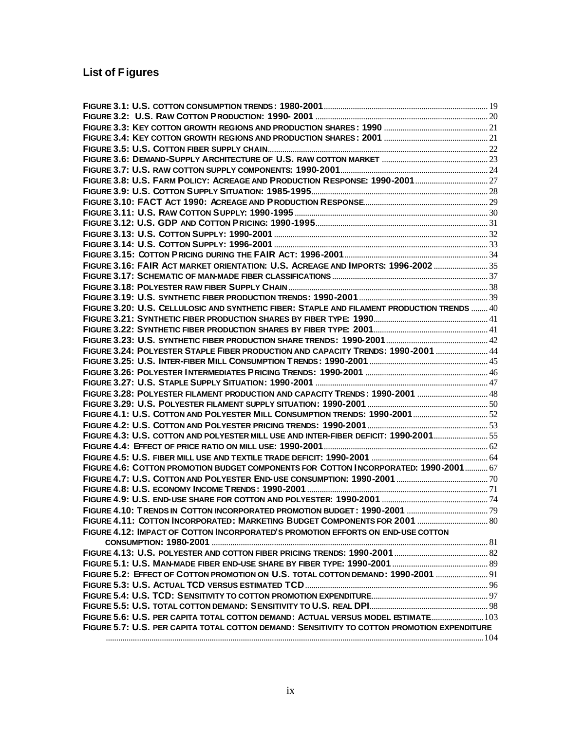# **List of Figures**

| FIGURE 3.16: FAIR ACT MARKET ORIENTATION: U.S. ACREAGE AND IMPORTS: 1996-2002  35            |  |
|----------------------------------------------------------------------------------------------|--|
|                                                                                              |  |
|                                                                                              |  |
|                                                                                              |  |
| FIGURE 3.20: U.S. CELLULOSIC AND SYNTHETIC FIBER: STAPLE AND FILAMENT PRODUCTION TRENDS  40  |  |
|                                                                                              |  |
|                                                                                              |  |
|                                                                                              |  |
| FIGURE 3.24: POLYESTER STAPLE FIBER PRODUCTION AND CAPACITY TRENDS: 1990-2001  44            |  |
|                                                                                              |  |
|                                                                                              |  |
|                                                                                              |  |
| FIGURE 3.28: POLYESTER FILAMENT PRODUCTION AND CAPACITY TRENDS: 1990-2001  48                |  |
|                                                                                              |  |
| FIGURE 4.1: U.S. COTTON AND POLYESTER MILL CONSUMPTION TRENDS: 1990-2001  52                 |  |
|                                                                                              |  |
| FIGURE 4.3: U.S. COTTON AND POLYESTER MILL USE AND INTER-FIBER DEFICIT: 1990-2001 55         |  |
|                                                                                              |  |
|                                                                                              |  |
| FIGURE 4.6: COTTON PROMOTION BUDGET COMPONENTS FOR COTTON INCORPORATED: 1990-2001 67         |  |
|                                                                                              |  |
|                                                                                              |  |
|                                                                                              |  |
|                                                                                              |  |
| FIGURE 4.11: COTTON INCORPORATED: MARKETING BUDGET COMPONENTS FOR 2001  80                   |  |
| FIGURE 4.12: IMPACT OF COTTON INCORPORATED'S PROMOTION EFFORTS ON END-USE COTTON             |  |
|                                                                                              |  |
|                                                                                              |  |
|                                                                                              |  |
| FIGURE 5.2: EFFECT OF COTTON PROMOTION ON U.S. TOTAL COTTON DEMAND: 1990-2001  91            |  |
|                                                                                              |  |
|                                                                                              |  |
|                                                                                              |  |
| FIGURE 5.6: U.S. PER CAPITA TOTAL COTTON DEMAND: ACTUAL VERSUS MODEL ESTIMATE 103            |  |
| FIGURE 5.7: U.S. PER CAPITA TOTAL COTTON DEMAND: SENSITIVITY TO COTTON PROMOTION EXPENDITURE |  |
|                                                                                              |  |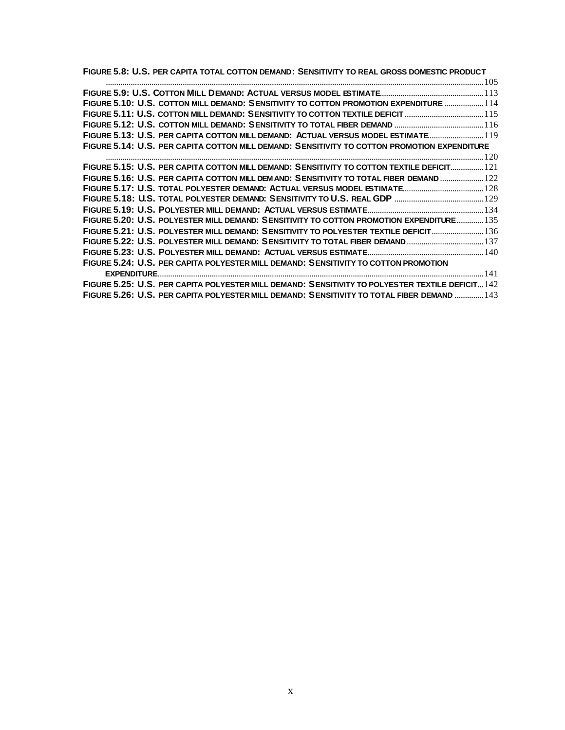**FIGURE 5.8: U.S. PER CAPITA TOTAL COTTON DEMAND: SENSITIVITY TO REAL GROSS DOMESTIC PRODUCT**

| FIGURE 5.10: U.S. COTTON MILL DEMAND: SENSITIVITY TO COTTON PROMOTION EXPENDITURE  114           |  |
|--------------------------------------------------------------------------------------------------|--|
| FIGURE 5.11: U.S. COTTON MILL DEMAND: SENSITIVITY TO COTTON TEXTILE DEFICIT 115                  |  |
|                                                                                                  |  |
| FIGURE 5.13: U.S. PER CAPITA COTTON MILL DEMAND: ACTUAL VERSUS MODEL ESTIMATE 19                 |  |
| FIGURE 5.14: U.S. PER CAPITA COTTON MILL DEMAND: SENSITIVITY TO COTTON PROMOTION EXPENDITURE     |  |
|                                                                                                  |  |
| FIGURE 5.15: U.S. PER CAPITA COTTON MILL DEMAND: SENSITIVITY TO COTTON TEXTILE DEFICIT 121       |  |
| FIGURE 5.16: U.S. PER CAPITA COTTON MILL DEM AND: SENSITIVITY TO TOTAL FIBER DEMAND  122         |  |
| FIGURE 5.17: U.S. TOTAL POLYESTER DEMAND: ACTUAL VERSUS MODEL ESTIMATE 128                       |  |
|                                                                                                  |  |
|                                                                                                  |  |
| FIGURE 5.20: U.S. POLYESTER MILL DEMAND: SENSITIVITY TO COTTON PROMOTION EXPENDITURE 135         |  |
| FIGURE 5.21: U.S. POLYESTER MILL DEMAND: SENSITIVITY TO POLYESTER TEXTILE DEFICIT 136            |  |
| FIGURE 5.22: U.S. POLYESTER MILL DEMAND: SENSITIVITY TO TOTAL FIBER DEMAND 137                   |  |
|                                                                                                  |  |
| FIGURE 5.24: U.S. PER CAPITA POLYESTER MILL DEMAND: SENSITIVITY TO COTTON PROMOTION              |  |
|                                                                                                  |  |
| FIGURE 5.25: U.S. PER CAPITA POLYESTER MILL DEMAND: SENSITIVITY TO POLYESTER TEXTILE DEFICIT 142 |  |
| FIGURE 5.26: U.S. PER CAPITA POLYESTER MILL DEMAND: SENSITIVITY TO TOTAL FIBER DEMAND  143       |  |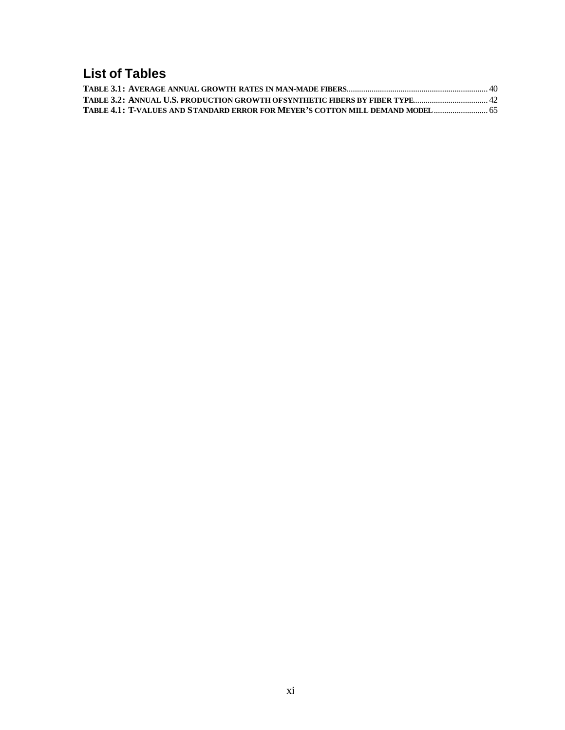# **List of Tables**

| 65. TABLE 4.1: T-VALUES AND STANDARD ERROR FOR MEYER'S COTTON MILL DEMAND MODEL |  |
|---------------------------------------------------------------------------------|--|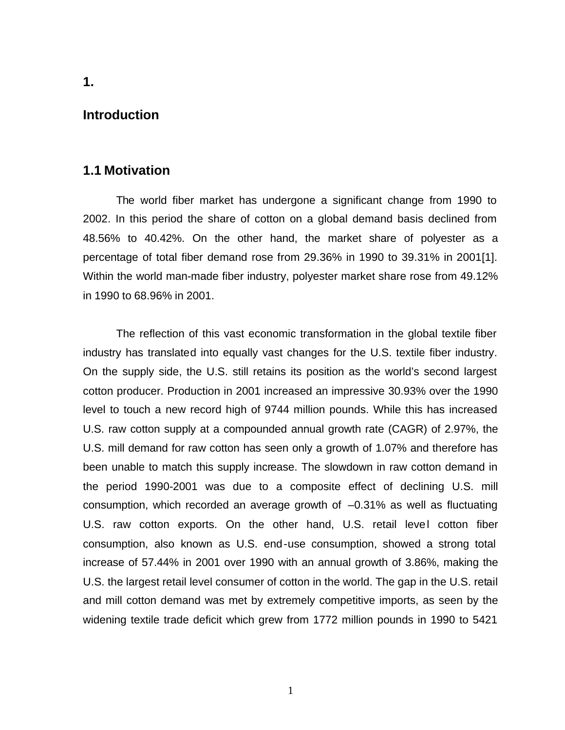### **Introduction**

### **1.1 Motivation**

The world fiber market has undergone a significant change from 1990 to 2002. In this period the share of cotton on a global demand basis declined from 48.56% to 40.42%. On the other hand, the market share of polyester as a percentage of total fiber demand rose from 29.36% in 1990 to 39.31% in 2001[1]. Within the world man-made fiber industry, polyester market share rose from 49.12% in 1990 to 68.96% in 2001.

The reflection of this vast economic transformation in the global textile fiber industry has translated into equally vast changes for the U.S. textile fiber industry. On the supply side, the U.S. still retains its position as the world's second largest cotton producer. Production in 2001 increased an impressive 30.93% over the 1990 level to touch a new record high of 9744 million pounds. While this has increased U.S. raw cotton supply at a compounded annual growth rate (CAGR) of 2.97%, the U.S. mill demand for raw cotton has seen only a growth of 1.07% and therefore has been unable to match this supply increase. The slowdown in raw cotton demand in the period 1990-2001 was due to a composite effect of declining U.S. mill consumption, which recorded an average growth of –0.31% as well as fluctuating U.S. raw cotton exports. On the other hand, U.S. retail level cotton fiber consumption, also known as U.S. end-use consumption, showed a strong total increase of 57.44% in 2001 over 1990 with an annual growth of 3.86%, making the U.S. the largest retail level consumer of cotton in the world. The gap in the U.S. retail and mill cotton demand was met by extremely competitive imports, as seen by the widening textile trade deficit which grew from 1772 million pounds in 1990 to 5421

**1.**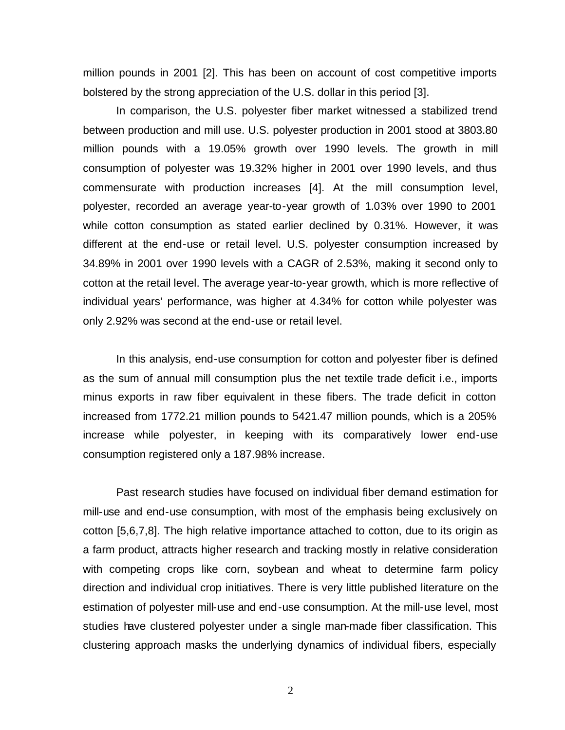million pounds in 2001 [2]. This has been on account of cost competitive imports bolstered by the strong appreciation of the U.S. dollar in this period [3].

In comparison, the U.S. polyester fiber market witnessed a stabilized trend between production and mill use. U.S. polyester production in 2001 stood at 3803.80 million pounds with a 19.05% growth over 1990 levels. The growth in mill consumption of polyester was 19.32% higher in 2001 over 1990 levels, and thus commensurate with production increases [4]. At the mill consumption level, polyester, recorded an average year-to-year growth of 1.03% over 1990 to 2001 while cotton consumption as stated earlier declined by 0.31%. However, it was different at the end-use or retail level. U.S. polyester consumption increased by 34.89% in 2001 over 1990 levels with a CAGR of 2.53%, making it second only to cotton at the retail level. The average year-to-year growth, which is more reflective of individual years' performance, was higher at 4.34% for cotton while polyester was only 2.92% was second at the end-use or retail level.

In this analysis, end-use consumption for cotton and polyester fiber is defined as the sum of annual mill consumption plus the net textile trade deficit i.e., imports minus exports in raw fiber equivalent in these fibers. The trade deficit in cotton increased from 1772.21 million pounds to 5421.47 million pounds, which is a 205% increase while polyester, in keeping with its comparatively lower end-use consumption registered only a 187.98% increase.

Past research studies have focused on individual fiber demand estimation for mill-use and end-use consumption, with most of the emphasis being exclusively on cotton [5,6,7,8]. The high relative importance attached to cotton, due to its origin as a farm product, attracts higher research and tracking mostly in relative consideration with competing crops like corn, soybean and wheat to determine farm policy direction and individual crop initiatives. There is very little published literature on the estimation of polyester mill-use and end-use consumption. At the mill-use level, most studies have clustered polyester under a single man-made fiber classification. This clustering approach masks the underlying dynamics of individual fibers, especially

2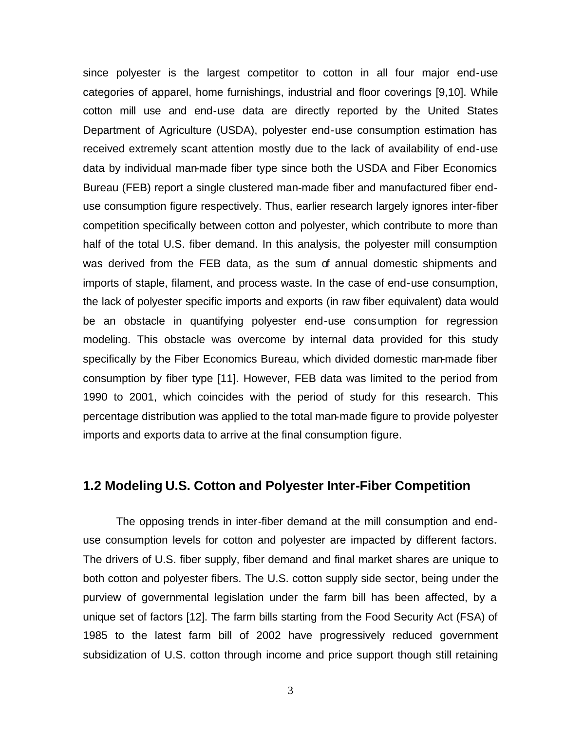since polyester is the largest competitor to cotton in all four major end-use categories of apparel, home furnishings, industrial and floor coverings [9,10]. While cotton mill use and end-use data are directly reported by the United States Department of Agriculture (USDA), polyester end-use consumption estimation has received extremely scant attention mostly due to the lack of availability of end-use data by individual man-made fiber type since both the USDA and Fiber Economics Bureau (FEB) report a single clustered man-made fiber and manufactured fiber enduse consumption figure respectively. Thus, earlier research largely ignores inter-fiber competition specifically between cotton and polyester, which contribute to more than half of the total U.S. fiber demand. In this analysis, the polyester mill consumption was derived from the FEB data, as the sum of annual domestic shipments and imports of staple, filament, and process waste. In the case of end-use consumption, the lack of polyester specific imports and exports (in raw fiber equivalent) data would be an obstacle in quantifying polyester end-use consumption for regression modeling. This obstacle was overcome by internal data provided for this study specifically by the Fiber Economics Bureau, which divided domestic man-made fiber consumption by fiber type [11]. However, FEB data was limited to the period from 1990 to 2001, which coincides with the period of study for this research. This percentage distribution was applied to the total man-made figure to provide polyester imports and exports data to arrive at the final consumption figure.

# **1.2 Modeling U.S. Cotton and Polyester Inter-Fiber Competition**

The opposing trends in inter-fiber demand at the mill consumption and enduse consumption levels for cotton and polyester are impacted by different factors. The drivers of U.S. fiber supply, fiber demand and final market shares are unique to both cotton and polyester fibers. The U.S. cotton supply side sector, being under the purview of governmental legislation under the farm bill has been affected, by a unique set of factors [12]. The farm bills starting from the Food Security Act (FSA) of 1985 to the latest farm bill of 2002 have progressively reduced government subsidization of U.S. cotton through income and price support though still retaining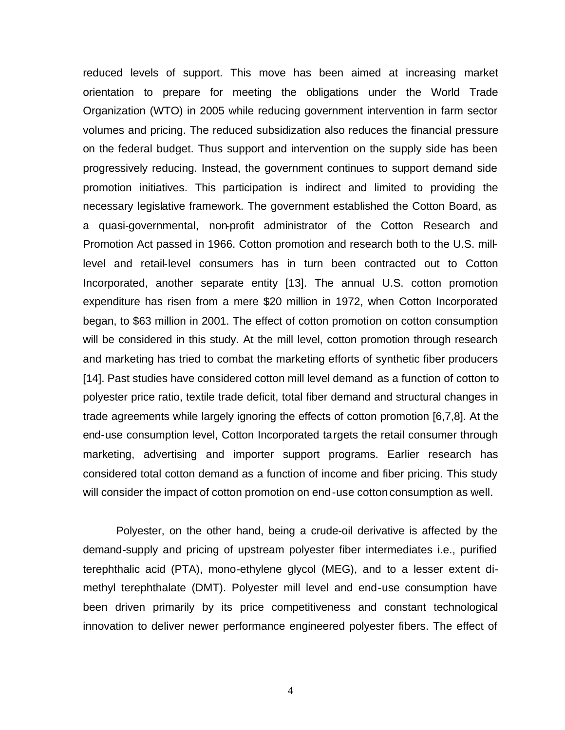reduced levels of support. This move has been aimed at increasing market orientation to prepare for meeting the obligations under the World Trade Organization (WTO) in 2005 while reducing government intervention in farm sector volumes and pricing. The reduced subsidization also reduces the financial pressure on the federal budget. Thus support and intervention on the supply side has been progressively reducing. Instead, the government continues to support demand side promotion initiatives. This participation is indirect and limited to providing the necessary legislative framework. The government established the Cotton Board, as a quasi-governmental, non-profit administrator of the Cotton Research and Promotion Act passed in 1966. Cotton promotion and research both to the U.S. milllevel and retail-level consumers has in turn been contracted out to Cotton Incorporated, another separate entity [13]. The annual U.S. cotton promotion expenditure has risen from a mere \$20 million in 1972, when Cotton Incorporated began, to \$63 million in 2001. The effect of cotton promotion on cotton consumption will be considered in this study. At the mill level, cotton promotion through research and marketing has tried to combat the marketing efforts of synthetic fiber producers [14]. Past studies have considered cotton mill level demand as a function of cotton to polyester price ratio, textile trade deficit, total fiber demand and structural changes in trade agreements while largely ignoring the effects of cotton promotion [6,7,8]. At the end-use consumption level, Cotton Incorporated targets the retail consumer through marketing, advertising and importer support programs. Earlier research has considered total cotton demand as a function of income and fiber pricing. This study will consider the impact of cotton promotion on end-use cotton consumption as well.

Polyester, on the other hand, being a crude-oil derivative is affected by the demand-supply and pricing of upstream polyester fiber intermediates i.e., purified terephthalic acid (PTA), mono-ethylene glycol (MEG), and to a lesser extent dimethyl terephthalate (DMT). Polyester mill level and end-use consumption have been driven primarily by its price competitiveness and constant technological innovation to deliver newer performance engineered polyester fibers. The effect of

4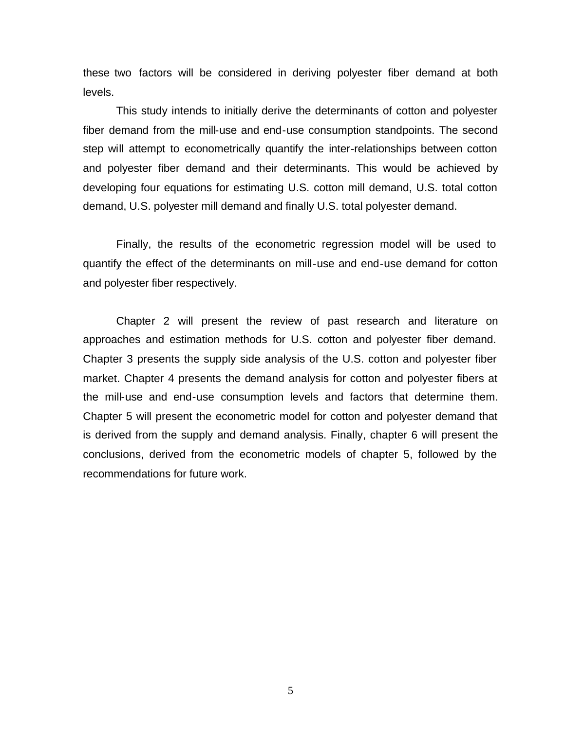these two factors will be considered in deriving polyester fiber demand at both levels.

This study intends to initially derive the determinants of cotton and polyester fiber demand from the mill-use and end-use consumption standpoints. The second step will attempt to econometrically quantify the inter-relationships between cotton and polyester fiber demand and their determinants. This would be achieved by developing four equations for estimating U.S. cotton mill demand, U.S. total cotton demand, U.S. polyester mill demand and finally U.S. total polyester demand.

Finally, the results of the econometric regression model will be used to quantify the effect of the determinants on mill-use and end-use demand for cotton and polyester fiber respectively.

Chapter 2 will present the review of past research and literature on approaches and estimation methods for U.S. cotton and polyester fiber demand. Chapter 3 presents the supply side analysis of the U.S. cotton and polyester fiber market. Chapter 4 presents the demand analysis for cotton and polyester fibers at the mill-use and end-use consumption levels and factors that determine them. Chapter 5 will present the econometric model for cotton and polyester demand that is derived from the supply and demand analysis. Finally, chapter 6 will present the conclusions, derived from the econometric models of chapter 5, followed by the recommendations for future work.

5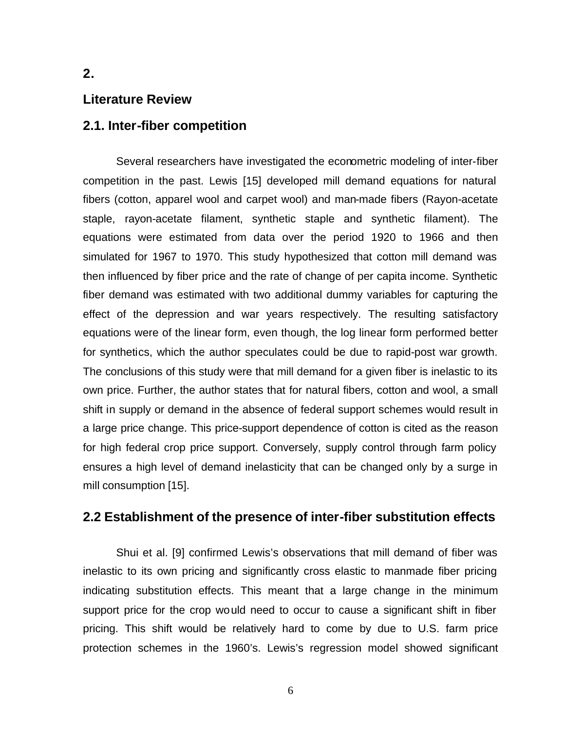# **2.**

### **Literature Review**

## **2.1. Inter-fiber competition**

Several researchers have investigated the econometric modeling of inter-fiber competition in the past. Lewis [15] developed mill demand equations for natural fibers (cotton, apparel wool and carpet wool) and man-made fibers (Rayon-acetate staple, rayon-acetate filament, synthetic staple and synthetic filament). The equations were estimated from data over the period 1920 to 1966 and then simulated for 1967 to 1970. This study hypothesized that cotton mill demand was then influenced by fiber price and the rate of change of per capita income. Synthetic fiber demand was estimated with two additional dummy variables for capturing the effect of the depression and war years respectively. The resulting satisfactory equations were of the linear form, even though, the log linear form performed better for synthetics, which the author speculates could be due to rapid-post war growth. The conclusions of this study were that mill demand for a given fiber is inelastic to its own price. Further, the author states that for natural fibers, cotton and wool, a small shift in supply or demand in the absence of federal support schemes would result in a large price change. This price-support dependence of cotton is cited as the reason for high federal crop price support. Conversely, supply control through farm policy ensures a high level of demand inelasticity that can be changed only by a surge in mill consumption [15].

## **2.2 Establishment of the presence of inter-fiber substitution effects**

Shui et al. [9] confirmed Lewis's observations that mill demand of fiber was inelastic to its own pricing and significantly cross elastic to manmade fiber pricing indicating substitution effects. This meant that a large change in the minimum support price for the crop would need to occur to cause a significant shift in fiber pricing. This shift would be relatively hard to come by due to U.S. farm price protection schemes in the 1960's. Lewis's regression model showed significant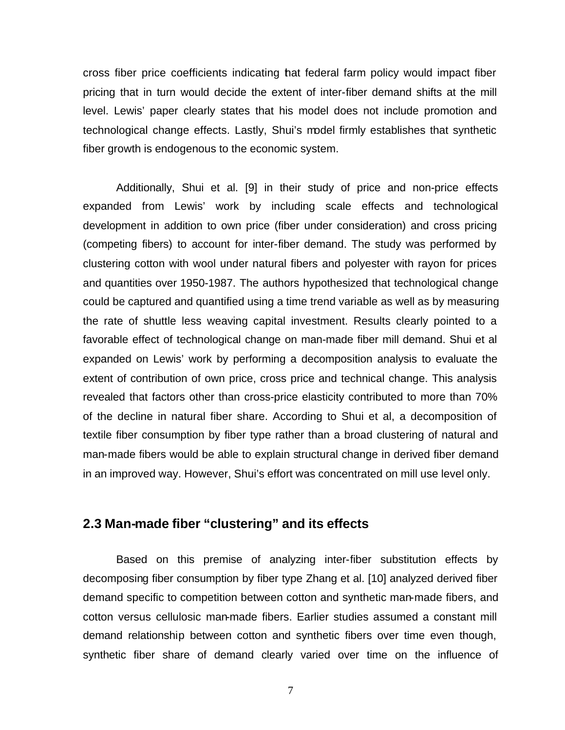cross fiber price coefficients indicating that federal farm policy would impact fiber pricing that in turn would decide the extent of inter-fiber demand shifts at the mill level. Lewis' paper clearly states that his model does not include promotion and technological change effects. Lastly, Shui's model firmly establishes that synthetic fiber growth is endogenous to the economic system.

Additionally, Shui et al. [9] in their study of price and non-price effects expanded from Lewis' work by including scale effects and technological development in addition to own price (fiber under consideration) and cross pricing (competing fibers) to account for inter-fiber demand. The study was performed by clustering cotton with wool under natural fibers and polyester with rayon for prices and quantities over 1950-1987. The authors hypothesized that technological change could be captured and quantified using a time trend variable as well as by measuring the rate of shuttle less weaving capital investment. Results clearly pointed to a favorable effect of technological change on man-made fiber mill demand. Shui et al expanded on Lewis' work by performing a decomposition analysis to evaluate the extent of contribution of own price, cross price and technical change. This analysis revealed that factors other than cross-price elasticity contributed to more than 70% of the decline in natural fiber share. According to Shui et al, a decomposition of textile fiber consumption by fiber type rather than a broad clustering of natural and man-made fibers would be able to explain structural change in derived fiber demand in an improved way. However, Shui's effort was concentrated on mill use level only.

## **2.3 Man-made fiber "clustering" and its effects**

Based on this premise of analyzing inter-fiber substitution effects by decomposing fiber consumption by fiber type Zhang et al. [10] analyzed derived fiber demand specific to competition between cotton and synthetic man-made fibers, and cotton versus cellulosic man-made fibers. Earlier studies assumed a constant mill demand relationship between cotton and synthetic fibers over time even though, synthetic fiber share of demand clearly varied over time on the influence of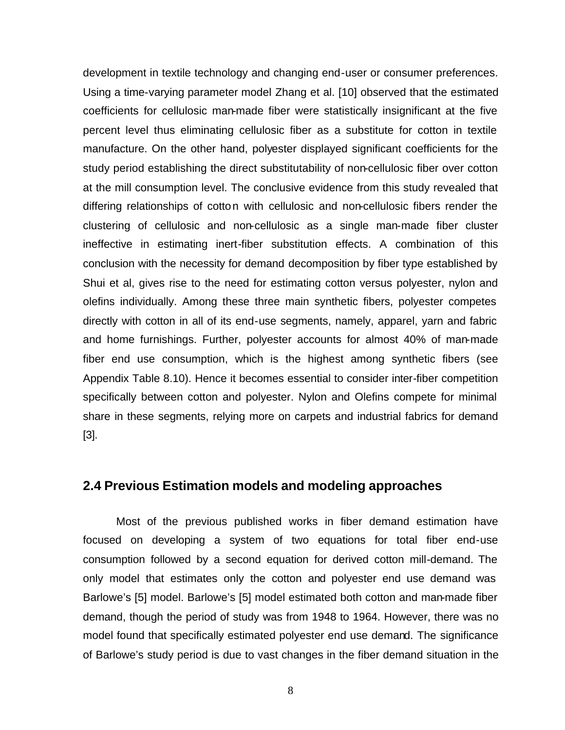development in textile technology and changing end-user or consumer preferences. Using a time-varying parameter model Zhang et al. [10] observed that the estimated coefficients for cellulosic man-made fiber were statistically insignificant at the five percent level thus eliminating cellulosic fiber as a substitute for cotton in textile manufacture. On the other hand, polyester displayed significant coefficients for the study period establishing the direct substitutability of non-cellulosic fiber over cotton at the mill consumption level. The conclusive evidence from this study revealed that differing relationships of cotton with cellulosic and non-cellulosic fibers render the clustering of cellulosic and non-cellulosic as a single man-made fiber cluster ineffective in estimating inert-fiber substitution effects. A combination of this conclusion with the necessity for demand decomposition by fiber type established by Shui et al, gives rise to the need for estimating cotton versus polyester, nylon and olefins individually. Among these three main synthetic fibers, polyester competes directly with cotton in all of its end-use segments, namely, apparel, yarn and fabric and home furnishings. Further, polyester accounts for almost 40% of man-made fiber end use consumption, which is the highest among synthetic fibers (see Appendix Table 8.10). Hence it becomes essential to consider inter-fiber competition specifically between cotton and polyester. Nylon and Olefins compete for minimal share in these segments, relying more on carpets and industrial fabrics for demand [3].

# **2.4 Previous Estimation models and modeling approaches**

Most of the previous published works in fiber demand estimation have focused on developing a system of two equations for total fiber end-use consumption followed by a second equation for derived cotton mill-demand. The only model that estimates only the cotton and polyester end use demand was Barlowe's [5] model. Barlowe's [5] model estimated both cotton and man-made fiber demand, though the period of study was from 1948 to 1964. However, there was no model found that specifically estimated polyester end use demand. The significance of Barlowe's study period is due to vast changes in the fiber demand situation in the

8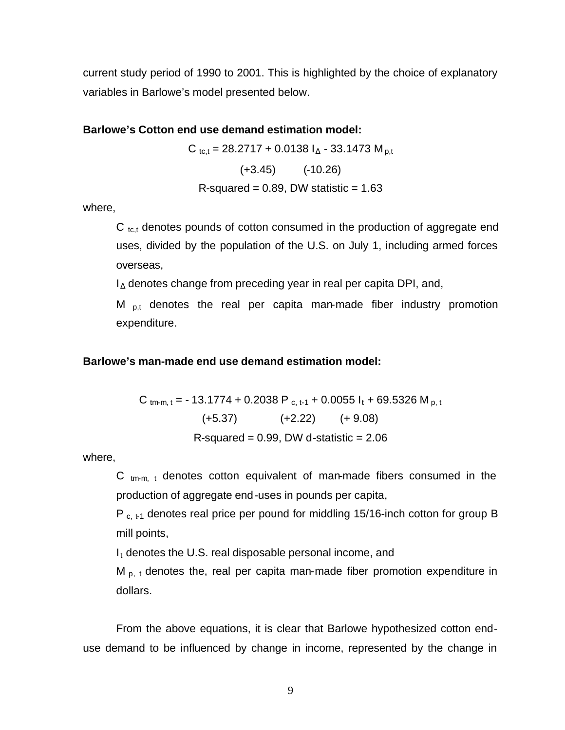current study period of 1990 to 2001. This is highlighted by the choice of explanatory variables in Barlowe's model presented below.

#### **Barlowe's Cotton end use demand estimation model:**

 $C_{\text{tc,t}} = 28.2717 + 0.0138 I_{\text{A}} - 33.1473 M_{\text{p,t}}$  $(+3.45)$   $(+3.45)$ R-squared =  $0.89$ , DW statistic =  $1.63$ 

where,

 $C_{tc,t}$  denotes pounds of cotton consumed in the production of aggregate end uses, divided by the population of the U.S. on July 1, including armed forces overseas,

 $I_{\Delta}$  denotes change from preceding year in real per capita DPI, and,

M  $_{\text{p},t}$  denotes the real per capita man-made fiber industry promotion expenditure.

#### **Barlowe's man-made end use demand estimation model:**

C tm-m, t = - 13.1774 + 0.2038 P c, t-1 + 0.0055  $I_t$  + 69.5326 M p, t  $(+5.37)$   $(+2.22)$   $(+ 9.08)$ R-squared =  $0.99$ , DW d-statistic =  $2.06$ 

where,

C  $_{\text{tm-m}$ , t denotes cotton equivalent of man-made fibers consumed in the production of aggregate end-uses in pounds per capita,

P  $_{c, t-1}$  denotes real price per pound for middling 15/16-inch cotton for group B mill points,

 $I_t$  denotes the U.S. real disposable personal income, and

 $M_{p, t}$  denotes the, real per capita man-made fiber promotion expenditure in dollars.

From the above equations, it is clear that Barlowe hypothesized cotton enduse demand to be influenced by change in income, represented by the change in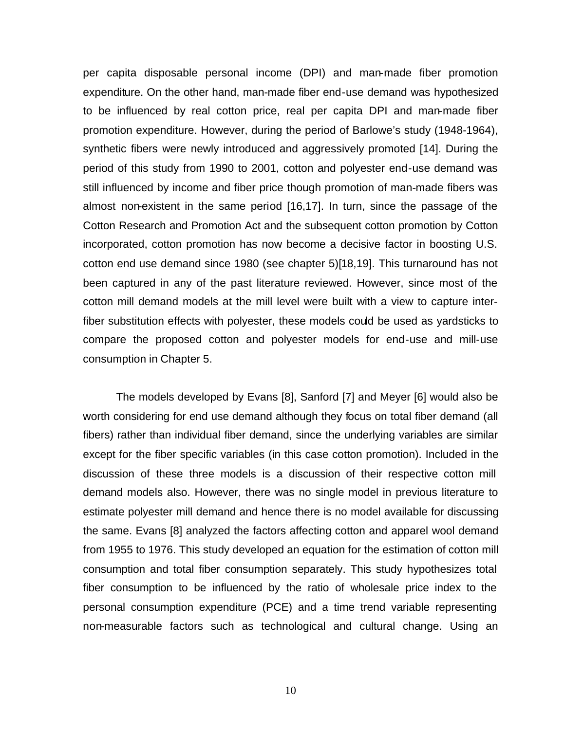per capita disposable personal income (DPI) and man-made fiber promotion expenditure. On the other hand, man-made fiber end-use demand was hypothesized to be influenced by real cotton price, real per capita DPI and man-made fiber promotion expenditure. However, during the period of Barlowe's study (1948-1964), synthetic fibers were newly introduced and aggressively promoted [14]. During the period of this study from 1990 to 2001, cotton and polyester end-use demand was still influenced by income and fiber price though promotion of man-made fibers was almost non-existent in the same period [16,17]. In turn, since the passage of the Cotton Research and Promotion Act and the subsequent cotton promotion by Cotton incorporated, cotton promotion has now become a decisive factor in boosting U.S. cotton end use demand since 1980 (see chapter 5)[18,19]. This turnaround has not been captured in any of the past literature reviewed. However, since most of the cotton mill demand models at the mill level were built with a view to capture interfiber substitution effects with polyester, these models could be used as yardsticks to compare the proposed cotton and polyester models for end-use and mill-use consumption in Chapter 5.

The models developed by Evans [8], Sanford [7] and Meyer [6] would also be worth considering for end use demand although they focus on total fiber demand (all fibers) rather than individual fiber demand, since the underlying variables are similar except for the fiber specific variables (in this case cotton promotion). Included in the discussion of these three models is a discussion of their respective cotton mill demand models also. However, there was no single model in previous literature to estimate polyester mill demand and hence there is no model available for discussing the same. Evans [8] analyzed the factors affecting cotton and apparel wool demand from 1955 to 1976. This study developed an equation for the estimation of cotton mill consumption and total fiber consumption separately. This study hypothesizes total fiber consumption to be influenced by the ratio of wholesale price index to the personal consumption expenditure (PCE) and a time trend variable representing non-measurable factors such as technological and cultural change. Using an

10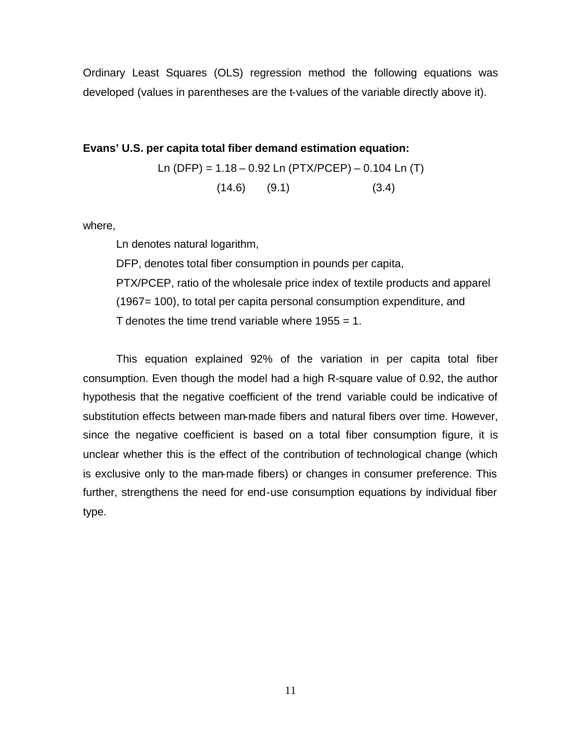Ordinary Least Squares (OLS) regression method the following equations was developed (values in parentheses are the t-values of the variable directly above it).

# **Evans' U.S. per capita total fiber demand estimation equation:** Ln (DFP) = 1.18 – 0.92 Ln (PTX/PCEP) – 0.104 Ln (T)  $(14.6)$   $(9.1)$   $(3.4)$

where,

Ln denotes natural logarithm,

DFP, denotes total fiber consumption in pounds per capita, PTX/PCEP, ratio of the wholesale price index of textile products and apparel (1967= 100), to total per capita personal consumption expenditure, and T denotes the time trend variable where  $1955 = 1$ .

This equation explained 92% of the variation in per capita total fiber consumption. Even though the model had a high R-square value of 0.92, the author hypothesis that the negative coefficient of the trend variable could be indicative of substitution effects between man-made fibers and natural fibers over time. However, since the negative coefficient is based on a total fiber consumption figure, it is unclear whether this is the effect of the contribution of technological change (which is exclusive only to the man-made fibers) or changes in consumer preference. This further, strengthens the need for end-use consumption equations by individual fiber type.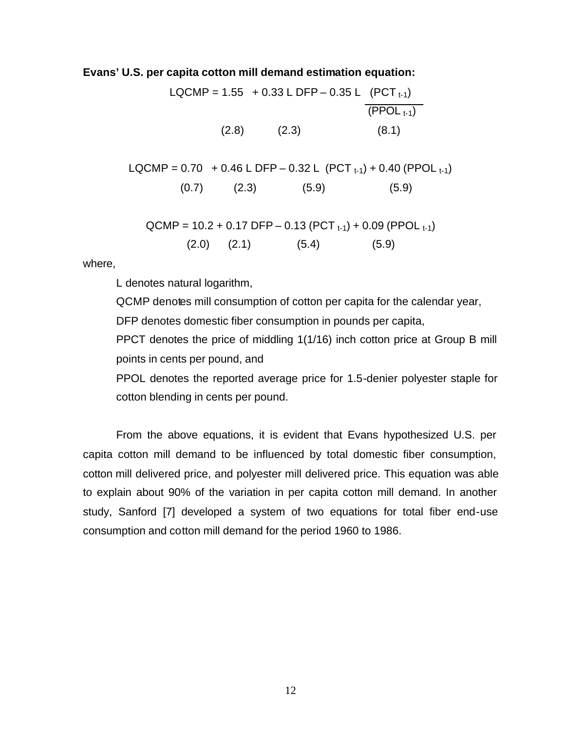#### **Evans' U.S. per capita cotton mill demand estimation equation:**

LQCMP =  $1.55 + 0.33$  L DFP – 0.35 L (PCT<sub>t-1</sub>)  $(PPOL_{t-1})$  $(2.8)$   $(2.3)$   $(8.1)$ 

LQCMP =  $0.70 + 0.46$  L DFP –  $0.32$  L (PCT  $_{t-1}$ ) +  $0.40$  (PPOL  $_{t-1}$ )  $(0.7)$   $(2.3)$   $(5.9)$   $(5.9)$ 

$$
QCMP = 10.2 + 0.17 DFP - 0.13 (PCTt-1) + 0.09 (PPOLt-1)
$$
  
(2.0) (2.1) (5.4) (5.9)

where,

L denotes natural logarithm,

QCMP denotes mill consumption of cotton per capita for the calendar year, DFP denotes domestic fiber consumption in pounds per capita,

PPCT denotes the price of middling 1(1/16) inch cotton price at Group B mill points in cents per pound, and

PPOL denotes the reported average price for 1.5-denier polyester staple for cotton blending in cents per pound.

From the above equations, it is evident that Evans hypothesized U.S. per capita cotton mill demand to be influenced by total domestic fiber consumption, cotton mill delivered price, and polyester mill delivered price. This equation was able to explain about 90% of the variation in per capita cotton mill demand. In another study, Sanford [7] developed a system of two equations for total fiber end-use consumption and cotton mill demand for the period 1960 to 1986.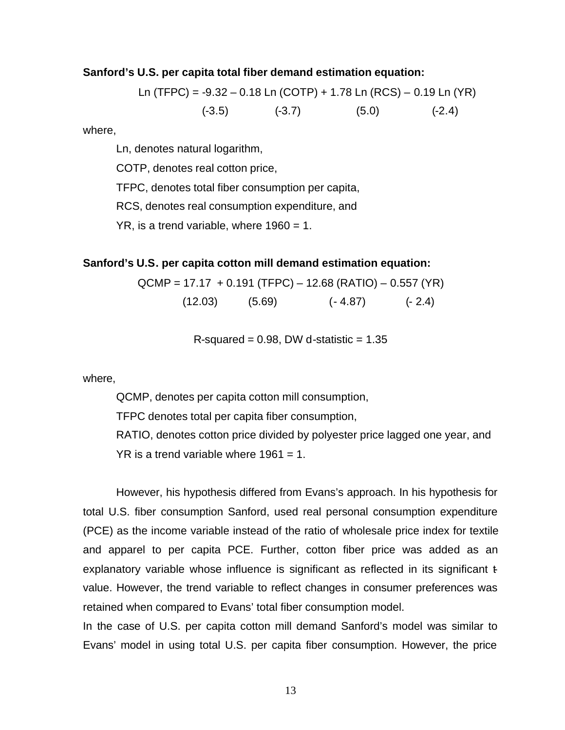#### **Sanford's U.S. per capita total fiber demand estimation equation:**

Ln (TFPC) = -9.32 – 0.18 Ln (COTP) + 1.78 Ln (RCS) – 0.19 Ln (YR) (-3.5) (-3.7) (5.0) (-2.4)

where,

Ln, denotes natural logarithm,

COTP, denotes real cotton price,

TFPC, denotes total fiber consumption per capita,

RCS, denotes real consumption expenditure, and

 $YR$ , is a trend variable, where  $1960 = 1$ .

#### **Sanford's U.S. per capita cotton mill demand estimation equation:**

$$
QCMP = 17.17 + 0.191 (TFPC) - 12.68 (RATIO) - 0.557 (YR)
$$

 $(12.03)$   $(5.69)$   $(-4.87)$   $(-2.4)$ 

R-squared =  $0.98$ , DW d-statistic =  $1.35$ 

where,

QCMP, denotes per capita cotton mill consumption,

TFPC denotes total per capita fiber consumption,

RATIO, denotes cotton price divided by polyester price lagged one year, and  $YR$  is a trend variable where 1961 = 1.

However, his hypothesis differed from Evans's approach. In his hypothesis for total U.S. fiber consumption Sanford, used real personal consumption expenditure (PCE) as the income variable instead of the ratio of wholesale price index for textile and apparel to per capita PCE. Further, cotton fiber price was added as an explanatory variable whose influence is significant as reflected in its significant  $\ddot{t}$ value. However, the trend variable to reflect changes in consumer preferences was retained when compared to Evans' total fiber consumption model.

In the case of U.S. per capita cotton mill demand Sanford's model was similar to Evans' model in using total U.S. per capita fiber consumption. However, the price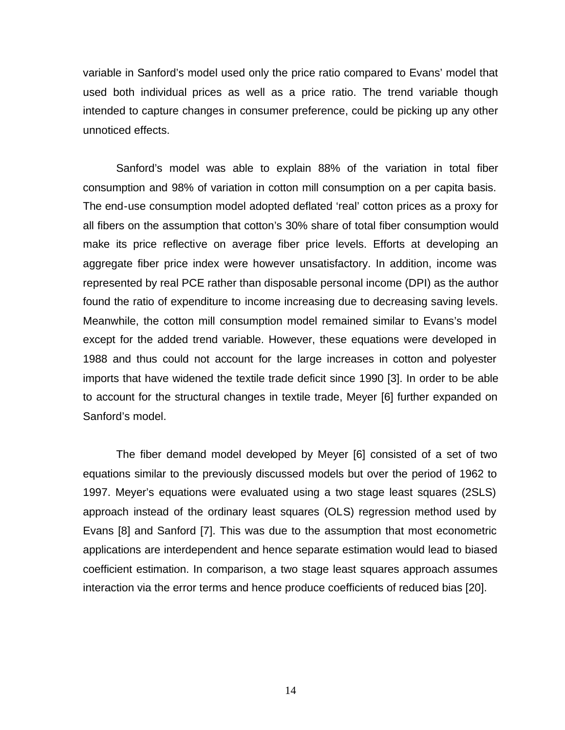variable in Sanford's model used only the price ratio compared to Evans' model that used both individual prices as well as a price ratio. The trend variable though intended to capture changes in consumer preference, could be picking up any other unnoticed effects.

Sanford's model was able to explain 88% of the variation in total fiber consumption and 98% of variation in cotton mill consumption on a per capita basis. The end-use consumption model adopted deflated 'real' cotton prices as a proxy for all fibers on the assumption that cotton's 30% share of total fiber consumption would make its price reflective on average fiber price levels. Efforts at developing an aggregate fiber price index were however unsatisfactory. In addition, income was represented by real PCE rather than disposable personal income (DPI) as the author found the ratio of expenditure to income increasing due to decreasing saving levels. Meanwhile, the cotton mill consumption model remained similar to Evans's model except for the added trend variable. However, these equations were developed in 1988 and thus could not account for the large increases in cotton and polyester imports that have widened the textile trade deficit since 1990 [3]. In order to be able to account for the structural changes in textile trade, Meyer [6] further expanded on Sanford's model.

The fiber demand model developed by Meyer [6] consisted of a set of two equations similar to the previously discussed models but over the period of 1962 to 1997. Meyer's equations were evaluated using a two stage least squares (2SLS) approach instead of the ordinary least squares (OLS) regression method used by Evans [8] and Sanford [7]. This was due to the assumption that most econometric applications are interdependent and hence separate estimation would lead to biased coefficient estimation. In comparison, a two stage least squares approach assumes interaction via the error terms and hence produce coefficients of reduced bias [20].

14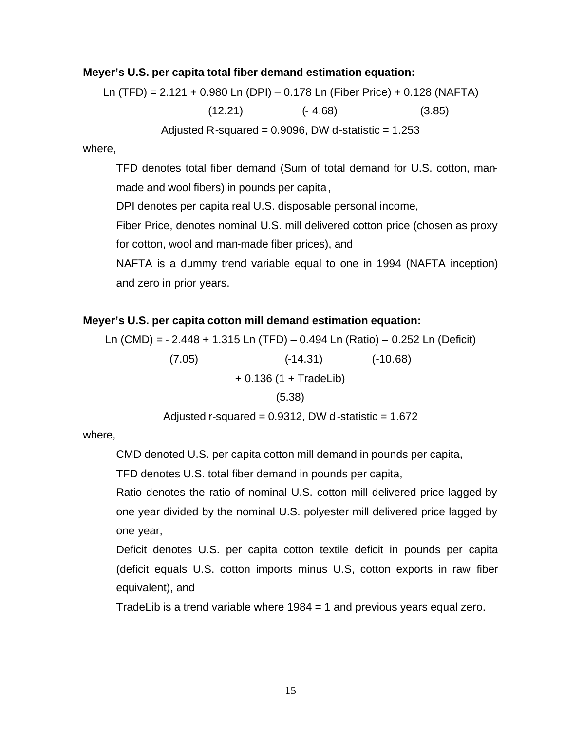#### **Meyer's U.S. per capita total fiber demand estimation equation:**

Ln (TFD) = 2.121 + 0.980 Ln (DPI) – 0.178 Ln (Fiber Price) + 0.128 (NAFTA)  $(12.21)$   $(-4.68)$   $(3.85)$ Adjusted R-squared =  $0.9096$ , DW d-statistic =  $1.253$ 

where,

TFD denotes total fiber demand (Sum of total demand for U.S. cotton, manmade and wool fibers) in pounds per capita,

DPI denotes per capita real U.S. disposable personal income,

Fiber Price, denotes nominal U.S. mill delivered cotton price (chosen as proxy for cotton, wool and man-made fiber prices), and

NAFTA is a dummy trend variable equal to one in 1994 (NAFTA inception) and zero in prior years.

### **Meyer's U.S. per capita cotton mill demand estimation equation:**

Ln (CMD) = - 2.448 + 1.315 Ln (TFD) – 0.494 Ln (Ratio) – 0.252 Ln (Deficit) (7.05) (-14.31) (-10.68)  $+ 0.136$  (1 + TradeLib) (5.38)

Adjusted r-squared =  $0.9312$ , DW d-statistic =  $1.672$ 

where,

CMD denoted U.S. per capita cotton mill demand in pounds per capita,

TFD denotes U.S. total fiber demand in pounds per capita,

Ratio denotes the ratio of nominal U.S. cotton mill delivered price lagged by one year divided by the nominal U.S. polyester mill delivered price lagged by one year,

Deficit denotes U.S. per capita cotton textile deficit in pounds per capita (deficit equals U.S. cotton imports minus U.S, cotton exports in raw fiber equivalent), and

TradeLib is a trend variable where 1984 = 1 and previous years equal zero.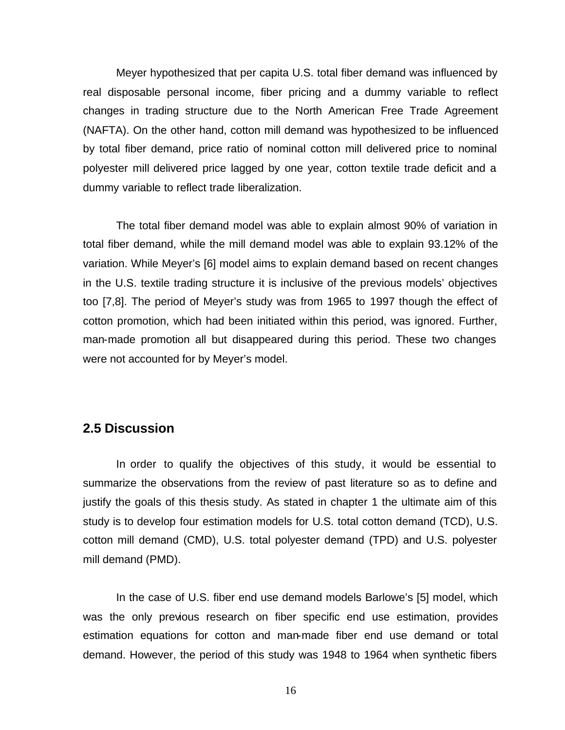Meyer hypothesized that per capita U.S. total fiber demand was influenced by real disposable personal income, fiber pricing and a dummy variable to reflect changes in trading structure due to the North American Free Trade Agreement (NAFTA). On the other hand, cotton mill demand was hypothesized to be influenced by total fiber demand, price ratio of nominal cotton mill delivered price to nominal polyester mill delivered price lagged by one year, cotton textile trade deficit and a dummy variable to reflect trade liberalization.

 The total fiber demand model was able to explain almost 90% of variation in total fiber demand, while the mill demand model was able to explain 93.12% of the variation. While Meyer's [6] model aims to explain demand based on recent changes in the U.S. textile trading structure it is inclusive of the previous models' objectives too [7,8]. The period of Meyer's study was from 1965 to 1997 though the effect of cotton promotion, which had been initiated within this period, was ignored. Further, man-made promotion all but disappeared during this period. These two changes were not accounted for by Meyer's model.

# **2.5 Discussion**

In order to qualify the objectives of this study, it would be essential to summarize the observations from the review of past literature so as to define and justify the goals of this thesis study. As stated in chapter 1 the ultimate aim of this study is to develop four estimation models for U.S. total cotton demand (TCD), U.S. cotton mill demand (CMD), U.S. total polyester demand (TPD) and U.S. polyester mill demand (PMD).

In the case of U.S. fiber end use demand models Barlowe's [5] model, which was the only previous research on fiber specific end use estimation, provides estimation equations for cotton and man-made fiber end use demand or total demand. However, the period of this study was 1948 to 1964 when synthetic fibers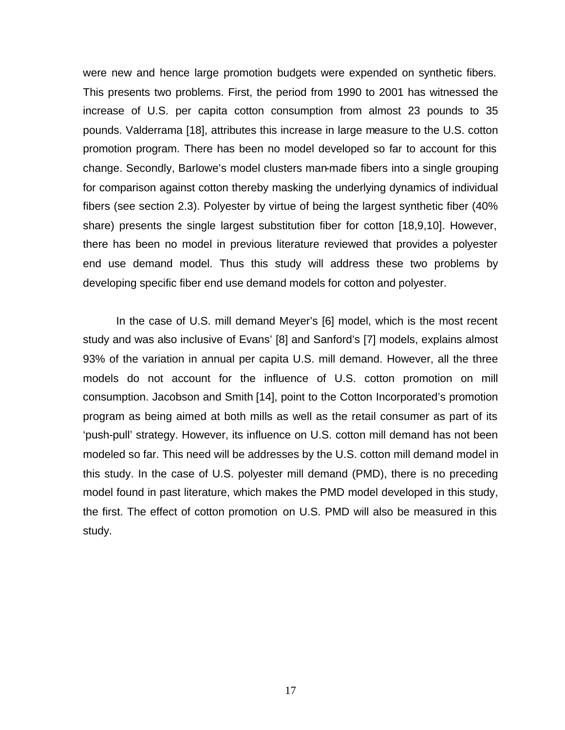were new and hence large promotion budgets were expended on synthetic fibers. This presents two problems. First, the period from 1990 to 2001 has witnessed the increase of U.S. per capita cotton consumption from almost 23 pounds to 35 pounds. Valderrama [18], attributes this increase in large measure to the U.S. cotton promotion program. There has been no model developed so far to account for this change. Secondly, Barlowe's model clusters man-made fibers into a single grouping for comparison against cotton thereby masking the underlying dynamics of individual fibers (see section 2.3). Polyester by virtue of being the largest synthetic fiber (40% share) presents the single largest substitution fiber for cotton [18,9,10]. However, there has been no model in previous literature reviewed that provides a polyester end use demand model. Thus this study will address these two problems by developing specific fiber end use demand models for cotton and polyester.

In the case of U.S. mill demand Meyer's [6] model, which is the most recent study and was also inclusive of Evans' [8] and Sanford's [7] models, explains almost 93% of the variation in annual per capita U.S. mill demand. However, all the three models do not account for the influence of U.S. cotton promotion on mill consumption. Jacobson and Smith [14], point to the Cotton Incorporated's promotion program as being aimed at both mills as well as the retail consumer as part of its 'push-pull' strategy. However, its influence on U.S. cotton mill demand has not been modeled so far. This need will be addresses by the U.S. cotton mill demand model in this study. In the case of U.S. polyester mill demand (PMD), there is no preceding model found in past literature, which makes the PMD model developed in this study, the first. The effect of cotton promotion on U.S. PMD will also be measured in this study.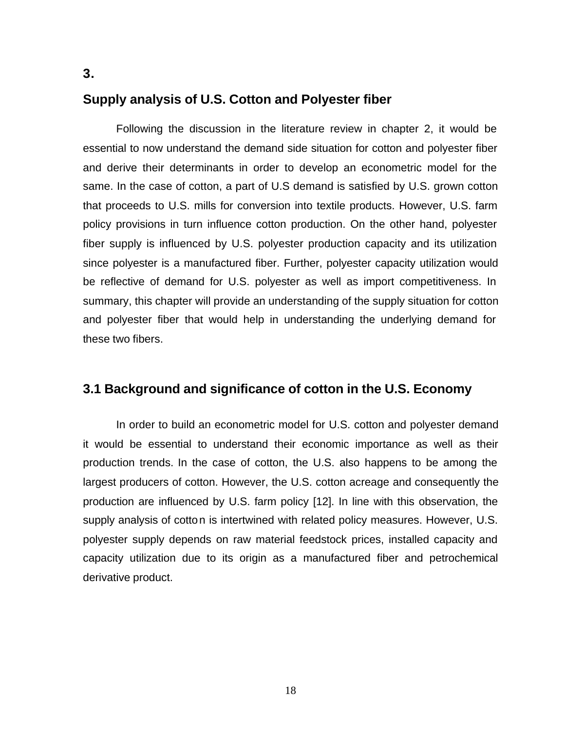## **Supply analysis of U.S. Cotton and Polyester fiber**

Following the discussion in the literature review in chapter 2, it would be essential to now understand the demand side situation for cotton and polyester fiber and derive their determinants in order to develop an econometric model for the same. In the case of cotton, a part of U.S demand is satisfied by U.S. grown cotton that proceeds to U.S. mills for conversion into textile products. However, U.S. farm policy provisions in turn influence cotton production. On the other hand, polyester fiber supply is influenced by U.S. polyester production capacity and its utilization since polyester is a manufactured fiber. Further, polyester capacity utilization would be reflective of demand for U.S. polyester as well as import competitiveness. In summary, this chapter will provide an understanding of the supply situation for cotton and polyester fiber that would help in understanding the underlying demand for these two fibers.

## **3.1 Background and significance of cotton in the U.S. Economy**

In order to build an econometric model for U.S. cotton and polyester demand it would be essential to understand their economic importance as well as their production trends. In the case of cotton, the U.S. also happens to be among the largest producers of cotton. However, the U.S. cotton acreage and consequently the production are influenced by U.S. farm policy [12]. In line with this observation, the supply analysis of cotton is intertwined with related policy measures. However, U.S. polyester supply depends on raw material feedstock prices, installed capacity and capacity utilization due to its origin as a manufactured fiber and petrochemical derivative product.

**3.**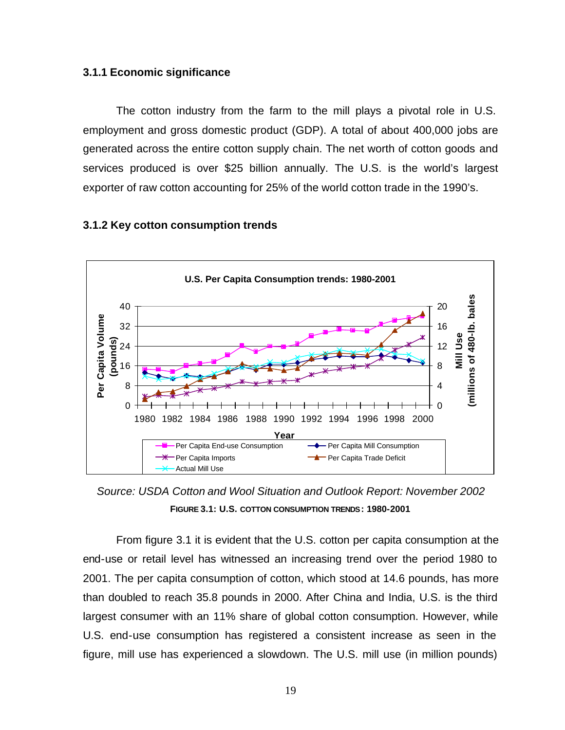### **3.1.1 Economic significance**

The cotton industry from the farm to the mill plays a pivotal role in U.S. employment and gross domestic product (GDP). A total of about 400,000 jobs are generated across the entire cotton supply chain. The net worth of cotton goods and services produced is over \$25 billion annually. The U.S. is the world's largest exporter of raw cotton accounting for 25% of the world cotton trade in the 1990's.



### **3.1.2 Key cotton consumption trends**

*Source: USDA Cotton and Wool Situation and Outlook Report: November 2002* **FIGURE 3.1: U.S. COTTON CONSUMPTION TRENDS: 1980-2001**

From figure 3.1 it is evident that the U.S. cotton per capita consumption at the end-use or retail level has witnessed an increasing trend over the period 1980 to 2001. The per capita consumption of cotton, which stood at 14.6 pounds, has more than doubled to reach 35.8 pounds in 2000. After China and India, U.S. is the third largest consumer with an 11% share of global cotton consumption. However, while U.S. end-use consumption has registered a consistent increase as seen in the figure, mill use has experienced a slowdown. The U.S. mill use (in million pounds)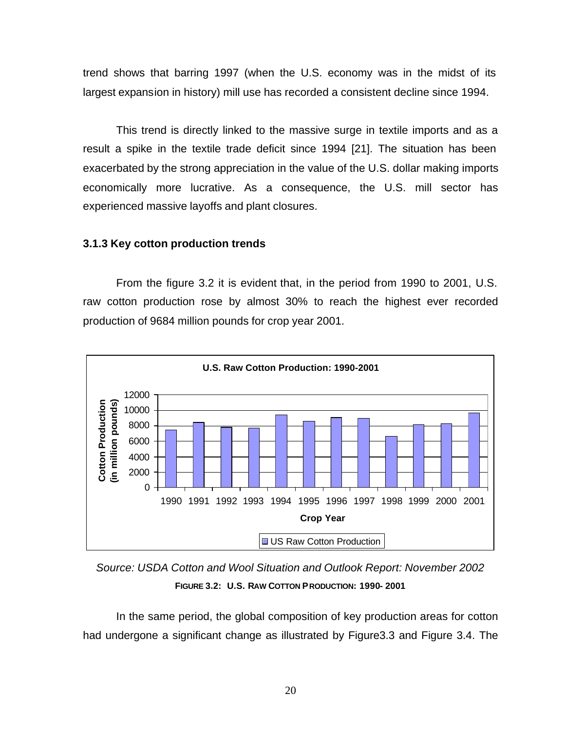trend shows that barring 1997 (when the U.S. economy was in the midst of its largest expansion in history) mill use has recorded a consistent decline since 1994.

This trend is directly linked to the massive surge in textile imports and as a result a spike in the textile trade deficit since 1994 [21]. The situation has been exacerbated by the strong appreciation in the value of the U.S. dollar making imports economically more lucrative. As a consequence, the U.S. mill sector has experienced massive layoffs and plant closures.

#### **3.1.3 Key cotton production trends**

From the figure 3.2 it is evident that, in the period from 1990 to 2001, U.S. raw cotton production rose by almost 30% to reach the highest ever recorded production of 9684 million pounds for crop year 2001.



*Source: USDA Cotton and Wool Situation and Outlook Report: November 2002* **FIGURE 3.2: U.S. RAW COTTON PRODUCTION: 1990- 2001**

In the same period, the global composition of key production areas for cotton had undergone a significant change as illustrated by Figure3.3 and Figure 3.4. The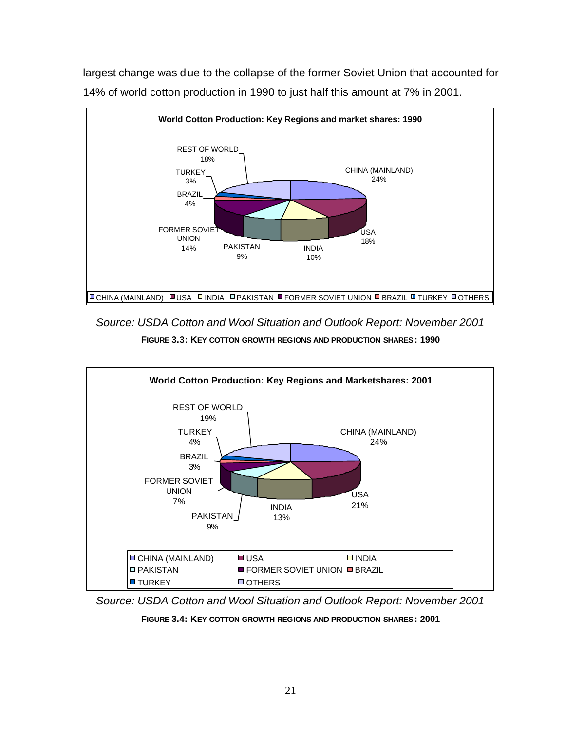

largest change was due to the collapse of the former Soviet Union that accounted for 14% of world cotton production in 1990 to just half this amount at 7% in 2001.

*Source: USDA Cotton and Wool Situation and Outlook Report: November 2001*

**FIGURE 3.3: KEY COTTON GROWTH REGIONS AND PRODUCTION SHARES: 1990**



*Source: USDA Cotton and Wool Situation and Outlook Report: November 2001*

**FIGURE 3.4: KEY COTTON GROWTH REGIONS AND PRODUCTION SHARES: 2001**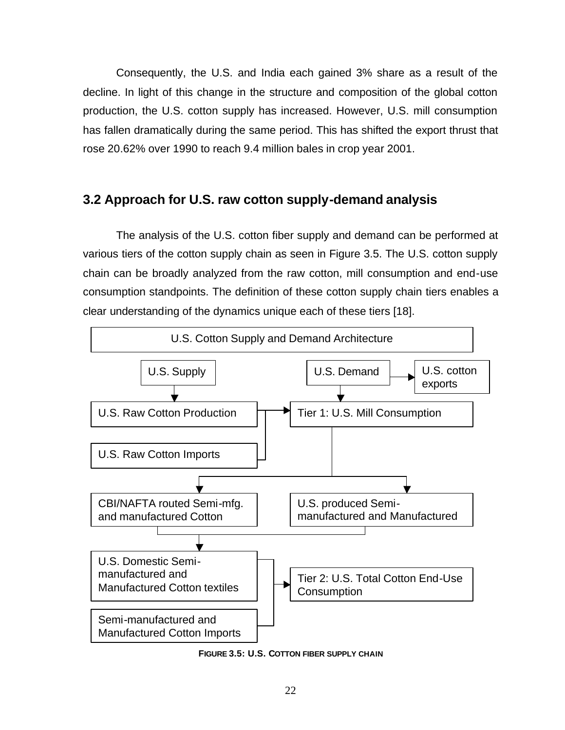Consequently, the U.S. and India each gained 3% share as a result of the decline. In light of this change in the structure and composition of the global cotton production, the U.S. cotton supply has increased. However, U.S. mill consumption has fallen dramatically during the same period. This has shifted the export thrust that rose 20.62% over 1990 to reach 9.4 million bales in crop year 2001.

# **3.2 Approach for U.S. raw cotton supply-demand analysis**

The analysis of the U.S. cotton fiber supply and demand can be performed at various tiers of the cotton supply chain as seen in Figure 3.5. The U.S. cotton supply chain can be broadly analyzed from the raw cotton, mill consumption and end-use consumption standpoints. The definition of these cotton supply chain tiers enables a clear understanding of the dynamics unique each of these tiers [18].



**FIGURE 3.5: U.S. COTTON FIBER SUPPLY CHAIN**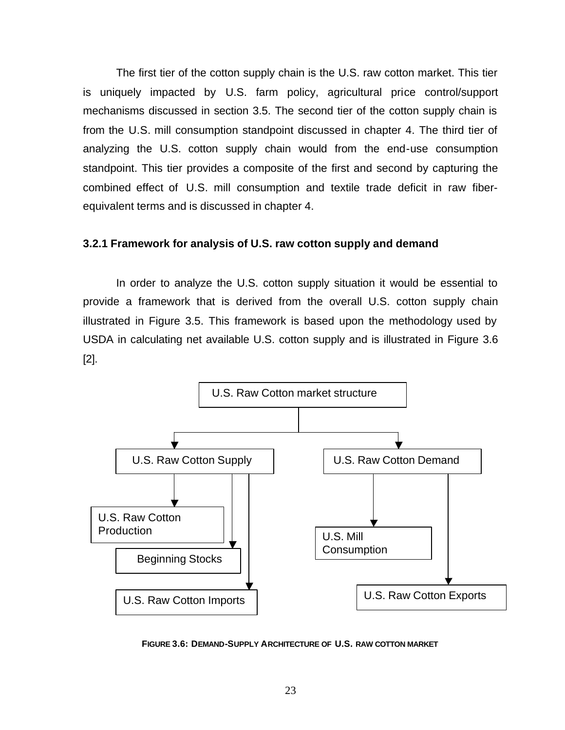The first tier of the cotton supply chain is the U.S. raw cotton market. This tier is uniquely impacted by U.S. farm policy, agricultural price control/support mechanisms discussed in section 3.5. The second tier of the cotton supply chain is from the U.S. mill consumption standpoint discussed in chapter 4. The third tier of analyzing the U.S. cotton supply chain would from the end-use consumption standpoint. This tier provides a composite of the first and second by capturing the combined effect of U.S. mill consumption and textile trade deficit in raw fiberequivalent terms and is discussed in chapter 4.

## **3.2.1 Framework for analysis of U.S. raw cotton supply and demand**

In order to analyze the U.S. cotton supply situation it would be essential to provide a framework that is derived from the overall U.S. cotton supply chain illustrated in Figure 3.5. This framework is based upon the methodology used by USDA in calculating net available U.S. cotton supply and is illustrated in Figure 3.6 [2].



**FIGURE 3.6: DEMAND-SUPPLY ARCHITECTURE OF U.S. RAW COTTON MARKET**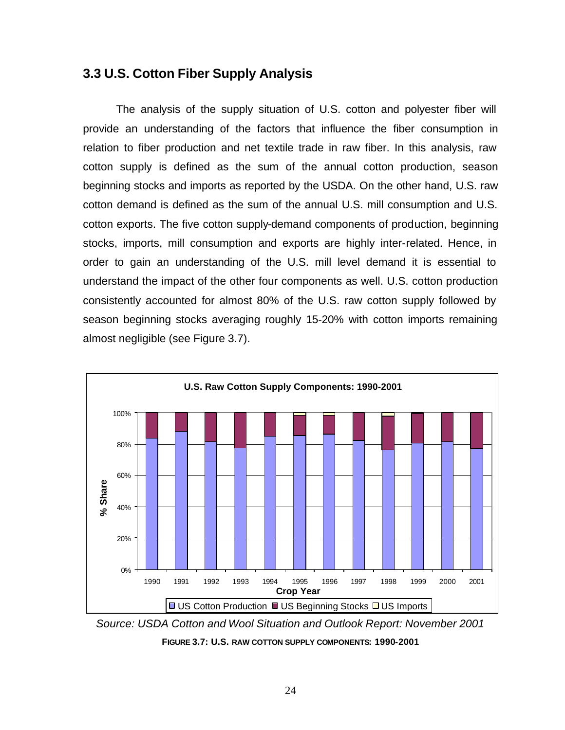# **3.3 U.S. Cotton Fiber Supply Analysis**

The analysis of the supply situation of U.S. cotton and polyester fiber will provide an understanding of the factors that influence the fiber consumption in relation to fiber production and net textile trade in raw fiber. In this analysis, raw cotton supply is defined as the sum of the annual cotton production, season beginning stocks and imports as reported by the USDA. On the other hand, U.S. raw cotton demand is defined as the sum of the annual U.S. mill consumption and U.S. cotton exports. The five cotton supply-demand components of production, beginning stocks, imports, mill consumption and exports are highly inter-related. Hence, in order to gain an understanding of the U.S. mill level demand it is essential to understand the impact of the other four components as well. U.S. cotton production consistently accounted for almost 80% of the U.S. raw cotton supply followed by season beginning stocks averaging roughly 15-20% with cotton imports remaining almost negligible (see Figure 3.7).



*Source: USDA Cotton and Wool Situation and Outlook Report: November 2001*

**FIGURE 3.7: U.S. RAW COTTON SUPPLY COMPONENTS: 1990-2001**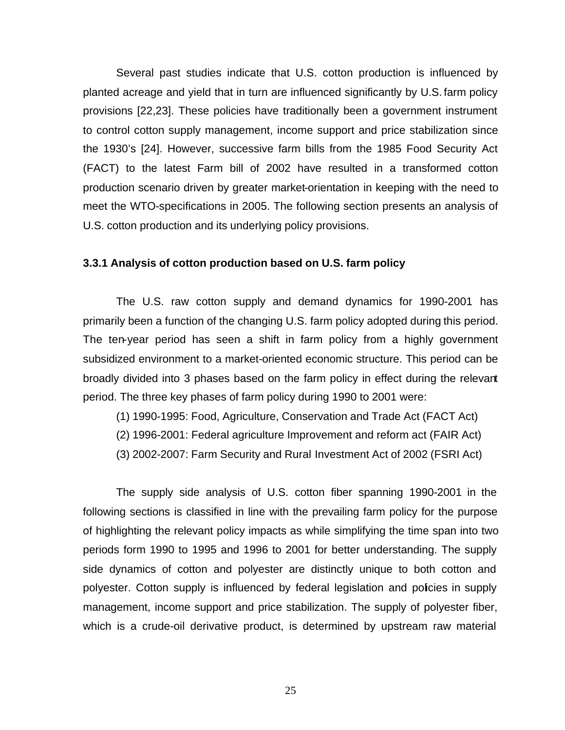Several past studies indicate that U.S. cotton production is influenced by planted acreage and yield that in turn are influenced significantly by U.S. farm policy provisions [22,23]. These policies have traditionally been a government instrument to control cotton supply management, income support and price stabilization since the 1930's [24]. However, successive farm bills from the 1985 Food Security Act (FACT) to the latest Farm bill of 2002 have resulted in a transformed cotton production scenario driven by greater market-orientation in keeping with the need to meet the WTO-specifications in 2005. The following section presents an analysis of U.S. cotton production and its underlying policy provisions.

#### **3.3.1 Analysis of cotton production based on U.S. farm policy**

The U.S. raw cotton supply and demand dynamics for 1990-2001 has primarily been a function of the changing U.S. farm policy adopted during this period. The ten-year period has seen a shift in farm policy from a highly government subsidized environment to a market-oriented economic structure. This period can be broadly divided into 3 phases based on the farm policy in effect during the relevant period. The three key phases of farm policy during 1990 to 2001 were:

- (1) 1990-1995: Food, Agriculture, Conservation and Trade Act (FACT Act)
- (2) 1996-2001: Federal agriculture Improvement and reform act (FAIR Act)
- (3) 2002-2007: Farm Security and Rural Investment Act of 2002 (FSRI Act)

The supply side analysis of U.S. cotton fiber spanning 1990-2001 in the following sections is classified in line with the prevailing farm policy for the purpose of highlighting the relevant policy impacts as while simplifying the time span into two periods form 1990 to 1995 and 1996 to 2001 for better understanding. The supply side dynamics of cotton and polyester are distinctly unique to both cotton and polyester. Cotton supply is influenced by federal legislation and policies in supply management, income support and price stabilization. The supply of polyester fiber, which is a crude-oil derivative product, is determined by upstream raw material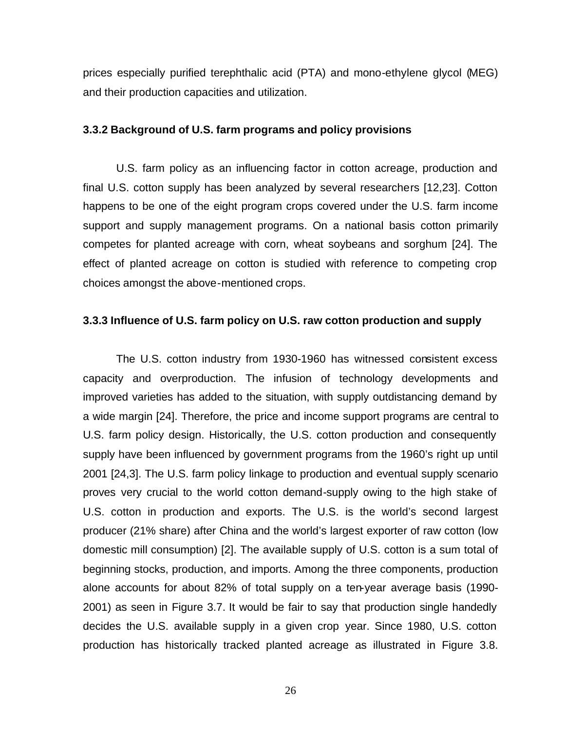prices especially purified terephthalic acid (PTA) and mono-ethylene glycol (MEG) and their production capacities and utilization.

#### **3.3.2 Background of U.S. farm programs and policy provisions**

U.S. farm policy as an influencing factor in cotton acreage, production and final U.S. cotton supply has been analyzed by several researchers [12,23]. Cotton happens to be one of the eight program crops covered under the U.S. farm income support and supply management programs. On a national basis cotton primarily competes for planted acreage with corn, wheat soybeans and sorghum [24]. The effect of planted acreage on cotton is studied with reference to competing crop choices amongst the above-mentioned crops.

### **3.3.3 Influence of U.S. farm policy on U.S. raw cotton production and supply**

The U.S. cotton industry from 1930-1960 has witnessed consistent excess capacity and overproduction. The infusion of technology developments and improved varieties has added to the situation, with supply outdistancing demand by a wide margin [24]. Therefore, the price and income support programs are central to U.S. farm policy design. Historically, the U.S. cotton production and consequently supply have been influenced by government programs from the 1960's right up until 2001 [24,3]. The U.S. farm policy linkage to production and eventual supply scenario proves very crucial to the world cotton demand-supply owing to the high stake of U.S. cotton in production and exports. The U.S. is the world's second largest producer (21% share) after China and the world's largest exporter of raw cotton (low domestic mill consumption) [2]. The available supply of U.S. cotton is a sum total of beginning stocks, production, and imports. Among the three components, production alone accounts for about 82% of total supply on a ten-year average basis (1990- 2001) as seen in Figure 3.7. It would be fair to say that production single handedly decides the U.S. available supply in a given crop year. Since 1980, U.S. cotton production has historically tracked planted acreage as illustrated in Figure 3.8.

26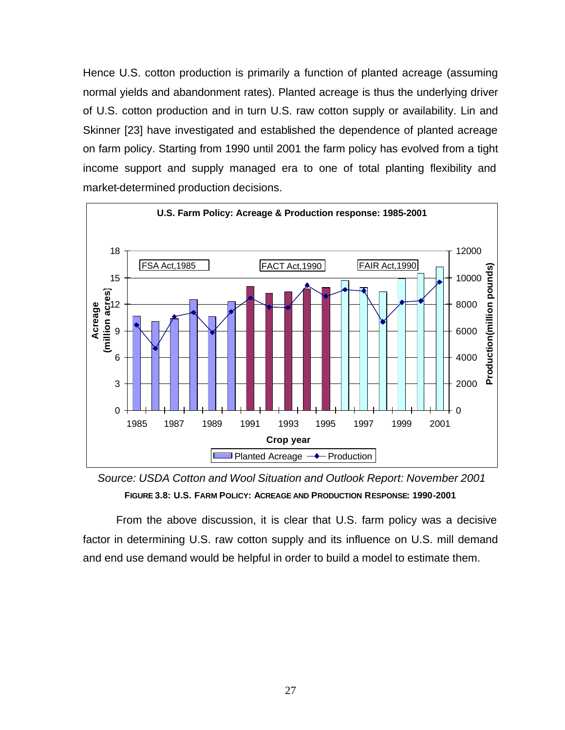Hence U.S. cotton production is primarily a function of planted acreage (assuming normal yields and abandonment rates). Planted acreage is thus the underlying driver of U.S. cotton production and in turn U.S. raw cotton supply or availability. Lin and Skinner [23] have investigated and established the dependence of planted acreage on farm policy. Starting from 1990 until 2001 the farm policy has evolved from a tight income support and supply managed era to one of total planting flexibility and market-determined production decisions.



*Source: USDA Cotton and Wool Situation and Outlook Report: November 2001* **FIGURE 3.8: U.S. FARM POLICY: ACREAGE AND PRODUCTION RESPONSE: 1990-2001**

From the above discussion, it is clear that U.S. farm policy was a decisive factor in determining U.S. raw cotton supply and its influence on U.S. mill demand and end use demand would be helpful in order to build a model to estimate them.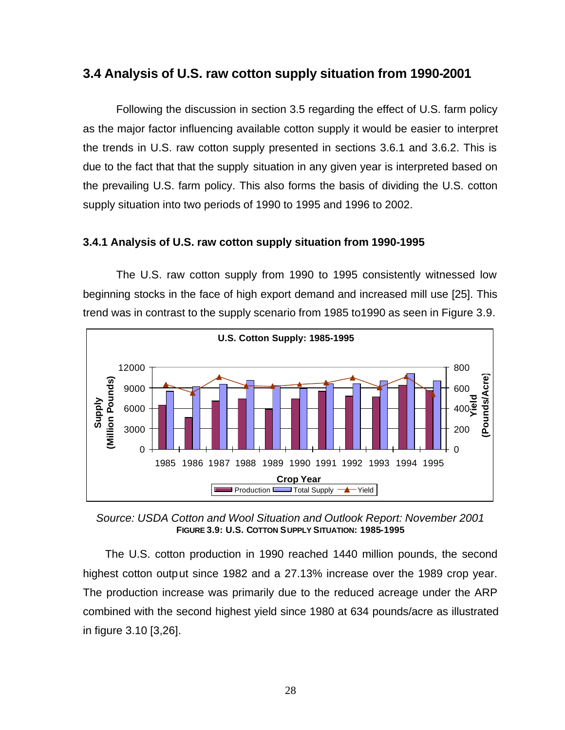## **3.4 Analysis of U.S. raw cotton supply situation from 1990-2001**

Following the discussion in section 3.5 regarding the effect of U.S. farm policy as the major factor influencing available cotton supply it would be easier to interpret the trends in U.S. raw cotton supply presented in sections 3.6.1 and 3.6.2. This is due to the fact that that the supply situation in any given year is interpreted based on the prevailing U.S. farm policy. This also forms the basis of dividing the U.S. cotton supply situation into two periods of 1990 to 1995 and 1996 to 2002.

## **3.4.1 Analysis of U.S. raw cotton supply situation from 1990-1995**

The U.S. raw cotton supply from 1990 to 1995 consistently witnessed low beginning stocks in the face of high export demand and increased mill use [25]. This trend was in contrast to the supply scenario from 1985 to1990 as seen in Figure 3.9.



*Source: USDA Cotton and Wool Situation and Outlook Report: November 2001* **FIGURE 3.9: U.S. COTTON SUPPLY SITUATION: 1985-1995**

The U.S. cotton production in 1990 reached 1440 million pounds, the second highest cotton output since 1982 and a 27.13% increase over the 1989 crop year. The production increase was primarily due to the reduced acreage under the ARP combined with the second highest yield since 1980 at 634 pounds/acre as illustrated in figure 3.10 [3,26].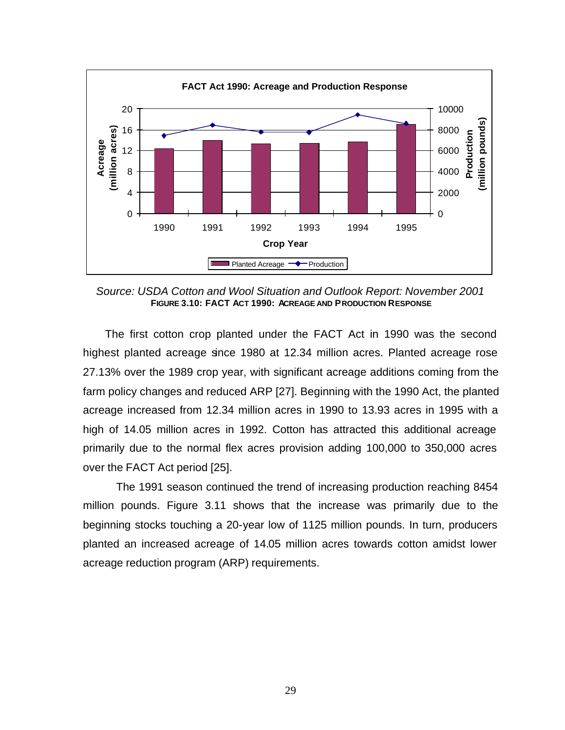

*Source: USDA Cotton and Wool Situation and Outlook Report: November 2001* **FIGURE 3.10: FACT ACT 1990: ACREAGE AND PRODUCTION RESPONSE**

The first cotton crop planted under the FACT Act in 1990 was the second highest planted acreage since 1980 at 12.34 million acres. Planted acreage rose 27.13% over the 1989 crop year, with significant acreage additions coming from the farm policy changes and reduced ARP [27]. Beginning with the 1990 Act, the planted acreage increased from 12.34 million acres in 1990 to 13.93 acres in 1995 with a high of 14.05 million acres in 1992. Cotton has attracted this additional acreage primarily due to the normal flex acres provision adding 100,000 to 350,000 acres over the FACT Act period [25].

The 1991 season continued the trend of increasing production reaching 8454 million pounds. Figure 3.11 shows that the increase was primarily due to the beginning stocks touching a 20-year low of 1125 million pounds. In turn, producers planted an increased acreage of 14.05 million acres towards cotton amidst lower acreage reduction program (ARP) requirements.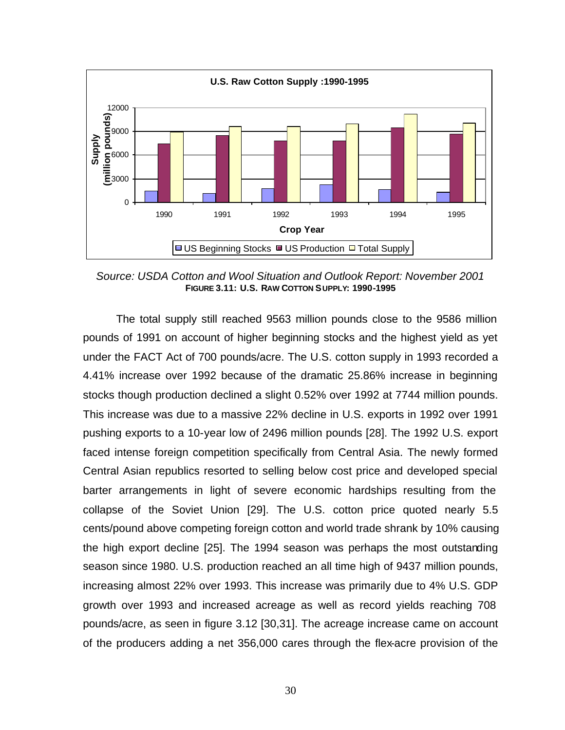

*Source: USDA Cotton and Wool Situation and Outlook Report: November 2001* **FIGURE 3.11: U.S. RAW COTTON SUPPLY: 1990-1995**

The total supply still reached 9563 million pounds close to the 9586 million pounds of 1991 on account of higher beginning stocks and the highest yield as yet under the FACT Act of 700 pounds/acre. The U.S. cotton supply in 1993 recorded a 4.41% increase over 1992 because of the dramatic 25.86% increase in beginning stocks though production declined a slight 0.52% over 1992 at 7744 million pounds. This increase was due to a massive 22% decline in U.S. exports in 1992 over 1991 pushing exports to a 10-year low of 2496 million pounds [28]. The 1992 U.S. export faced intense foreign competition specifically from Central Asia. The newly formed Central Asian republics resorted to selling below cost price and developed special barter arrangements in light of severe economic hardships resulting from the collapse of the Soviet Union [29]. The U.S. cotton price quoted nearly 5.5 cents/pound above competing foreign cotton and world trade shrank by 10% causing the high export decline [25]. The 1994 season was perhaps the most outstanding season since 1980. U.S. production reached an all time high of 9437 million pounds, increasing almost 22% over 1993. This increase was primarily due to 4% U.S. GDP growth over 1993 and increased acreage as well as record yields reaching 708 pounds/acre, as seen in figure 3.12 [30,31]. The acreage increase came on account of the producers adding a net 356,000 cares through the flex-acre provision of the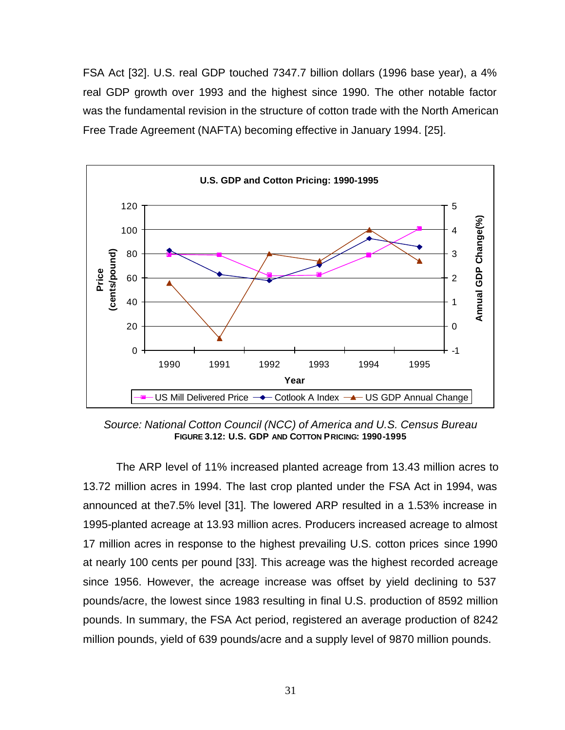FSA Act [32]. U.S. real GDP touched 7347.7 billion dollars (1996 base year), a 4% real GDP growth over 1993 and the highest since 1990. The other notable factor was the fundamental revision in the structure of cotton trade with the North American Free Trade Agreement (NAFTA) becoming effective in January 1994. [25].



*Source: National Cotton Council (NCC) of America and U.S. Census Bureau* **FIGURE 3.12: U.S. GDP AND COTTON PRICING: 1990-1995**

The ARP level of 11% increased planted acreage from 13.43 million acres to 13.72 million acres in 1994. The last crop planted under the FSA Act in 1994, was announced at the7.5% level [31]. The lowered ARP resulted in a 1.53% increase in 1995-planted acreage at 13.93 million acres. Producers increased acreage to almost 17 million acres in response to the highest prevailing U.S. cotton prices since 1990 at nearly 100 cents per pound [33]. This acreage was the highest recorded acreage since 1956. However, the acreage increase was offset by yield declining to 537 pounds/acre, the lowest since 1983 resulting in final U.S. production of 8592 million pounds. In summary, the FSA Act period, registered an average production of 8242 million pounds, yield of 639 pounds/acre and a supply level of 9870 million pounds.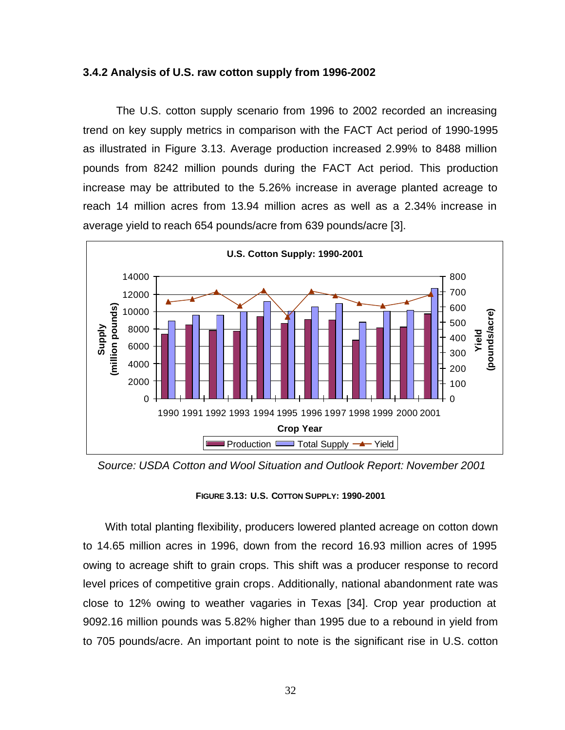### **3.4.2 Analysis of U.S. raw cotton supply from 1996-2002**

The U.S. cotton supply scenario from 1996 to 2002 recorded an increasing trend on key supply metrics in comparison with the FACT Act period of 1990-1995 as illustrated in Figure 3.13. Average production increased 2.99% to 8488 million pounds from 8242 million pounds during the FACT Act period. This production increase may be attributed to the 5.26% increase in average planted acreage to reach 14 million acres from 13.94 million acres as well as a 2.34% increase in average yield to reach 654 pounds/acre from 639 pounds/acre [3].



 *Source: USDA Cotton and Wool Situation and Outlook Report: November 2001*

#### **FIGURE 3.13: U.S. COTTON SUPPLY: 1990-2001**

With total planting flexibility, producers lowered planted acreage on cotton down to 14.65 million acres in 1996, down from the record 16.93 million acres of 1995 owing to acreage shift to grain crops. This shift was a producer response to record level prices of competitive grain crops. Additionally, national abandonment rate was close to 12% owing to weather vagaries in Texas [34]. Crop year production at 9092.16 million pounds was 5.82% higher than 1995 due to a rebound in yield from to 705 pounds/acre. An important point to note is the significant rise in U.S. cotton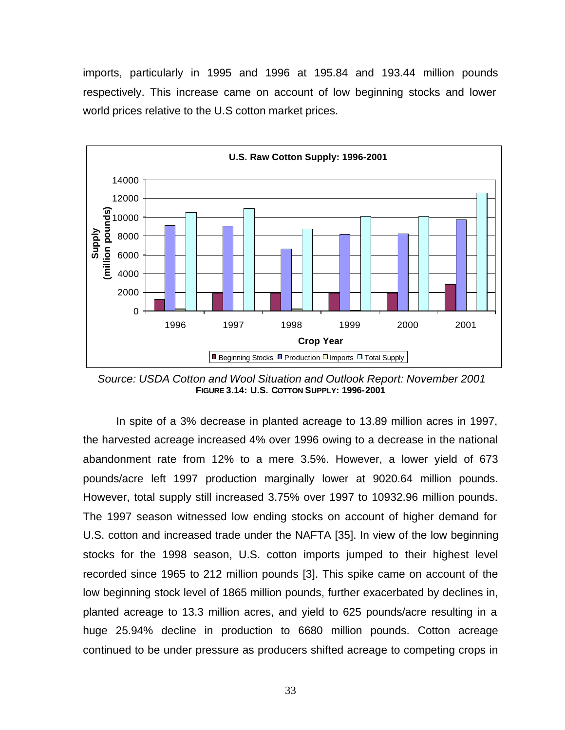imports, particularly in 1995 and 1996 at 195.84 and 193.44 million pounds respectively. This increase came on account of low beginning stocks and lower world prices relative to the U.S cotton market prices.



 *Source: USDA Cotton and Wool Situation and Outlook Report: November 2001* **FIGURE 3.14: U.S. COTTON SUPPLY: 1996-2001**

In spite of a 3% decrease in planted acreage to 13.89 million acres in 1997, the harvested acreage increased 4% over 1996 owing to a decrease in the national abandonment rate from 12% to a mere 3.5%. However, a lower yield of 673 pounds/acre left 1997 production marginally lower at 9020.64 million pounds. However, total supply still increased 3.75% over 1997 to 10932.96 million pounds. The 1997 season witnessed low ending stocks on account of higher demand for U.S. cotton and increased trade under the NAFTA [35]. In view of the low beginning stocks for the 1998 season, U.S. cotton imports jumped to their highest level recorded since 1965 to 212 million pounds [3]. This spike came on account of the low beginning stock level of 1865 million pounds, further exacerbated by declines in, planted acreage to 13.3 million acres, and yield to 625 pounds/acre resulting in a huge 25.94% decline in production to 6680 million pounds. Cotton acreage continued to be under pressure as producers shifted acreage to competing crops in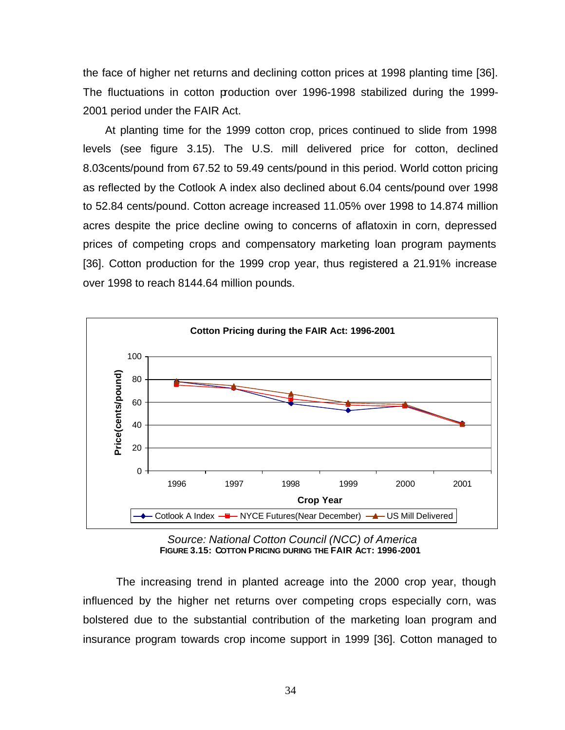the face of higher net returns and declining cotton prices at 1998 planting time [36]. The fluctuations in cotton production over 1996-1998 stabilized during the 1999- 2001 period under the FAIR Act.

At planting time for the 1999 cotton crop, prices continued to slide from 1998 levels (see figure 3.15). The U.S. mill delivered price for cotton, declined 8.03cents/pound from 67.52 to 59.49 cents/pound in this period. World cotton pricing as reflected by the Cotlook A index also declined about 6.04 cents/pound over 1998 to 52.84 cents/pound. Cotton acreage increased 11.05% over 1998 to 14.874 million acres despite the price decline owing to concerns of aflatoxin in corn, depressed prices of competing crops and compensatory marketing loan program payments [36]. Cotton production for the 1999 crop year, thus registered a 21.91% increase over 1998 to reach 8144.64 million pounds.



 *Source: National Cotton Council (NCC) of America*  **FIGURE 3.15: COTTON PRICING DURING THE FAIR ACT: 1996-2001**

The increasing trend in planted acreage into the 2000 crop year, though influenced by the higher net returns over competing crops especially corn, was bolstered due to the substantial contribution of the marketing loan program and insurance program towards crop income support in 1999 [36]. Cotton managed to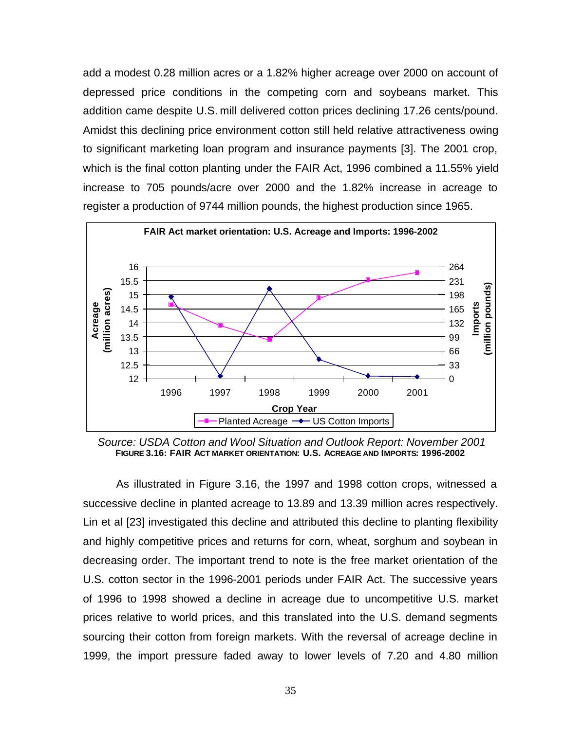add a modest 0.28 million acres or a 1.82% higher acreage over 2000 on account of depressed price conditions in the competing corn and soybeans market. This addition came despite U.S. mill delivered cotton prices declining 17.26 cents/pound. Amidst this declining price environment cotton still held relative attractiveness owing to significant marketing loan program and insurance payments [3]. The 2001 crop, which is the final cotton planting under the FAIR Act, 1996 combined a 11.55% yield increase to 705 pounds/acre over 2000 and the 1.82% increase in acreage to register a production of 9744 million pounds, the highest production since 1965.



 *Source: USDA Cotton and Wool Situation and Outlook Report: November 2001* **FIGURE 3.16: FAIR ACT MARKET ORIENTATION: U.S. ACREAGE AND IMPORTS: 1996-2002**

As illustrated in Figure 3.16, the 1997 and 1998 cotton crops, witnessed a successive decline in planted acreage to 13.89 and 13.39 million acres respectively. Lin et al [23] investigated this decline and attributed this decline to planting flexibility and highly competitive prices and returns for corn, wheat, sorghum and soybean in decreasing order. The important trend to note is the free market orientation of the U.S. cotton sector in the 1996-2001 periods under FAIR Act. The successive years of 1996 to 1998 showed a decline in acreage due to uncompetitive U.S. market prices relative to world prices, and this translated into the U.S. demand segments sourcing their cotton from foreign markets. With the reversal of acreage decline in 1999, the import pressure faded away to lower levels of 7.20 and 4.80 million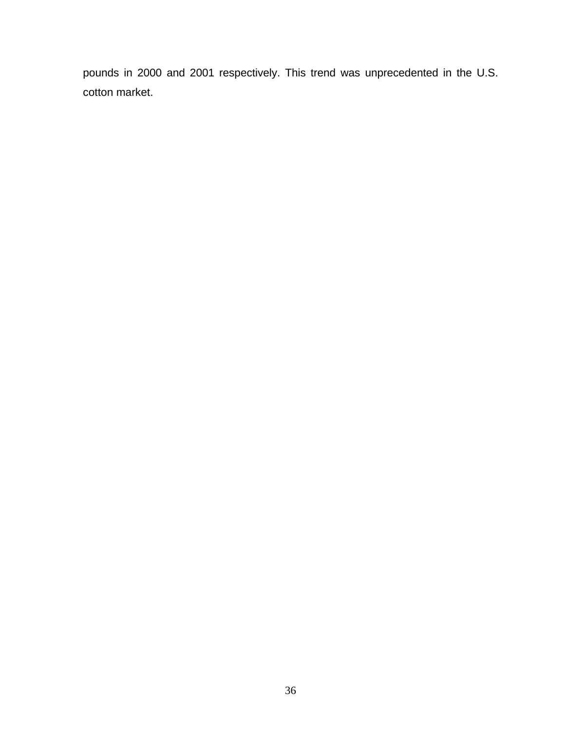pounds in 2000 and 2001 respectively. This trend was unprecedented in the U.S. cotton market.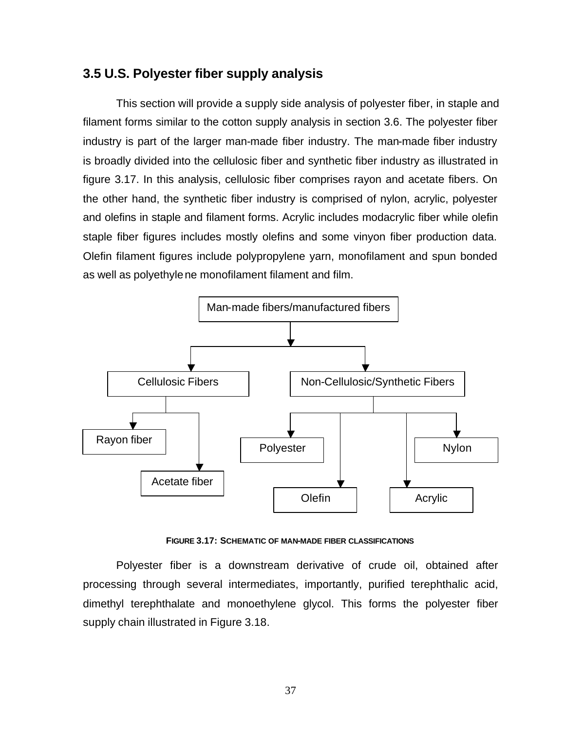# **3.5 U.S. Polyester fiber supply analysis**

This section will provide a supply side analysis of polyester fiber, in staple and filament forms similar to the cotton supply analysis in section 3.6. The polyester fiber industry is part of the larger man-made fiber industry. The man-made fiber industry is broadly divided into the cellulosic fiber and synthetic fiber industry as illustrated in figure 3.17. In this analysis, cellulosic fiber comprises rayon and acetate fibers. On the other hand, the synthetic fiber industry is comprised of nylon, acrylic, polyester and olefins in staple and filament forms. Acrylic includes modacrylic fiber while olefin staple fiber figures includes mostly olefins and some vinyon fiber production data. Olefin filament figures include polypropylene yarn, monofilament and spun bonded as well as polyethylene monofilament filament and film.



**FIGURE 3.17: SCHEMATIC OF MAN-MADE FIBER CLASSIFICATIONS**

Polyester fiber is a downstream derivative of crude oil, obtained after processing through several intermediates, importantly, purified terephthalic acid, dimethyl terephthalate and monoethylene glycol. This forms the polyester fiber supply chain illustrated in Figure 3.18.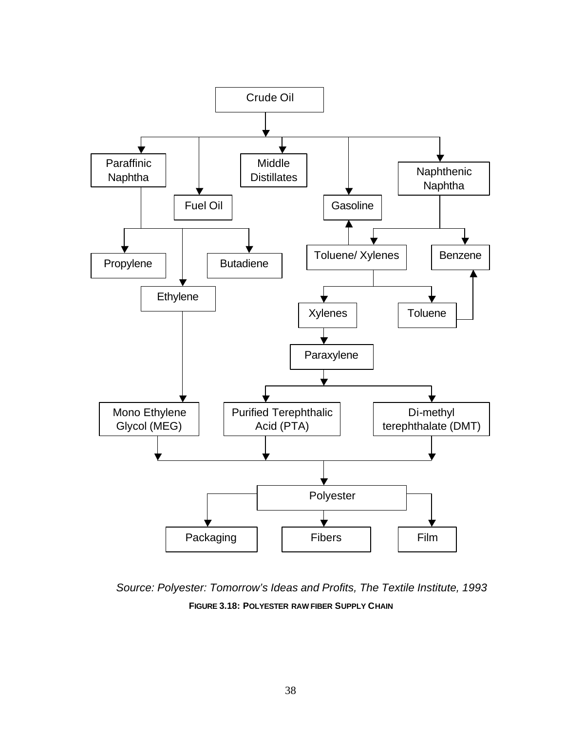

*Source: Polyester: Tomorrow's Ideas and Profits, The Textile Institute, 1993* **FIGURE 3.18: POLYESTER RAW FIBER SUPPLY CHAIN**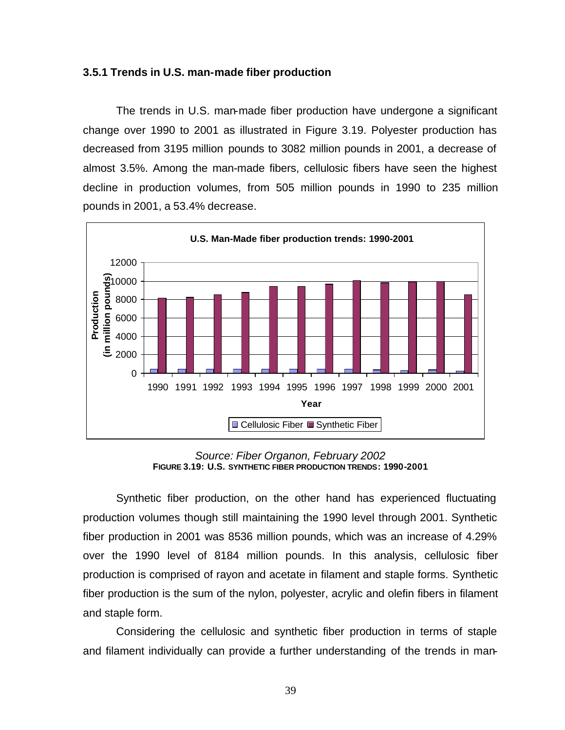#### **3.5.1 Trends in U.S. man-made fiber production**

The trends in U.S. man-made fiber production have undergone a significant change over 1990 to 2001 as illustrated in Figure 3.19. Polyester production has decreased from 3195 million pounds to 3082 million pounds in 2001, a decrease of almost 3.5%. Among the man-made fibers, cellulosic fibers have seen the highest decline in production volumes, from 505 million pounds in 1990 to 235 million pounds in 2001, a 53.4% decrease.



*Source: Fiber Organon, February 2002* **FIGURE 3.19: U.S. SYNTHETIC FIBER PRODUCTION TRENDS: 1990-2001**

Synthetic fiber production, on the other hand has experienced fluctuating production volumes though still maintaining the 1990 level through 2001. Synthetic fiber production in 2001 was 8536 million pounds, which was an increase of 4.29% over the 1990 level of 8184 million pounds. In this analysis, cellulosic fiber production is comprised of rayon and acetate in filament and staple forms. Synthetic fiber production is the sum of the nylon, polyester, acrylic and olefin fibers in filament and staple form.

Considering the cellulosic and synthetic fiber production in terms of staple and filament individually can provide a further understanding of the trends in man-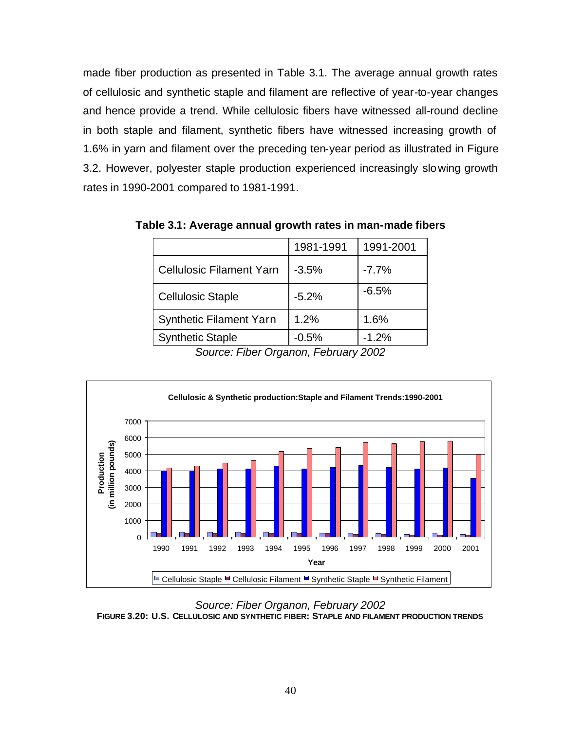made fiber production as presented in Table 3.1. The average annual growth rates of cellulosic and synthetic staple and filament are reflective of year-to-year changes and hence provide a trend. While cellulosic fibers have witnessed all-round decline in both staple and filament, synthetic fibers have witnessed increasing growth of 1.6% in yarn and filament over the preceding ten-year period as illustrated in Figure 3.2. However, polyester staple production experienced increasingly slowing growth rates in 1990-2001 compared to 1981-1991.

|                                 | 1981-1991 | 1991-2001 |
|---------------------------------|-----------|-----------|
| <b>Cellulosic Filament Yarn</b> | $-3.5%$   | $-7.7%$   |
| <b>Cellulosic Staple</b>        | $-5.2%$   | $-6.5%$   |
| <b>Synthetic Filament Yarn</b>  | 1.2%      | 1.6%      |
| <b>Synthetic Staple</b>         | $-0.5%$   | $-1.2%$   |

**Table 3.1: Average annual growth rates in man-made fibers**

*Source: Fiber Organon, February 2002*



*Source: Fiber Organon, February 2002* **FIGURE 3.20: U.S. CELLULOSIC AND SYNTHETIC FIBER: STAPLE AND FILAMENT PRODUCTION TRENDS**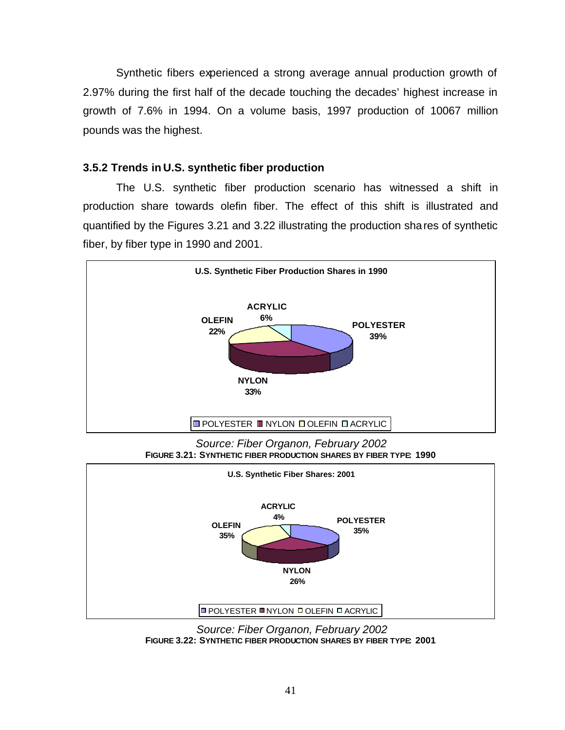Synthetic fibers experienced a strong average annual production growth of 2.97% during the first half of the decade touching the decades' highest increase in growth of 7.6% in 1994. On a volume basis, 1997 production of 10067 million pounds was the highest.

## **3.5.2 Trends in U.S. synthetic fiber production**

The U.S. synthetic fiber production scenario has witnessed a shift in production share towards olefin fiber. The effect of this shift is illustrated and quantified by the Figures 3.21 and 3.22 illustrating the production shares of synthetic fiber, by fiber type in 1990 and 2001.



*Source: Fiber Organon, February 2002* **FIGURE 3.21: SYNTHETIC FIBER PRODUCTION SHARES BY FIBER TYPE: 1990**



 *Source: Fiber Organon, February 2002* **FIGURE 3.22: SYNTHETIC FIBER PRODUCTION SHARES BY FIBER TYPE: 2001**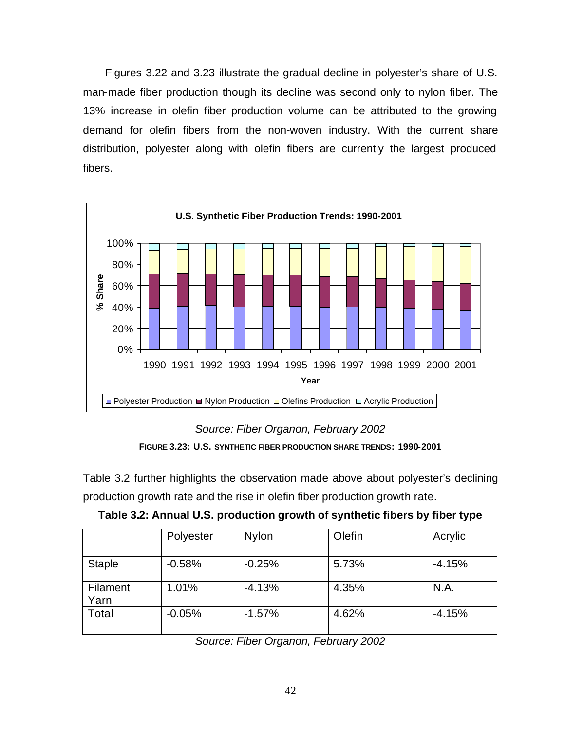Figures 3.22 and 3.23 illustrate the gradual decline in polyester's share of U.S. man-made fiber production though its decline was second only to nylon fiber. The 13% increase in olefin fiber production volume can be attributed to the growing demand for olefin fibers from the non-woven industry. With the current share distribution, polyester along with olefin fibers are currently the largest produced fibers.



*Source: Fiber Organon, February 2002* **FIGURE 3.23: U.S. SYNTHETIC FIBER PRODUCTION SHARE TRENDS: 1990-2001**

Table 3.2 further highlights the observation made above about polyester's declining production growth rate and the rise in olefin fiber production growth rate.

|                  | Polyester | <b>Nylon</b> | Olefin | Acrylic  |
|------------------|-----------|--------------|--------|----------|
| <b>Staple</b>    | $-0.58%$  | $-0.25%$     | 5.73%  | $-4.15%$ |
| Filament<br>Yarn | 1.01%     | $-4.13%$     | 4.35%  | N.A.     |
| Total            | $-0.05%$  | $-1.57%$     | 4.62%  | $-4.15%$ |

**Table 3.2: Annual U.S. production growth of synthetic fibers by fiber type**

*Source: Fiber Organon, February 2002*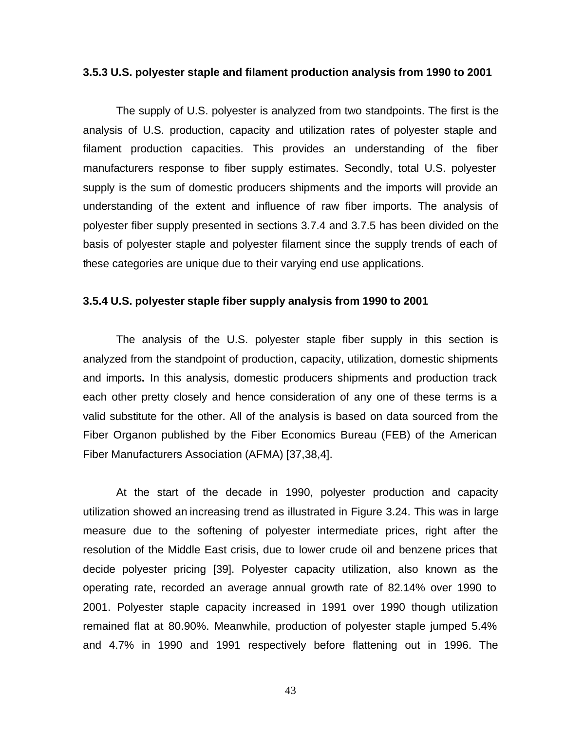#### **3.5.3 U.S. polyester staple and filament production analysis from 1990 to 2001**

The supply of U.S. polyester is analyzed from two standpoints. The first is the analysis of U.S. production, capacity and utilization rates of polyester staple and filament production capacities. This provides an understanding of the fiber manufacturers response to fiber supply estimates. Secondly, total U.S. polyester supply is the sum of domestic producers shipments and the imports will provide an understanding of the extent and influence of raw fiber imports. The analysis of polyester fiber supply presented in sections 3.7.4 and 3.7.5 has been divided on the basis of polyester staple and polyester filament since the supply trends of each of these categories are unique due to their varying end use applications.

#### **3.5.4 U.S. polyester staple fiber supply analysis from 1990 to 2001**

The analysis of the U.S. polyester staple fiber supply in this section is analyzed from the standpoint of production, capacity, utilization, domestic shipments and imports**.** In this analysis, domestic producers shipments and production track each other pretty closely and hence consideration of any one of these terms is a valid substitute for the other. All of the analysis is based on data sourced from the Fiber Organon published by the Fiber Economics Bureau (FEB) of the American Fiber Manufacturers Association (AFMA) [37,38,4].

At the start of the decade in 1990, polyester production and capacity utilization showed an increasing trend as illustrated in Figure 3.24. This was in large measure due to the softening of polyester intermediate prices, right after the resolution of the Middle East crisis, due to lower crude oil and benzene prices that decide polyester pricing [39]. Polyester capacity utilization, also known as the operating rate, recorded an average annual growth rate of 82.14% over 1990 to 2001. Polyester staple capacity increased in 1991 over 1990 though utilization remained flat at 80.90%. Meanwhile, production of polyester staple jumped 5.4% and 4.7% in 1990 and 1991 respectively before flattening out in 1996. The

43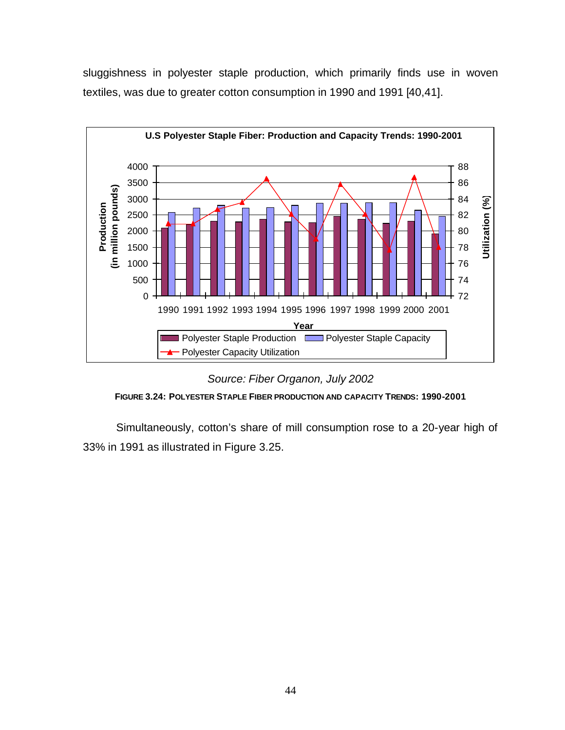sluggishness in polyester staple production, which primarily finds use in woven textiles, was due to greater cotton consumption in 1990 and 1991 [40,41].



*Source: Fiber Organon, July 2002*



Simultaneously, cotton's share of mill consumption rose to a 20-year high of 33% in 1991 as illustrated in Figure 3.25.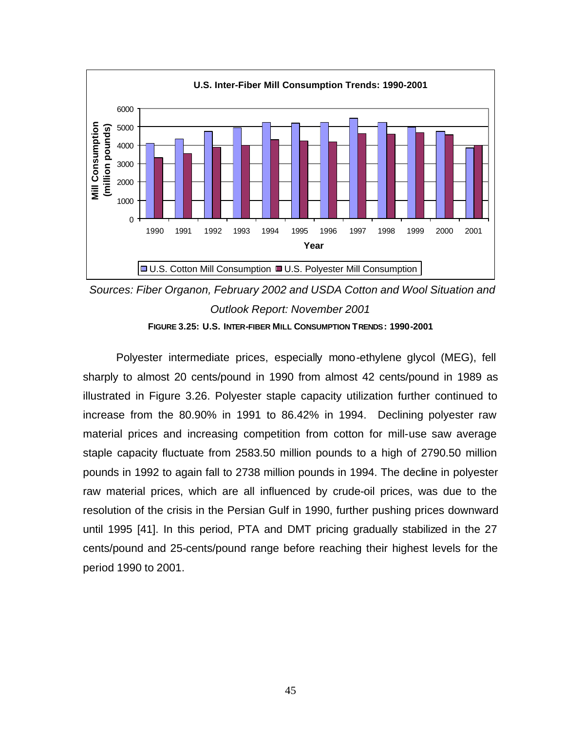

 *Sources: Fiber Organon, February 2002 and USDA Cotton and Wool Situation and Outlook Report: November 2001* **FIGURE 3.25: U.S. INTER-FIBER MILL CONSUMPTION TRENDS: 1990-2001**

Polyester intermediate prices, especially mono-ethylene glycol (MEG), fell sharply to almost 20 cents/pound in 1990 from almost 42 cents/pound in 1989 as illustrated in Figure 3.26. Polyester staple capacity utilization further continued to increase from the 80.90% in 1991 to 86.42% in 1994. Declining polyester raw material prices and increasing competition from cotton for mill-use saw average staple capacity fluctuate from 2583.50 million pounds to a high of 2790.50 million pounds in 1992 to again fall to 2738 million pounds in 1994. The decline in polyester raw material prices, which are all influenced by crude-oil prices, was due to the resolution of the crisis in the Persian Gulf in 1990, further pushing prices downward until 1995 [41]. In this period, PTA and DMT pricing gradually stabilized in the 27 cents/pound and 25-cents/pound range before reaching their highest levels for the period 1990 to 2001.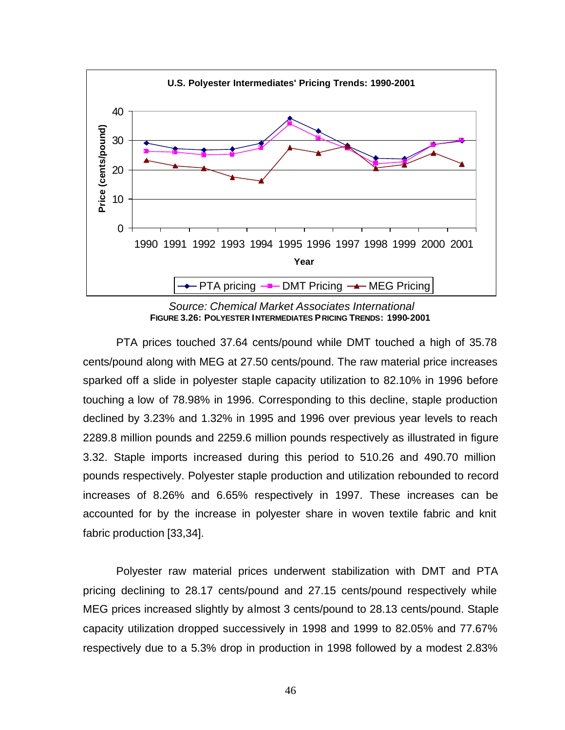

 *Source: Chemical Market Associates International* **FIGURE 3.26: POLYESTER INTERMEDIATES PRICING TRENDS: 1990-2001**

PTA prices touched 37.64 cents/pound while DMT touched a high of 35.78 cents/pound along with MEG at 27.50 cents/pound. The raw material price increases sparked off a slide in polyester staple capacity utilization to 82.10% in 1996 before touching a low of 78.98% in 1996. Corresponding to this decline, staple production declined by 3.23% and 1.32% in 1995 and 1996 over previous year levels to reach 2289.8 million pounds and 2259.6 million pounds respectively as illustrated in figure 3.32. Staple imports increased during this period to 510.26 and 490.70 million pounds respectively. Polyester staple production and utilization rebounded to record increases of 8.26% and 6.65% respectively in 1997. These increases can be accounted for by the increase in polyester share in woven textile fabric and knit fabric production [33,34].

Polyester raw material prices underwent stabilization with DMT and PTA pricing declining to 28.17 cents/pound and 27.15 cents/pound respectively while MEG prices increased slightly by almost 3 cents/pound to 28.13 cents/pound. Staple capacity utilization dropped successively in 1998 and 1999 to 82.05% and 77.67% respectively due to a 5.3% drop in production in 1998 followed by a modest 2.83%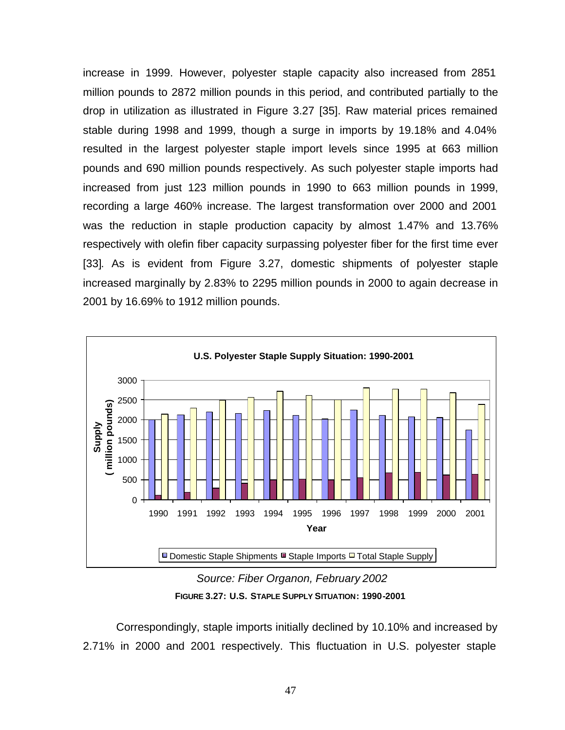increase in 1999. However, polyester staple capacity also increased from 2851 million pounds to 2872 million pounds in this period, and contributed partially to the drop in utilization as illustrated in Figure 3.27 [35]. Raw material prices remained stable during 1998 and 1999, though a surge in imports by 19.18% and 4.04% resulted in the largest polyester staple import levels since 1995 at 663 million pounds and 690 million pounds respectively. As such polyester staple imports had increased from just 123 million pounds in 1990 to 663 million pounds in 1999, recording a large 460% increase. The largest transformation over 2000 and 2001 was the reduction in staple production capacity by almost 1.47% and 13.76% respectively with olefin fiber capacity surpassing polyester fiber for the first time ever [33]. As is evident from Figure 3.27, domestic shipments of polyester staple increased marginally by 2.83% to 2295 million pounds in 2000 to again decrease in 2001 by 16.69% to 1912 million pounds.



 *Source: Fiber Organon, February 2002* **FIGURE 3.27: U.S. STAPLE SUPPLY SITUATION: 1990-2001**

Correspondingly, staple imports initially declined by 10.10% and increased by 2.71% in 2000 and 2001 respectively. This fluctuation in U.S. polyester staple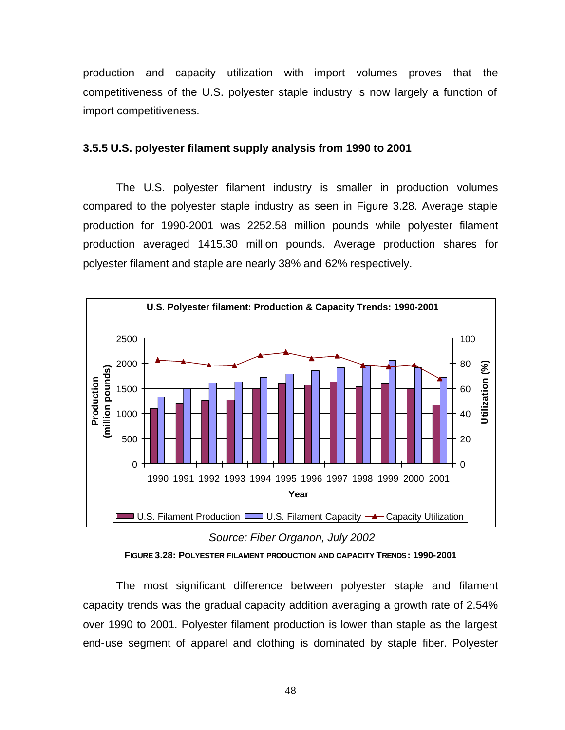production and capacity utilization with import volumes proves that the competitiveness of the U.S. polyester staple industry is now largely a function of import competitiveness.

### **3.5.5 U.S. polyester filament supply analysis from 1990 to 2001**

The U.S. polyester filament industry is smaller in production volumes compared to the polyester staple industry as seen in Figure 3.28. Average staple production for 1990-2001 was 2252.58 million pounds while polyester filament production averaged 1415.30 million pounds. Average production shares for polyester filament and staple are nearly 38% and 62% respectively.



*Source: Fiber Organon, July 2002*

The most significant difference between polyester staple and filament capacity trends was the gradual capacity addition averaging a growth rate of 2.54% over 1990 to 2001. Polyester filament production is lower than staple as the largest end-use segment of apparel and clothing is dominated by staple fiber. Polyester

**FIGURE 3.28: POLYESTER FILAMENT PRODUCTION AND CAPACITY TRENDS: 1990-2001**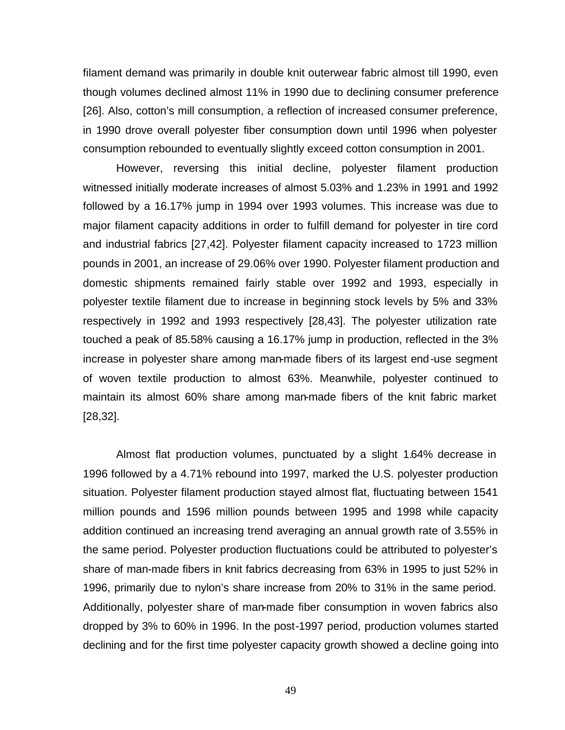filament demand was primarily in double knit outerwear fabric almost till 1990, even though volumes declined almost 11% in 1990 due to declining consumer preference [26]. Also, cotton's mill consumption, a reflection of increased consumer preference, in 1990 drove overall polyester fiber consumption down until 1996 when polyester consumption rebounded to eventually slightly exceed cotton consumption in 2001.

However, reversing this initial decline, polyester filament production witnessed initially moderate increases of almost 5.03% and 1.23% in 1991 and 1992 followed by a 16.17% jump in 1994 over 1993 volumes. This increase was due to major filament capacity additions in order to fulfill demand for polyester in tire cord and industrial fabrics [27,42]. Polyester filament capacity increased to 1723 million pounds in 2001, an increase of 29.06% over 1990. Polyester filament production and domestic shipments remained fairly stable over 1992 and 1993, especially in polyester textile filament due to increase in beginning stock levels by 5% and 33% respectively in 1992 and 1993 respectively [28,43]. The polyester utilization rate touched a peak of 85.58% causing a 16.17% jump in production, reflected in the 3% increase in polyester share among man-made fibers of its largest end-use segment of woven textile production to almost 63%. Meanwhile, polyester continued to maintain its almost 60% share among man-made fibers of the knit fabric market [28,32].

Almost flat production volumes, punctuated by a slight 1.64% decrease in 1996 followed by a 4.71% rebound into 1997, marked the U.S. polyester production situation. Polyester filament production stayed almost flat, fluctuating between 1541 million pounds and 1596 million pounds between 1995 and 1998 while capacity addition continued an increasing trend averaging an annual growth rate of 3.55% in the same period. Polyester production fluctuations could be attributed to polyester's share of man-made fibers in knit fabrics decreasing from 63% in 1995 to just 52% in 1996, primarily due to nylon's share increase from 20% to 31% in the same period. Additionally, polyester share of man-made fiber consumption in woven fabrics also dropped by 3% to 60% in 1996. In the post-1997 period, production volumes started declining and for the first time polyester capacity growth showed a decline going into

49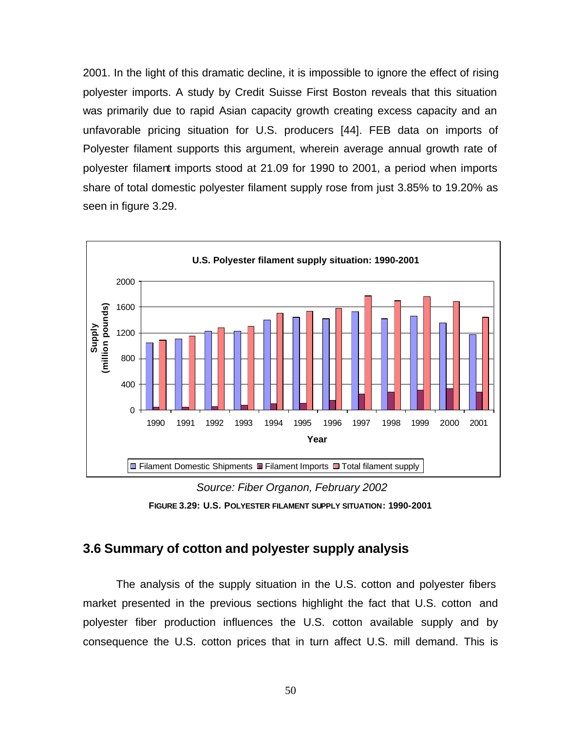2001. In the light of this dramatic decline, it is impossible to ignore the effect of rising polyester imports. A study by Credit Suisse First Boston reveals that this situation was primarily due to rapid Asian capacity growth creating excess capacity and an unfavorable pricing situation for U.S. producers [44]. FEB data on imports of Polyester filament supports this argument, wherein average annual growth rate of polyester filament imports stood at 21.09 for 1990 to 2001, a period when imports share of total domestic polyester filament supply rose from just 3.85% to 19.20% as seen in figure 3.29.



 *Source: Fiber Organon, February 2002* **FIGURE 3.29: U.S. POLYESTER FILAMENT SUPPLY SITUATION: 1990-2001**

## **3.6 Summary of cotton and polyester supply analysis**

The analysis of the supply situation in the U.S. cotton and polyester fibers market presented in the previous sections highlight the fact that U.S. cotton and polyester fiber production influences the U.S. cotton available supply and by consequence the U.S. cotton prices that in turn affect U.S. mill demand. This is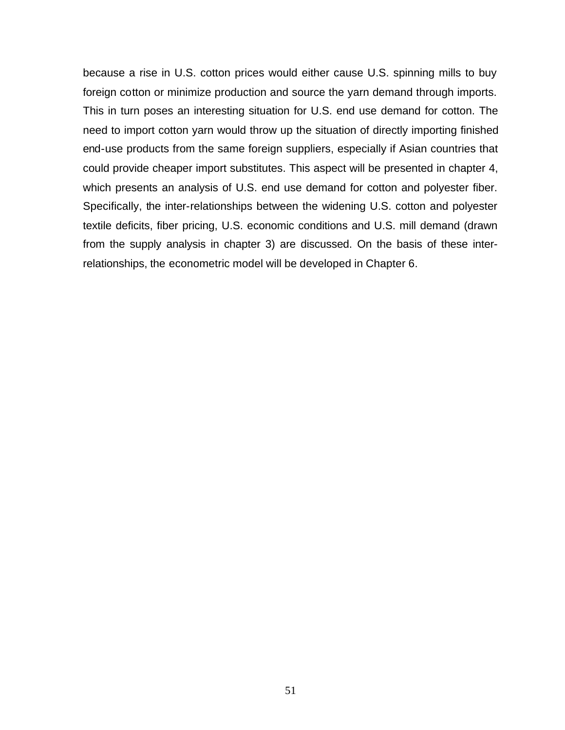because a rise in U.S. cotton prices would either cause U.S. spinning mills to buy foreign cotton or minimize production and source the yarn demand through imports. This in turn poses an interesting situation for U.S. end use demand for cotton. The need to import cotton yarn would throw up the situation of directly importing finished end-use products from the same foreign suppliers, especially if Asian countries that could provide cheaper import substitutes. This aspect will be presented in chapter 4, which presents an analysis of U.S. end use demand for cotton and polyester fiber. Specifically, the inter-relationships between the widening U.S. cotton and polyester textile deficits, fiber pricing, U.S. economic conditions and U.S. mill demand (drawn from the supply analysis in chapter 3) are discussed. On the basis of these interrelationships, the econometric model will be developed in Chapter 6.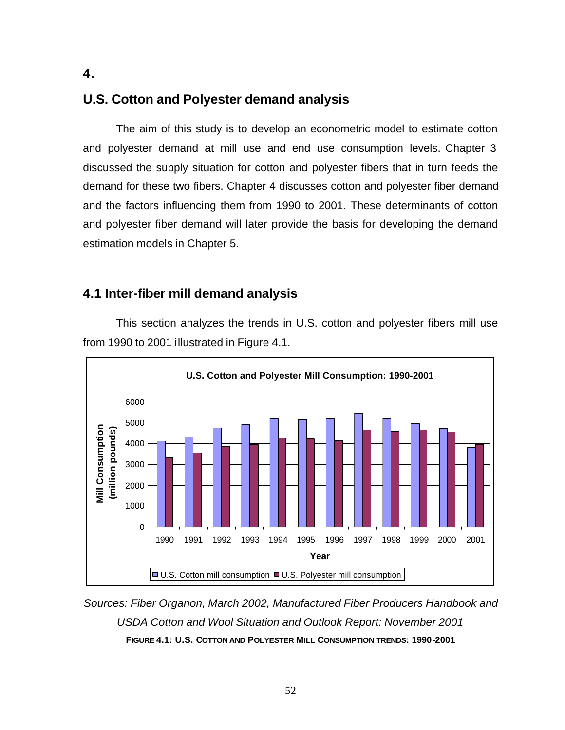# **U.S. Cotton and Polyester demand analysis**

The aim of this study is to develop an econometric model to estimate cotton and polyester demand at mill use and end use consumption levels. Chapter 3 discussed the supply situation for cotton and polyester fibers that in turn feeds the demand for these two fibers. Chapter 4 discusses cotton and polyester fiber demand and the factors influencing them from 1990 to 2001. These determinants of cotton and polyester fiber demand will later provide the basis for developing the demand estimation models in Chapter 5.

# **4.1 Inter-fiber mill demand analysis**



This section analyzes the trends in U.S. cotton and polyester fibers mill use from 1990 to 2001 illustrated in Figure 4.1.

*Sources: Fiber Organon, March 2002, Manufactured Fiber Producers Handbook and USDA Cotton and Wool Situation and Outlook Report: November 2001* **FIGURE 4.1: U.S. COTTON AND POLYESTER MILL CONSUMPTION TRENDS: 1990-2001**

**4.**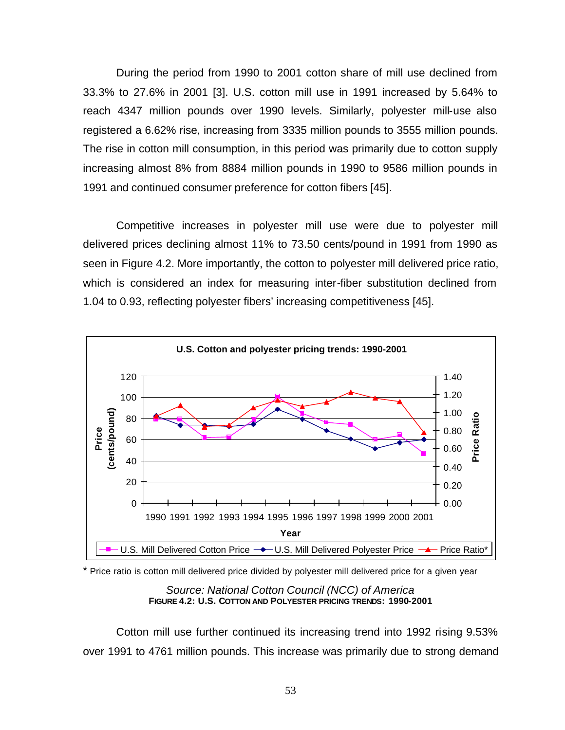During the period from 1990 to 2001 cotton share of mill use declined from 33.3% to 27.6% in 2001 [3]. U.S. cotton mill use in 1991 increased by 5.64% to reach 4347 million pounds over 1990 levels. Similarly, polyester mill-use also registered a 6.62% rise, increasing from 3335 million pounds to 3555 million pounds. The rise in cotton mill consumption, in this period was primarily due to cotton supply increasing almost 8% from 8884 million pounds in 1990 to 9586 million pounds in 1991 and continued consumer preference for cotton fibers [45].

Competitive increases in polyester mill use were due to polyester mill delivered prices declining almost 11% to 73.50 cents/pound in 1991 from 1990 as seen in Figure 4.2. More importantly, the cotton to polyester mill delivered price ratio, which is considered an index for measuring inter-fiber substitution declined from 1.04 to 0.93, reflecting polyester fibers' increasing competitiveness [45].



\* Price ratio is cotton mill delivered price divided by polyester mill delivered price for a given year

*Source: National Cotton Council (NCC) of America* **FIGURE 4.2: U.S. COTTON AND POLYESTER PRICING TRENDS: 1990-2001**

Cotton mill use further continued its increasing trend into 1992 rising 9.53% over 1991 to 4761 million pounds. This increase was primarily due to strong demand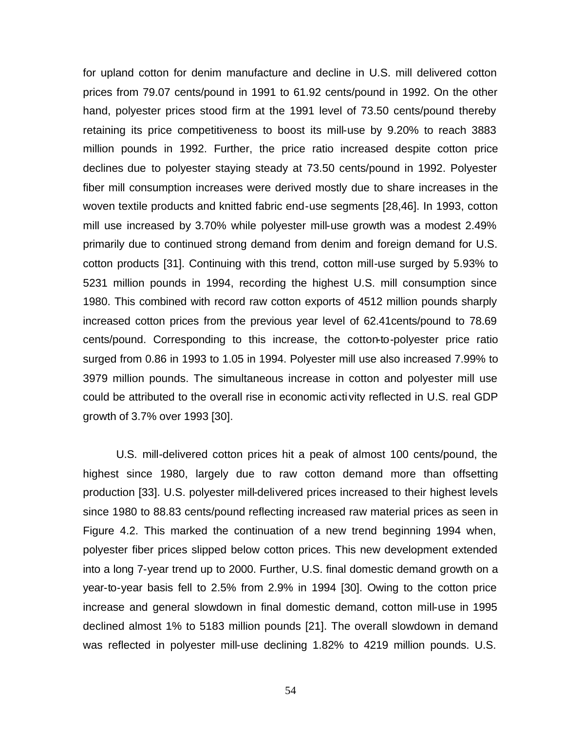for upland cotton for denim manufacture and decline in U.S. mill delivered cotton prices from 79.07 cents/pound in 1991 to 61.92 cents/pound in 1992. On the other hand, polyester prices stood firm at the 1991 level of 73.50 cents/pound thereby retaining its price competitiveness to boost its mill-use by 9.20% to reach 3883 million pounds in 1992. Further, the price ratio increased despite cotton price declines due to polyester staying steady at 73.50 cents/pound in 1992. Polyester fiber mill consumption increases were derived mostly due to share increases in the woven textile products and knitted fabric end-use segments [28,46]. In 1993, cotton mill use increased by 3.70% while polyester mill-use growth was a modest 2.49% primarily due to continued strong demand from denim and foreign demand for U.S. cotton products [31]. Continuing with this trend, cotton mill-use surged by 5.93% to 5231 million pounds in 1994, recording the highest U.S. mill consumption since 1980. This combined with record raw cotton exports of 4512 million pounds sharply increased cotton prices from the previous year level of 62.41cents/pound to 78.69 cents/pound. Corresponding to this increase, the cotton-to-polyester price ratio surged from 0.86 in 1993 to 1.05 in 1994. Polyester mill use also increased 7.99% to 3979 million pounds. The simultaneous increase in cotton and polyester mill use could be attributed to the overall rise in economic activity reflected in U.S. real GDP growth of 3.7% over 1993 [30].

U.S. mill-delivered cotton prices hit a peak of almost 100 cents/pound, the highest since 1980, largely due to raw cotton demand more than offsetting production [33]. U.S. polyester mill-delivered prices increased to their highest levels since 1980 to 88.83 cents/pound reflecting increased raw material prices as seen in Figure 4.2. This marked the continuation of a new trend beginning 1994 when, polyester fiber prices slipped below cotton prices. This new development extended into a long 7-year trend up to 2000. Further, U.S. final domestic demand growth on a year-to-year basis fell to 2.5% from 2.9% in 1994 [30]. Owing to the cotton price increase and general slowdown in final domestic demand, cotton mill-use in 1995 declined almost 1% to 5183 million pounds [21]. The overall slowdown in demand was reflected in polyester mill-use declining 1.82% to 4219 million pounds. U.S.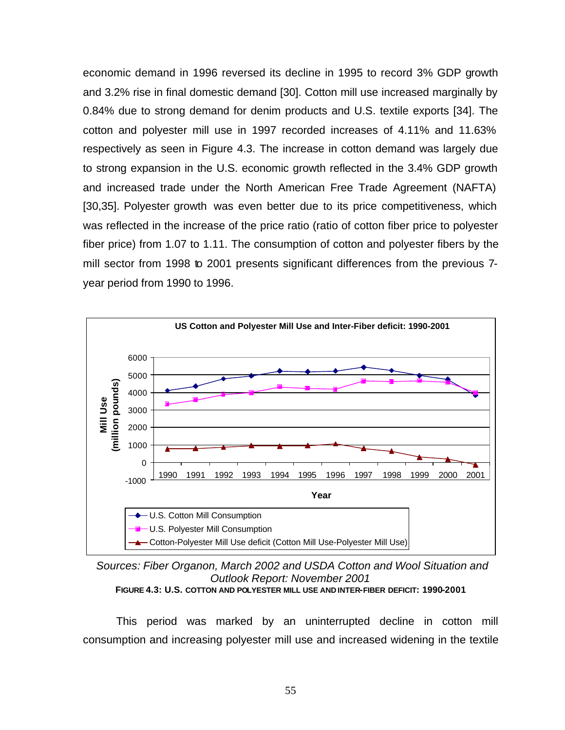economic demand in 1996 reversed its decline in 1995 to record 3% GDP growth and 3.2% rise in final domestic demand [30]. Cotton mill use increased marginally by 0.84% due to strong demand for denim products and U.S. textile exports [34]. The cotton and polyester mill use in 1997 recorded increases of 4.11% and 11.63% respectively as seen in Figure 4.3. The increase in cotton demand was largely due to strong expansion in the U.S. economic growth reflected in the 3.4% GDP growth and increased trade under the North American Free Trade Agreement (NAFTA) [30,35]. Polyester growth was even better due to its price competitiveness, which was reflected in the increase of the price ratio (ratio of cotton fiber price to polyester fiber price) from 1.07 to 1.11. The consumption of cotton and polyester fibers by the mill sector from 1998 to 2001 presents significant differences from the previous 7 year period from 1990 to 1996.



 *Sources: Fiber Organon, March 2002 and USDA Cotton and Wool Situation and Outlook Report: November 2001*

**FIGURE 4.3: U.S. COTTON AND POLYESTER MILL USE AND INTER-FIBER DEFICIT: 1990-2001**

This period was marked by an uninterrupted decline in cotton mill consumption and increasing polyester mill use and increased widening in the textile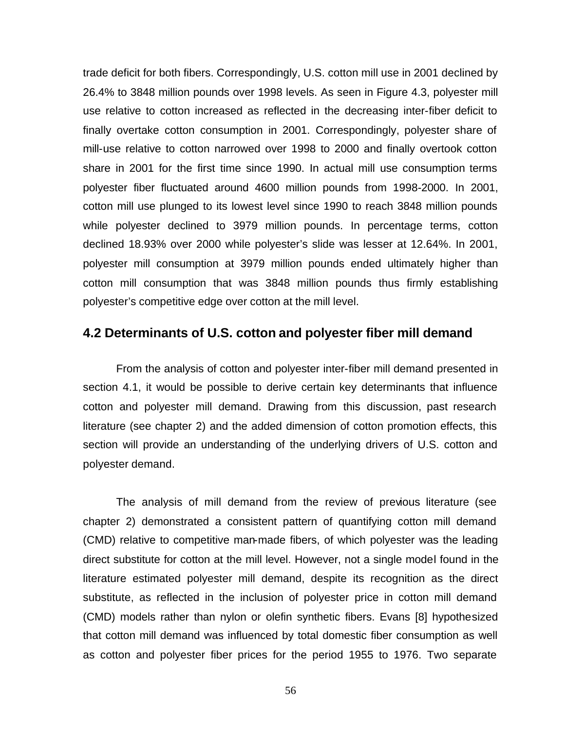trade deficit for both fibers. Correspondingly, U.S. cotton mill use in 2001 declined by 26.4% to 3848 million pounds over 1998 levels. As seen in Figure 4.3, polyester mill use relative to cotton increased as reflected in the decreasing inter-fiber deficit to finally overtake cotton consumption in 2001. Correspondingly, polyester share of mill-use relative to cotton narrowed over 1998 to 2000 and finally overtook cotton share in 2001 for the first time since 1990. In actual mill use consumption terms polyester fiber fluctuated around 4600 million pounds from 1998-2000. In 2001, cotton mill use plunged to its lowest level since 1990 to reach 3848 million pounds while polyester declined to 3979 million pounds. In percentage terms, cotton declined 18.93% over 2000 while polyester's slide was lesser at 12.64%. In 2001, polyester mill consumption at 3979 million pounds ended ultimately higher than cotton mill consumption that was 3848 million pounds thus firmly establishing polyester's competitive edge over cotton at the mill level.

## **4.2 Determinants of U.S. cotton and polyester fiber mill demand**

From the analysis of cotton and polyester inter-fiber mill demand presented in section 4.1, it would be possible to derive certain key determinants that influence cotton and polyester mill demand. Drawing from this discussion, past research literature (see chapter 2) and the added dimension of cotton promotion effects, this section will provide an understanding of the underlying drivers of U.S. cotton and polyester demand.

The analysis of mill demand from the review of previous literature (see chapter 2) demonstrated a consistent pattern of quantifying cotton mill demand (CMD) relative to competitive man-made fibers, of which polyester was the leading direct substitute for cotton at the mill level. However, not a single model found in the literature estimated polyester mill demand, despite its recognition as the direct substitute, as reflected in the inclusion of polyester price in cotton mill demand (CMD) models rather than nylon or olefin synthetic fibers. Evans [8] hypothesized that cotton mill demand was influenced by total domestic fiber consumption as well as cotton and polyester fiber prices for the period 1955 to 1976. Two separate

56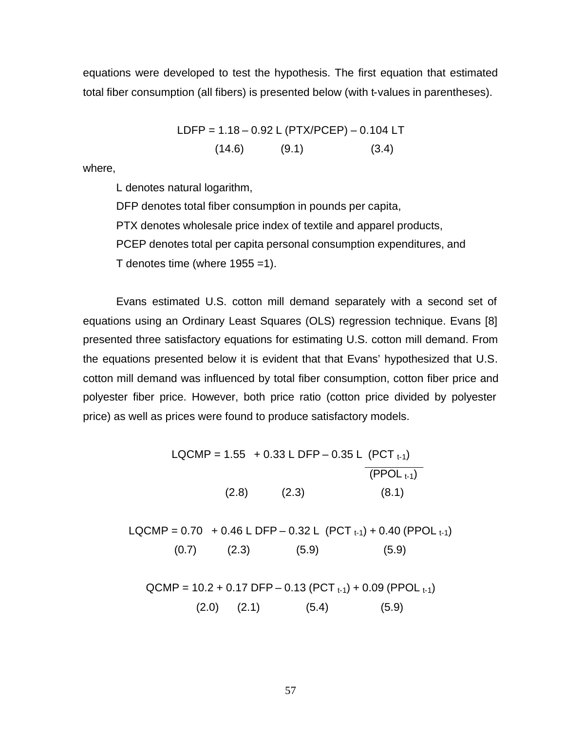equations were developed to test the hypothesis. The first equation that estimated total fiber consumption (all fibers) is presented below (with t-values in parentheses).

$$
LDFP = 1.18 - 0.92 L (PTX/PCEP) - 0.104 LT
$$
  
(14.6) (9.1) (3.4)

where,

L denotes natural logarithm,

DFP denotes total fiber consumption in pounds per capita,

PTX denotes wholesale price index of textile and apparel products,

PCEP denotes total per capita personal consumption expenditures, and

T denotes time (where  $1955 = 1$ ).

Evans estimated U.S. cotton mill demand separately with a second set of equations using an Ordinary Least Squares (OLS) regression technique. Evans [8] presented three satisfactory equations for estimating U.S. cotton mill demand. From the equations presented below it is evident that that Evans' hypothesized that U.S. cotton mill demand was influenced by total fiber consumption, cotton fiber price and polyester fiber price. However, both price ratio (cotton price divided by polyester price) as well as prices were found to produce satisfactory models.

> LQCMP =  $1.55 + 0.33$  L DFP – 0.35 L (PCT  $_{t-1}$ )  $(PPOL_{t-1})$  $(2.8)$   $(2.3)$   $(8.1)$

LQCMP =  $0.70 + 0.46$  L DFP –  $0.32$  L (PCT  $_{t-1}$ ) +  $0.40$  (PPOL  $_{t-1}$ )  $(0.7)$   $(2.3)$   $(5.9)$   $(5.9)$ 

 $QCMP = 10.2 + 0.17$  DFP – 0.13 (PCT  $t_{-1}$ ) + 0.09 (PPOL  $t_{-1}$ )  $(2.0)$   $(2.1)$   $(5.4)$   $(5.9)$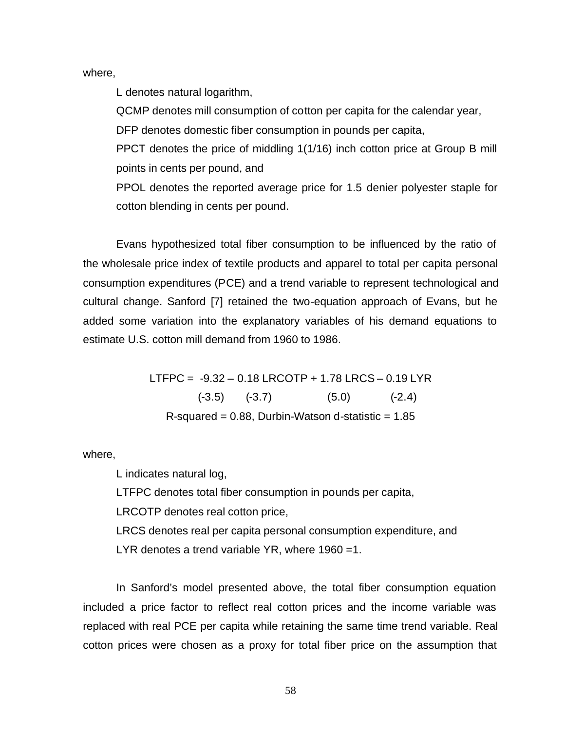where,

L denotes natural logarithm,

QCMP denotes mill consumption of cotton per capita for the calendar year,

DFP denotes domestic fiber consumption in pounds per capita,

PPCT denotes the price of middling 1(1/16) inch cotton price at Group B mill points in cents per pound, and

PPOL denotes the reported average price for 1.5 denier polyester staple for cotton blending in cents per pound.

Evans hypothesized total fiber consumption to be influenced by the ratio of the wholesale price index of textile products and apparel to total per capita personal consumption expenditures (PCE) and a trend variable to represent technological and cultural change. Sanford [7] retained the two-equation approach of Evans, but he added some variation into the explanatory variables of his demand equations to estimate U.S. cotton mill demand from 1960 to 1986.

> LTFPC = -9.32 – 0.18 LRCOTP + 1.78 LRCS – 0.19 LYR  $(-3.5)$   $(-3.7)$   $(5.0)$   $(-2.4)$  $R$ -squared = 0.88, Durbin-Watson d-statistic = 1.85

where,

L indicates natural log,

LTFPC denotes total fiber consumption in pounds per capita,

LRCOTP denotes real cotton price,

LRCS denotes real per capita personal consumption expenditure, and LYR denotes a trend variable YR, where 1960 =1.

In Sanford's model presented above, the total fiber consumption equation included a price factor to reflect real cotton prices and the income variable was replaced with real PCE per capita while retaining the same time trend variable. Real cotton prices were chosen as a proxy for total fiber price on the assumption that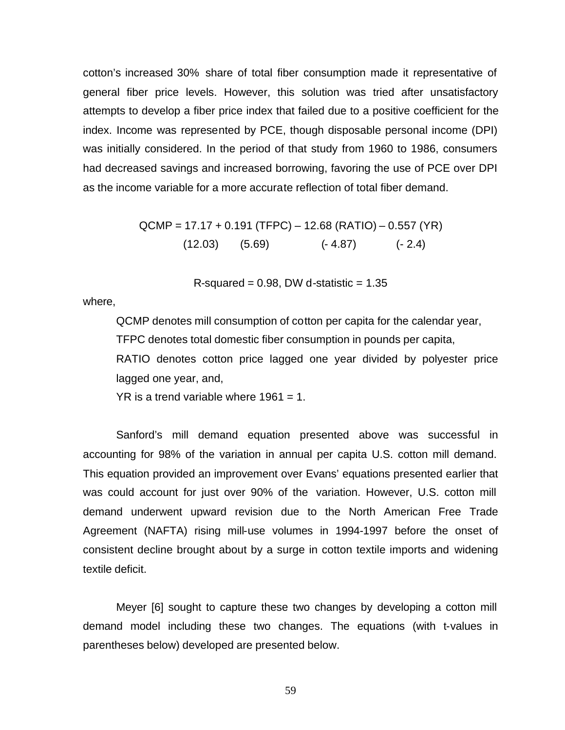cotton's increased 30% share of total fiber consumption made it representative of general fiber price levels. However, this solution was tried after unsatisfactory attempts to develop a fiber price index that failed due to a positive coefficient for the index. Income was represented by PCE, though disposable personal income (DPI) was initially considered. In the period of that study from 1960 to 1986, consumers had decreased savings and increased borrowing, favoring the use of PCE over DPI as the income variable for a more accurate reflection of total fiber demand.

$$
QCMP = 17.17 + 0.191 (TFPC) - 12.68 (RATIO) - 0.557 (YR)
$$
  
(12.03) (5.69) (-4.87) (-2.4)

R-squared =  $0.98$ , DW d-statistic =  $1.35$ 

where,

QCMP denotes mill consumption of cotton per capita for the calendar year, TFPC denotes total domestic fiber consumption in pounds per capita, RATIO denotes cotton price lagged one year divided by polyester price lagged one year, and,

 $YR$  is a trend variable where 1961 = 1.

Sanford's mill demand equation presented above was successful in accounting for 98% of the variation in annual per capita U.S. cotton mill demand. This equation provided an improvement over Evans' equations presented earlier that was could account for just over 90% of the variation. However, U.S. cotton mill demand underwent upward revision due to the North American Free Trade Agreement (NAFTA) rising mill-use volumes in 1994-1997 before the onset of consistent decline brought about by a surge in cotton textile imports and widening textile deficit.

Meyer [6] sought to capture these two changes by developing a cotton mill demand model including these two changes. The equations (with t-values in parentheses below) developed are presented below.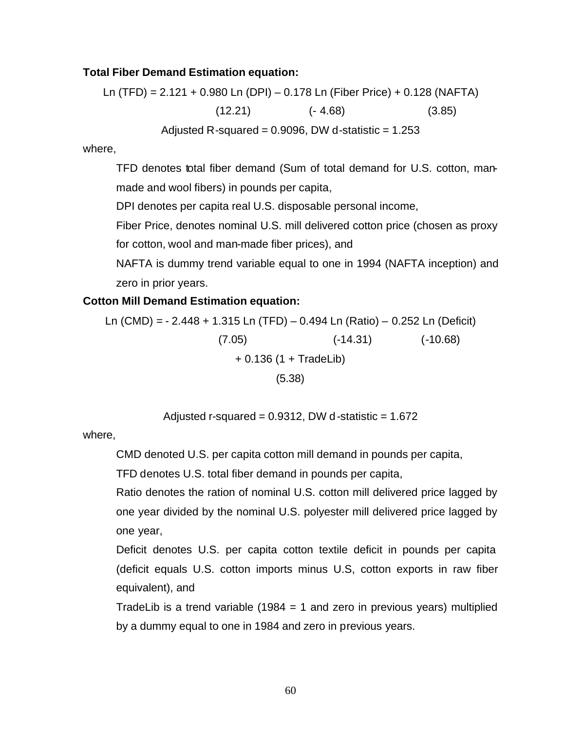### **Total Fiber Demand Estimation equation:**

Ln (TFD) = 2.121 + 0.980 Ln (DPI) – 0.178 Ln (Fiber Price) + 0.128 (NAFTA)  $(12.21)$   $(-4.68)$   $(3.85)$ Adjusted R-squared =  $0.9096$ , DW d-statistic =  $1.253$ 

where,

TFD denotes total fiber demand (Sum of total demand for U.S. cotton, manmade and wool fibers) in pounds per capita,

DPI denotes per capita real U.S. disposable personal income,

Fiber Price, denotes nominal U.S. mill delivered cotton price (chosen as proxy for cotton, wool and man-made fiber prices), and

NAFTA is dummy trend variable equal to one in 1994 (NAFTA inception) and zero in prior years.

### **Cotton Mill Demand Estimation equation:**

Ln (CMD) = - 2.448 + 1.315 Ln (TFD) – 0.494 Ln (Ratio) – 0.252 Ln (Deficit)  $(7.05)$   $(-14.31)$   $(-10.68)$ + 0.136 (1 + TradeLib) (5.38)

Adjusted r-squared =  $0.9312$ , DW d-statistic =  $1.672$ 

where,

CMD denoted U.S. per capita cotton mill demand in pounds per capita,

TFD denotes U.S. total fiber demand in pounds per capita,

Ratio denotes the ration of nominal U.S. cotton mill delivered price lagged by one year divided by the nominal U.S. polyester mill delivered price lagged by one year,

Deficit denotes U.S. per capita cotton textile deficit in pounds per capita (deficit equals U.S. cotton imports minus U.S, cotton exports in raw fiber equivalent), and

TradeLib is a trend variable (1984 = 1 and zero in previous years) multiplied by a dummy equal to one in 1984 and zero in previous years.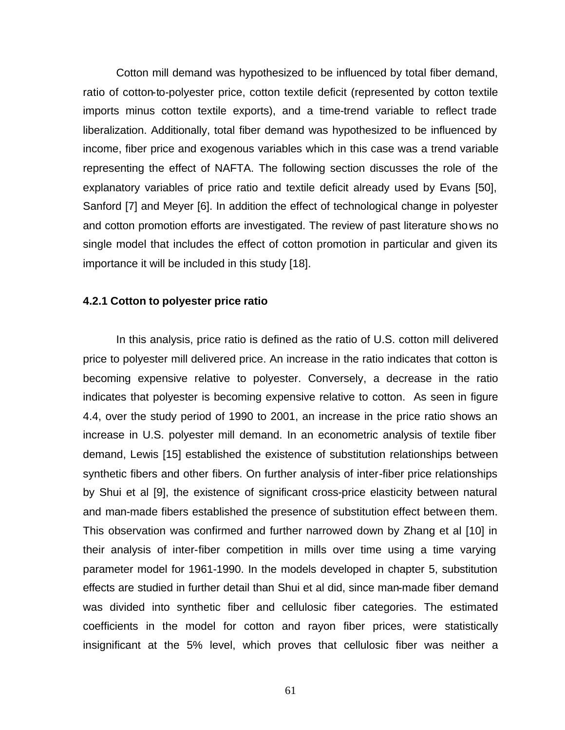Cotton mill demand was hypothesized to be influenced by total fiber demand, ratio of cotton-to-polyester price, cotton textile deficit (represented by cotton textile imports minus cotton textile exports), and a time-trend variable to reflect trade liberalization. Additionally, total fiber demand was hypothesized to be influenced by income, fiber price and exogenous variables which in this case was a trend variable representing the effect of NAFTA. The following section discusses the role of the explanatory variables of price ratio and textile deficit already used by Evans [50], Sanford [7] and Meyer [6]. In addition the effect of technological change in polyester and cotton promotion efforts are investigated. The review of past literature shows no single model that includes the effect of cotton promotion in particular and given its importance it will be included in this study [18].

#### **4.2.1 Cotton to polyester price ratio**

In this analysis, price ratio is defined as the ratio of U.S. cotton mill delivered price to polyester mill delivered price. An increase in the ratio indicates that cotton is becoming expensive relative to polyester. Conversely, a decrease in the ratio indicates that polyester is becoming expensive relative to cotton. As seen in figure 4.4, over the study period of 1990 to 2001, an increase in the price ratio shows an increase in U.S. polyester mill demand. In an econometric analysis of textile fiber demand, Lewis [15] established the existence of substitution relationships between synthetic fibers and other fibers. On further analysis of inter-fiber price relationships by Shui et al [9], the existence of significant cross-price elasticity between natural and man-made fibers established the presence of substitution effect between them. This observation was confirmed and further narrowed down by Zhang et al [10] in their analysis of inter-fiber competition in mills over time using a time varying parameter model for 1961-1990. In the models developed in chapter 5, substitution effects are studied in further detail than Shui et al did, since man-made fiber demand was divided into synthetic fiber and cellulosic fiber categories. The estimated coefficients in the model for cotton and rayon fiber prices, were statistically insignificant at the 5% level, which proves that cellulosic fiber was neither a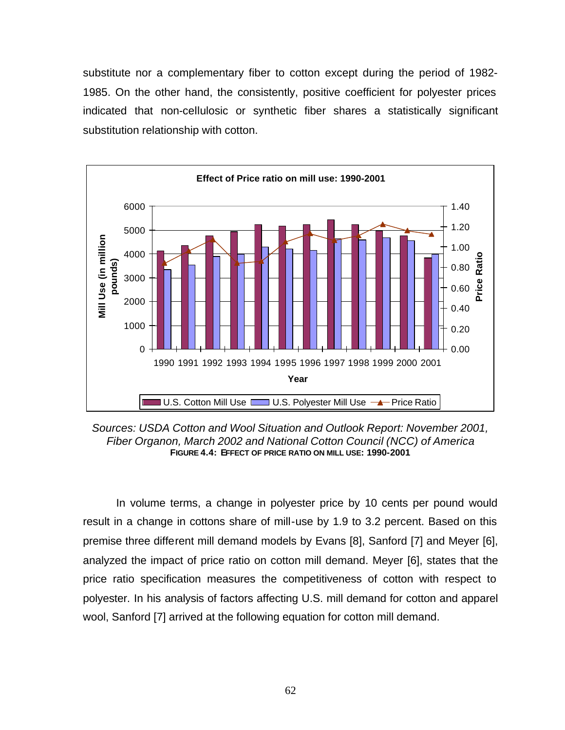substitute nor a complementary fiber to cotton except during the period of 1982- 1985. On the other hand, the consistently, positive coefficient for polyester prices indicated that non-cellulosic or synthetic fiber shares a statistically significant substitution relationship with cotton.



*Sources: USDA Cotton and Wool Situation and Outlook Report: November 2001, Fiber Organon, March 2002 and National Cotton Council (NCC) of America* **FIGURE 4.4: EFFECT OF PRICE RATIO ON MILL USE: 1990-2001**

In volume terms, a change in polyester price by 10 cents per pound would result in a change in cottons share of mill-use by 1.9 to 3.2 percent. Based on this premise three different mill demand models by Evans [8], Sanford [7] and Meyer [6], analyzed the impact of price ratio on cotton mill demand. Meyer [6], states that the price ratio specification measures the competitiveness of cotton with respect to polyester. In his analysis of factors affecting U.S. mill demand for cotton and apparel wool, Sanford [7] arrived at the following equation for cotton mill demand.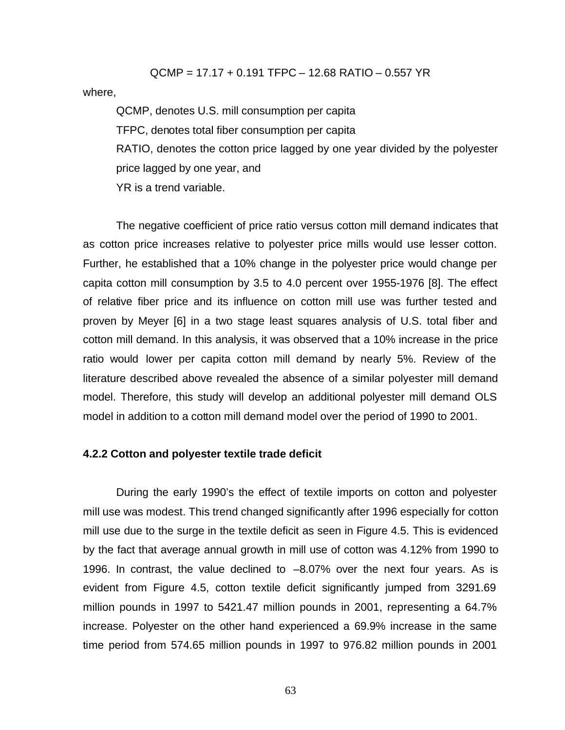QCMP = 17.17 + 0.191 TFPC – 12.68 RATIO – 0.557 YR where,

QCMP, denotes U.S. mill consumption per capita TFPC, denotes total fiber consumption per capita RATIO, denotes the cotton price lagged by one year divided by the polyester price lagged by one year, and YR is a trend variable.

The negative coefficient of price ratio versus cotton mill demand indicates that as cotton price increases relative to polyester price mills would use lesser cotton. Further, he established that a 10% change in the polyester price would change per capita cotton mill consumption by 3.5 to 4.0 percent over 1955-1976 [8]. The effect of relative fiber price and its influence on cotton mill use was further tested and proven by Meyer [6] in a two stage least squares analysis of U.S. total fiber and cotton mill demand. In this analysis, it was observed that a 10% increase in the price ratio would lower per capita cotton mill demand by nearly 5%. Review of the literature described above revealed the absence of a similar polyester mill demand model. Therefore, this study will develop an additional polyester mill demand OLS model in addition to a cotton mill demand model over the period of 1990 to 2001.

### **4.2.2 Cotton and polyester textile trade deficit**

During the early 1990's the effect of textile imports on cotton and polyester mill use was modest. This trend changed significantly after 1996 especially for cotton mill use due to the surge in the textile deficit as seen in Figure 4.5. This is evidenced by the fact that average annual growth in mill use of cotton was 4.12% from 1990 to 1996. In contrast, the value declined to –8.07% over the next four years. As is evident from Figure 4.5, cotton textile deficit significantly jumped from 3291.69 million pounds in 1997 to 5421.47 million pounds in 2001, representing a 64.7% increase. Polyester on the other hand experienced a 69.9% increase in the same time period from 574.65 million pounds in 1997 to 976.82 million pounds in 2001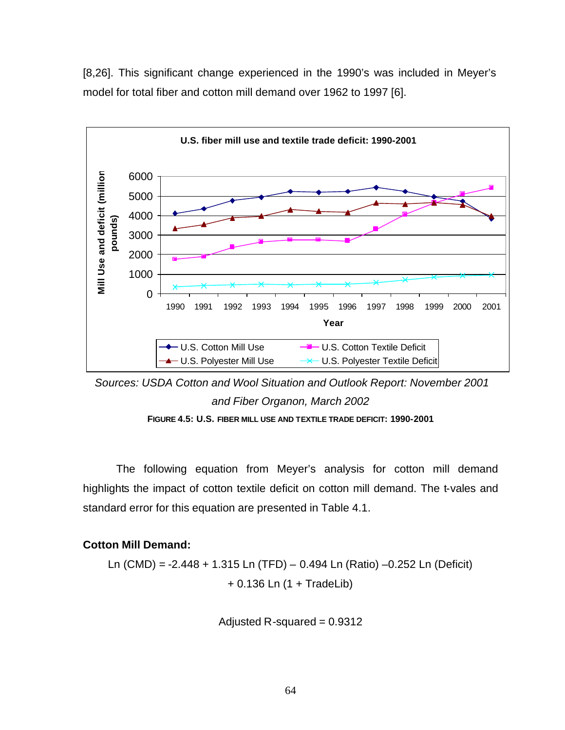[8,26]. This significant change experienced in the 1990's was included in Meyer's model for total fiber and cotton mill demand over 1962 to 1997 [6].



 *Sources: USDA Cotton and Wool Situation and Outlook Report: November 2001 and Fiber Organon, March 2002* 

**FIGURE 4.5: U.S. FIBER MILL USE AND TEXTILE TRADE DEFICIT: 1990-2001**

The following equation from Meyer's analysis for cotton mill demand highlights the impact of cotton textile deficit on cotton mill demand. The t-vales and standard error for this equation are presented in Table 4.1.

# **Cotton Mill Demand:**

Ln (CMD) = -2.448 + 1.315 Ln (TFD) – 0.494 Ln (Ratio) –0.252 Ln (Deficit) + 0.136 Ln (1 + TradeLib)

Adjusted R-squared  $= 0.9312$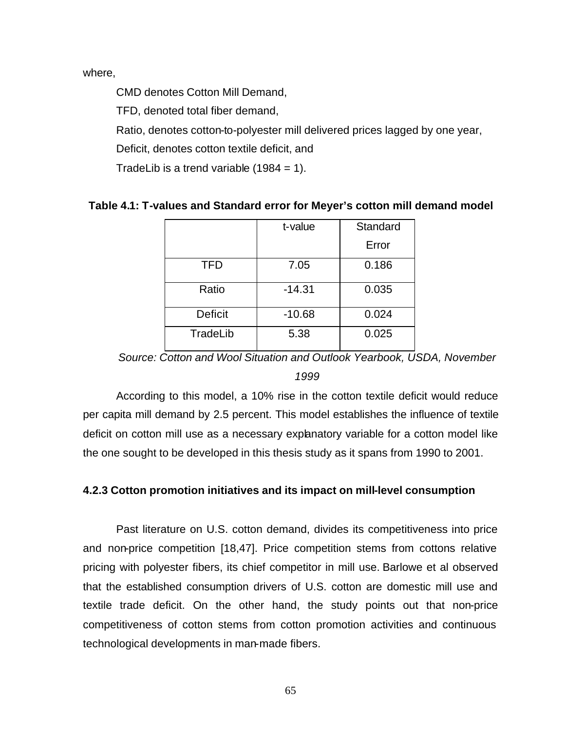where,

CMD denotes Cotton Mill Demand,

TFD, denoted total fiber demand,

Ratio, denotes cotton-to-polyester mill delivered prices lagged by one year,

Deficit, denotes cotton textile deficit, and

TradeLib is a trend variable  $(1984 = 1)$ .

|                | t-value  | Standard |
|----------------|----------|----------|
|                |          | Error    |
| <b>TFD</b>     | 7.05     | 0.186    |
| Ratio          | $-14.31$ | 0.035    |
| <b>Deficit</b> | $-10.68$ | 0.024    |
| TradeLib       | 5.38     | 0.025    |

# **Table 4.1: T-values and Standard error for Meyer's cotton mill demand model**

*Source: Cotton and Wool Situation and Outlook Yearbook, USDA, November 1999*

According to this model, a 10% rise in the cotton textile deficit would reduce per capita mill demand by 2.5 percent. This model establishes the influence of textile deficit on cotton mill use as a necessary explanatory variable for a cotton model like the one sought to be developed in this thesis study as it spans from 1990 to 2001.

# **4.2.3 Cotton promotion initiatives and its impact on mill-level consumption**

Past literature on U.S. cotton demand, divides its competitiveness into price and non-price competition [18,47]. Price competition stems from cottons relative pricing with polyester fibers, its chief competitor in mill use. Barlowe et al observed that the established consumption drivers of U.S. cotton are domestic mill use and textile trade deficit. On the other hand, the study points out that non-price competitiveness of cotton stems from cotton promotion activities and continuous technological developments in man-made fibers.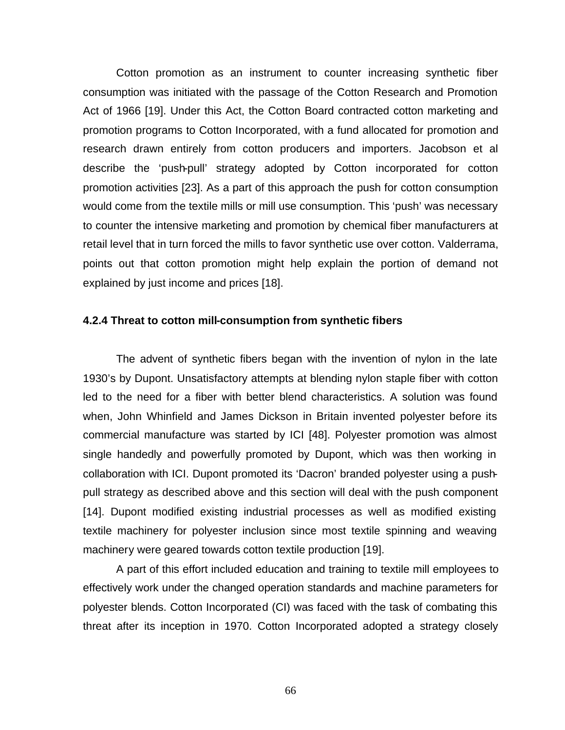Cotton promotion as an instrument to counter increasing synthetic fiber consumption was initiated with the passage of the Cotton Research and Promotion Act of 1966 [19]. Under this Act, the Cotton Board contracted cotton marketing and promotion programs to Cotton Incorporated, with a fund allocated for promotion and research drawn entirely from cotton producers and importers. Jacobson et al describe the 'push-pull' strategy adopted by Cotton incorporated for cotton promotion activities [23]. As a part of this approach the push for cotton consumption would come from the textile mills or mill use consumption. This 'push' was necessary to counter the intensive marketing and promotion by chemical fiber manufacturers at retail level that in turn forced the mills to favor synthetic use over cotton. Valderrama, points out that cotton promotion might help explain the portion of demand not explained by just income and prices [18].

### **4.2.4 Threat to cotton mill-consumption from synthetic fibers**

The advent of synthetic fibers began with the invention of nylon in the late 1930's by Dupont. Unsatisfactory attempts at blending nylon staple fiber with cotton led to the need for a fiber with better blend characteristics. A solution was found when, John Whinfield and James Dickson in Britain invented polyester before its commercial manufacture was started by ICI [48]. Polyester promotion was almost single handedly and powerfully promoted by Dupont, which was then working in collaboration with ICI. Dupont promoted its 'Dacron' branded polyester using a pushpull strategy as described above and this section will deal with the push component [14]. Dupont modified existing industrial processes as well as modified existing textile machinery for polyester inclusion since most textile spinning and weaving machinery were geared towards cotton textile production [19].

A part of this effort included education and training to textile mill employees to effectively work under the changed operation standards and machine parameters for polyester blends. Cotton Incorporated (CI) was faced with the task of combating this threat after its inception in 1970. Cotton Incorporated adopted a strategy closely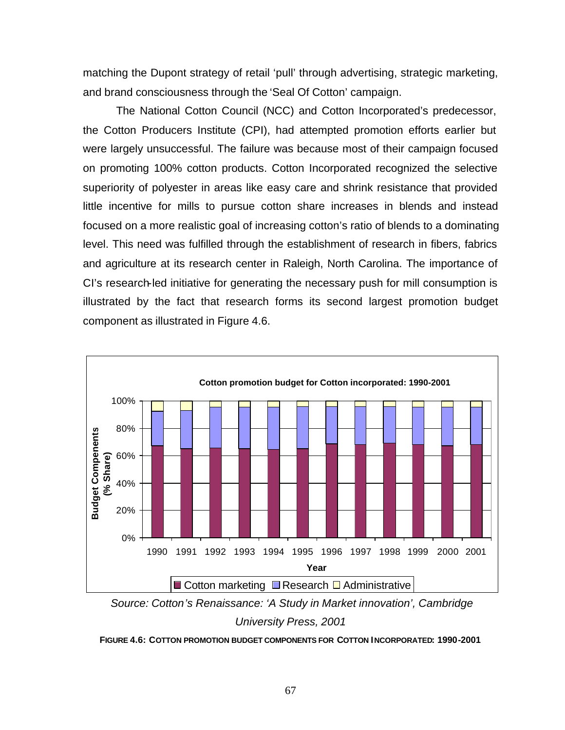matching the Dupont strategy of retail 'pull' through advertising, strategic marketing, and brand consciousness through the 'Seal Of Cotton' campaign.

The National Cotton Council (NCC) and Cotton Incorporated's predecessor, the Cotton Producers Institute (CPI), had attempted promotion efforts earlier but were largely unsuccessful. The failure was because most of their campaign focused on promoting 100% cotton products. Cotton Incorporated recognized the selective superiority of polyester in areas like easy care and shrink resistance that provided little incentive for mills to pursue cotton share increases in blends and instead focused on a more realistic goal of increasing cotton's ratio of blends to a dominating level. This need was fulfilled through the establishment of research in fibers, fabrics and agriculture at its research center in Raleigh, North Carolina. The importance of CI's research-led initiative for generating the necessary push for mill consumption is illustrated by the fact that research forms its second largest promotion budget component as illustrated in Figure 4.6.





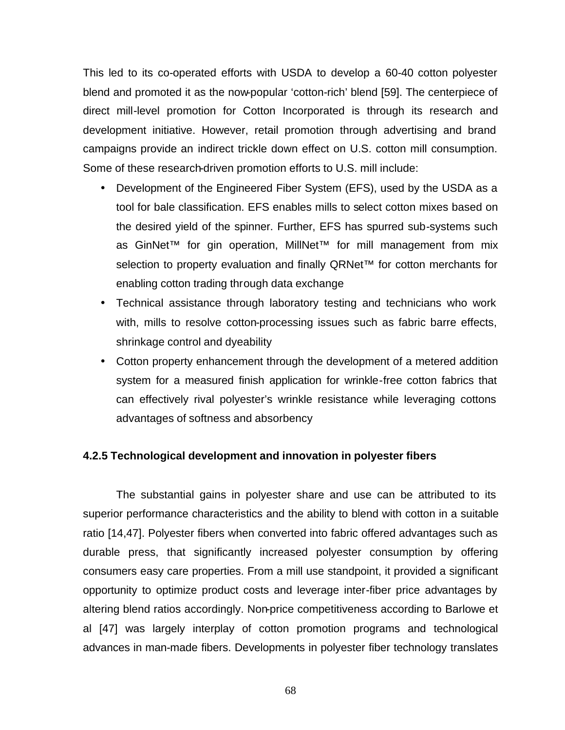This led to its co-operated efforts with USDA to develop a 60-40 cotton polyester blend and promoted it as the now-popular 'cotton-rich' blend [59]. The centerpiece of direct mill-level promotion for Cotton Incorporated is through its research and development initiative. However, retail promotion through advertising and brand campaigns provide an indirect trickle down effect on U.S. cotton mill consumption. Some of these research-driven promotion efforts to U.S. mill include:

- Development of the Engineered Fiber System (EFS), used by the USDA as a tool for bale classification. EFS enables mills to select cotton mixes based on the desired yield of the spinner. Further, EFS has spurred sub-systems such as GinNet™ for gin operation, MillNet™ for mill management from mix selection to property evaluation and finally QRNet™ for cotton merchants for enabling cotton trading through data exchange
- Technical assistance through laboratory testing and technicians who work with, mills to resolve cotton-processing issues such as fabric barre effects, shrinkage control and dyeability
- Cotton property enhancement through the development of a metered addition system for a measured finish application for wrinkle-free cotton fabrics that can effectively rival polyester's wrinkle resistance while leveraging cottons advantages of softness and absorbency

### **4.2.5 Technological development and innovation in polyester fibers**

The substantial gains in polyester share and use can be attributed to its superior performance characteristics and the ability to blend with cotton in a suitable ratio [14,47]. Polyester fibers when converted into fabric offered advantages such as durable press, that significantly increased polyester consumption by offering consumers easy care properties. From a mill use standpoint, it provided a significant opportunity to optimize product costs and leverage inter-fiber price advantages by altering blend ratios accordingly. Non-price competitiveness according to Barlowe et al [47] was largely interplay of cotton promotion programs and technological advances in man-made fibers. Developments in polyester fiber technology translates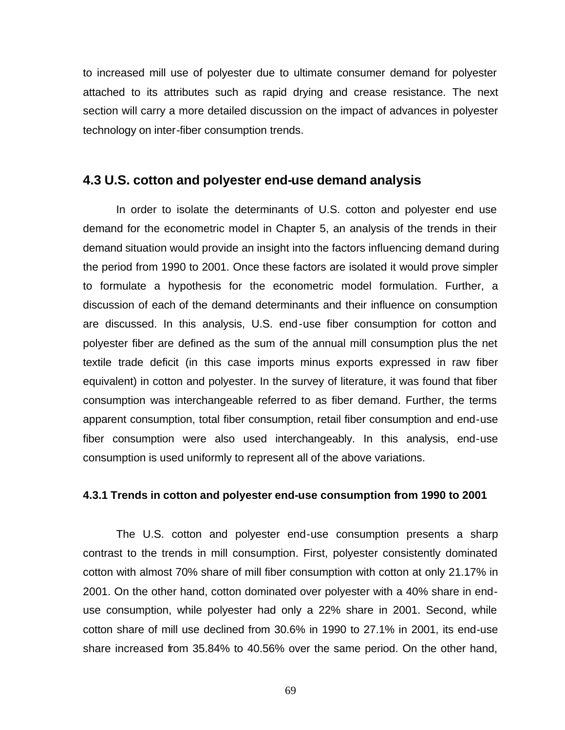to increased mill use of polyester due to ultimate consumer demand for polyester attached to its attributes such as rapid drying and crease resistance. The next section will carry a more detailed discussion on the impact of advances in polyester technology on inter-fiber consumption trends.

# **4.3 U.S. cotton and polyester end-use demand analysis**

In order to isolate the determinants of U.S. cotton and polyester end use demand for the econometric model in Chapter 5, an analysis of the trends in their demand situation would provide an insight into the factors influencing demand during the period from 1990 to 2001. Once these factors are isolated it would prove simpler to formulate a hypothesis for the econometric model formulation. Further, a discussion of each of the demand determinants and their influence on consumption are discussed. In this analysis, U.S. end-use fiber consumption for cotton and polyester fiber are defined as the sum of the annual mill consumption plus the net textile trade deficit (in this case imports minus exports expressed in raw fiber equivalent) in cotton and polyester. In the survey of literature, it was found that fiber consumption was interchangeable referred to as fiber demand. Further, the terms apparent consumption, total fiber consumption, retail fiber consumption and end-use fiber consumption were also used interchangeably. In this analysis, end-use consumption is used uniformly to represent all of the above variations.

#### **4.3.1 Trends in cotton and polyester end-use consumption from 1990 to 2001**

The U.S. cotton and polyester end-use consumption presents a sharp contrast to the trends in mill consumption. First, polyester consistently dominated cotton with almost 70% share of mill fiber consumption with cotton at only 21.17% in 2001. On the other hand, cotton dominated over polyester with a 40% share in enduse consumption, while polyester had only a 22% share in 2001. Second, while cotton share of mill use declined from 30.6% in 1990 to 27.1% in 2001, its end-use share increased from 35.84% to 40.56% over the same period. On the other hand,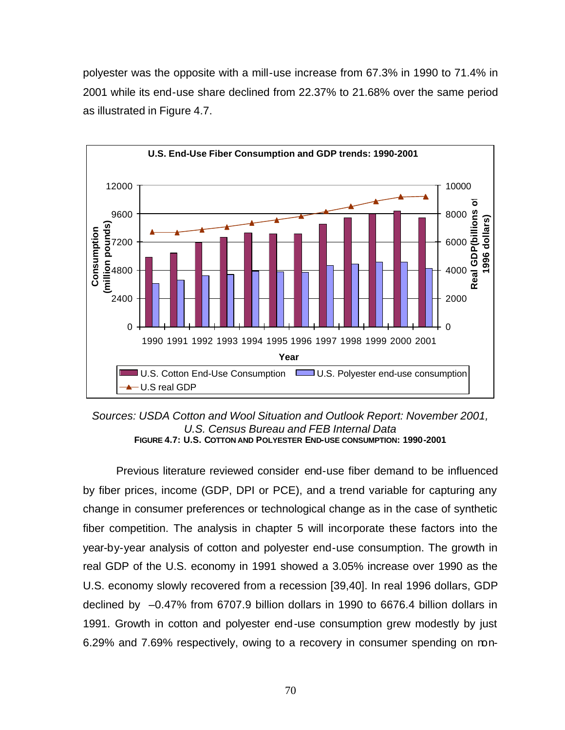polyester was the opposite with a mill-use increase from 67.3% in 1990 to 71.4% in 2001 while its end-use share declined from 22.37% to 21.68% over the same period as illustrated in Figure 4.7.



*Sources: USDA Cotton and Wool Situation and Outlook Report: November 2001, U.S. Census Bureau and FEB Internal Data* **FIGURE 4.7: U.S. COTTON AND POLYESTER END-USE CONSUMPTION: 1990-2001**

Previous literature reviewed consider end-use fiber demand to be influenced by fiber prices, income (GDP, DPI or PCE), and a trend variable for capturing any change in consumer preferences or technological change as in the case of synthetic fiber competition. The analysis in chapter 5 will incorporate these factors into the year-by-year analysis of cotton and polyester end-use consumption. The growth in real GDP of the U.S. economy in 1991 showed a 3.05% increase over 1990 as the U.S. economy slowly recovered from a recession [39,40]. In real 1996 dollars, GDP declined by –0.47% from 6707.9 billion dollars in 1990 to 6676.4 billion dollars in 1991. Growth in cotton and polyester end-use consumption grew modestly by just 6.29% and 7.69% respectively, owing to a recovery in consumer spending on non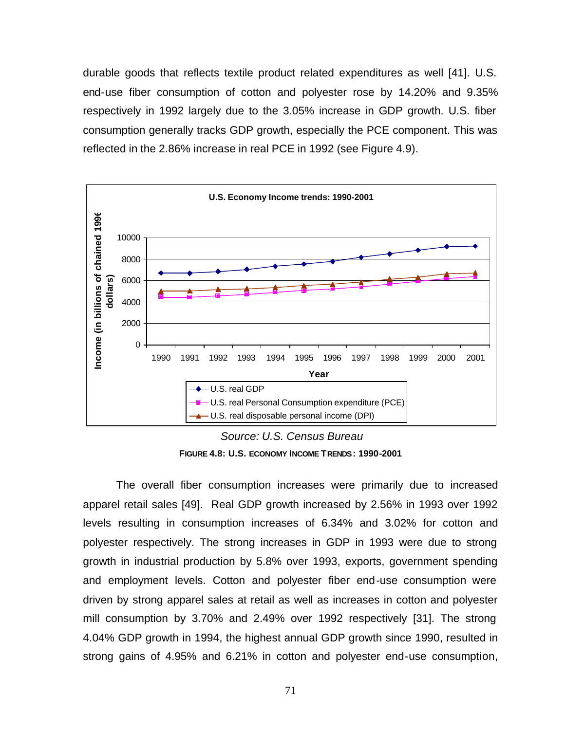durable goods that reflects textile product related expenditures as well [41]. U.S. end-use fiber consumption of cotton and polyester rose by 14.20% and 9.35% respectively in 1992 largely due to the 3.05% increase in GDP growth. U.S. fiber consumption generally tracks GDP growth, especially the PCE component. This was reflected in the 2.86% increase in real PCE in 1992 (see Figure 4.9).



 *Source: U.S. Census Bureau* **FIGURE 4.8: U.S. ECONOMY INCOME TRENDS: 1990-2001**

The overall fiber consumption increases were primarily due to increased apparel retail sales [49]. Real GDP growth increased by 2.56% in 1993 over 1992 levels resulting in consumption increases of 6.34% and 3.02% for cotton and polyester respectively. The strong increases in GDP in 1993 were due to strong growth in industrial production by 5.8% over 1993, exports, government spending and employment levels. Cotton and polyester fiber end-use consumption were driven by strong apparel sales at retail as well as increases in cotton and polyester mill consumption by 3.70% and 2.49% over 1992 respectively [31]. The strong 4.04% GDP growth in 1994, the highest annual GDP growth since 1990, resulted in strong gains of 4.95% and 6.21% in cotton and polyester end-use consumption,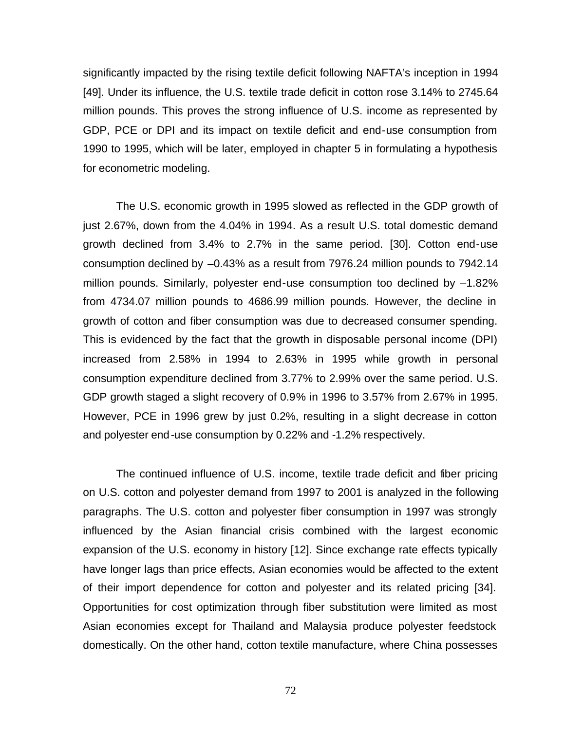significantly impacted by the rising textile deficit following NAFTA's inception in 1994 [49]. Under its influence, the U.S. textile trade deficit in cotton rose 3.14% to 2745.64 million pounds. This proves the strong influence of U.S. income as represented by GDP, PCE or DPI and its impact on textile deficit and end-use consumption from 1990 to 1995, which will be later, employed in chapter 5 in formulating a hypothesis for econometric modeling.

The U.S. economic growth in 1995 slowed as reflected in the GDP growth of just 2.67%, down from the 4.04% in 1994. As a result U.S. total domestic demand growth declined from 3.4% to 2.7% in the same period. [30]. Cotton end-use consumption declined by –0.43% as a result from 7976.24 million pounds to 7942.14 million pounds. Similarly, polyester end-use consumption too declined by –1.82% from 4734.07 million pounds to 4686.99 million pounds. However, the decline in growth of cotton and fiber consumption was due to decreased consumer spending. This is evidenced by the fact that the growth in disposable personal income (DPI) increased from 2.58% in 1994 to 2.63% in 1995 while growth in personal consumption expenditure declined from 3.77% to 2.99% over the same period. U.S. GDP growth staged a slight recovery of 0.9% in 1996 to 3.57% from 2.67% in 1995. However, PCE in 1996 grew by just 0.2%, resulting in a slight decrease in cotton and polyester end-use consumption by 0.22% and -1.2% respectively.

The continued influence of U.S. income, textile trade deficit and fiber pricing on U.S. cotton and polyester demand from 1997 to 2001 is analyzed in the following paragraphs. The U.S. cotton and polyester fiber consumption in 1997 was strongly influenced by the Asian financial crisis combined with the largest economic expansion of the U.S. economy in history [12]. Since exchange rate effects typically have longer lags than price effects, Asian economies would be affected to the extent of their import dependence for cotton and polyester and its related pricing [34]. Opportunities for cost optimization through fiber substitution were limited as most Asian economies except for Thailand and Malaysia produce polyester feedstock domestically. On the other hand, cotton textile manufacture, where China possesses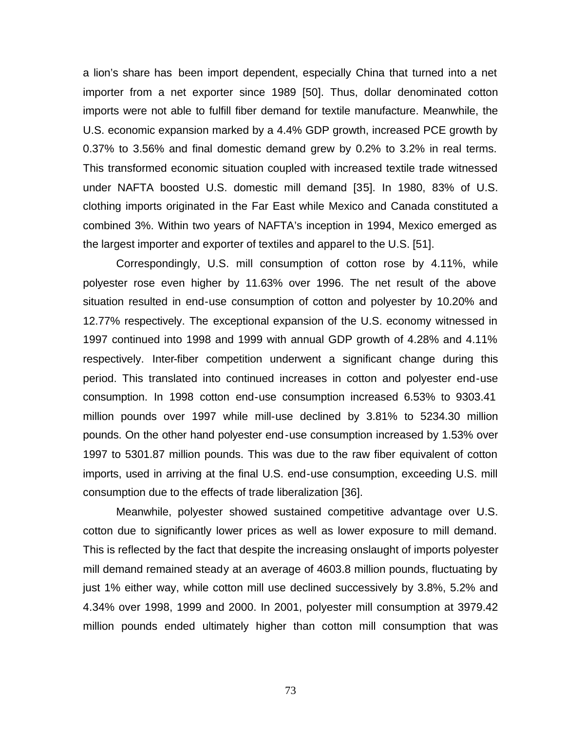a lion's share has been import dependent, especially China that turned into a net importer from a net exporter since 1989 [50]. Thus, dollar denominated cotton imports were not able to fulfill fiber demand for textile manufacture. Meanwhile, the U.S. economic expansion marked by a 4.4% GDP growth, increased PCE growth by 0.37% to 3.56% and final domestic demand grew by 0.2% to 3.2% in real terms. This transformed economic situation coupled with increased textile trade witnessed under NAFTA boosted U.S. domestic mill demand [35]. In 1980, 83% of U.S. clothing imports originated in the Far East while Mexico and Canada constituted a combined 3%. Within two years of NAFTA's inception in 1994, Mexico emerged as the largest importer and exporter of textiles and apparel to the U.S. [51].

Correspondingly, U.S. mill consumption of cotton rose by 4.11%, while polyester rose even higher by 11.63% over 1996. The net result of the above situation resulted in end-use consumption of cotton and polyester by 10.20% and 12.77% respectively. The exceptional expansion of the U.S. economy witnessed in 1997 continued into 1998 and 1999 with annual GDP growth of 4.28% and 4.11% respectively. Inter-fiber competition underwent a significant change during this period. This translated into continued increases in cotton and polyester end-use consumption. In 1998 cotton end-use consumption increased 6.53% to 9303.41 million pounds over 1997 while mill-use declined by 3.81% to 5234.30 million pounds. On the other hand polyester end-use consumption increased by 1.53% over 1997 to 5301.87 million pounds. This was due to the raw fiber equivalent of cotton imports, used in arriving at the final U.S. end-use consumption, exceeding U.S. mill consumption due to the effects of trade liberalization [36].

Meanwhile, polyester showed sustained competitive advantage over U.S. cotton due to significantly lower prices as well as lower exposure to mill demand. This is reflected by the fact that despite the increasing onslaught of imports polyester mill demand remained steady at an average of 4603.8 million pounds, fluctuating by just 1% either way, while cotton mill use declined successively by 3.8%, 5.2% and 4.34% over 1998, 1999 and 2000. In 2001, polyester mill consumption at 3979.42 million pounds ended ultimately higher than cotton mill consumption that was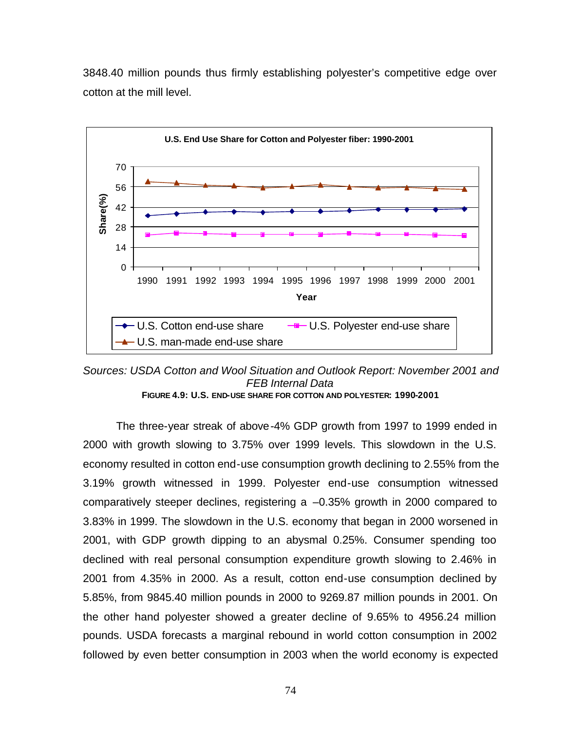

3848.40 million pounds thus firmly establishing polyester's competitive edge over cotton at the mill level.

*Sources: USDA Cotton and Wool Situation and Outlook Report: November 2001 and FEB Internal Data* **FIGURE 4.9: U.S. END-USE SHARE FOR COTTON AND POLYESTER: 1990-2001**

The three-year streak of above-4% GDP growth from 1997 to 1999 ended in 2000 with growth slowing to 3.75% over 1999 levels. This slowdown in the U.S. economy resulted in cotton end-use consumption growth declining to 2.55% from the 3.19% growth witnessed in 1999. Polyester end-use consumption witnessed comparatively steeper declines, registering a –0.35% growth in 2000 compared to 3.83% in 1999. The slowdown in the U.S. economy that began in 2000 worsened in 2001, with GDP growth dipping to an abysmal 0.25%. Consumer spending too declined with real personal consumption expenditure growth slowing to 2.46% in 2001 from 4.35% in 2000. As a result, cotton end-use consumption declined by 5.85%, from 9845.40 million pounds in 2000 to 9269.87 million pounds in 2001. On the other hand polyester showed a greater decline of 9.65% to 4956.24 million pounds. USDA forecasts a marginal rebound in world cotton consumption in 2002 followed by even better consumption in 2003 when the world economy is expected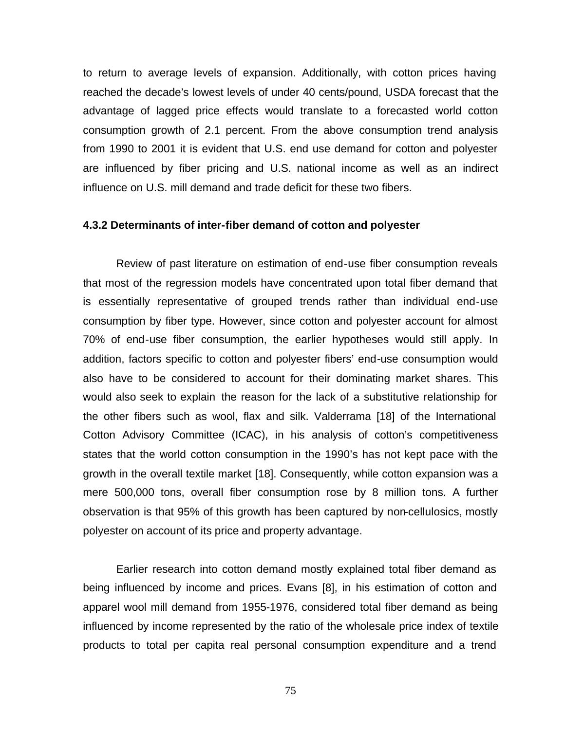to return to average levels of expansion. Additionally, with cotton prices having reached the decade's lowest levels of under 40 cents/pound, USDA forecast that the advantage of lagged price effects would translate to a forecasted world cotton consumption growth of 2.1 percent. From the above consumption trend analysis from 1990 to 2001 it is evident that U.S. end use demand for cotton and polyester are influenced by fiber pricing and U.S. national income as well as an indirect influence on U.S. mill demand and trade deficit for these two fibers.

### **4.3.2 Determinants of inter-fiber demand of cotton and polyester**

Review of past literature on estimation of end-use fiber consumption reveals that most of the regression models have concentrated upon total fiber demand that is essentially representative of grouped trends rather than individual end-use consumption by fiber type. However, since cotton and polyester account for almost 70% of end-use fiber consumption, the earlier hypotheses would still apply. In addition, factors specific to cotton and polyester fibers' end-use consumption would also have to be considered to account for their dominating market shares. This would also seek to explain the reason for the lack of a substitutive relationship for the other fibers such as wool, flax and silk. Valderrama [18] of the International Cotton Advisory Committee (ICAC), in his analysis of cotton's competitiveness states that the world cotton consumption in the 1990's has not kept pace with the growth in the overall textile market [18]. Consequently, while cotton expansion was a mere 500,000 tons, overall fiber consumption rose by 8 million tons. A further observation is that 95% of this growth has been captured by non-cellulosics, mostly polyester on account of its price and property advantage.

Earlier research into cotton demand mostly explained total fiber demand as being influenced by income and prices. Evans [8], in his estimation of cotton and apparel wool mill demand from 1955-1976, considered total fiber demand as being influenced by income represented by the ratio of the wholesale price index of textile products to total per capita real personal consumption expenditure and a trend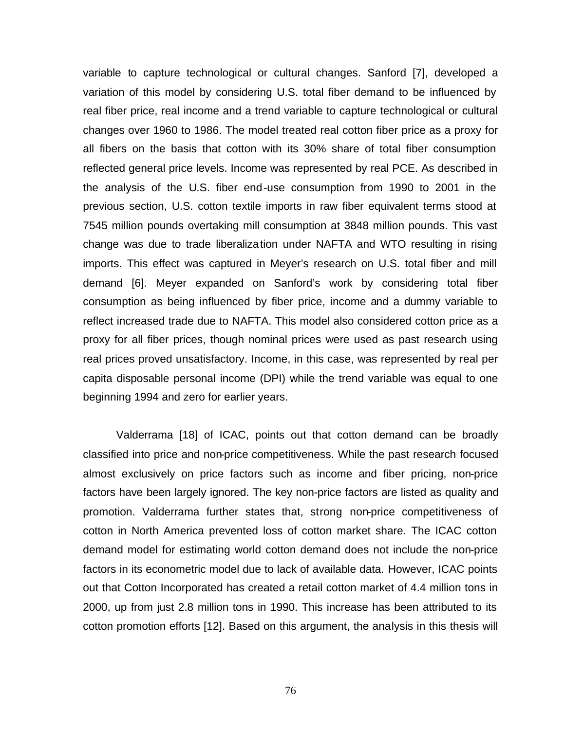variable to capture technological or cultural changes. Sanford [7], developed a variation of this model by considering U.S. total fiber demand to be influenced by real fiber price, real income and a trend variable to capture technological or cultural changes over 1960 to 1986. The model treated real cotton fiber price as a proxy for all fibers on the basis that cotton with its 30% share of total fiber consumption reflected general price levels. Income was represented by real PCE. As described in the analysis of the U.S. fiber end-use consumption from 1990 to 2001 in the previous section, U.S. cotton textile imports in raw fiber equivalent terms stood at 7545 million pounds overtaking mill consumption at 3848 million pounds. This vast change was due to trade liberalization under NAFTA and WTO resulting in rising imports. This effect was captured in Meyer's research on U.S. total fiber and mill demand [6]. Meyer expanded on Sanford's work by considering total fiber consumption as being influenced by fiber price, income and a dummy variable to reflect increased trade due to NAFTA. This model also considered cotton price as a proxy for all fiber prices, though nominal prices were used as past research using real prices proved unsatisfactory. Income, in this case, was represented by real per capita disposable personal income (DPI) while the trend variable was equal to one beginning 1994 and zero for earlier years.

Valderrama [18] of ICAC, points out that cotton demand can be broadly classified into price and non-price competitiveness. While the past research focused almost exclusively on price factors such as income and fiber pricing, non-price factors have been largely ignored. The key non-price factors are listed as quality and promotion. Valderrama further states that, strong non-price competitiveness of cotton in North America prevented loss of cotton market share. The ICAC cotton demand model for estimating world cotton demand does not include the non-price factors in its econometric model due to lack of available data. However, ICAC points out that Cotton Incorporated has created a retail cotton market of 4.4 million tons in 2000, up from just 2.8 million tons in 1990. This increase has been attributed to its cotton promotion efforts [12]. Based on this argument, the analysis in this thesis will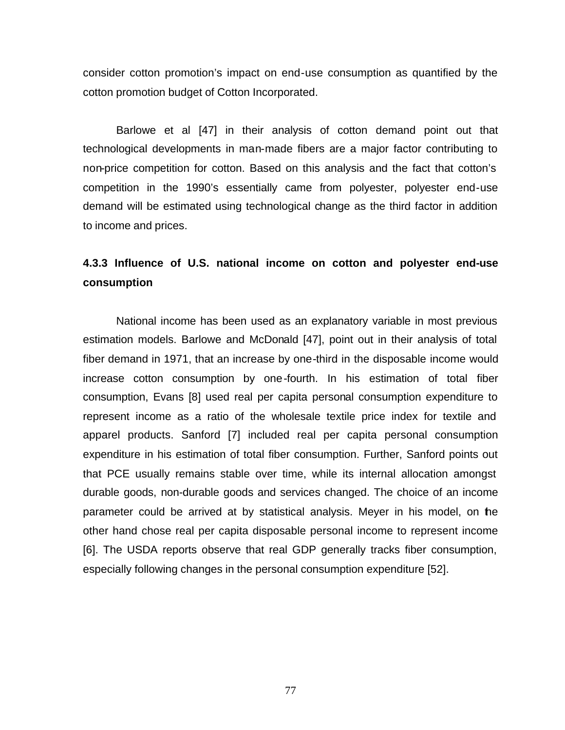consider cotton promotion's impact on end-use consumption as quantified by the cotton promotion budget of Cotton Incorporated.

Barlowe et al [47] in their analysis of cotton demand point out that technological developments in man-made fibers are a major factor contributing to non-price competition for cotton. Based on this analysis and the fact that cotton's competition in the 1990's essentially came from polyester, polyester end-use demand will be estimated using technological change as the third factor in addition to income and prices.

# **4.3.3 Influence of U.S. national income on cotton and polyester end-use consumption**

National income has been used as an explanatory variable in most previous estimation models. Barlowe and McDonald [47], point out in their analysis of total fiber demand in 1971, that an increase by one-third in the disposable income would increase cotton consumption by one-fourth. In his estimation of total fiber consumption, Evans [8] used real per capita personal consumption expenditure to represent income as a ratio of the wholesale textile price index for textile and apparel products. Sanford [7] included real per capita personal consumption expenditure in his estimation of total fiber consumption. Further, Sanford points out that PCE usually remains stable over time, while its internal allocation amongst durable goods, non-durable goods and services changed. The choice of an income parameter could be arrived at by statistical analysis. Meyer in his model, on the other hand chose real per capita disposable personal income to represent income [6]. The USDA reports observe that real GDP generally tracks fiber consumption, especially following changes in the personal consumption expenditure [52].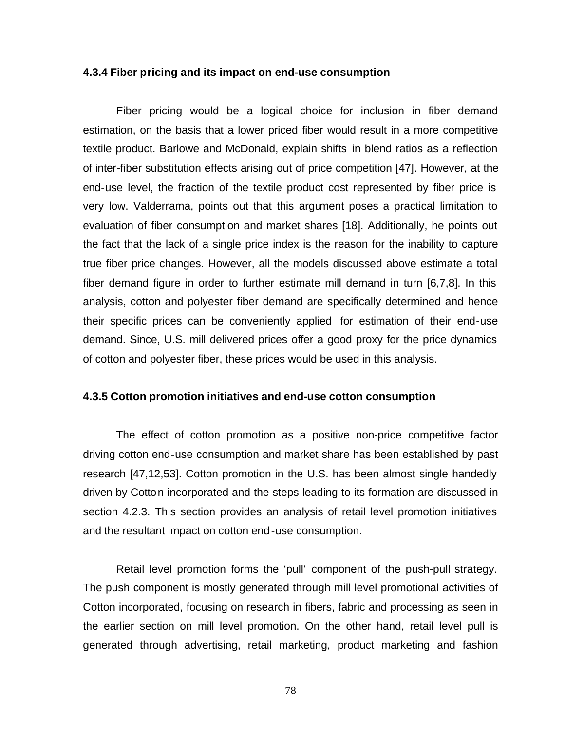#### **4.3.4 Fiber pricing and its impact on end-use consumption**

Fiber pricing would be a logical choice for inclusion in fiber demand estimation, on the basis that a lower priced fiber would result in a more competitive textile product. Barlowe and McDonald, explain shifts in blend ratios as a reflection of inter-fiber substitution effects arising out of price competition [47]. However, at the end-use level, the fraction of the textile product cost represented by fiber price is very low. Valderrama, points out that this argument poses a practical limitation to evaluation of fiber consumption and market shares [18]. Additionally, he points out the fact that the lack of a single price index is the reason for the inability to capture true fiber price changes. However, all the models discussed above estimate a total fiber demand figure in order to further estimate mill demand in turn [6,7,8]. In this analysis, cotton and polyester fiber demand are specifically determined and hence their specific prices can be conveniently applied for estimation of their end-use demand. Since, U.S. mill delivered prices offer a good proxy for the price dynamics of cotton and polyester fiber, these prices would be used in this analysis.

#### **4.3.5 Cotton promotion initiatives and end-use cotton consumption**

The effect of cotton promotion as a positive non-price competitive factor driving cotton end-use consumption and market share has been established by past research [47,12,53]. Cotton promotion in the U.S. has been almost single handedly driven by Cotton incorporated and the steps leading to its formation are discussed in section 4.2.3. This section provides an analysis of retail level promotion initiatives and the resultant impact on cotton end-use consumption.

Retail level promotion forms the 'pull' component of the push-pull strategy. The push component is mostly generated through mill level promotional activities of Cotton incorporated, focusing on research in fibers, fabric and processing as seen in the earlier section on mill level promotion. On the other hand, retail level pull is generated through advertising, retail marketing, product marketing and fashion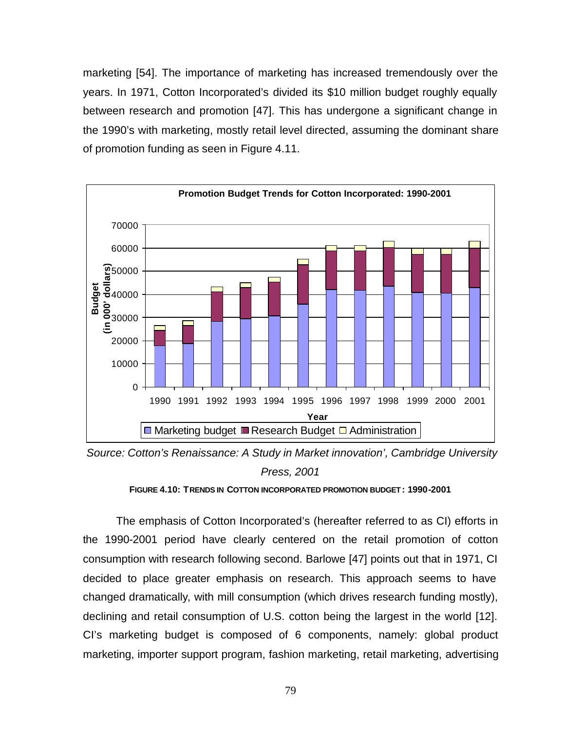marketing [54]. The importance of marketing has increased tremendously over the years. In 1971, Cotton Incorporated's divided its \$10 million budget roughly equally between research and promotion [47]. This has undergone a significant change in the 1990's with marketing, mostly retail level directed, assuming the dominant share of promotion funding as seen in Figure 4.11.



 *Source: Cotton's Renaissance: A Study in Market innovation', Cambridge University Press, 2001*



The emphasis of Cotton Incorporated's (hereafter referred to as CI) efforts in the 1990-2001 period have clearly centered on the retail promotion of cotton consumption with research following second. Barlowe [47] points out that in 1971, CI decided to place greater emphasis on research. This approach seems to have changed dramatically, with mill consumption (which drives research funding mostly), declining and retail consumption of U.S. cotton being the largest in the world [12]. CI's marketing budget is composed of 6 components, namely: global product marketing, importer support program, fashion marketing, retail marketing, advertising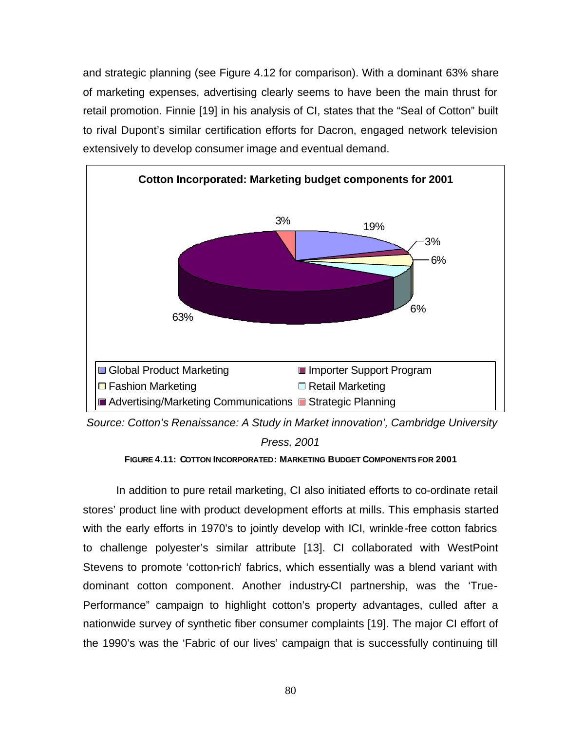and strategic planning (see Figure 4.12 for comparison). With a dominant 63% share of marketing expenses, advertising clearly seems to have been the main thrust for retail promotion. Finnie [19] in his analysis of CI, states that the "Seal of Cotton" built to rival Dupont's similar certification efforts for Dacron, engaged network television extensively to develop consumer image and eventual demand.



 *Source: Cotton's Renaissance: A Study in Market innovation', Cambridge University Press, 2001*

**FIGURE 4.11: COTTON INCORPORATED: MARKETING BUDGET COMPONENTS FOR 2001**

In addition to pure retail marketing, CI also initiated efforts to co-ordinate retail stores' product line with product development efforts at mills. This emphasis started with the early efforts in 1970's to jointly develop with ICI, wrinkle-free cotton fabrics to challenge polyester's similar attribute [13]. CI collaborated with WestPoint Stevens to promote 'cotton-rich' fabrics, which essentially was a blend variant with dominant cotton component. Another industry-CI partnership, was the 'True-Performance" campaign to highlight cotton's property advantages, culled after a nationwide survey of synthetic fiber consumer complaints [19]. The major CI effort of the 1990's was the 'Fabric of our lives' campaign that is successfully continuing till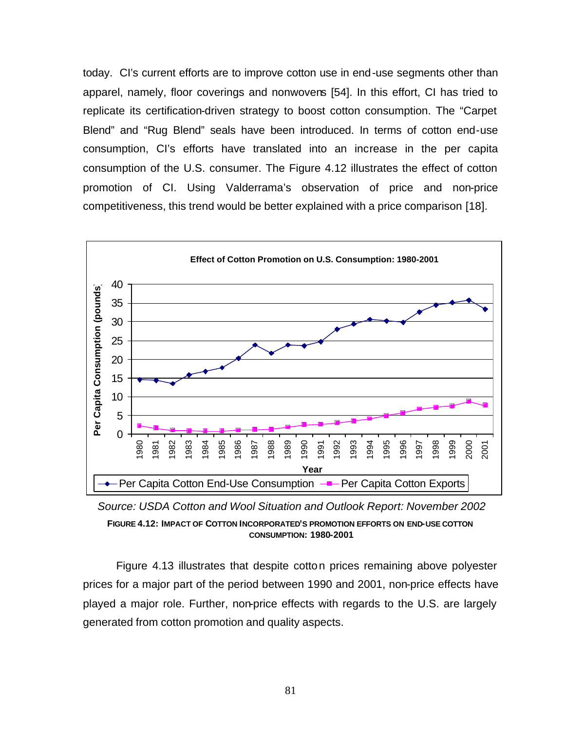today. CI's current efforts are to improve cotton use in end-use segments other than apparel, namely, floor coverings and nonwovens [54]. In this effort, CI has tried to replicate its certification-driven strategy to boost cotton consumption. The "Carpet Blend" and "Rug Blend" seals have been introduced. In terms of cotton end-use consumption, CI's efforts have translated into an increase in the per capita consumption of the U.S. consumer. The Figure 4.12 illustrates the effect of cotton promotion of CI. Using Valderrama's observation of price and non-price competitiveness, this trend would be better explained with a price comparison [18].



 *Source: USDA Cotton and Wool Situation and Outlook Report: November 2002* **FIGURE 4.12: IMPACT OF COTTON INCORPORATED'S PROMOTION EFFORTS ON END-USE COTTON CONSUMPTION: 1980-2001**

Figure 4.13 illustrates that despite cotton prices remaining above polyester prices for a major part of the period between 1990 and 2001, non-price effects have played a major role. Further, non-price effects with regards to the U.S. are largely generated from cotton promotion and quality aspects.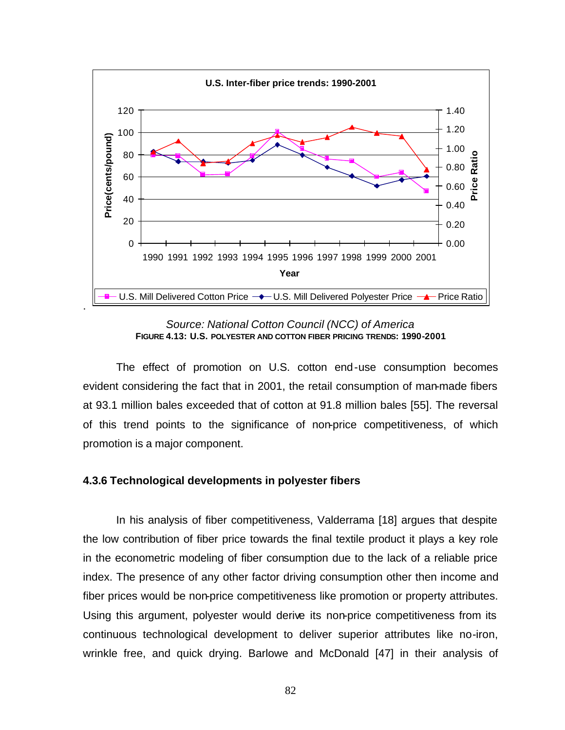

*Source: National Cotton Council (NCC) of America* **FIGURE 4.13: U.S. POLYESTER AND COTTON FIBER PRICING TRENDS: 1990-2001**

The effect of promotion on U.S. cotton end-use consumption becomes evident considering the fact that in 2001, the retail consumption of man-made fibers at 93.1 million bales exceeded that of cotton at 91.8 million bales [55]. The reversal of this trend points to the significance of non-price competitiveness, of which promotion is a major component.

#### **4.3.6 Technological developments in polyester fibers**

In his analysis of fiber competitiveness, Valderrama [18] argues that despite the low contribution of fiber price towards the final textile product it plays a key role in the econometric modeling of fiber consumption due to the lack of a reliable price index. The presence of any other factor driving consumption other then income and fiber prices would be non-price competitiveness like promotion or property attributes. Using this argument, polyester would derive its non-price competitiveness from its continuous technological development to deliver superior attributes like no-iron, wrinkle free, and quick drying. Barlowe and McDonald [47] in their analysis of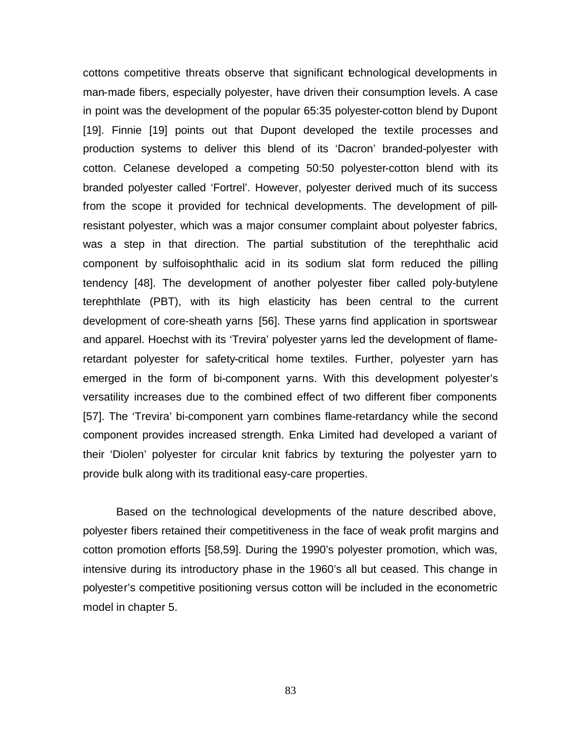cottons competitive threats observe that significant technological developments in man-made fibers, especially polyester, have driven their consumption levels. A case in point was the development of the popular 65:35 polyester-cotton blend by Dupont [19]. Finnie [19] points out that Dupont developed the textile processes and production systems to deliver this blend of its 'Dacron' branded-polyester with cotton. Celanese developed a competing 50:50 polyester-cotton blend with its branded polyester called 'Fortrel'. However, polyester derived much of its success from the scope it provided for technical developments. The development of pillresistant polyester, which was a major consumer complaint about polyester fabrics, was a step in that direction. The partial substitution of the terephthalic acid component by sulfoisophthalic acid in its sodium slat form reduced the pilling tendency [48]. The development of another polyester fiber called poly-butylene terephthlate (PBT), with its high elasticity has been central to the current development of core-sheath yarns [56]. These yarns find application in sportswear and apparel. Hoechst with its 'Trevira' polyester yarns led the development of flameretardant polyester for safety-critical home textiles. Further, polyester yarn has emerged in the form of bi-component yarns. With this development polyester's versatility increases due to the combined effect of two different fiber components [57]. The 'Trevira' bi-component yarn combines flame-retardancy while the second component provides increased strength. Enka Limited had developed a variant of their 'Diolen' polyester for circular knit fabrics by texturing the polyester yarn to provide bulk along with its traditional easy-care properties.

Based on the technological developments of the nature described above, polyester fibers retained their competitiveness in the face of weak profit margins and cotton promotion efforts [58,59]. During the 1990's polyester promotion, which was, intensive during its introductory phase in the 1960's all but ceased. This change in polyester's competitive positioning versus cotton will be included in the econometric model in chapter 5.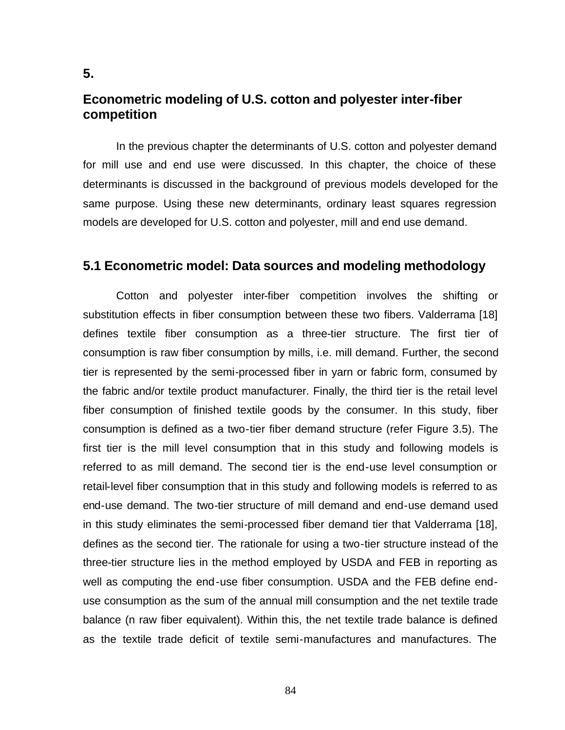# **Econometric modeling of U.S. cotton and polyester inter-fiber competition**

In the previous chapter the determinants of U.S. cotton and polyester demand for mill use and end use were discussed. In this chapter, the choice of these determinants is discussed in the background of previous models developed for the same purpose. Using these new determinants, ordinary least squares regression models are developed for U.S. cotton and polyester, mill and end use demand.

# **5.1 Econometric model: Data sources and modeling methodology**

Cotton and polyester inter-fiber competition involves the shifting or substitution effects in fiber consumption between these two fibers. Valderrama [18] defines textile fiber consumption as a three-tier structure. The first tier of consumption is raw fiber consumption by mills, i.e. mill demand. Further, the second tier is represented by the semi-processed fiber in yarn or fabric form, consumed by the fabric and/or textile product manufacturer. Finally, the third tier is the retail level fiber consumption of finished textile goods by the consumer. In this study, fiber consumption is defined as a two-tier fiber demand structure (refer Figure 3.5). The first tier is the mill level consumption that in this study and following models is referred to as mill demand. The second tier is the end-use level consumption or retail-level fiber consumption that in this study and following models is referred to as end-use demand. The two-tier structure of mill demand and end-use demand used in this study eliminates the semi-processed fiber demand tier that Valderrama [18], defines as the second tier. The rationale for using a two-tier structure instead of the three-tier structure lies in the method employed by USDA and FEB in reporting as well as computing the end-use fiber consumption. USDA and the FEB define enduse consumption as the sum of the annual mill consumption and the net textile trade balance (n raw fiber equivalent). Within this, the net textile trade balance is defined as the textile trade deficit of textile semi-manufactures and manufactures. The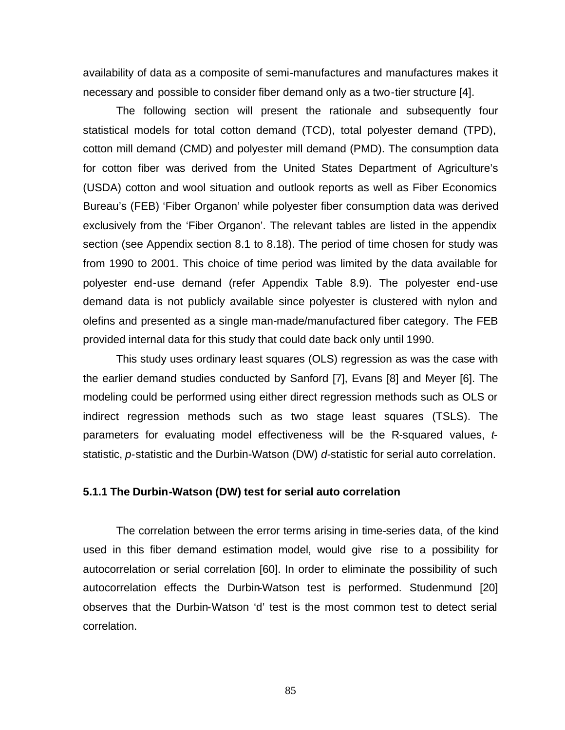availability of data as a composite of semi-manufactures and manufactures makes it necessary and possible to consider fiber demand only as a two-tier structure [4].

The following section will present the rationale and subsequently four statistical models for total cotton demand (TCD), total polyester demand (TPD), cotton mill demand (CMD) and polyester mill demand (PMD). The consumption data for cotton fiber was derived from the United States Department of Agriculture's (USDA) cotton and wool situation and outlook reports as well as Fiber Economics Bureau's (FEB) 'Fiber Organon' while polyester fiber consumption data was derived exclusively from the 'Fiber Organon'. The relevant tables are listed in the appendix section (see Appendix section 8.1 to 8.18). The period of time chosen for study was from 1990 to 2001. This choice of time period was limited by the data available for polyester end-use demand (refer Appendix Table 8.9). The polyester end-use demand data is not publicly available since polyester is clustered with nylon and olefins and presented as a single man-made/manufactured fiber category. The FEB provided internal data for this study that could date back only until 1990.

This study uses ordinary least squares (OLS) regression as was the case with the earlier demand studies conducted by Sanford [7], Evans [8] and Meyer [6]. The modeling could be performed using either direct regression methods such as OLS or indirect regression methods such as two stage least squares (TSLS). The parameters for evaluating model effectiveness will be the R-squared values, *t*statistic, *p*-statistic and the Durbin-Watson (DW) *d*-statistic for serial auto correlation.

#### **5.1.1 The Durbin-Watson (DW) test for serial auto correlation**

The correlation between the error terms arising in time-series data, of the kind used in this fiber demand estimation model, would give rise to a possibility for autocorrelation or serial correlation [60]. In order to eliminate the possibility of such autocorrelation effects the Durbin-Watson test is performed. Studenmund [20] observes that the Durbin-Watson 'd' test is the most common test to detect serial correlation.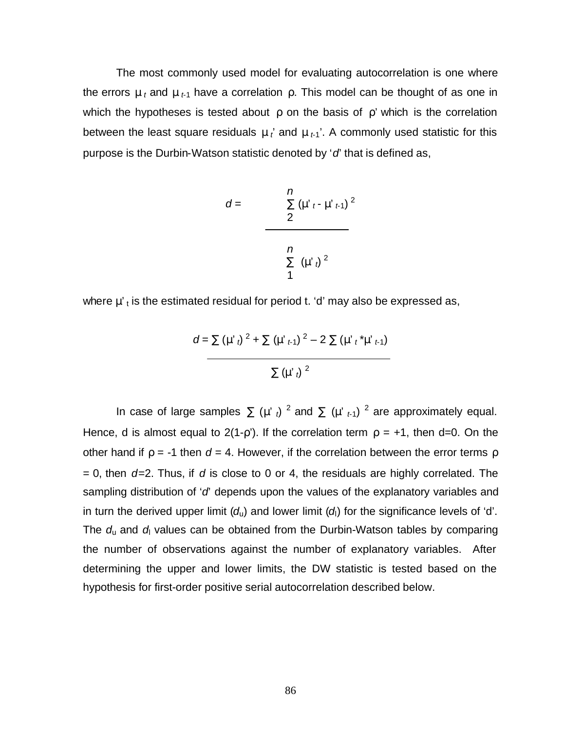The most commonly used model for evaluating autocorrelation is one where the errors  $\mu_t$  and  $\mu_{t-1}$  have a correlation  $\rho$ . This model can be thought of as one in which the hypotheses is tested about  $\rho$  on the basis of  $\rho'$  which is the correlation between the least square residuals  $\mu_t$  and  $\mu_{t-1}$ . A commonly used statistic for this purpose is the Durbin-Watson statistic denoted by '*d*' that is defined as,

$$
d = \frac{\sum_{i=1}^{n} (\mu'_{t} - \mu'_{t+1})^{2}}{2}
$$

where  $\mu'$ <sub>t</sub> is the estimated residual for period t. 'd' may also be expressed as,

$$
d = \sum (\mu'_{t})^{2} + \sum (\mu'_{t+1})^{2} - 2 \sum (\mu'_{t}^{*} \mu'_{t+1})
$$
  
 
$$
\sum (\mu'_{t})^{2}
$$

In case of large samples  $\sum (\mu'_{t})^{2}$  and  $\sum (\mu'_{t-1})^{2}$  are approximately equal. Hence, d is almost equal to  $2(1-p)$ . If the correlation term  $p = +1$ , then d=0. On the other hand if  $\rho = -1$  then  $d = 4$ . However, if the correlation between the error terms  $\rho$ = 0, then *d*=2. Thus, if *d* is close to 0 or 4, the residuals are highly correlated. The sampling distribution of '*d*' depends upon the values of the explanatory variables and in turn the derived upper limit  $(d<sub>u</sub>)$  and lower limit  $(d<sub>l</sub>)$  for the significance levels of 'd'. The *d*u and *d*l values can be obtained from the Durbin-Watson tables by comparing the number of observations against the number of explanatory variables. After determining the upper and lower limits, the DW statistic is tested based on the hypothesis for first-order positive serial autocorrelation described below.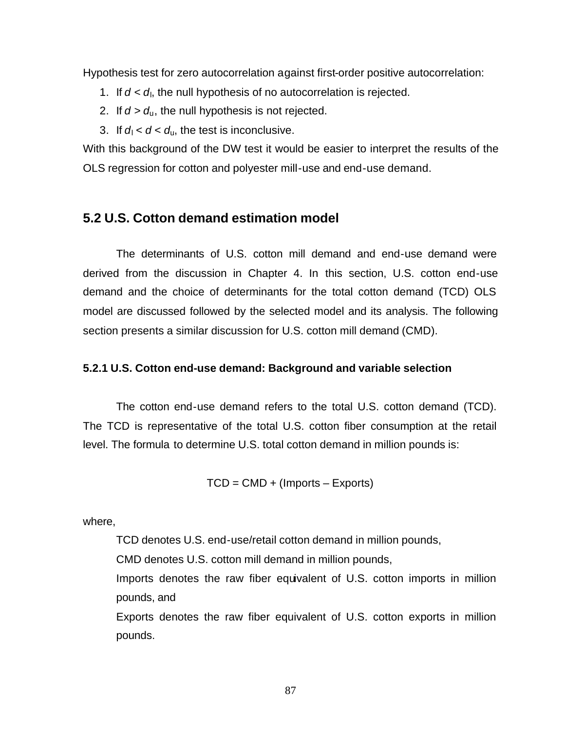Hypothesis test for zero autocorrelation against first-order positive autocorrelation:

- 1. If  $d < d<sub>l</sub>$ , the null hypothesis of no autocorrelation is rejected.
- 2. If  $d > d_u$ , the null hypothesis is not rejected.
- 3. If  $d_1 < d < d_0$ , the test is inconclusive.

With this background of the DW test it would be easier to interpret the results of the OLS regression for cotton and polyester mill-use and end-use demand.

# **5.2 U.S. Cotton demand estimation model**

The determinants of U.S. cotton mill demand and end-use demand were derived from the discussion in Chapter 4. In this section, U.S. cotton end-use demand and the choice of determinants for the total cotton demand (TCD) OLS model are discussed followed by the selected model and its analysis. The following section presents a similar discussion for U.S. cotton mill demand (CMD).

## **5.2.1 U.S. Cotton end-use demand: Background and variable selection**

The cotton end-use demand refers to the total U.S. cotton demand (TCD). The TCD is representative of the total U.S. cotton fiber consumption at the retail level. The formula to determine U.S. total cotton demand in million pounds is:

TCD = CMD + (Imports – Exports)

where,

TCD denotes U.S. end-use/retail cotton demand in million pounds,

CMD denotes U.S. cotton mill demand in million pounds,

Imports denotes the raw fiber equivalent of U.S. cotton imports in million pounds, and

Exports denotes the raw fiber equivalent of U.S. cotton exports in million pounds.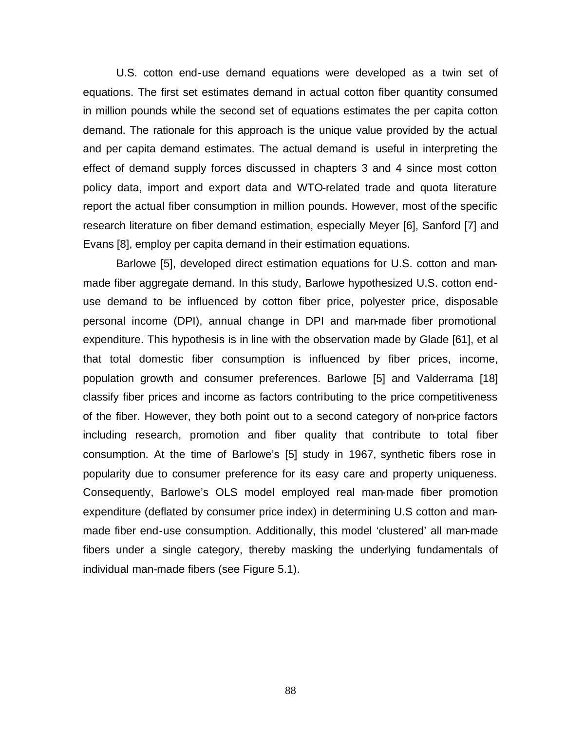U.S. cotton end-use demand equations were developed as a twin set of equations. The first set estimates demand in actual cotton fiber quantity consumed in million pounds while the second set of equations estimates the per capita cotton demand. The rationale for this approach is the unique value provided by the actual and per capita demand estimates. The actual demand is useful in interpreting the effect of demand supply forces discussed in chapters 3 and 4 since most cotton policy data, import and export data and WTO-related trade and quota literature report the actual fiber consumption in million pounds. However, most of the specific research literature on fiber demand estimation, especially Meyer [6], Sanford [7] and Evans [8], employ per capita demand in their estimation equations.

Barlowe [5], developed direct estimation equations for U.S. cotton and manmade fiber aggregate demand. In this study, Barlowe hypothesized U.S. cotton enduse demand to be influenced by cotton fiber price, polyester price, disposable personal income (DPI), annual change in DPI and man-made fiber promotional expenditure. This hypothesis is in line with the observation made by Glade [61], et al that total domestic fiber consumption is influenced by fiber prices, income, population growth and consumer preferences. Barlowe [5] and Valderrama [18] classify fiber prices and income as factors contributing to the price competitiveness of the fiber. However, they both point out to a second category of non-price factors including research, promotion and fiber quality that contribute to total fiber consumption. At the time of Barlowe's [5] study in 1967, synthetic fibers rose in popularity due to consumer preference for its easy care and property uniqueness. Consequently, Barlowe's OLS model employed real man-made fiber promotion expenditure (deflated by consumer price index) in determining U.S cotton and manmade fiber end-use consumption. Additionally, this model 'clustered' all man-made fibers under a single category, thereby masking the underlying fundamentals of individual man-made fibers (see Figure 5.1).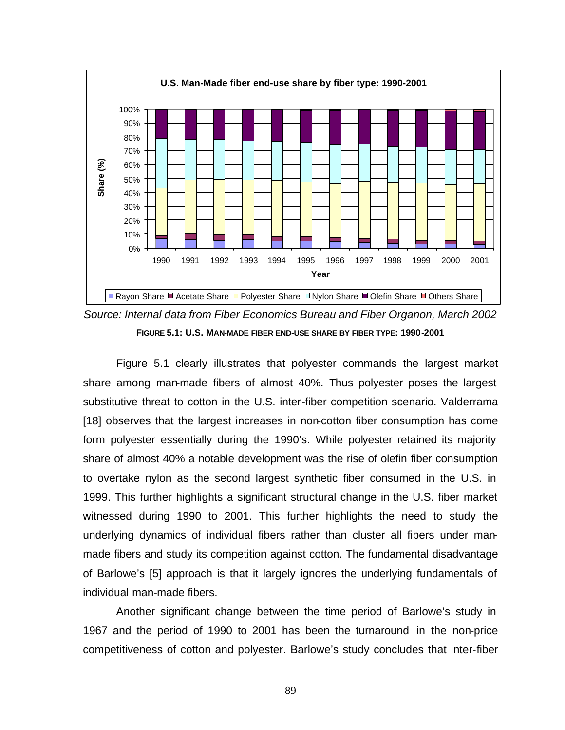

*Source: Internal data from Fiber Economics Bureau and Fiber Organon, March 2002* **FIGURE 5.1: U.S. MAN-MADE FIBER END-USE SHARE BY FIBER TYPE: 1990-2001**

Figure 5.1 clearly illustrates that polyester commands the largest market share among man-made fibers of almost 40%. Thus polyester poses the largest substitutive threat to cotton in the U.S. inter-fiber competition scenario. Valderrama [18] observes that the largest increases in non-cotton fiber consumption has come form polyester essentially during the 1990's. While polyester retained its majority share of almost 40% a notable development was the rise of olefin fiber consumption to overtake nylon as the second largest synthetic fiber consumed in the U.S. in 1999. This further highlights a significant structural change in the U.S. fiber market witnessed during 1990 to 2001. This further highlights the need to study the underlying dynamics of individual fibers rather than cluster all fibers under manmade fibers and study its competition against cotton. The fundamental disadvantage of Barlowe's [5] approach is that it largely ignores the underlying fundamentals of individual man-made fibers.

Another significant change between the time period of Barlowe's study in 1967 and the period of 1990 to 2001 has been the turnaround in the non-price competitiveness of cotton and polyester. Barlowe's study concludes that inter-fiber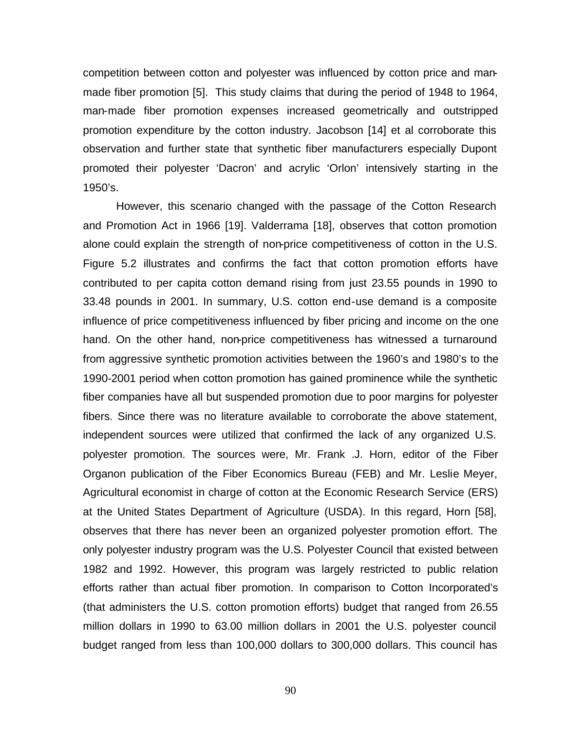competition between cotton and polyester was influenced by cotton price and manmade fiber promotion [5]. This study claims that during the period of 1948 to 1964, man-made fiber promotion expenses increased geometrically and outstripped promotion expenditure by the cotton industry. Jacobson [14] et al corroborate this observation and further state that synthetic fiber manufacturers especially Dupont promoted their polyester 'Dacron' and acrylic 'Orlon' intensively starting in the 1950's.

However, this scenario changed with the passage of the Cotton Research and Promotion Act in 1966 [19]. Valderrama [18], observes that cotton promotion alone could explain the strength of non-price competitiveness of cotton in the U.S. Figure 5.2 illustrates and confirms the fact that cotton promotion efforts have contributed to per capita cotton demand rising from just 23.55 pounds in 1990 to 33.48 pounds in 2001. In summary, U.S. cotton end-use demand is a composite influence of price competitiveness influenced by fiber pricing and income on the one hand. On the other hand, non-price competitiveness has witnessed a turnaround from aggressive synthetic promotion activities between the 1960's and 1980's to the 1990-2001 period when cotton promotion has gained prominence while the synthetic fiber companies have all but suspended promotion due to poor margins for polyester fibers. Since there was no literature available to corroborate the above statement, independent sources were utilized that confirmed the lack of any organized U.S. polyester promotion. The sources were, Mr. Frank .J. Horn, editor of the Fiber Organon publication of the Fiber Economics Bureau (FEB) and Mr. Leslie Meyer, Agricultural economist in charge of cotton at the Economic Research Service (ERS) at the United States Department of Agriculture (USDA). In this regard, Horn [58], observes that there has never been an organized polyester promotion effort. The only polyester industry program was the U.S. Polyester Council that existed between 1982 and 1992. However, this program was largely restricted to public relation efforts rather than actual fiber promotion. In comparison to Cotton Incorporated's (that administers the U.S. cotton promotion efforts) budget that ranged from 26.55 million dollars in 1990 to 63.00 million dollars in 2001 the U.S. polyester council budget ranged from less than 100,000 dollars to 300,000 dollars. This council has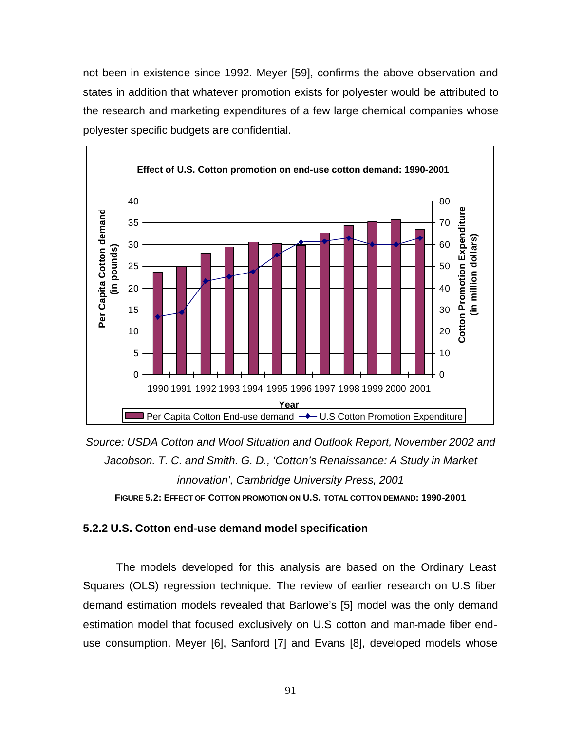not been in existence since 1992. Meyer [59], confirms the above observation and states in addition that whatever promotion exists for polyester would be attributed to the research and marketing expenditures of a few large chemical companies whose polyester specific budgets are confidential.



*Source: USDA Cotton and Wool Situation and Outlook Report, November 2002 and Jacobson. T. C. and Smith. G. D., 'Cotton's Renaissance: A Study in Market innovation', Cambridge University Press, 2001* **FIGURE 5.2: EFFECT OF COTTON PROMOTION ON U.S. TOTAL COTTON DEMAND: 1990-2001**

## **5.2.2 U.S. Cotton end-use demand model specification**

The models developed for this analysis are based on the Ordinary Least Squares (OLS) regression technique. The review of earlier research on U.S fiber demand estimation models revealed that Barlowe's [5] model was the only demand estimation model that focused exclusively on U.S cotton and man-made fiber enduse consumption. Meyer [6], Sanford [7] and Evans [8], developed models whose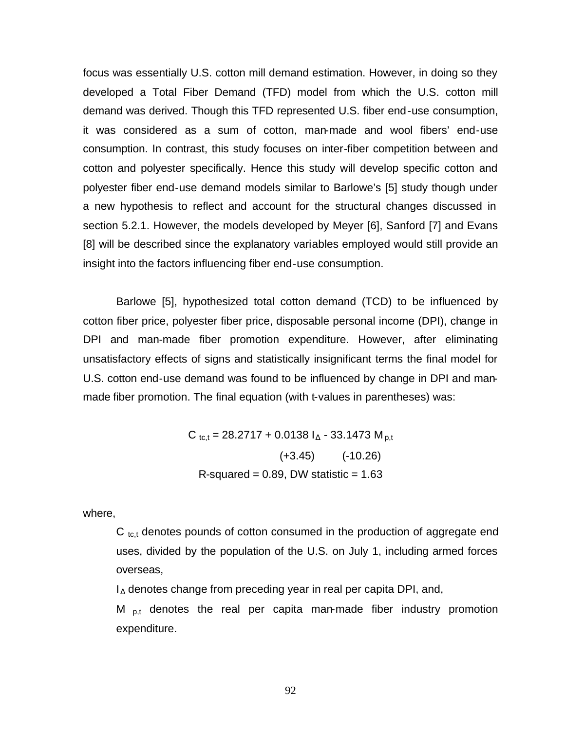focus was essentially U.S. cotton mill demand estimation. However, in doing so they developed a Total Fiber Demand (TFD) model from which the U.S. cotton mill demand was derived. Though this TFD represented U.S. fiber end-use consumption, it was considered as a sum of cotton, man-made and wool fibers' end-use consumption. In contrast, this study focuses on inter-fiber competition between and cotton and polyester specifically. Hence this study will develop specific cotton and polyester fiber end-use demand models similar to Barlowe's [5] study though under a new hypothesis to reflect and account for the structural changes discussed in section 5.2.1. However, the models developed by Meyer [6], Sanford [7] and Evans [8] will be described since the explanatory variables employed would still provide an insight into the factors influencing fiber end-use consumption.

Barlowe [5], hypothesized total cotton demand (TCD) to be influenced by cotton fiber price, polyester fiber price, disposable personal income (DPI), change in DPI and man-made fiber promotion expenditure. However, after eliminating unsatisfactory effects of signs and statistically insignificant terms the final model for U.S. cotton end-use demand was found to be influenced by change in DPI and manmade fiber promotion. The final equation (with t-values in parentheses) was:

> $C_{\text{tct}} = 28.2717 + 0.0138 I_{\text{A}} - 33.1473 M_{\text{p,t}}$  $(+3.45)$   $(+3.45)$ R-squared  $= 0.89$ , DW statistic  $= 1.63$

where,

 $C_{\text{tc,t}}$  denotes pounds of cotton consumed in the production of aggregate end uses, divided by the population of the U.S. on July 1, including armed forces overseas,

 $I_{\Delta}$  denotes change from preceding year in real per capita DPI, and,

M  $_{p,t}$  denotes the real per capita man-made fiber industry promotion expenditure.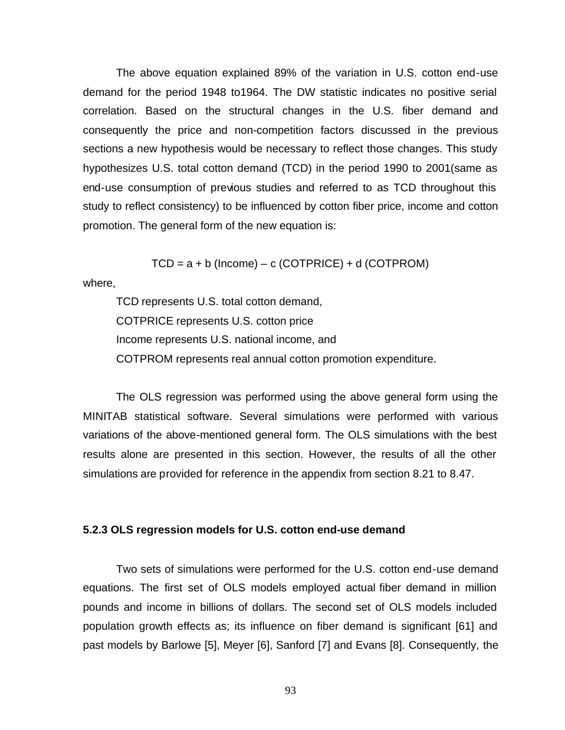The above equation explained 89% of the variation in U.S. cotton end-use demand for the period 1948 to1964. The DW statistic indicates no positive serial correlation. Based on the structural changes in the U.S. fiber demand and consequently the price and non-competition factors discussed in the previous sections a new hypothesis would be necessary to reflect those changes. This study hypothesizes U.S. total cotton demand (TCD) in the period 1990 to 2001(same as end-use consumption of previous studies and referred to as TCD throughout this study to reflect consistency) to be influenced by cotton fiber price, income and cotton promotion. The general form of the new equation is:

 $TCD = a + b$  (Income) – c (COTPRICE) + d (COTPROM)

where,

TCD represents U.S. total cotton demand, COTPRICE represents U.S. cotton price Income represents U.S. national income, and COTPROM represents real annual cotton promotion expenditure.

The OLS regression was performed using the above general form using the MINITAB statistical software. Several simulations were performed with various variations of the above-mentioned general form. The OLS simulations with the best results alone are presented in this section. However, the results of all the other simulations are provided for reference in the appendix from section 8.21 to 8.47.

#### **5.2.3 OLS regression models for U.S. cotton end-use demand**

Two sets of simulations were performed for the U.S. cotton end-use demand equations. The first set of OLS models employed actual fiber demand in million pounds and income in billions of dollars. The second set of OLS models included population growth effects as; its influence on fiber demand is significant [61] and past models by Barlowe [5], Meyer [6], Sanford [7] and Evans [8]. Consequently, the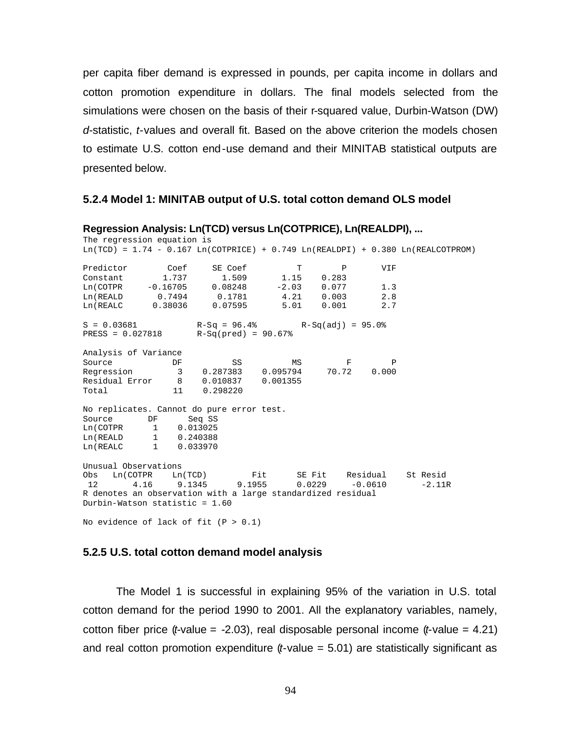per capita fiber demand is expressed in pounds, per capita income in dollars and cotton promotion expenditure in dollars. The final models selected from the simulations were chosen on the basis of their r-squared value, Durbin-Watson (DW) *d*-statistic, *t*-values and overall fit. Based on the above criterion the models chosen to estimate U.S. cotton end-use demand and their MINITAB statistical outputs are presented below.

### **5.2.4 Model 1: MINITAB output of U.S. total cotton demand OLS model**

| Regression Analysis: Ln(TCD) versus Ln(COTPRICE), Ln(REALDPI),<br>The regression equation is                       |                                             |    |                                                    |    |           |                                         |              |  |                |  |  |  |
|--------------------------------------------------------------------------------------------------------------------|---------------------------------------------|----|----------------------------------------------------|----|-----------|-----------------------------------------|--------------|--|----------------|--|--|--|
| $Ln(TCD) = 1.74 - 0.167 Ln(COTPRICE) + 0.749 Ln(REALDPI) + 0.380 Ln(REALCOTPRO)$                                   |                                             |    |                                                    |    |           |                                         |              |  |                |  |  |  |
| Predictor Coef                                                                                                     |                                             |    |                                                    |    | SE Coef T |                                         | $\mathbb{P}$ |  | VIF            |  |  |  |
|                                                                                                                    |                                             |    | Constant 1.737 1.509 1.15 0.283                    |    |           |                                         |              |  |                |  |  |  |
|                                                                                                                    | $Ln(COTPR$ -0.16705 0.08248 -2.03 0.077 1.3 |    |                                                    |    |           |                                         |              |  |                |  |  |  |
|                                                                                                                    |                                             |    | $\verb Ln(REALD  0.7494  0.1781  4.21  0.003  2.8$ |    |           |                                         |              |  |                |  |  |  |
|                                                                                                                    |                                             |    |                                                    |    |           | Ln(REALC 0.38036 0.07595 5.01 0.001 2.7 |              |  |                |  |  |  |
| $S = 0.03681$<br>$R-Sq = 96.4%$<br>$R-Sq(\text{add}) = 95.0%$<br>$R=SS = 0.027818$<br>$R-Sq(\text{pred}) = 90.67%$ |                                             |    |                                                    |    |           |                                         |              |  |                |  |  |  |
|                                                                                                                    |                                             |    |                                                    |    |           |                                         |              |  |                |  |  |  |
| Analysis of Variance                                                                                               |                                             |    |                                                    |    |           |                                         |              |  |                |  |  |  |
| Source                                                                                                             |                                             | DF |                                                    | SS |           |                                         | $MS$ F       |  | $\overline{P}$ |  |  |  |
| Regression 3 0.287383 0.095794 70.72 0.000                                                                         |                                             |    |                                                    |    |           |                                         |              |  |                |  |  |  |
| Residual Error 8 0.010837 0.001355                                                                                 |                                             |    |                                                    |    |           |                                         |              |  |                |  |  |  |
| Total 11 0.298220                                                                                                  |                                             |    |                                                    |    |           |                                         |              |  |                |  |  |  |
| No replicates. Cannot do pure error test.                                                                          |                                             |    |                                                    |    |           |                                         |              |  |                |  |  |  |
| Source DF Seq SS                                                                                                   |                                             |    |                                                    |    |           |                                         |              |  |                |  |  |  |
| $Ln(COTPR$ 1 0.013025                                                                                              |                                             |    |                                                    |    |           |                                         |              |  |                |  |  |  |
| Ln(REALD 1 0.240388                                                                                                |                                             |    |                                                    |    |           |                                         |              |  |                |  |  |  |
| Ln(REALC 1 0.033970                                                                                                |                                             |    |                                                    |    |           |                                         |              |  |                |  |  |  |
| Unusual Observations                                                                                               |                                             |    |                                                    |    |           |                                         |              |  |                |  |  |  |
| Obs Ln(COTPR Ln(TCD) Fit SE Fit Residual St Resid                                                                  |                                             |    |                                                    |    |           |                                         |              |  |                |  |  |  |
| 12 4.16 9.1345 9.1955 0.0229 -0.0610 -2.11R                                                                        |                                             |    |                                                    |    |           |                                         |              |  |                |  |  |  |
| R denotes an observation with a large standardized residual                                                        |                                             |    |                                                    |    |           |                                         |              |  |                |  |  |  |
| Durbin-Watson statistic = 1.60                                                                                     |                                             |    |                                                    |    |           |                                         |              |  |                |  |  |  |
| No evidence of lack of fit $(P > 0.1)$                                                                             |                                             |    |                                                    |    |           |                                         |              |  |                |  |  |  |

#### **5.2.5 U.S. total cotton demand model analysis**

The Model 1 is successful in explaining 95% of the variation in U.S. total cotton demand for the period 1990 to 2001. All the explanatory variables, namely, cotton fiber price (*t*-value =  $-2.03$ ), real disposable personal income (*t*-value = 4.21) and real cotton promotion expenditure (*t*-value = 5.01) are statistically significant as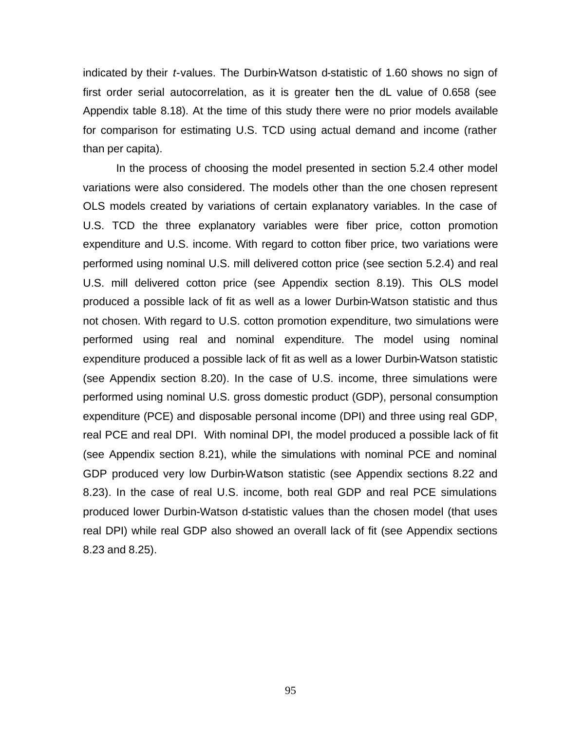indicated by their *t*-values. The Durbin-Watson d-statistic of 1.60 shows no sign of first order serial autocorrelation, as it is greater then the dL value of 0.658 (see Appendix table 8.18). At the time of this study there were no prior models available for comparison for estimating U.S. TCD using actual demand and income (rather than per capita).

In the process of choosing the model presented in section 5.2.4 other model variations were also considered. The models other than the one chosen represent OLS models created by variations of certain explanatory variables. In the case of U.S. TCD the three explanatory variables were fiber price, cotton promotion expenditure and U.S. income. With regard to cotton fiber price, two variations were performed using nominal U.S. mill delivered cotton price (see section 5.2.4) and real U.S. mill delivered cotton price (see Appendix section 8.19). This OLS model produced a possible lack of fit as well as a lower Durbin-Watson statistic and thus not chosen. With regard to U.S. cotton promotion expenditure, two simulations were performed using real and nominal expenditure. The model using nominal expenditure produced a possible lack of fit as well as a lower Durbin-Watson statistic (see Appendix section 8.20). In the case of U.S. income, three simulations were performed using nominal U.S. gross domestic product (GDP), personal consumption expenditure (PCE) and disposable personal income (DPI) and three using real GDP, real PCE and real DPI. With nominal DPI, the model produced a possible lack of fit (see Appendix section 8.21), while the simulations with nominal PCE and nominal GDP produced very low Durbin-Watson statistic (see Appendix sections 8.22 and 8.23). In the case of real U.S. income, both real GDP and real PCE simulations produced lower Durbin-Watson d-statistic values than the chosen model (that uses real DPI) while real GDP also showed an overall lack of fit (see Appendix sections 8.23 and 8.25).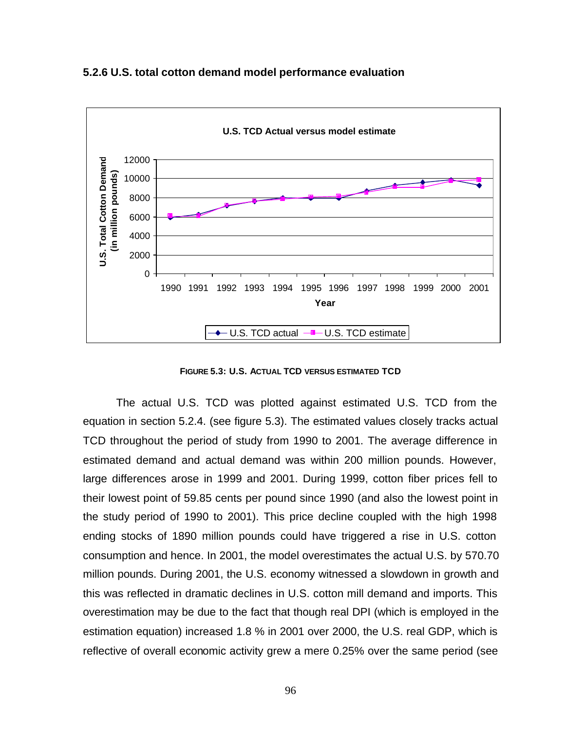

**5.2.6 U.S. total cotton demand model performance evaluation**

**FIGURE 5.3: U.S. ACTUAL TCD VERSUS ESTIMATED TCD**

The actual U.S. TCD was plotted against estimated U.S. TCD from the equation in section 5.2.4. (see figure 5.3). The estimated values closely tracks actual TCD throughout the period of study from 1990 to 2001. The average difference in estimated demand and actual demand was within 200 million pounds. However, large differences arose in 1999 and 2001. During 1999, cotton fiber prices fell to their lowest point of 59.85 cents per pound since 1990 (and also the lowest point in the study period of 1990 to 2001). This price decline coupled with the high 1998 ending stocks of 1890 million pounds could have triggered a rise in U.S. cotton consumption and hence. In 2001, the model overestimates the actual U.S. by 570.70 million pounds. During 2001, the U.S. economy witnessed a slowdown in growth and this was reflected in dramatic declines in U.S. cotton mill demand and imports. This overestimation may be due to the fact that though real DPI (which is employed in the estimation equation) increased 1.8 % in 2001 over 2000, the U.S. real GDP, which is reflective of overall economic activity grew a mere 0.25% over the same period (see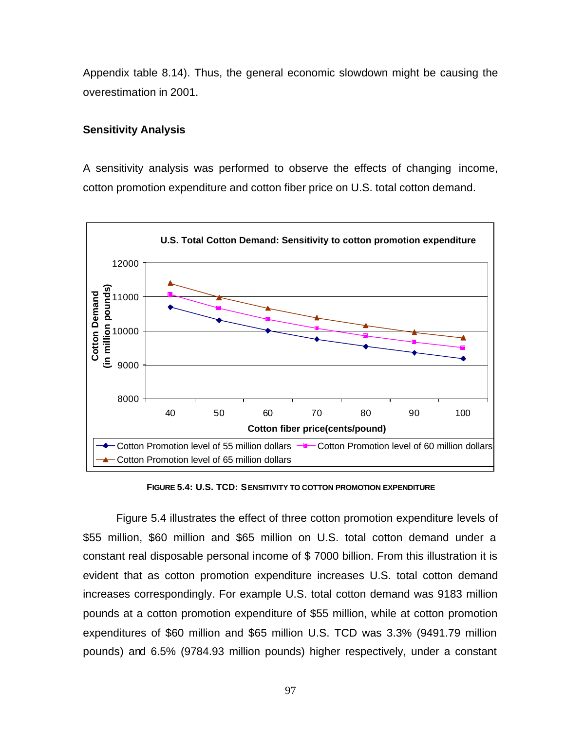Appendix table 8.14). Thus, the general economic slowdown might be causing the overestimation in 2001.

### **Sensitivity Analysis**

A sensitivity analysis was performed to observe the effects of changing income, cotton promotion expenditure and cotton fiber price on U.S. total cotton demand.



**FIGURE 5.4: U.S. TCD: SENSITIVITY TO COTTON PROMOTION EXPENDITURE**

Figure 5.4 illustrates the effect of three cotton promotion expenditure levels of \$55 million, \$60 million and \$65 million on U.S. total cotton demand under a constant real disposable personal income of \$ 7000 billion. From this illustration it is evident that as cotton promotion expenditure increases U.S. total cotton demand increases correspondingly. For example U.S. total cotton demand was 9183 million pounds at a cotton promotion expenditure of \$55 million, while at cotton promotion expenditures of \$60 million and \$65 million U.S. TCD was 3.3% (9491.79 million pounds) and 6.5% (9784.93 million pounds) higher respectively, under a constant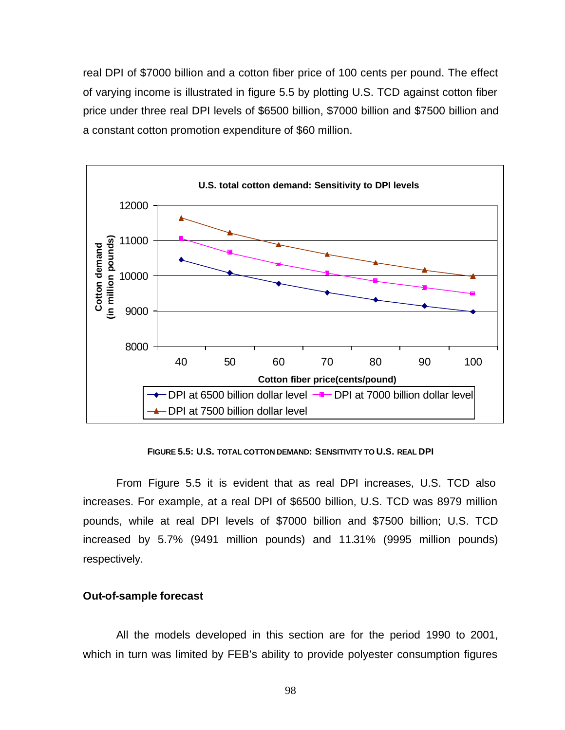real DPI of \$7000 billion and a cotton fiber price of 100 cents per pound. The effect of varying income is illustrated in figure 5.5 by plotting U.S. TCD against cotton fiber price under three real DPI levels of \$6500 billion, \$7000 billion and \$7500 billion and a constant cotton promotion expenditure of \$60 million.



**FIGURE 5.5: U.S. TOTAL COTTON DEMAND: SENSITIVITY TO U.S. REAL DPI**

From Figure 5.5 it is evident that as real DPI increases, U.S. TCD also increases. For example, at a real DPI of \$6500 billion, U.S. TCD was 8979 million pounds, while at real DPI levels of \$7000 billion and \$7500 billion; U.S. TCD increased by 5.7% (9491 million pounds) and 11.31% (9995 million pounds) respectively.

### **Out-of-sample forecast**

All the models developed in this section are for the period 1990 to 2001, which in turn was limited by FEB's ability to provide polyester consumption figures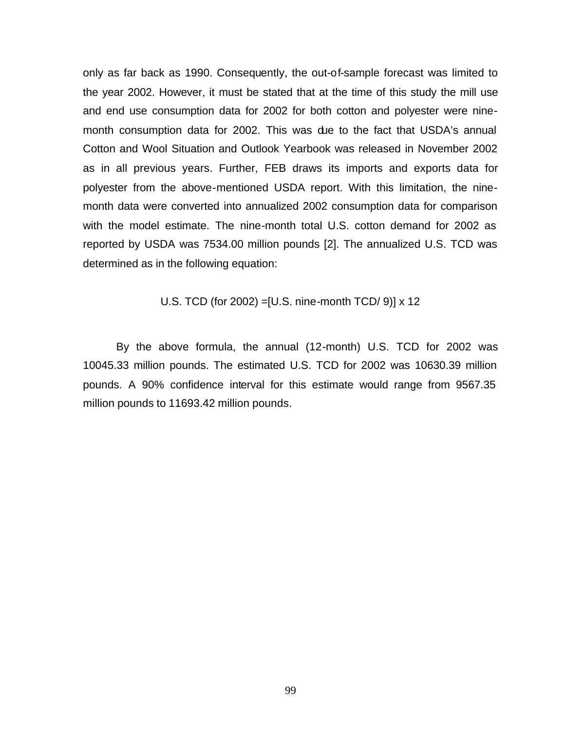only as far back as 1990. Consequently, the out-of-sample forecast was limited to the year 2002. However, it must be stated that at the time of this study the mill use and end use consumption data for 2002 for both cotton and polyester were ninemonth consumption data for 2002. This was due to the fact that USDA's annual Cotton and Wool Situation and Outlook Yearbook was released in November 2002 as in all previous years. Further, FEB draws its imports and exports data for polyester from the above-mentioned USDA report. With this limitation, the ninemonth data were converted into annualized 2002 consumption data for comparison with the model estimate. The nine-month total U.S. cotton demand for 2002 as reported by USDA was 7534.00 million pounds [2]. The annualized U.S. TCD was determined as in the following equation:

U.S. TCD (for 2002) =[U.S. nine-month TCD/ 9)] x 12

By the above formula, the annual (12-month) U.S. TCD for 2002 was 10045.33 million pounds. The estimated U.S. TCD for 2002 was 10630.39 million pounds. A 90% confidence interval for this estimate would range from 9567.35 million pounds to 11693.42 million pounds.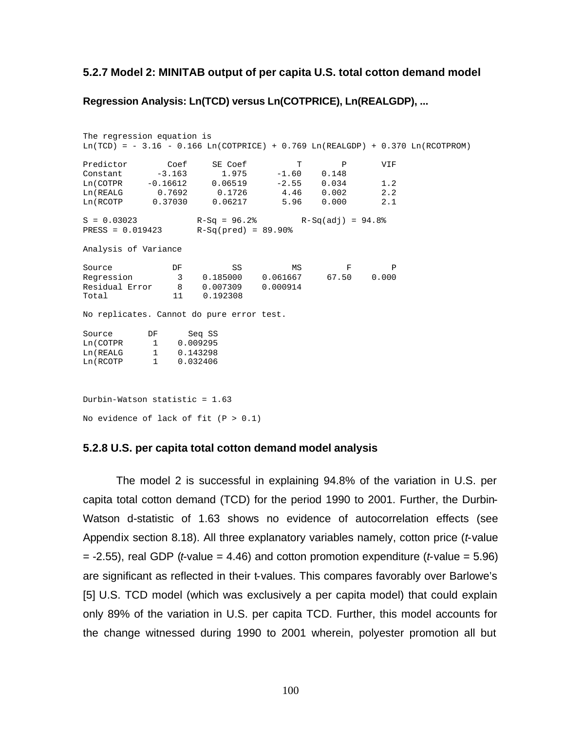#### **5.2.7 Model 2: MINITAB output of per capita U.S. total cotton demand model**

### **Regression Analysis: Ln(TCD) versus Ln(COTPRICE), Ln(REALGDP), ...**

The regression equation is  $Ln(TCD) = -3.16 - 0.166 Ln(COTPRICE) + 0.769 Ln(REALGDP) + 0.370 Ln(RCOTPROM)$ Predictor Coef SE Coef T P VIF Constant -3.163 1.975 -1.60 0.148 Constant -3.163 1.975 -1.00 0.146<br>
Ln(COTPR -0.16612 0.06519 -2.55 0.034 1.2<br>
Ln(REALG 0.7692 0.1726 4.46 0.002 2.2 Ln(REALG 0.7692 0.1726 4.46 0.002 2.2<br>
Ln(RCOTP 0.37030 0.06217 5.96 0.000 2.1 0.37030 0.06217  $S = 0.03023$  R-Sq = 96.2% R-Sq(adj) = 94.8% PRESS = 0.019423 R-Sq(pred) = 89.90% Analysis of Variance Source **DF** SS MS F P Regression 3 0.185000 0.061667 67.50 0.000 Residual Error 8 0.007309 0.000914 Total 11 0.192308 No replicates. Cannot do pure error test. Source DF Seq SS Ln(COTPR 1 0.009295 Ln(REALG 1 0.143298 Ln(RCOTP 1 0.032406 Durbin-Watson statistic = 1.63 No evidence of lack of fit  $(P > 0.1)$ 

#### **5.2.8 U.S. per capita total cotton demand model analysis**

The model 2 is successful in explaining 94.8% of the variation in U.S. per capita total cotton demand (TCD) for the period 1990 to 2001. Further, the Durbin-Watson d-statistic of 1.63 shows no evidence of autocorrelation effects (see Appendix section 8.18). All three explanatory variables namely, cotton price (*t*-value = -2.55), real GDP (*t*-value = 4.46) and cotton promotion expenditure (*t*-value = 5.96) are significant as reflected in their t-values. This compares favorably over Barlowe's [5] U.S. TCD model (which was exclusively a per capita model) that could explain only 89% of the variation in U.S. per capita TCD. Further, this model accounts for the change witnessed during 1990 to 2001 wherein, polyester promotion all but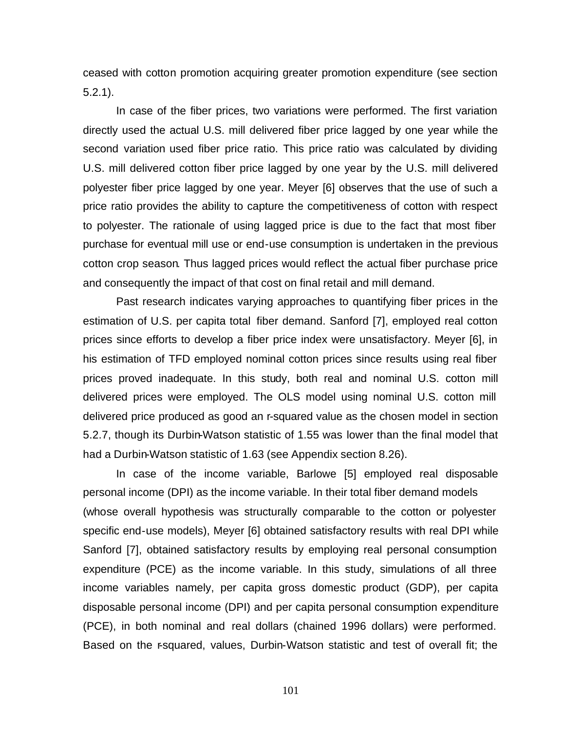ceased with cotton promotion acquiring greater promotion expenditure (see section 5.2.1).

In case of the fiber prices, two variations were performed. The first variation directly used the actual U.S. mill delivered fiber price lagged by one year while the second variation used fiber price ratio. This price ratio was calculated by dividing U.S. mill delivered cotton fiber price lagged by one year by the U.S. mill delivered polyester fiber price lagged by one year. Meyer [6] observes that the use of such a price ratio provides the ability to capture the competitiveness of cotton with respect to polyester. The rationale of using lagged price is due to the fact that most fiber purchase for eventual mill use or end-use consumption is undertaken in the previous cotton crop season. Thus lagged prices would reflect the actual fiber purchase price and consequently the impact of that cost on final retail and mill demand.

Past research indicates varying approaches to quantifying fiber prices in the estimation of U.S. per capita total fiber demand. Sanford [7], employed real cotton prices since efforts to develop a fiber price index were unsatisfactory. Meyer [6], in his estimation of TFD employed nominal cotton prices since results using real fiber prices proved inadequate. In this study, both real and nominal U.S. cotton mill delivered prices were employed. The OLS model using nominal U.S. cotton mill delivered price produced as good an r-squared value as the chosen model in section 5.2.7, though its Durbin-Watson statistic of 1.55 was lower than the final model that had a Durbin-Watson statistic of 1.63 (see Appendix section 8.26).

In case of the income variable, Barlowe [5] employed real disposable personal income (DPI) as the income variable. In their total fiber demand models (whose overall hypothesis was structurally comparable to the cotton or polyester specific end-use models), Meyer [6] obtained satisfactory results with real DPI while Sanford [7], obtained satisfactory results by employing real personal consumption expenditure (PCE) as the income variable. In this study, simulations of all three income variables namely, per capita gross domestic product (GDP), per capita disposable personal income (DPI) and per capita personal consumption expenditure (PCE), in both nominal and real dollars (chained 1996 dollars) were performed. Based on the r-squared, values, Durbin-Watson statistic and test of overall fit; the

101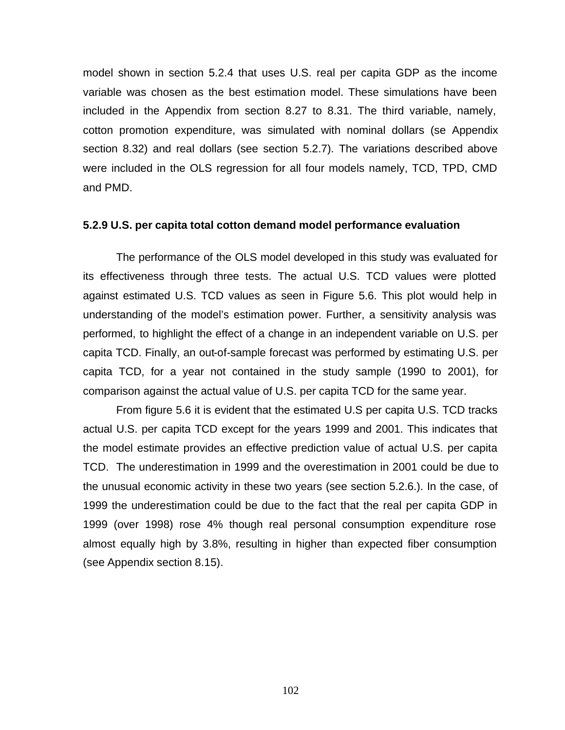model shown in section 5.2.4 that uses U.S. real per capita GDP as the income variable was chosen as the best estimation model. These simulations have been included in the Appendix from section 8.27 to 8.31. The third variable, namely, cotton promotion expenditure, was simulated with nominal dollars (se Appendix section 8.32) and real dollars (see section 5.2.7). The variations described above were included in the OLS regression for all four models namely, TCD, TPD, CMD and PMD.

### **5.2.9 U.S. per capita total cotton demand model performance evaluation**

The performance of the OLS model developed in this study was evaluated for its effectiveness through three tests. The actual U.S. TCD values were plotted against estimated U.S. TCD values as seen in Figure 5.6. This plot would help in understanding of the model's estimation power. Further, a sensitivity analysis was performed, to highlight the effect of a change in an independent variable on U.S. per capita TCD. Finally, an out-of-sample forecast was performed by estimating U.S. per capita TCD, for a year not contained in the study sample (1990 to 2001), for comparison against the actual value of U.S. per capita TCD for the same year.

From figure 5.6 it is evident that the estimated U.S per capita U.S. TCD tracks actual U.S. per capita TCD except for the years 1999 and 2001. This indicates that the model estimate provides an effective prediction value of actual U.S. per capita TCD. The underestimation in 1999 and the overestimation in 2001 could be due to the unusual economic activity in these two years (see section 5.2.6.). In the case, of 1999 the underestimation could be due to the fact that the real per capita GDP in 1999 (over 1998) rose 4% though real personal consumption expenditure rose almost equally high by 3.8%, resulting in higher than expected fiber consumption (see Appendix section 8.15).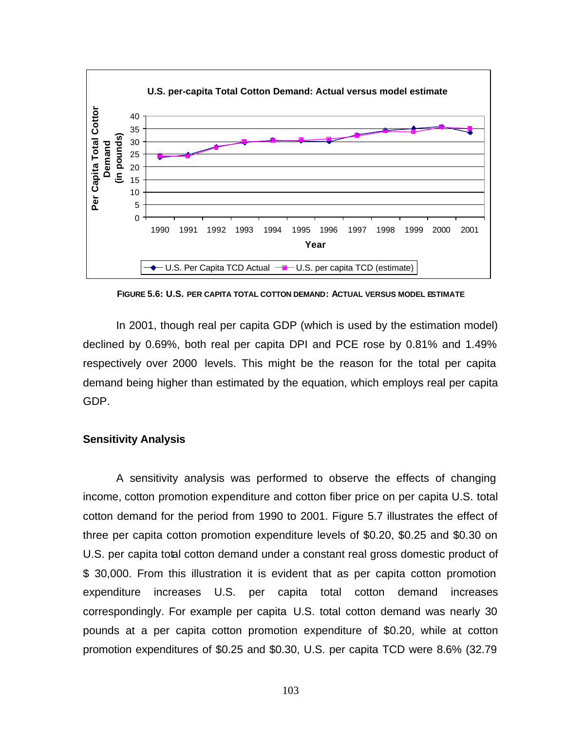

**FIGURE 5.6: U.S. PER CAPITA TOTAL COTTON DEMAND: ACTUAL VERSUS MODEL ESTIMATE**

In 2001, though real per capita GDP (which is used by the estimation model) declined by 0.69%, both real per capita DPI and PCE rose by 0.81% and 1.49% respectively over 2000 levels. This might be the reason for the total per capita demand being higher than estimated by the equation, which employs real per capita GDP.

#### **Sensitivity Analysis**

A sensitivity analysis was performed to observe the effects of changing income, cotton promotion expenditure and cotton fiber price on per capita U.S. total cotton demand for the period from 1990 to 2001. Figure 5.7 illustrates the effect of three per capita cotton promotion expenditure levels of \$0.20, \$0.25 and \$0.30 on U.S. per capita total cotton demand under a constant real gross domestic product of \$ 30,000. From this illustration it is evident that as per capita cotton promotion expenditure increases U.S. per capita total cotton demand increases correspondingly. For example per capita U.S. total cotton demand was nearly 30 pounds at a per capita cotton promotion expenditure of \$0.20, while at cotton promotion expenditures of \$0.25 and \$0.30, U.S. per capita TCD were 8.6% (32.79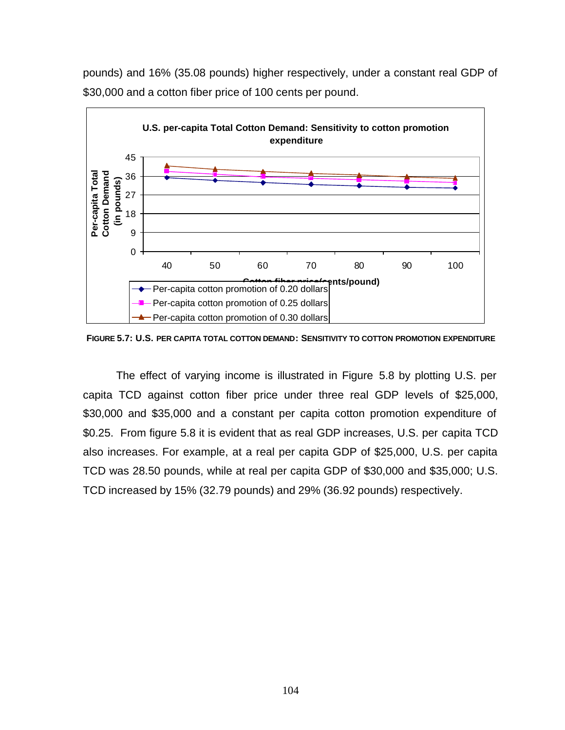

pounds) and 16% (35.08 pounds) higher respectively, under a constant real GDP of \$30,000 and a cotton fiber price of 100 cents per pound.

**FIGURE 5.7: U.S. PER CAPITA TOTAL COTTON DEMAND: SENSITIVITY TO COTTON PROMOTION EXPENDITURE**

The effect of varying income is illustrated in Figure 5.8 by plotting U.S. per capita TCD against cotton fiber price under three real GDP levels of \$25,000, \$30,000 and \$35,000 and a constant per capita cotton promotion expenditure of \$0.25. From figure 5.8 it is evident that as real GDP increases, U.S. per capita TCD also increases. For example, at a real per capita GDP of \$25,000, U.S. per capita TCD was 28.50 pounds, while at real per capita GDP of \$30,000 and \$35,000; U.S. TCD increased by 15% (32.79 pounds) and 29% (36.92 pounds) respectively.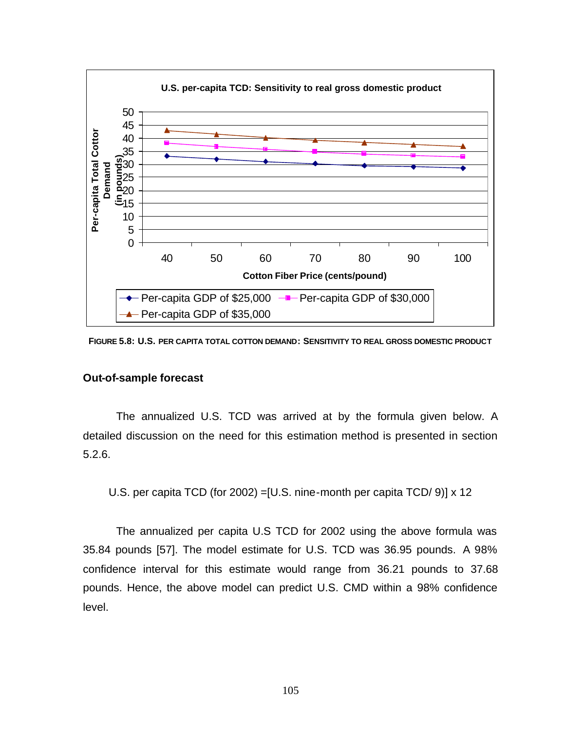

**FIGURE 5.8: U.S. PER CAPITA TOTAL COTTON DEMAND: SENSITIVITY TO REAL GROSS DOMESTIC PRODUCT**

#### **Out-of-sample forecast**

The annualized U.S. TCD was arrived at by the formula given below. A detailed discussion on the need for this estimation method is presented in section 5.2.6.

U.S. per capita TCD (for 2002) =[U.S. nine-month per capita TCD/ 9)] x 12

The annualized per capita U.S TCD for 2002 using the above formula was 35.84 pounds [57]. The model estimate for U.S. TCD was 36.95 pounds. A 98% confidence interval for this estimate would range from 36.21 pounds to 37.68 pounds. Hence, the above model can predict U.S. CMD within a 98% confidence level.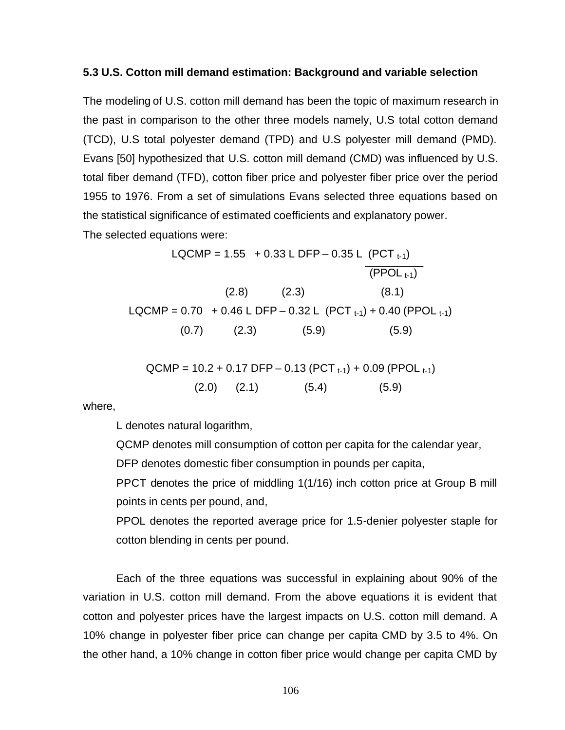### **5.3 U.S. Cotton mill demand estimation: Background and variable selection**

The modeling of U.S. cotton mill demand has been the topic of maximum research in the past in comparison to the other three models namely, U.S total cotton demand (TCD), U.S total polyester demand (TPD) and U.S polyester mill demand (PMD). Evans [50] hypothesized that U.S. cotton mill demand (CMD) was influenced by U.S. total fiber demand (TFD), cotton fiber price and polyester fiber price over the period 1955 to 1976. From a set of simulations Evans selected three equations based on the statistical significance of estimated coefficients and explanatory power. The selected equations were:

> LQCMP =  $1.55 + 0.33$  L DFP – 0.35 L (PCT  $_{t-1}$ )  $\overline{(PPOL_{t-1})}$  $(2.8)$   $(2.3)$   $(8.1)$ LQCMP =  $0.70 + 0.46$  L DFP –  $0.32$  L (PCT  $_{t-1}$ ) +  $0.40$  (PPOL  $_{t-1}$ )  $(0.7)$   $(2.3)$   $(5.9)$   $(5.9)$

$$
QCMP = 10.2 + 0.17 DFP - 0.13 (PCTt-1) + 0.09 (PPOLt-1)
$$
  
(2.0) (2.1) (5.4) (5.9)

where,

L denotes natural logarithm,

QCMP denotes mill consumption of cotton per capita for the calendar year, DFP denotes domestic fiber consumption in pounds per capita,

PPCT denotes the price of middling 1(1/16) inch cotton price at Group B mill points in cents per pound, and,

PPOL denotes the reported average price for 1.5-denier polyester staple for cotton blending in cents per pound.

Each of the three equations was successful in explaining about 90% of the variation in U.S. cotton mill demand. From the above equations it is evident that cotton and polyester prices have the largest impacts on U.S. cotton mill demand. A 10% change in polyester fiber price can change per capita CMD by 3.5 to 4%. On the other hand, a 10% change in cotton fiber price would change per capita CMD by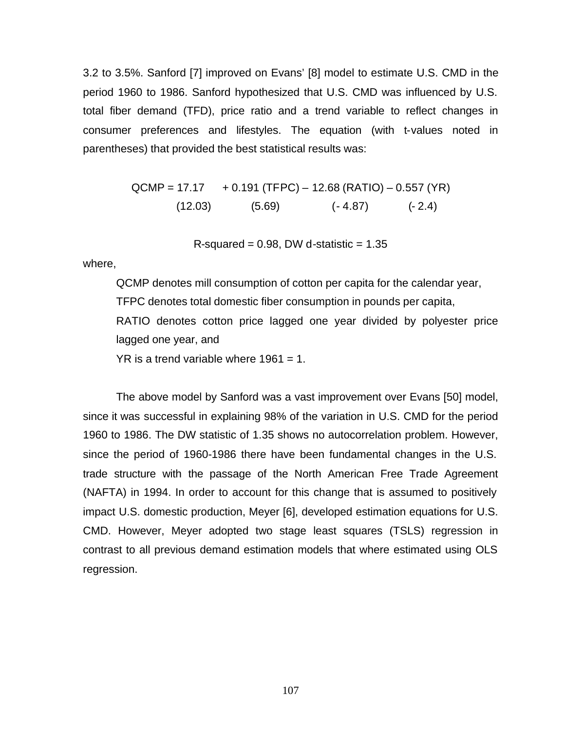3.2 to 3.5%. Sanford [7] improved on Evans' [8] model to estimate U.S. CMD in the period 1960 to 1986. Sanford hypothesized that U.S. CMD was influenced by U.S. total fiber demand (TFD), price ratio and a trend variable to reflect changes in consumer preferences and lifestyles. The equation (with t-values noted in parentheses) that provided the best statistical results was:

$$
QCMP = 17.17 + 0.191 (TFPC) - 12.68 (RATIO) - 0.557 (YR)
$$
  
(12.03) (5.69) (-4.87) (-2.4)

R-squared =  $0.98$ , DW d-statistic =  $1.35$ 

where,

QCMP denotes mill consumption of cotton per capita for the calendar year, TFPC denotes total domestic fiber consumption in pounds per capita, RATIO denotes cotton price lagged one year divided by polyester price lagged one year, and

 $YR$  is a trend variable where 1961 = 1.

The above model by Sanford was a vast improvement over Evans [50] model, since it was successful in explaining 98% of the variation in U.S. CMD for the period 1960 to 1986. The DW statistic of 1.35 shows no autocorrelation problem. However, since the period of 1960-1986 there have been fundamental changes in the U.S. trade structure with the passage of the North American Free Trade Agreement (NAFTA) in 1994. In order to account for this change that is assumed to positively impact U.S. domestic production, Meyer [6], developed estimation equations for U.S. CMD. However, Meyer adopted two stage least squares (TSLS) regression in contrast to all previous demand estimation models that where estimated using OLS regression.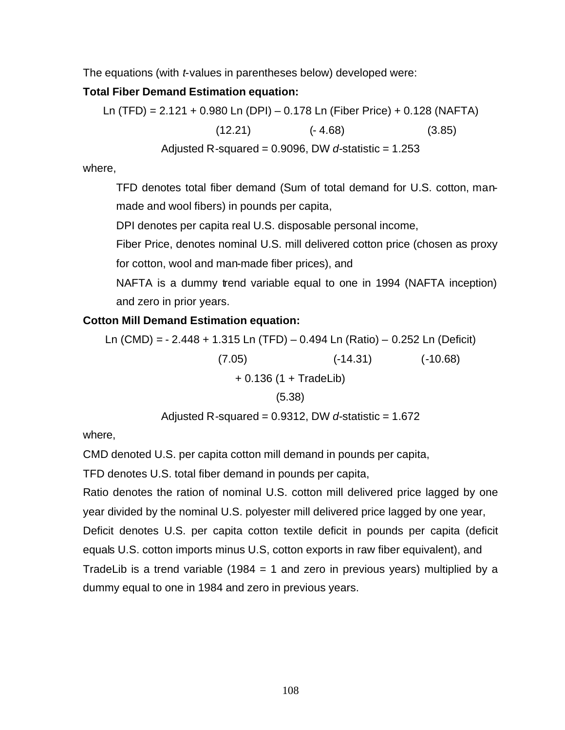The equations (with *t*-values in parentheses below) developed were:

# **Total Fiber Demand Estimation equation:**

Ln (TFD) = 2.121 + 0.980 Ln (DPI) – 0.178 Ln (Fiber Price) + 0.128 (NAFTA)  $(12.21)$   $(-4.68)$   $(3.85)$ Adjusted R-squared = 0.9096, DW *d*-statistic = 1.253

where,

TFD denotes total fiber demand (Sum of total demand for U.S. cotton, manmade and wool fibers) in pounds per capita,

DPI denotes per capita real U.S. disposable personal income,

Fiber Price, denotes nominal U.S. mill delivered cotton price (chosen as proxy for cotton, wool and man-made fiber prices), and

NAFTA is a dummy trend variable equal to one in 1994 (NAFTA inception) and zero in prior years.

# **Cotton Mill Demand Estimation equation:**

Ln (CMD) = - 2.448 + 1.315 Ln (TFD) – 0.494 Ln (Ratio) – 0.252 Ln (Deficit) (7.05) (-14.31) (-10.68) + 0.136 (1 + TradeLib) (5.38) Adjusted R-squared = 0.9312, DW *d*-statistic = 1.672

where,

CMD denoted U.S. per capita cotton mill demand in pounds per capita,

TFD denotes U.S. total fiber demand in pounds per capita,

Ratio denotes the ration of nominal U.S. cotton mill delivered price lagged by one year divided by the nominal U.S. polyester mill delivered price lagged by one year, Deficit denotes U.S. per capita cotton textile deficit in pounds per capita (deficit equals U.S. cotton imports minus U.S, cotton exports in raw fiber equivalent), and TradeLib is a trend variable (1984 = 1 and zero in previous years) multiplied by a dummy equal to one in 1984 and zero in previous years.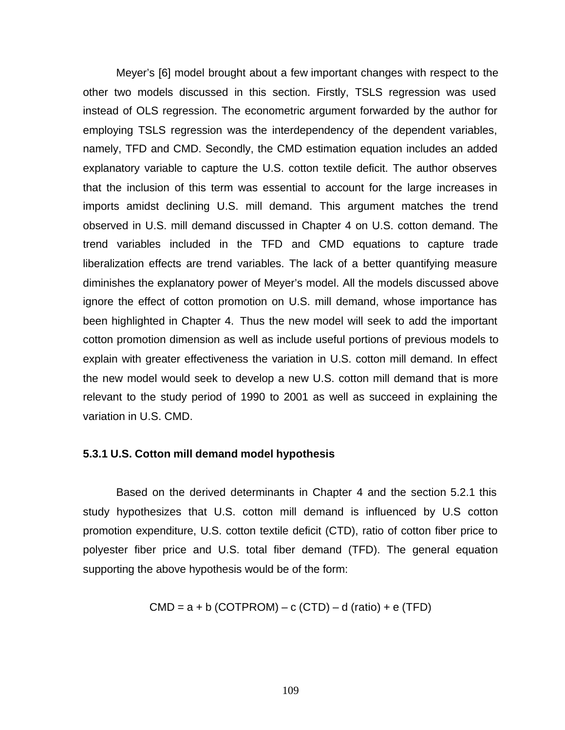Meyer's [6] model brought about a few important changes with respect to the other two models discussed in this section. Firstly, TSLS regression was used instead of OLS regression. The econometric argument forwarded by the author for employing TSLS regression was the interdependency of the dependent variables, namely, TFD and CMD. Secondly, the CMD estimation equation includes an added explanatory variable to capture the U.S. cotton textile deficit. The author observes that the inclusion of this term was essential to account for the large increases in imports amidst declining U.S. mill demand. This argument matches the trend observed in U.S. mill demand discussed in Chapter 4 on U.S. cotton demand. The trend variables included in the TFD and CMD equations to capture trade liberalization effects are trend variables. The lack of a better quantifying measure diminishes the explanatory power of Meyer's model. All the models discussed above ignore the effect of cotton promotion on U.S. mill demand, whose importance has been highlighted in Chapter 4. Thus the new model will seek to add the important cotton promotion dimension as well as include useful portions of previous models to explain with greater effectiveness the variation in U.S. cotton mill demand. In effect the new model would seek to develop a new U.S. cotton mill demand that is more relevant to the study period of 1990 to 2001 as well as succeed in explaining the variation in U.S. CMD.

#### **5.3.1 U.S. Cotton mill demand model hypothesis**

Based on the derived determinants in Chapter 4 and the section 5.2.1 this study hypothesizes that U.S. cotton mill demand is influenced by U.S cotton promotion expenditure, U.S. cotton textile deficit (CTD), ratio of cotton fiber price to polyester fiber price and U.S. total fiber demand (TFD). The general equation supporting the above hypothesis would be of the form:

$$
CMD = a + b (COTPROM) - c (CTD) - d (ratio) + e (TFD)
$$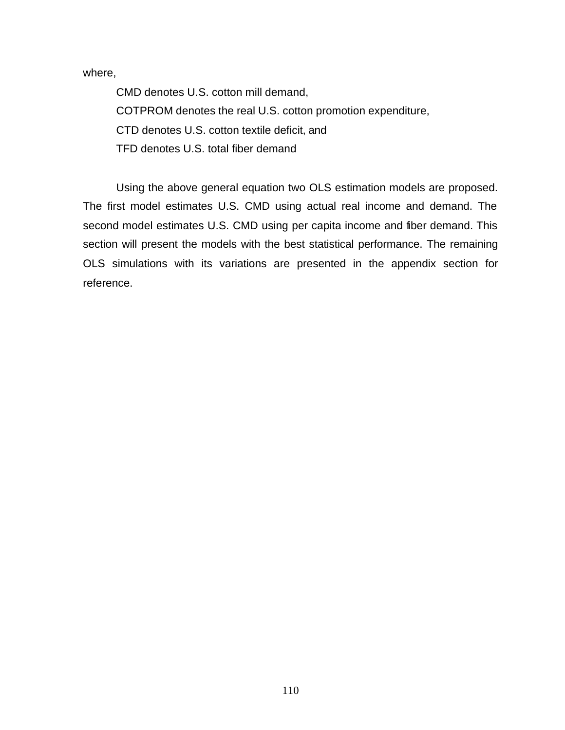where,

CMD denotes U.S. cotton mill demand, COTPROM denotes the real U.S. cotton promotion expenditure, CTD denotes U.S. cotton textile deficit, and TFD denotes U.S. total fiber demand

Using the above general equation two OLS estimation models are proposed. The first model estimates U.S. CMD using actual real income and demand. The second model estimates U.S. CMD using per capita income and fiber demand. This section will present the models with the best statistical performance. The remaining OLS simulations with its variations are presented in the appendix section for reference.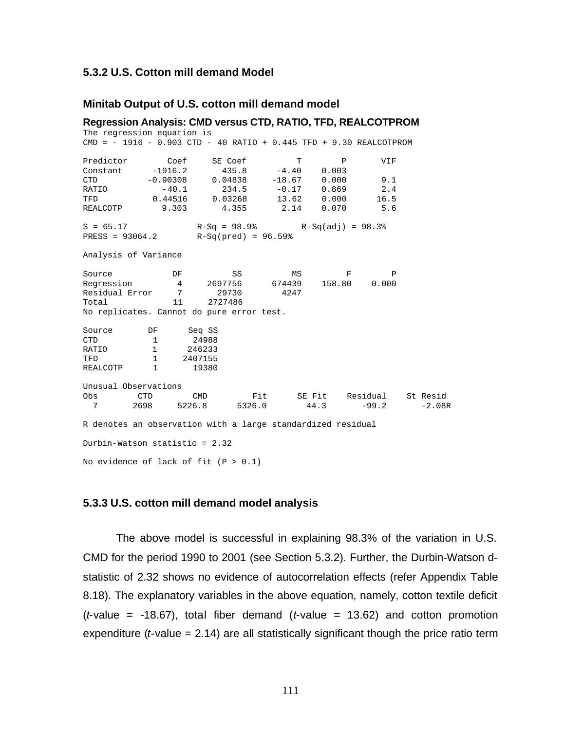### **5.3.2 U.S. Cotton mill demand Model**

#### **Minitab Output of U.S. cotton mill demand model**

**Regression Analysis: CMD versus CTD, RATIO, TFD, REALCOTPROM** The regression equation is CMD = - 1916 - 0.903 CTD - 40 RATIO + 0.445 TFD + 9.30 REALCOTPROM Predictor Coef SE Coef T P VIF Constant -1916.2 435.8 -4.40 0.003 CTD -0.90308 0.04838 -18.67 0.000 9.1 RATIO -40.1 234.5 -0.17 0.869 2.4 TFD 0.44516 0.03268 13.62 0.000 16.5 REALCOTP 9.303 4.355 2.14 0.070 5.6  $S = 65.17$   $R-Sq = 98.9%$   $R-Sq(adj) = 98.3%$ <br>  $RESS = 93064.2$   $R-Sq(pred) = 96.59%$  $R-Sq(pred) = 96.59%$ Analysis of Variance Source **DF** SS MS F P Regression 4 2697756 674439 158.80 0.000 Residual Error 7<br>Total 11 2727486 No replicates. Cannot do pure error test. Source DF Seq SS CTD 1 24988<br>RATIO 1 246233 246233 TFD 1 2407155<br>REALCOTP 1 19380 REALCOTP Unusual Observations Obs CTD CMD Fit SE Fit Residual St Resid 7 2698 5226.8 5326.0 44.3 -99.2 -2.08R R denotes an observation with a large standardized residual Durbin-Watson statistic = 2.32 No evidence of lack of fit  $(P > 0.1)$ 

#### **5.3.3 U.S. cotton mill demand model analysis**

The above model is successful in explaining 98.3% of the variation in U.S. CMD for the period 1990 to 2001 (see Section 5.3.2). Further, the Durbin-Watson dstatistic of 2.32 shows no evidence of autocorrelation effects (refer Appendix Table 8.18). The explanatory variables in the above equation, namely, cotton textile deficit (*t*-value = -18.67), total fiber demand (*t*-value = 13.62) and cotton promotion expenditure (*t*-value = 2.14) are all statistically significant though the price ratio term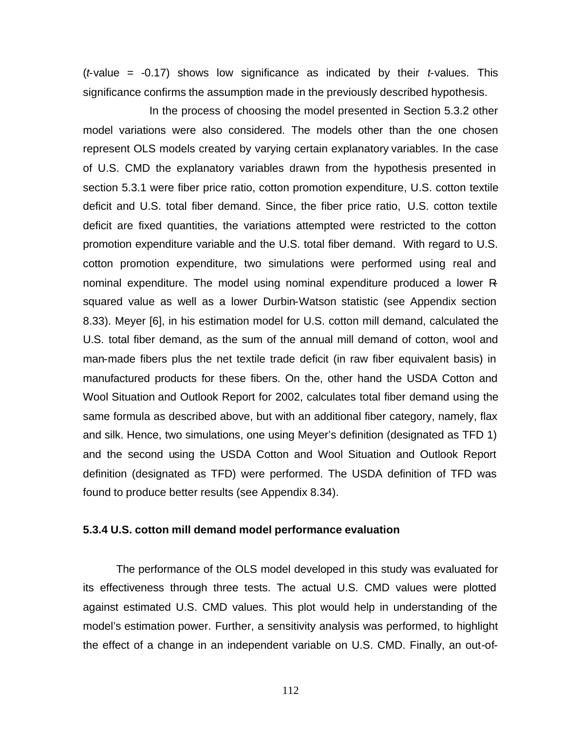(*t*-value = -0.17) shows low significance as indicated by their *t*-values. This significance confirms the assumption made in the previously described hypothesis.

In the process of choosing the model presented in Section 5.3.2 other model variations were also considered. The models other than the one chosen represent OLS models created by varying certain explanatory variables. In the case of U.S. CMD the explanatory variables drawn from the hypothesis presented in section 5.3.1 were fiber price ratio, cotton promotion expenditure, U.S. cotton textile deficit and U.S. total fiber demand. Since, the fiber price ratio, U.S. cotton textile deficit are fixed quantities, the variations attempted were restricted to the cotton promotion expenditure variable and the U.S. total fiber demand. With regard to U.S. cotton promotion expenditure, two simulations were performed using real and nominal expenditure. The model using nominal expenditure produced a lower Rsquared value as well as a lower Durbin-Watson statistic (see Appendix section 8.33). Meyer [6], in his estimation model for U.S. cotton mill demand, calculated the U.S. total fiber demand, as the sum of the annual mill demand of cotton, wool and man-made fibers plus the net textile trade deficit (in raw fiber equivalent basis) in manufactured products for these fibers. On the, other hand the USDA Cotton and Wool Situation and Outlook Report for 2002, calculates total fiber demand using the same formula as described above, but with an additional fiber category, namely, flax and silk. Hence, two simulations, one using Meyer's definition (designated as TFD 1) and the second using the USDA Cotton and Wool Situation and Outlook Report definition (designated as TFD) were performed. The USDA definition of TFD was found to produce better results (see Appendix 8.34).

### **5.3.4 U.S. cotton mill demand model performance evaluation**

The performance of the OLS model developed in this study was evaluated for its effectiveness through three tests. The actual U.S. CMD values were plotted against estimated U.S. CMD values. This plot would help in understanding of the model's estimation power. Further, a sensitivity analysis was performed, to highlight the effect of a change in an independent variable on U.S. CMD. Finally, an out-of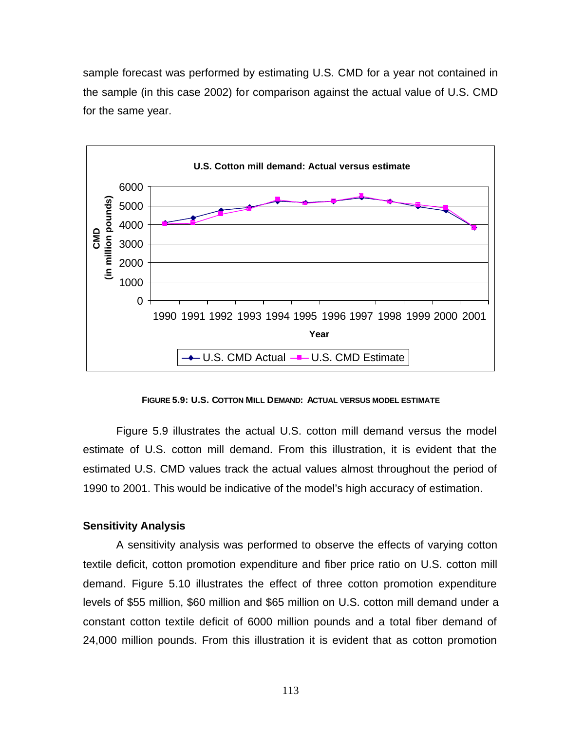sample forecast was performed by estimating U.S. CMD for a year not contained in the sample (in this case 2002) for comparison against the actual value of U.S. CMD for the same year.



**FIGURE 5.9: U.S. COTTON MILL DEMAND: ACTUAL VERSUS MODEL ESTIMATE**

Figure 5.9 illustrates the actual U.S. cotton mill demand versus the model estimate of U.S. cotton mill demand. From this illustration, it is evident that the estimated U.S. CMD values track the actual values almost throughout the period of 1990 to 2001. This would be indicative of the model's high accuracy of estimation.

### **Sensitivity Analysis**

A sensitivity analysis was performed to observe the effects of varying cotton textile deficit, cotton promotion expenditure and fiber price ratio on U.S. cotton mill demand. Figure 5.10 illustrates the effect of three cotton promotion expenditure levels of \$55 million, \$60 million and \$65 million on U.S. cotton mill demand under a constant cotton textile deficit of 6000 million pounds and a total fiber demand of 24,000 million pounds. From this illustration it is evident that as cotton promotion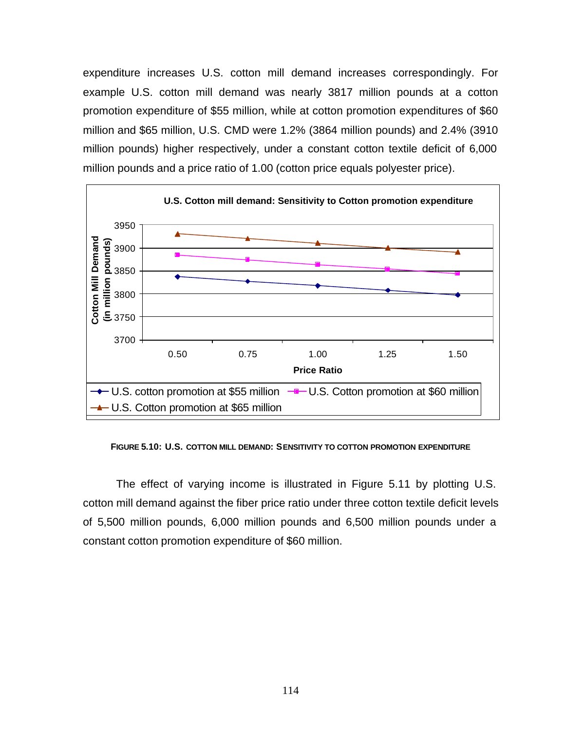expenditure increases U.S. cotton mill demand increases correspondingly. For example U.S. cotton mill demand was nearly 3817 million pounds at a cotton promotion expenditure of \$55 million, while at cotton promotion expenditures of \$60 million and \$65 million, U.S. CMD were 1.2% (3864 million pounds) and 2.4% (3910 million pounds) higher respectively, under a constant cotton textile deficit of 6,000 million pounds and a price ratio of 1.00 (cotton price equals polyester price).



**FIGURE 5.10: U.S. COTTON MILL DEMAND: SENSITIVITY TO COTTON PROMOTION EXPENDITURE**

The effect of varying income is illustrated in Figure 5.11 by plotting U.S. cotton mill demand against the fiber price ratio under three cotton textile deficit levels of 5,500 million pounds, 6,000 million pounds and 6,500 million pounds under a constant cotton promotion expenditure of \$60 million.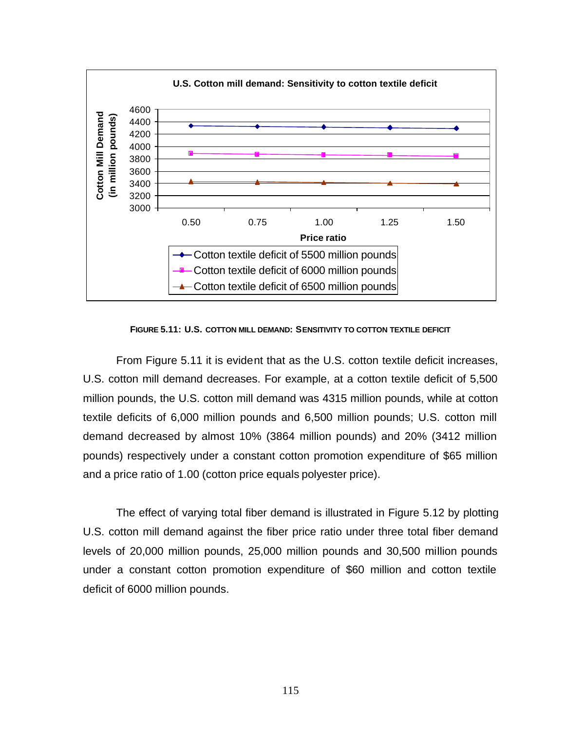

**FIGURE 5.11: U.S. COTTON MILL DEMAND: SENSITIVITY TO COTTON TEXTILE DEFICIT**

From Figure 5.11 it is evident that as the U.S. cotton textile deficit increases, U.S. cotton mill demand decreases. For example, at a cotton textile deficit of 5,500 million pounds, the U.S. cotton mill demand was 4315 million pounds, while at cotton textile deficits of 6,000 million pounds and 6,500 million pounds; U.S. cotton mill demand decreased by almost 10% (3864 million pounds) and 20% (3412 million pounds) respectively under a constant cotton promotion expenditure of \$65 million and a price ratio of 1.00 (cotton price equals polyester price).

The effect of varying total fiber demand is illustrated in Figure 5.12 by plotting U.S. cotton mill demand against the fiber price ratio under three total fiber demand levels of 20,000 million pounds, 25,000 million pounds and 30,500 million pounds under a constant cotton promotion expenditure of \$60 million and cotton textile deficit of 6000 million pounds.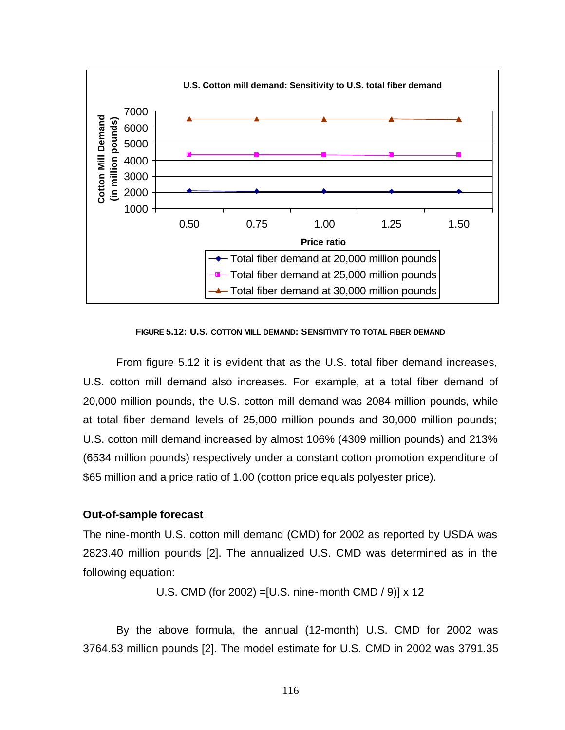

**FIGURE 5.12: U.S. COTTON MILL DEMAND: SENSITIVITY TO TOTAL FIBER DEMAND**

From figure 5.12 it is evident that as the U.S. total fiber demand increases, U.S. cotton mill demand also increases. For example, at a total fiber demand of 20,000 million pounds, the U.S. cotton mill demand was 2084 million pounds, while at total fiber demand levels of 25,000 million pounds and 30,000 million pounds; U.S. cotton mill demand increased by almost 106% (4309 million pounds) and 213% (6534 million pounds) respectively under a constant cotton promotion expenditure of \$65 million and a price ratio of 1.00 (cotton price equals polyester price).

### **Out-of-sample forecast**

The nine-month U.S. cotton mill demand (CMD) for 2002 as reported by USDA was 2823.40 million pounds [2]. The annualized U.S. CMD was determined as in the following equation:

U.S. CMD (for 2002) =[U.S. nine-month CMD / 9)] x 12

By the above formula, the annual (12-month) U.S. CMD for 2002 was 3764.53 million pounds [2]. The model estimate for U.S. CMD in 2002 was 3791.35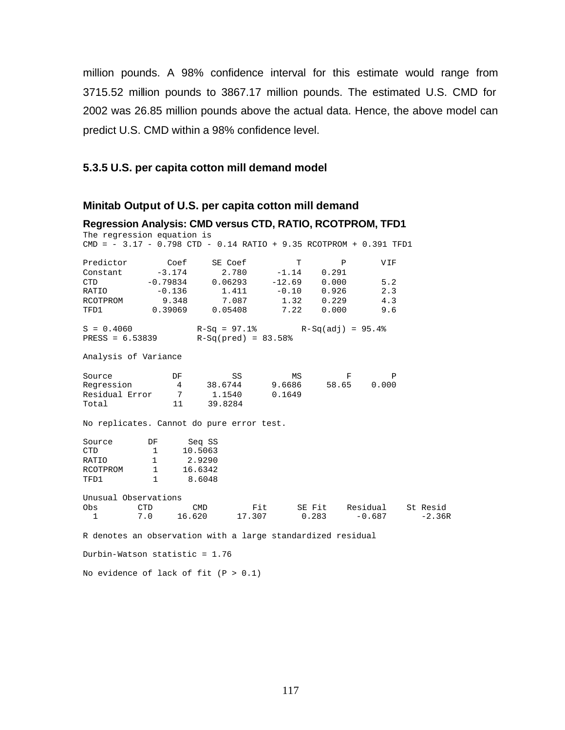million pounds. A 98% confidence interval for this estimate would range from 3715.52 million pounds to 3867.17 million pounds. The estimated U.S. CMD for 2002 was 26.85 million pounds above the actual data. Hence, the above model can predict U.S. CMD within a 98% confidence level.

## **5.3.5 U.S. per capita cotton mill demand model**

## **Minitab Output of U.S. per capita cotton mill demand**

| Regression Analysis: CMD versus CTD, RATIO, RCOTPROM, TFD1                                                         |                               |               |                      |         |                                      |       |          |
|--------------------------------------------------------------------------------------------------------------------|-------------------------------|---------------|----------------------|---------|--------------------------------------|-------|----------|
| The regression equation is                                                                                         |                               |               |                      |         |                                      |       |          |
| $\texttt{CMD} = -3.17 - 0.798 \texttt{ CTD} - 0.14 \texttt{ RATIO} + 9.35 \texttt{RCorfROM} + 0.391 \texttt{TFDI}$ |                               |               |                      |         |                                      |       |          |
| Predictor Coef                                                                                                     |                               |               | SE Coef              | T       | $\mathbf{P}$                         | VIF   |          |
| Constant                                                                                                           | $-3.174$                      |               | $2.780 -1.14$        |         | 0.291                                |       |          |
| <b>CTD</b>                                                                                                         | $-0.79834$ $0.06293$ $-12.69$ |               |                      |         | 0.000                                | 5.2   |          |
| RATIO                                                                                                              | $-0.136$                      |               | 1.411                | $-0.10$ | 0.926                                | 2.3   |          |
| RCOTPROM                                                                                                           | 9.348                         |               | 7.087                |         | 1.32 0.229                           | 4.3   |          |
| TFD1                                                                                                               | $0.39069$ $0.05408$           |               |                      | 7.22    | 0.000                                | 9.6   |          |
| $S = 0.4060$                                                                                                       |                               |               |                      |         | $R-Sq = 97.1$ $R-Sq(adj) = 95.4$ $8$ |       |          |
| $PRESS = 6.53839$                                                                                                  |                               |               | $R-Sq(pred) = 83.58$ |         |                                      |       |          |
| Analysis of Variance                                                                                               |                               |               |                      |         |                                      |       |          |
| Source                                                                                                             | DF                            |               | SS                   | MS      | F                                    | P     |          |
| Regression                                                                                                         |                               |               |                      |         | 4 38.6744 9.6686 58.65               | 0.000 |          |
| Residual Error       7        1.1540                                                                               |                               |               |                      | 0.1649  |                                      |       |          |
| Total                                                                                                              |                               | 11<br>39.8284 |                      |         |                                      |       |          |
| No replicates. Cannot do pure error test.                                                                          |                               |               |                      |         |                                      |       |          |
| Source                                                                                                             | DF                            | Seq SS        |                      |         |                                      |       |          |
| CTD                                                                                                                | $1 \quad \blacksquare$        | 10.5063       |                      |         |                                      |       |          |
| RATIO                                                                                                              | 1                             | 2.9290        |                      |         |                                      |       |          |
| RCOTPROM                                                                                                           | 1                             | 16.6342       |                      |         |                                      |       |          |
| TFD1                                                                                                               | 1                             | 8.6048        |                      |         |                                      |       |          |
| Unusual Observations                                                                                               |                               |               |                      |         |                                      |       |          |
| Obs                                                                                                                | <b>CTD</b>                    | CMD           |                      |         | Fit SE Fit Residual                  |       | St Resid |
| $\overline{1}$                                                                                                     |                               |               |                      |         | 7.0 16.620 17.307 0.283 -0.687       |       | $-2.36R$ |
| R denotes an observation with a large standardized residual                                                        |                               |               |                      |         |                                      |       |          |
| Durbin-Watson statistic = 1.76                                                                                     |                               |               |                      |         |                                      |       |          |

No evidence of lack of fit  $(P > 0.1)$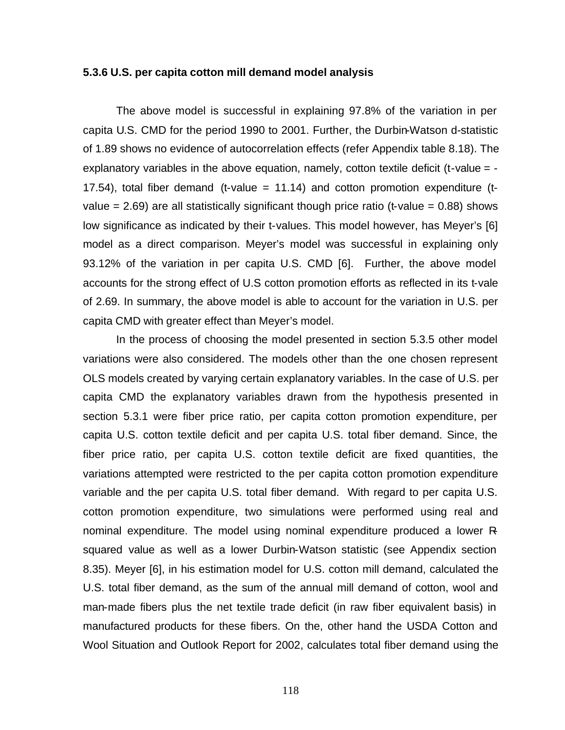### **5.3.6 U.S. per capita cotton mill demand model analysis**

The above model is successful in explaining 97.8% of the variation in per capita U.S. CMD for the period 1990 to 2001. Further, the Durbin-Watson d-statistic of 1.89 shows no evidence of autocorrelation effects (refer Appendix table 8.18). The explanatory variables in the above equation, namely, cotton textile deficit (t-value  $=$  -17.54), total fiber demand (t-value = 11.14) and cotton promotion expenditure (tvalue  $= 2.69$ ) are all statistically significant though price ratio (t-value  $= 0.88$ ) shows low significance as indicated by their t-values. This model however, has Meyer's [6] model as a direct comparison. Meyer's model was successful in explaining only 93.12% of the variation in per capita U.S. CMD [6]. Further, the above model accounts for the strong effect of U.S cotton promotion efforts as reflected in its t-vale of 2.69. In summary, the above model is able to account for the variation in U.S. per capita CMD with greater effect than Meyer's model.

In the process of choosing the model presented in section 5.3.5 other model variations were also considered. The models other than the one chosen represent OLS models created by varying certain explanatory variables. In the case of U.S. per capita CMD the explanatory variables drawn from the hypothesis presented in section 5.3.1 were fiber price ratio, per capita cotton promotion expenditure, per capita U.S. cotton textile deficit and per capita U.S. total fiber demand. Since, the fiber price ratio, per capita U.S. cotton textile deficit are fixed quantities, the variations attempted were restricted to the per capita cotton promotion expenditure variable and the per capita U.S. total fiber demand. With regard to per capita U.S. cotton promotion expenditure, two simulations were performed using real and nominal expenditure. The model using nominal expenditure produced a lower Rsquared value as well as a lower Durbin-Watson statistic (see Appendix section 8.35). Meyer [6], in his estimation model for U.S. cotton mill demand, calculated the U.S. total fiber demand, as the sum of the annual mill demand of cotton, wool and man-made fibers plus the net textile trade deficit (in raw fiber equivalent basis) in manufactured products for these fibers. On the, other hand the USDA Cotton and Wool Situation and Outlook Report for 2002, calculates total fiber demand using the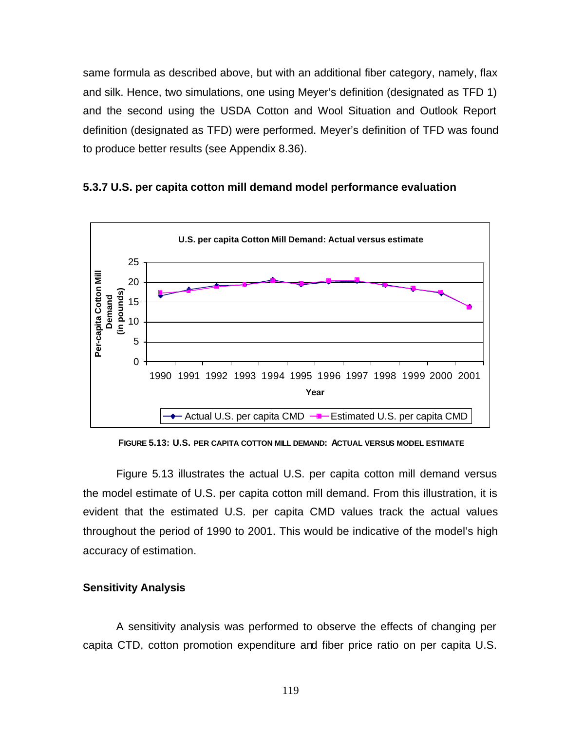same formula as described above, but with an additional fiber category, namely, flax and silk. Hence, two simulations, one using Meyer's definition (designated as TFD 1) and the second using the USDA Cotton and Wool Situation and Outlook Report definition (designated as TFD) were performed. Meyer's definition of TFD was found to produce better results (see Appendix 8.36).

## **5.3.7 U.S. per capita cotton mill demand model performance evaluation**



**FIGURE 5.13: U.S. PER CAPITA COTTON MILL DEMAND: ACTUAL VERSUS MODEL ESTIMATE**

Figure 5.13 illustrates the actual U.S. per capita cotton mill demand versus the model estimate of U.S. per capita cotton mill demand. From this illustration, it is evident that the estimated U.S. per capita CMD values track the actual values throughout the period of 1990 to 2001. This would be indicative of the model's high accuracy of estimation.

### **Sensitivity Analysis**

A sensitivity analysis was performed to observe the effects of changing per capita CTD, cotton promotion expenditure and fiber price ratio on per capita U.S.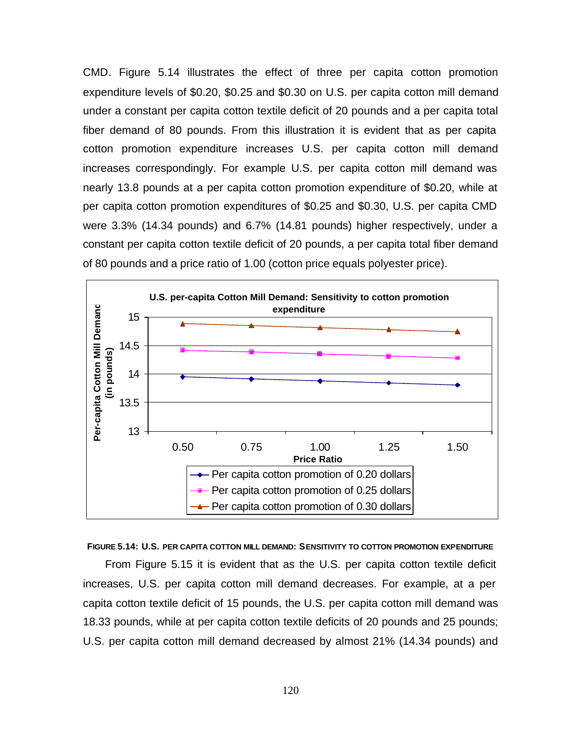CMD. Figure 5.14 illustrates the effect of three per capita cotton promotion expenditure levels of \$0.20, \$0.25 and \$0.30 on U.S. per capita cotton mill demand under a constant per capita cotton textile deficit of 20 pounds and a per capita total fiber demand of 80 pounds. From this illustration it is evident that as per capita cotton promotion expenditure increases U.S. per capita cotton mill demand increases correspondingly. For example U.S. per capita cotton mill demand was nearly 13.8 pounds at a per capita cotton promotion expenditure of \$0.20, while at per capita cotton promotion expenditures of \$0.25 and \$0.30, U.S. per capita CMD were 3.3% (14.34 pounds) and 6.7% (14.81 pounds) higher respectively, under a constant per capita cotton textile deficit of 20 pounds, a per capita total fiber demand of 80 pounds and a price ratio of 1.00 (cotton price equals polyester price).



#### **FIGURE 5.14: U.S. PER CAPITA COTTON MILL DEMAND: SENSITIVITY TO COTTON PROMOTION EXPENDITURE**

From Figure 5.15 it is evident that as the U.S. per capita cotton textile deficit increases, U.S. per capita cotton mill demand decreases. For example, at a per capita cotton textile deficit of 15 pounds, the U.S. per capita cotton mill demand was 18.33 pounds, while at per capita cotton textile deficits of 20 pounds and 25 pounds; U.S. per capita cotton mill demand decreased by almost 21% (14.34 pounds) and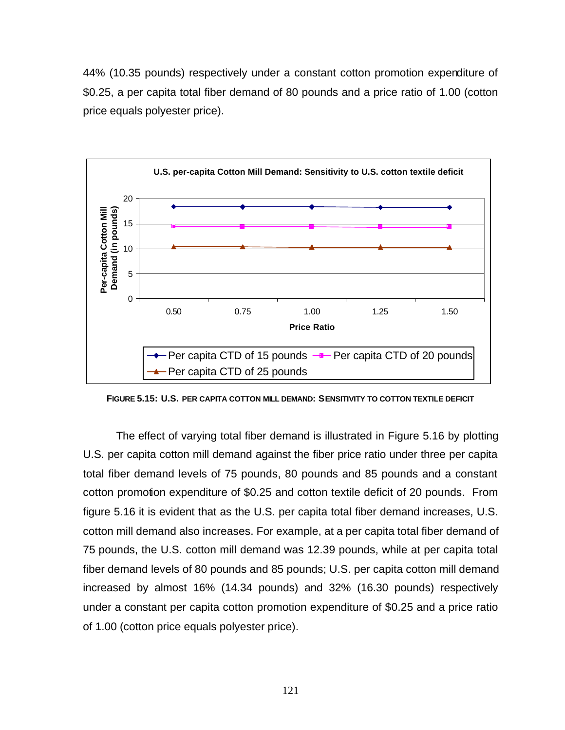44% (10.35 pounds) respectively under a constant cotton promotion expenditure of \$0.25, a per capita total fiber demand of 80 pounds and a price ratio of 1.00 (cotton price equals polyester price).



**FIGURE 5.15: U.S. PER CAPITA COTTON MILL DEMAND: SENSITIVITY TO COTTON TEXTILE DEFICIT**

The effect of varying total fiber demand is illustrated in Figure 5.16 by plotting U.S. per capita cotton mill demand against the fiber price ratio under three per capita total fiber demand levels of 75 pounds, 80 pounds and 85 pounds and a constant cotton promotion expenditure of \$0.25 and cotton textile deficit of 20 pounds. From figure 5.16 it is evident that as the U.S. per capita total fiber demand increases, U.S. cotton mill demand also increases. For example, at a per capita total fiber demand of 75 pounds, the U.S. cotton mill demand was 12.39 pounds, while at per capita total fiber demand levels of 80 pounds and 85 pounds; U.S. per capita cotton mill demand increased by almost 16% (14.34 pounds) and 32% (16.30 pounds) respectively under a constant per capita cotton promotion expenditure of \$0.25 and a price ratio of 1.00 (cotton price equals polyester price).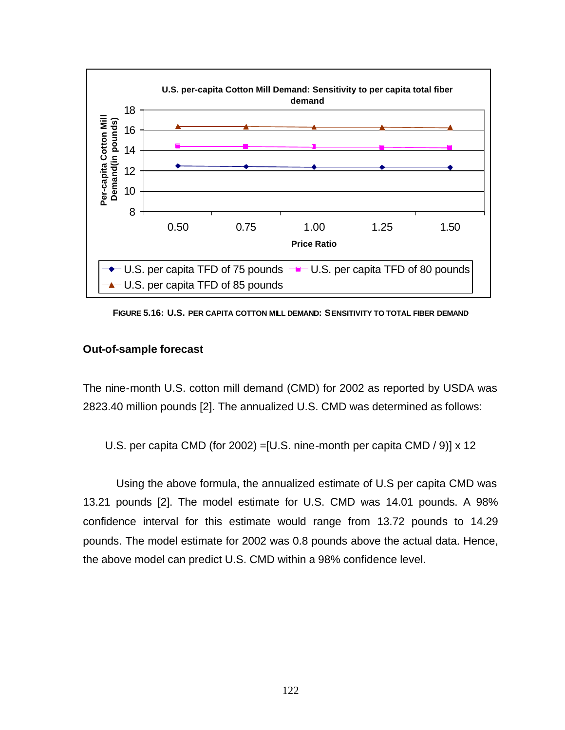

**FIGURE 5.16: U.S. PER CAPITA COTTON MILL DEMAND: SENSITIVITY TO TOTAL FIBER DEMAND**

### **Out-of-sample forecast**

The nine-month U.S. cotton mill demand (CMD) for 2002 as reported by USDA was 2823.40 million pounds [2]. The annualized U.S. CMD was determined as follows:

U.S. per capita CMD (for 2002) =[U.S. nine-month per capita CMD / 9)] x 12

Using the above formula, the annualized estimate of U.S per capita CMD was 13.21 pounds [2]. The model estimate for U.S. CMD was 14.01 pounds. A 98% confidence interval for this estimate would range from 13.72 pounds to 14.29 pounds. The model estimate for 2002 was 0.8 pounds above the actual data. Hence, the above model can predict U.S. CMD within a 98% confidence level.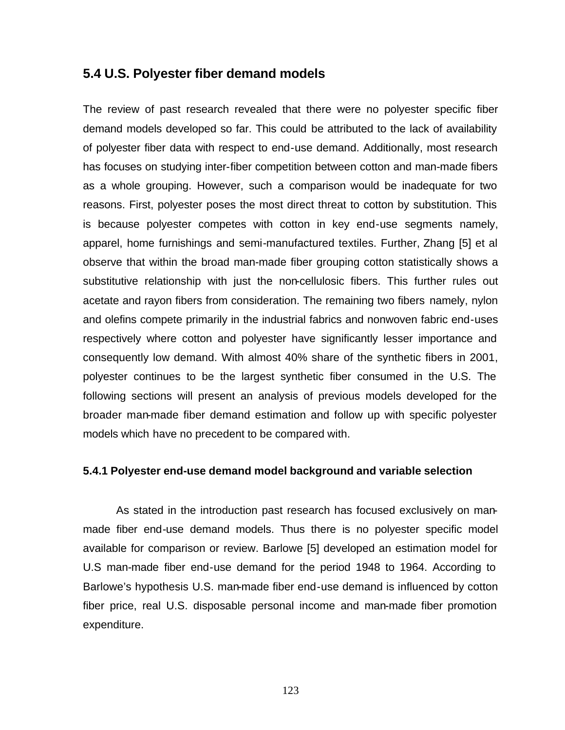# **5.4 U.S. Polyester fiber demand models**

The review of past research revealed that there were no polyester specific fiber demand models developed so far. This could be attributed to the lack of availability of polyester fiber data with respect to end-use demand. Additionally, most research has focuses on studying inter-fiber competition between cotton and man-made fibers as a whole grouping. However, such a comparison would be inadequate for two reasons. First, polyester poses the most direct threat to cotton by substitution. This is because polyester competes with cotton in key end-use segments namely, apparel, home furnishings and semi-manufactured textiles. Further, Zhang [5] et al observe that within the broad man-made fiber grouping cotton statistically shows a substitutive relationship with just the non-cellulosic fibers. This further rules out acetate and rayon fibers from consideration. The remaining two fibers namely, nylon and olefins compete primarily in the industrial fabrics and nonwoven fabric end-uses respectively where cotton and polyester have significantly lesser importance and consequently low demand. With almost 40% share of the synthetic fibers in 2001, polyester continues to be the largest synthetic fiber consumed in the U.S. The following sections will present an analysis of previous models developed for the broader man-made fiber demand estimation and follow up with specific polyester models which have no precedent to be compared with.

## **5.4.1 Polyester end-use demand model background and variable selection**

As stated in the introduction past research has focused exclusively on manmade fiber end-use demand models. Thus there is no polyester specific model available for comparison or review. Barlowe [5] developed an estimation model for U.S man-made fiber end-use demand for the period 1948 to 1964. According to Barlowe's hypothesis U.S. man-made fiber end-use demand is influenced by cotton fiber price, real U.S. disposable personal income and man-made fiber promotion expenditure.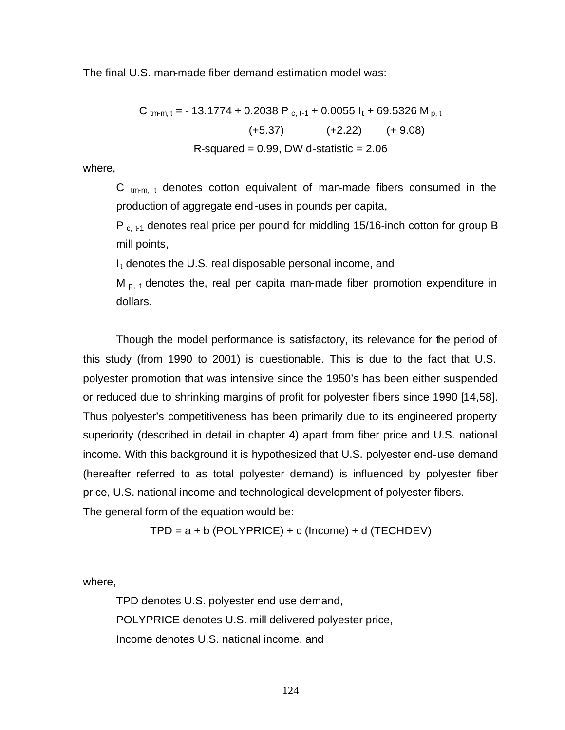The final U.S. man-made fiber demand estimation model was:

C 
$$
_{\text{tm-m, t}}
$$
 = -13.1774 + 0.2038 P  $_{\text{c, t-1}}$  + 0.0055 I<sub>t</sub> + 69.5326 M  $_{\text{p, t}}$   
(+5.37) (+2.22) (+ 9.08)  
R-squared = 0.99, DW d-statistic = 2.06

where,

C  $_{\text{tm-m, t}}$  denotes cotton equivalent of man-made fibers consumed in the production of aggregate end-uses in pounds per capita,

 $P_{c, t-1}$  denotes real price per pound for middling 15/16-inch cotton for group B mill points,

 $I_t$  denotes the U.S. real disposable personal income, and

 $M_{p, t}$  denotes the, real per capita man-made fiber promotion expenditure in dollars.

Though the model performance is satisfactory, its relevance for the period of this study (from 1990 to 2001) is questionable. This is due to the fact that U.S. polyester promotion that was intensive since the 1950's has been either suspended or reduced due to shrinking margins of profit for polyester fibers since 1990 [14,58]. Thus polyester's competitiveness has been primarily due to its engineered property superiority (described in detail in chapter 4) apart from fiber price and U.S. national income. With this background it is hypothesized that U.S. polyester end-use demand (hereafter referred to as total polyester demand) is influenced by polyester fiber price, U.S. national income and technological development of polyester fibers. The general form of the equation would be:

 $TPD = a + b$  (POLYPRICE) + c (Income) + d (TECHDEV)

where,

TPD denotes U.S. polyester end use demand, POLYPRICE denotes U.S. mill delivered polyester price, Income denotes U.S. national income, and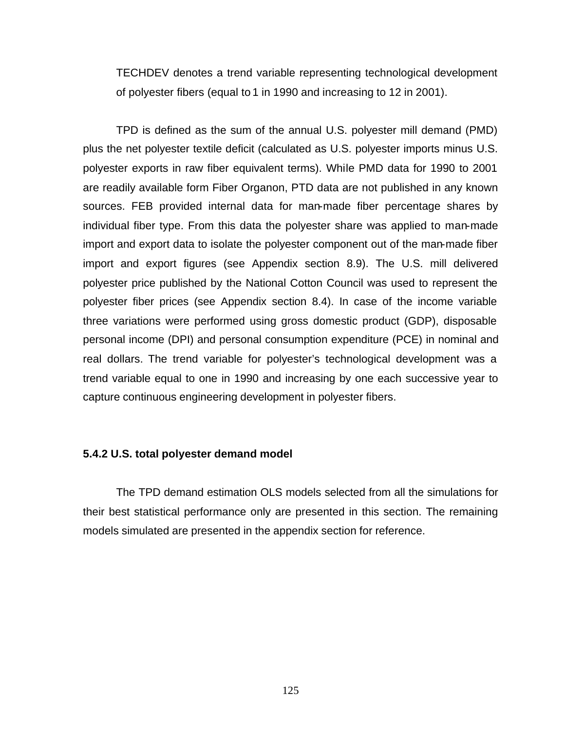TECHDEV denotes a trend variable representing technological development of polyester fibers (equal to 1 in 1990 and increasing to 12 in 2001).

TPD is defined as the sum of the annual U.S. polyester mill demand (PMD) plus the net polyester textile deficit (calculated as U.S. polyester imports minus U.S. polyester exports in raw fiber equivalent terms). While PMD data for 1990 to 2001 are readily available form Fiber Organon, PTD data are not published in any known sources. FEB provided internal data for man-made fiber percentage shares by individual fiber type. From this data the polyester share was applied to man-made import and export data to isolate the polyester component out of the man-made fiber import and export figures (see Appendix section 8.9). The U.S. mill delivered polyester price published by the National Cotton Council was used to represent the polyester fiber prices (see Appendix section 8.4). In case of the income variable three variations were performed using gross domestic product (GDP), disposable personal income (DPI) and personal consumption expenditure (PCE) in nominal and real dollars. The trend variable for polyester's technological development was a trend variable equal to one in 1990 and increasing by one each successive year to capture continuous engineering development in polyester fibers.

## **5.4.2 U.S. total polyester demand model**

The TPD demand estimation OLS models selected from all the simulations for their best statistical performance only are presented in this section. The remaining models simulated are presented in the appendix section for reference.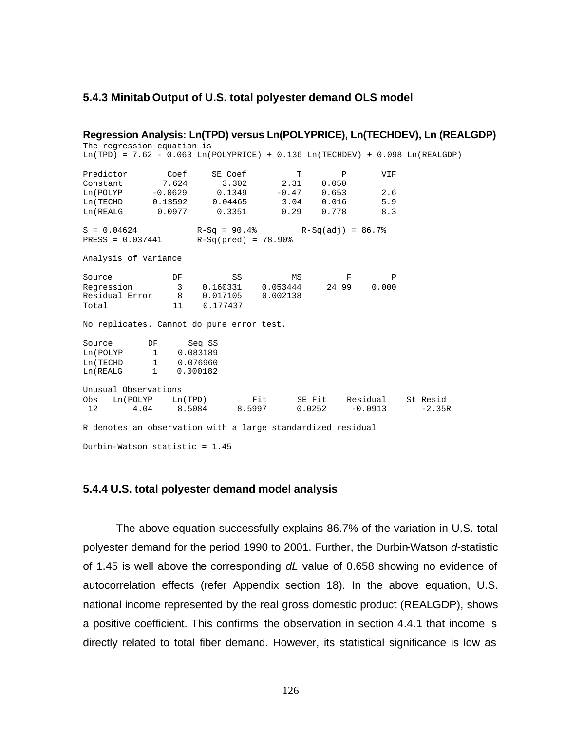#### **5.4.3 Minitab Output of U.S. total polyester demand OLS model**

**Regression Analysis: Ln(TPD) versus Ln(POLYPRICE), Ln(TECHDEV), Ln (REALGDP)** The regression equation is  $Ln(TPD) = 7.62 - 0.063 Ln(POLYPRICE) + 0.136 Ln(TECHDEV) + 0.098 Ln(REALGDP)$ Predictor Coef SE Coef T P VIF Constant 7.624 3.302 2.31 0.050 Ln(POLYP -0.0629 0.1349 -0.47 0.653 2.6 Ln(TECHD 0.13592 0.04465 3.04 0.016 5.9 Ln(REALG 0.0977 0.3351 0.29 0.778 8.3  $S = 0.04624$   $R-Sq = 90.4%$   $R-Sq(\text{add}) = 86.7%$ <br> $RESS = 0.037441$   $R-Sq(\text{pred}) = 78.90%$  $R-Sq(pred) = 78.90%$ Analysis of Variance Source **DF** SS MS F P Regression 3 0.160331 0.053444 24.99 0.000 Residual Error 8 0.017105 0.002138 Total 11 0.177437 No replicates. Cannot do pure error test. Source DF Seq SS Ln(POLYP 1 0.083189 Ln(TECHD 1 0.076960 Ln(REALG 1 0.000182 Unusual Observations Obs Ln(POLYP Ln(TPD) Fit SE Fit Residual St Resid 12 4.04 8.5084 8.5997 0.0252 -0.0913 -2.35R R denotes an observation with a large standardized residual Durbin-Watson statistic = 1.45

### **5.4.4 U.S. total polyester demand model analysis**

The above equation successfully explains 86.7% of the variation in U.S. total polyester demand for the period 1990 to 2001. Further, the Durbin-Watson *d*-statistic of 1.45 is well above the corresponding *dL* value of 0.658 showing no evidence of autocorrelation effects (refer Appendix section 18). In the above equation, U.S. national income represented by the real gross domestic product (REALGDP), shows a positive coefficient. This confirms the observation in section 4.4.1 that income is directly related to total fiber demand. However, its statistical significance is low as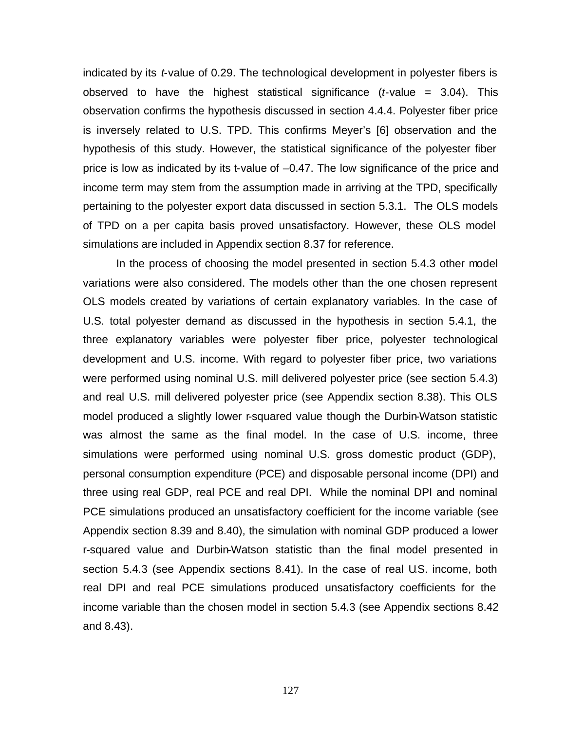indicated by its *t*-value of 0.29. The technological development in polyester fibers is observed to have the highest statistical significance (*t*-value = 3.04). This observation confirms the hypothesis discussed in section 4.4.4. Polyester fiber price is inversely related to U.S. TPD. This confirms Meyer's [6] observation and the hypothesis of this study. However, the statistical significance of the polyester fiber price is low as indicated by its t-value of –0.47. The low significance of the price and income term may stem from the assumption made in arriving at the TPD, specifically pertaining to the polyester export data discussed in section 5.3.1. The OLS models of TPD on a per capita basis proved unsatisfactory. However, these OLS model simulations are included in Appendix section 8.37 for reference.

In the process of choosing the model presented in section 5.4.3 other model variations were also considered. The models other than the one chosen represent OLS models created by variations of certain explanatory variables. In the case of U.S. total polyester demand as discussed in the hypothesis in section 5.4.1, the three explanatory variables were polyester fiber price, polyester technological development and U.S. income. With regard to polyester fiber price, two variations were performed using nominal U.S. mill delivered polyester price (see section 5.4.3) and real U.S. mill delivered polyester price (see Appendix section 8.38). This OLS model produced a slightly lower r-squared value though the Durbin-Watson statistic was almost the same as the final model. In the case of U.S. income, three simulations were performed using nominal U.S. gross domestic product (GDP), personal consumption expenditure (PCE) and disposable personal income (DPI) and three using real GDP, real PCE and real DPI. While the nominal DPI and nominal PCE simulations produced an unsatisfactory coefficient for the income variable (see Appendix section 8.39 and 8.40), the simulation with nominal GDP produced a lower r-squared value and Durbin-Watson statistic than the final model presented in section 5.4.3 (see Appendix sections 8.41). In the case of real U.S. income, both real DPI and real PCE simulations produced unsatisfactory coefficients for the income variable than the chosen model in section 5.4.3 (see Appendix sections 8.42 and 8.43).

127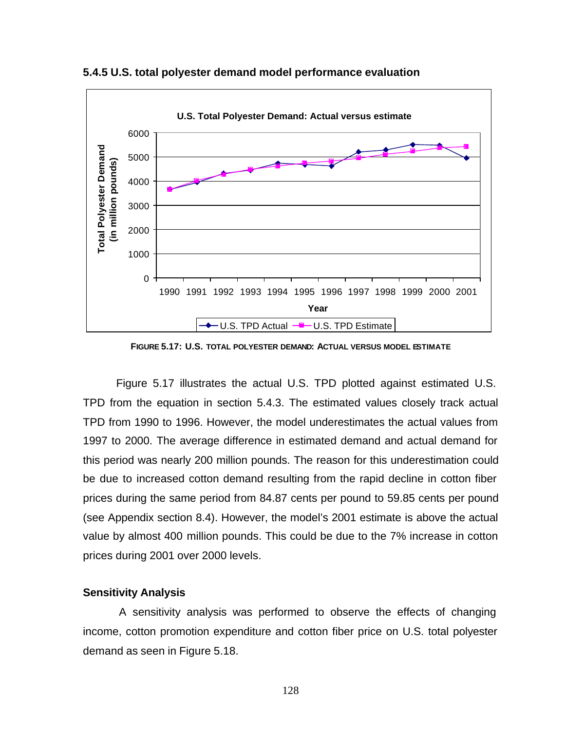

**5.4.5 U.S. total polyester demand model performance evaluation**

**FIGURE 5.17: U.S. TOTAL POLYESTER DEMAND: ACTUAL VERSUS MODEL ESTIMATE**

Figure 5.17 illustrates the actual U.S. TPD plotted against estimated U.S. TPD from the equation in section 5.4.3. The estimated values closely track actual TPD from 1990 to 1996. However, the model underestimates the actual values from 1997 to 2000. The average difference in estimated demand and actual demand for this period was nearly 200 million pounds. The reason for this underestimation could be due to increased cotton demand resulting from the rapid decline in cotton fiber prices during the same period from 84.87 cents per pound to 59.85 cents per pound (see Appendix section 8.4). However, the model's 2001 estimate is above the actual value by almost 400 million pounds. This could be due to the 7% increase in cotton prices during 2001 over 2000 levels.

## **Sensitivity Analysis**

 A sensitivity analysis was performed to observe the effects of changing income, cotton promotion expenditure and cotton fiber price on U.S. total polyester demand as seen in Figure 5.18.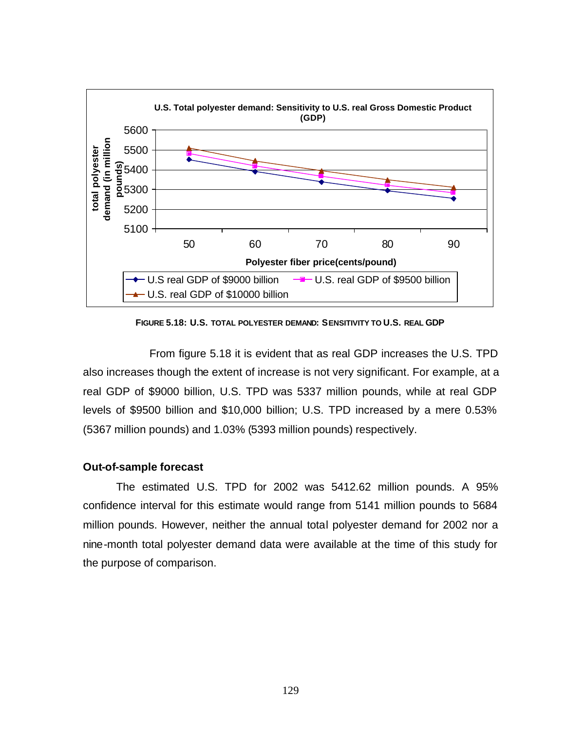

**FIGURE 5.18: U.S. TOTAL POLYESTER DEMAND: SENSITIVITY TO U.S. REAL GDP**

From figure 5.18 it is evident that as real GDP increases the U.S. TPD also increases though the extent of increase is not very significant. For example, at a real GDP of \$9000 billion, U.S. TPD was 5337 million pounds, while at real GDP levels of \$9500 billion and \$10,000 billion; U.S. TPD increased by a mere 0.53% (5367 million pounds) and 1.03% (5393 million pounds) respectively.

### **Out-of-sample forecast**

The estimated U.S. TPD for 2002 was 5412.62 million pounds. A 95% confidence interval for this estimate would range from 5141 million pounds to 5684 million pounds. However, neither the annual total polyester demand for 2002 nor a nine-month total polyester demand data were available at the time of this study for the purpose of comparison.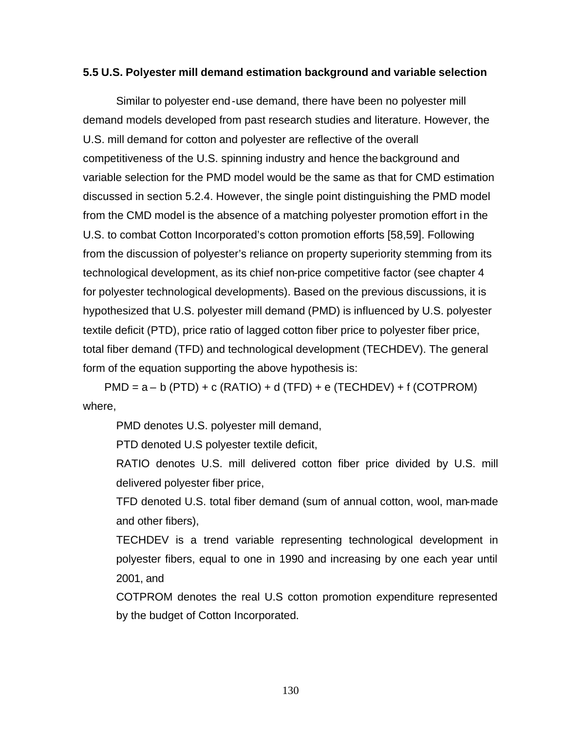## **5.5 U.S. Polyester mill demand estimation background and variable selection**

Similar to polyester end-use demand, there have been no polyester mill demand models developed from past research studies and literature. However, the U.S. mill demand for cotton and polyester are reflective of the overall competitiveness of the U.S. spinning industry and hence the background and variable selection for the PMD model would be the same as that for CMD estimation discussed in section 5.2.4. However, the single point distinguishing the PMD model from the CMD model is the absence of a matching polyester promotion effort in the U.S. to combat Cotton Incorporated's cotton promotion efforts [58,59]. Following from the discussion of polyester's reliance on property superiority stemming from its technological development, as its chief non-price competitive factor (see chapter 4 for polyester technological developments). Based on the previous discussions, it is hypothesized that U.S. polyester mill demand (PMD) is influenced by U.S. polyester textile deficit (PTD), price ratio of lagged cotton fiber price to polyester fiber price, total fiber demand (TFD) and technological development (TECHDEV). The general form of the equation supporting the above hypothesis is:

 $PMD = a - b (PTD) + c (RATIO) + d (TFD) + e (TECHDEV) + f (COTPROM)$ where,

PMD denotes U.S. polyester mill demand,

PTD denoted U.S polyester textile deficit,

RATIO denotes U.S. mill delivered cotton fiber price divided by U.S. mill delivered polyester fiber price,

TFD denoted U.S. total fiber demand (sum of annual cotton, wool, man-made and other fibers),

TECHDEV is a trend variable representing technological development in polyester fibers, equal to one in 1990 and increasing by one each year until 2001, and

COTPROM denotes the real U.S cotton promotion expenditure represented by the budget of Cotton Incorporated.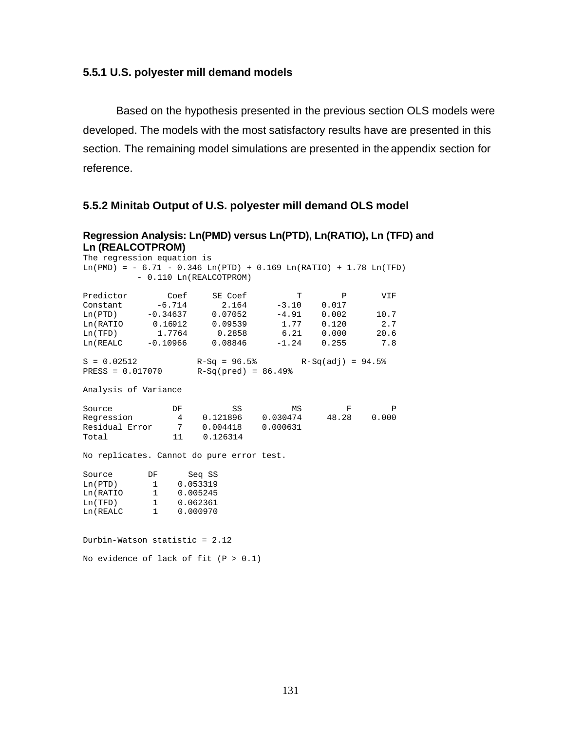## **5.5.1 U.S. polyester mill demand models**

Based on the hypothesis presented in the previous section OLS models were developed. The models with the most satisfactory results have are presented in this section. The remaining model simulations are presented in the appendix section for reference.

### **5.5.2 Minitab Output of U.S. polyester mill demand OLS model**

### **Regression Analysis: Ln(PMD) versus Ln(PTD), Ln(RATIO), Ln (TFD) and Ln (REALCOTPROM)**

| The regression equation is |                        |                                                                    |    |              |              |
|----------------------------|------------------------|--------------------------------------------------------------------|----|--------------|--------------|
|                            |                        | $Ln(PMD) = -6.71 - 0.346 Ln(PTD) + 0.169 Ln(RATIO) + 1.78 Ln(TFD)$ |    |              |              |
|                            |                        | - 0.110 Ln(REALCOTPROM)                                            |    |              |              |
|                            |                        |                                                                    |    |              |              |
| Predictor                  | Coef                   | SE Coef                                                            | T  | $\mathbf{P}$ | VIF          |
|                            |                        | Constant $-6.714$ 2.164 $-3.10$                                    |    | 0.017        |              |
|                            |                        | $Ln(PTD)$ -0.34637 0.07052 -4.91                                   |    | 0.002        | 10.7         |
|                            |                        | Ln(RATIO 0.16912 0.09539                                           |    | $1.77$ 0.120 | 2.7          |
|                            |                        | Ln(TFD) 1.7764 0.2858 6.21 0.000                                   |    |              | 20.6         |
|                            |                        | Ln(REALC -0.10966 0.08846 -1.24 0.255 7.8                          |    |              |              |
|                            |                        |                                                                    |    |              |              |
| $S = 0.02512$              |                        | $R-Sq = 96.5$ $R-Sq(adi) = 94.5$                                   |    |              |              |
| PRESS = 0.017070           |                        | $R-Sq(pred) = 86.49$                                               |    |              |              |
|                            |                        |                                                                    |    |              |              |
| Analysis of Variance       |                        |                                                                    |    |              |              |
|                            |                        |                                                                    |    |              |              |
| Source                     | DF                     | SS                                                                 | MS | F            | $\mathbf{P}$ |
| Regression                 |                        | $4$ 0.121896 0.030474 48.28 0.000                                  |    |              |              |
|                            |                        | Residual Error 7 0.004418 0.000631                                 |    |              |              |
| Total                      | 11                     | 0.126314                                                           |    |              |              |
|                            |                        |                                                                    |    |              |              |
|                            |                        | No replicates. Cannot do pure error test.                          |    |              |              |
| Source                     | DF                     | Seq SS                                                             |    |              |              |
| $Ln(PTD)$ 1                |                        | 0.053319                                                           |    |              |              |
| Ln(RATIO 1                 |                        | 0.005245                                                           |    |              |              |
| Ln(TFD)                    | 1                      | 0.062361                                                           |    |              |              |
| Ln (REALC                  | $1 \quad \blacksquare$ | 0.000970                                                           |    |              |              |
|                            |                        |                                                                    |    |              |              |

Durbin-Watson statistic = 2.12

No evidence of lack of fit  $(P > 0.1)$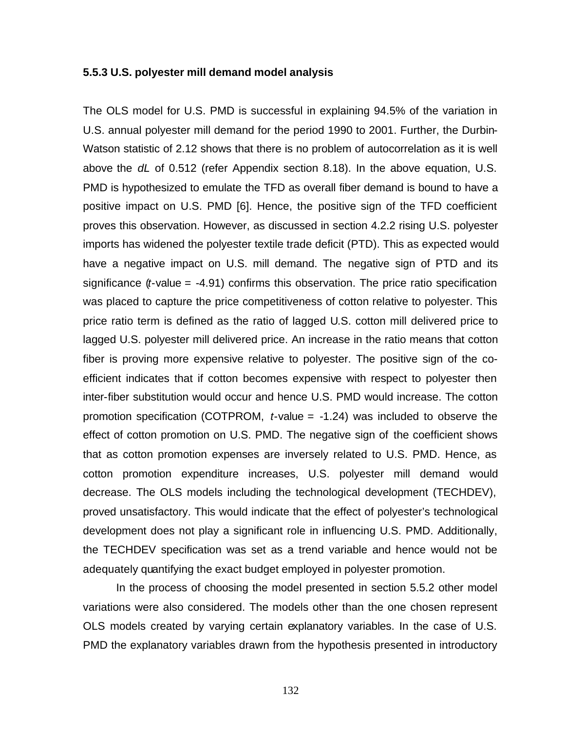### **5.5.3 U.S. polyester mill demand model analysis**

The OLS model for U.S. PMD is successful in explaining 94.5% of the variation in U.S. annual polyester mill demand for the period 1990 to 2001. Further, the Durbin-Watson statistic of 2.12 shows that there is no problem of autocorrelation as it is well above the *dL* of 0.512 (refer Appendix section 8.18). In the above equation, U.S. PMD is hypothesized to emulate the TFD as overall fiber demand is bound to have a positive impact on U.S. PMD [6]. Hence, the positive sign of the TFD coefficient proves this observation. However, as discussed in section 4.2.2 rising U.S. polyester imports has widened the polyester textile trade deficit (PTD). This as expected would have a negative impact on U.S. mill demand. The negative sign of PTD and its significance (*t*-value = -4.91) confirms this observation. The price ratio specification was placed to capture the price competitiveness of cotton relative to polyester. This price ratio term is defined as the ratio of lagged U.S. cotton mill delivered price to lagged U.S. polyester mill delivered price. An increase in the ratio means that cotton fiber is proving more expensive relative to polyester. The positive sign of the coefficient indicates that if cotton becomes expensive with respect to polyester then inter-fiber substitution would occur and hence U.S. PMD would increase. The cotton promotion specification (COTPROM, *t*-value = -1.24) was included to observe the effect of cotton promotion on U.S. PMD. The negative sign of the coefficient shows that as cotton promotion expenses are inversely related to U.S. PMD. Hence, as cotton promotion expenditure increases, U.S. polyester mill demand would decrease. The OLS models including the technological development (TECHDEV), proved unsatisfactory. This would indicate that the effect of polyester's technological development does not play a significant role in influencing U.S. PMD. Additionally, the TECHDEV specification was set as a trend variable and hence would not be adequately quantifying the exact budget employed in polyester promotion.

In the process of choosing the model presented in section 5.5.2 other model variations were also considered. The models other than the one chosen represent OLS models created by varying certain explanatory variables. In the case of U.S. PMD the explanatory variables drawn from the hypothesis presented in introductory

132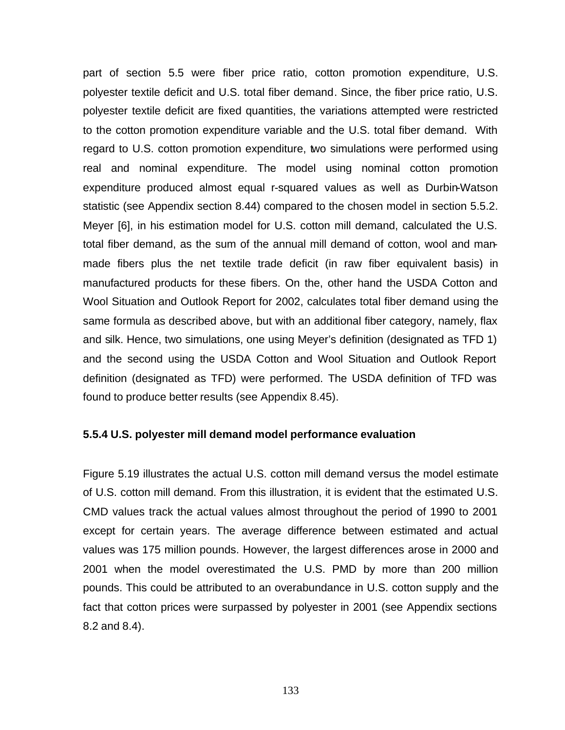part of section 5.5 were fiber price ratio, cotton promotion expenditure, U.S. polyester textile deficit and U.S. total fiber demand. Since, the fiber price ratio, U.S. polyester textile deficit are fixed quantities, the variations attempted were restricted to the cotton promotion expenditure variable and the U.S. total fiber demand. With regard to U.S. cotton promotion expenditure, two simulations were performed using real and nominal expenditure. The model using nominal cotton promotion expenditure produced almost equal r-squared values as well as Durbin-Watson statistic (see Appendix section 8.44) compared to the chosen model in section 5.5.2. Meyer [6], in his estimation model for U.S. cotton mill demand, calculated the U.S. total fiber demand, as the sum of the annual mill demand of cotton, wool and manmade fibers plus the net textile trade deficit (in raw fiber equivalent basis) in manufactured products for these fibers. On the, other hand the USDA Cotton and Wool Situation and Outlook Report for 2002, calculates total fiber demand using the same formula as described above, but with an additional fiber category, namely, flax and silk. Hence, two simulations, one using Meyer's definition (designated as TFD 1) and the second using the USDA Cotton and Wool Situation and Outlook Report definition (designated as TFD) were performed. The USDA definition of TFD was found to produce better results (see Appendix 8.45).

#### **5.5.4 U.S. polyester mill demand model performance evaluation**

Figure 5.19 illustrates the actual U.S. cotton mill demand versus the model estimate of U.S. cotton mill demand. From this illustration, it is evident that the estimated U.S. CMD values track the actual values almost throughout the period of 1990 to 2001 except for certain years. The average difference between estimated and actual values was 175 million pounds. However, the largest differences arose in 2000 and 2001 when the model overestimated the U.S. PMD by more than 200 million pounds. This could be attributed to an overabundance in U.S. cotton supply and the fact that cotton prices were surpassed by polyester in 2001 (see Appendix sections 8.2 and 8.4).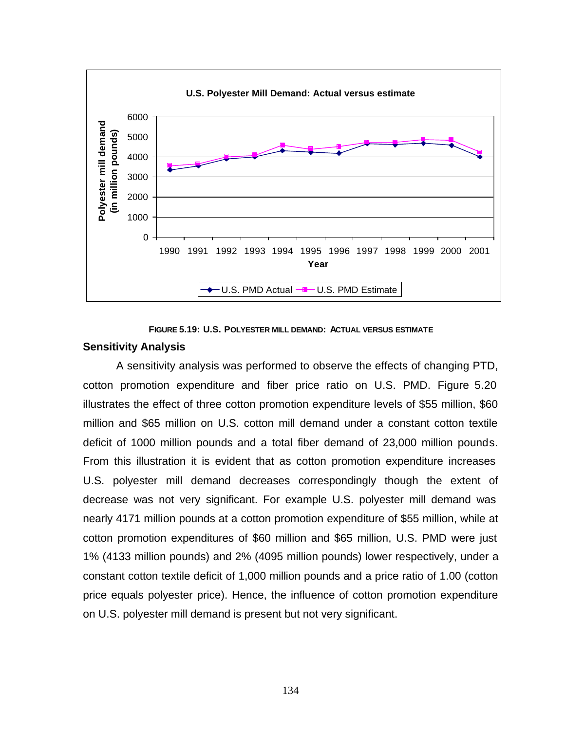

**FIGURE 5.19: U.S. POLYESTER MILL DEMAND: ACTUAL VERSUS ESTIMATE**

#### **Sensitivity Analysis**

A sensitivity analysis was performed to observe the effects of changing PTD, cotton promotion expenditure and fiber price ratio on U.S. PMD. Figure 5.20 illustrates the effect of three cotton promotion expenditure levels of \$55 million, \$60 million and \$65 million on U.S. cotton mill demand under a constant cotton textile deficit of 1000 million pounds and a total fiber demand of 23,000 million pounds. From this illustration it is evident that as cotton promotion expenditure increases U.S. polyester mill demand decreases correspondingly though the extent of decrease was not very significant. For example U.S. polyester mill demand was nearly 4171 million pounds at a cotton promotion expenditure of \$55 million, while at cotton promotion expenditures of \$60 million and \$65 million, U.S. PMD were just 1% (4133 million pounds) and 2% (4095 million pounds) lower respectively, under a constant cotton textile deficit of 1,000 million pounds and a price ratio of 1.00 (cotton price equals polyester price). Hence, the influence of cotton promotion expenditure on U.S. polyester mill demand is present but not very significant.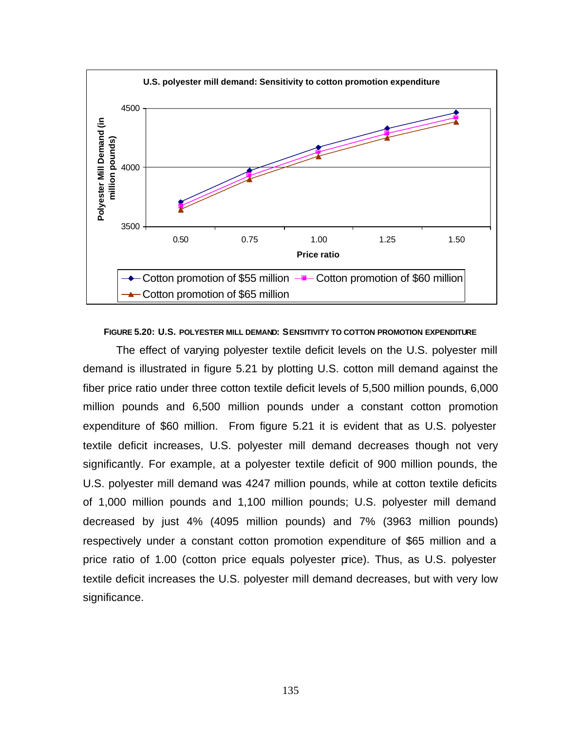

#### **FIGURE 5.20: U.S. POLYESTER MILL DEMAND: SENSITIVITY TO COTTON PROMOTION EXPENDITURE**

The effect of varying polyester textile deficit levels on the U.S. polyester mill demand is illustrated in figure 5.21 by plotting U.S. cotton mill demand against the fiber price ratio under three cotton textile deficit levels of 5,500 million pounds, 6,000 million pounds and 6,500 million pounds under a constant cotton promotion expenditure of \$60 million. From figure 5.21 it is evident that as U.S. polyester textile deficit increases, U.S. polyester mill demand decreases though not very significantly. For example, at a polyester textile deficit of 900 million pounds, the U.S. polyester mill demand was 4247 million pounds, while at cotton textile deficits of 1,000 million pounds and 1,100 million pounds; U.S. polyester mill demand decreased by just 4% (4095 million pounds) and 7% (3963 million pounds) respectively under a constant cotton promotion expenditure of \$65 million and a price ratio of 1.00 (cotton price equals polyester price). Thus, as U.S. polyester textile deficit increases the U.S. polyester mill demand decreases, but with very low significance.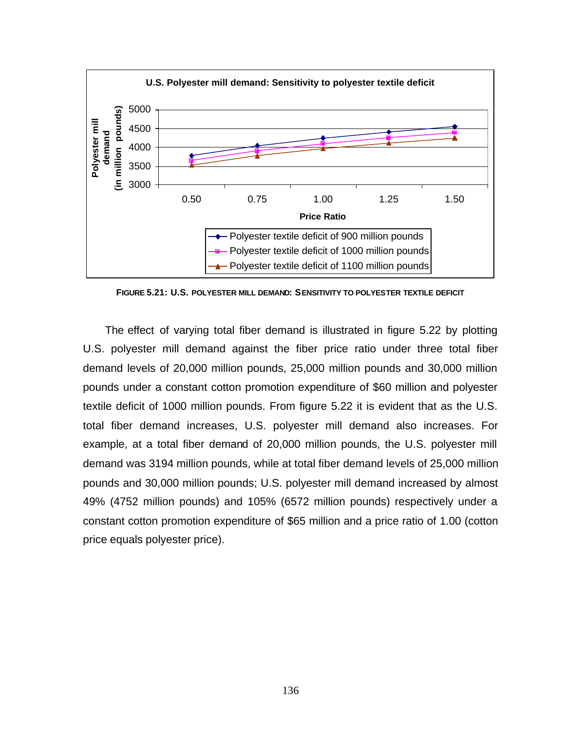

**FIGURE 5.21: U.S. POLYESTER MILL DEMAND: SENSITIVITY TO POLYESTER TEXTILE DEFICIT**

The effect of varying total fiber demand is illustrated in figure 5.22 by plotting U.S. polyester mill demand against the fiber price ratio under three total fiber demand levels of 20,000 million pounds, 25,000 million pounds and 30,000 million pounds under a constant cotton promotion expenditure of \$60 million and polyester textile deficit of 1000 million pounds. From figure 5.22 it is evident that as the U.S. total fiber demand increases, U.S. polyester mill demand also increases. For example, at a total fiber demand of 20,000 million pounds, the U.S. polyester mill demand was 3194 million pounds, while at total fiber demand levels of 25,000 million pounds and 30,000 million pounds; U.S. polyester mill demand increased by almost 49% (4752 million pounds) and 105% (6572 million pounds) respectively under a constant cotton promotion expenditure of \$65 million and a price ratio of 1.00 (cotton price equals polyester price).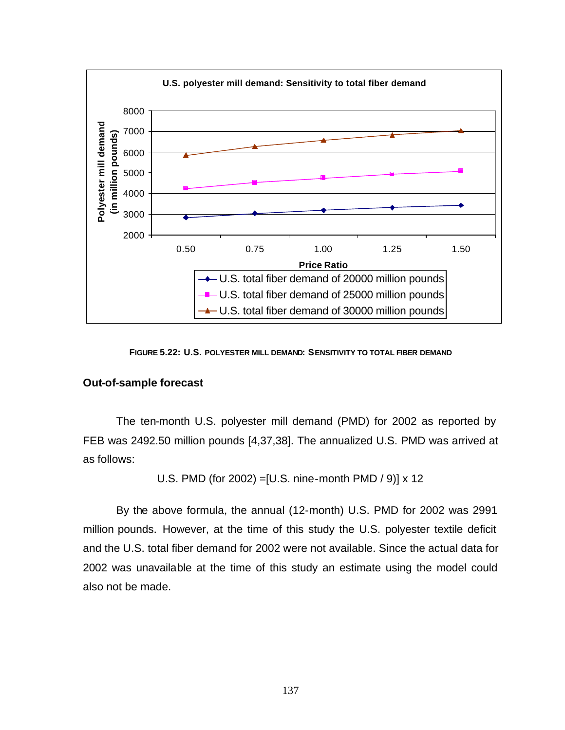

**FIGURE 5.22: U.S. POLYESTER MILL DEMAND: SENSITIVITY TO TOTAL FIBER DEMAND**

## **Out-of-sample forecast**

The ten-month U.S. polyester mill demand (PMD) for 2002 as reported by FEB was 2492.50 million pounds [4,37,38]. The annualized U.S. PMD was arrived at as follows:

U.S. PMD (for 2002) =[U.S. nine-month PMD / 9)] x 12

By the above formula, the annual (12-month) U.S. PMD for 2002 was 2991 million pounds. However, at the time of this study the U.S. polyester textile deficit and the U.S. total fiber demand for 2002 were not available. Since the actual data for 2002 was unavailable at the time of this study an estimate using the model could also not be made.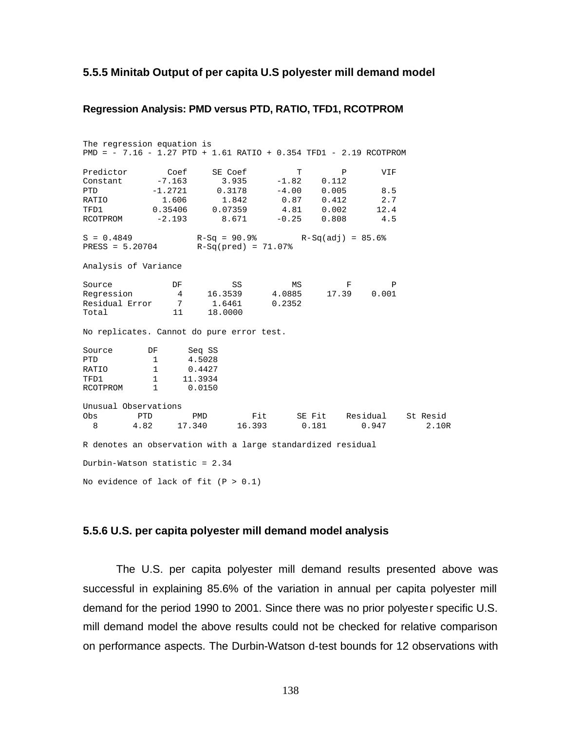#### **5.5.5 Minitab Output of per capita U.S polyester mill demand model**

#### **Regression Analysis: PMD versus PTD, RATIO, TFD1, RCOTPROM**

The regression equation is PMD = - 7.16 - 1.27 PTD + 1.61 RATIO + 0.354 TFD1 - 2.19 RCOTPROM Predictor Coef SE Coef T P VIF Constant -7.163 3.935 -1.82 0.112 PTD -1.2721 0.3178 -4.00 0.005 8.5 RATIO 1.606 1.842 0.87 0.412 2.7 TFD1 0.35406 0.07359 4.81 0.002 12.4 RCOTPROM -2.193 8.671 -0.25 0.808 4.5  $S = 0.4849$  R-Sq = 90.9% R-Sq(adj) = 85.6% PRESS = 5.20704 R-Sq(pred) = 71.07% Analysis of Variance Source **DF** SS MS F P Regression 4 16.3539 4.0885 17.39 0.001 Residual Error 7 1.6461 0.2352 Total 11 No replicates. Cannot do pure error test. Source DF Seq SS<br>
PTD 1 4.5028<br>
RATIO 1 0.4427 PTD 1<br>
PETIO 1<br>
PETIO 1 RATIO 1 0.4427 TFD1 1 11.3934 RCOTPROM 1 0.0150 Unusual Observations Obs PTD PMD Fit SE Fit Residual St. Resid<br>8 4.82 17.340 16.393 0.181 0.947 2.101 8 4.82 17.340 16.393 0.181 0.947 2.10R R denotes an observation with a large standardized residual Durbin-Watson statistic = 2.34 No evidence of lack of fit  $(P > 0.1)$ 

#### **5.5.6 U.S. per capita polyester mill demand model analysis**

The U.S. per capita polyester mill demand results presented above was successful in explaining 85.6% of the variation in annual per capita polyester mill demand for the period 1990 to 2001. Since there was no prior polyester specific U.S. mill demand model the above results could not be checked for relative comparison on performance aspects. The Durbin-Watson d-test bounds for 12 observations with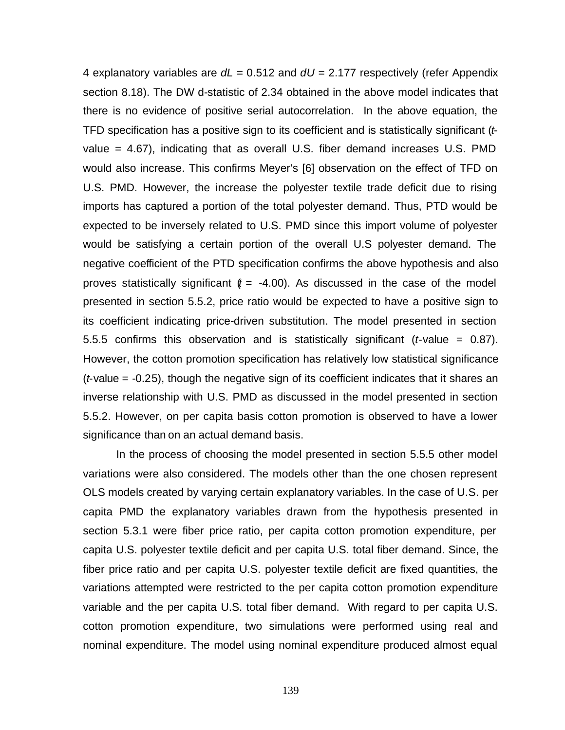4 explanatory variables are *dL* = 0.512 and *dU* = 2.177 respectively (refer Appendix section 8.18). The DW d-statistic of 2.34 obtained in the above model indicates that there is no evidence of positive serial autocorrelation. In the above equation, the TFD specification has a positive sign to its coefficient and is statistically significant (*t*value = 4.67), indicating that as overall U.S. fiber demand increases U.S. PMD would also increase. This confirms Meyer's [6] observation on the effect of TFD on U.S. PMD. However, the increase the polyester textile trade deficit due to rising imports has captured a portion of the total polyester demand. Thus, PTD would be expected to be inversely related to U.S. PMD since this import volume of polyester would be satisfying a certain portion of the overall U.S polyester demand. The negative coefficient of the PTD specification confirms the above hypothesis and also proves statistically significant  $(t = -4.00)$ . As discussed in the case of the model presented in section 5.5.2, price ratio would be expected to have a positive sign to its coefficient indicating price-driven substitution. The model presented in section 5.5.5 confirms this observation and is statistically significant (*t*-value = 0.87). However, the cotton promotion specification has relatively low statistical significance (*t*-value = -0.25), though the negative sign of its coefficient indicates that it shares an inverse relationship with U.S. PMD as discussed in the model presented in section 5.5.2. However, on per capita basis cotton promotion is observed to have a lower significance than on an actual demand basis.

In the process of choosing the model presented in section 5.5.5 other model variations were also considered. The models other than the one chosen represent OLS models created by varying certain explanatory variables. In the case of U.S. per capita PMD the explanatory variables drawn from the hypothesis presented in section 5.3.1 were fiber price ratio, per capita cotton promotion expenditure, per capita U.S. polyester textile deficit and per capita U.S. total fiber demand. Since, the fiber price ratio and per capita U.S. polyester textile deficit are fixed quantities, the variations attempted were restricted to the per capita cotton promotion expenditure variable and the per capita U.S. total fiber demand. With regard to per capita U.S. cotton promotion expenditure, two simulations were performed using real and nominal expenditure. The model using nominal expenditure produced almost equal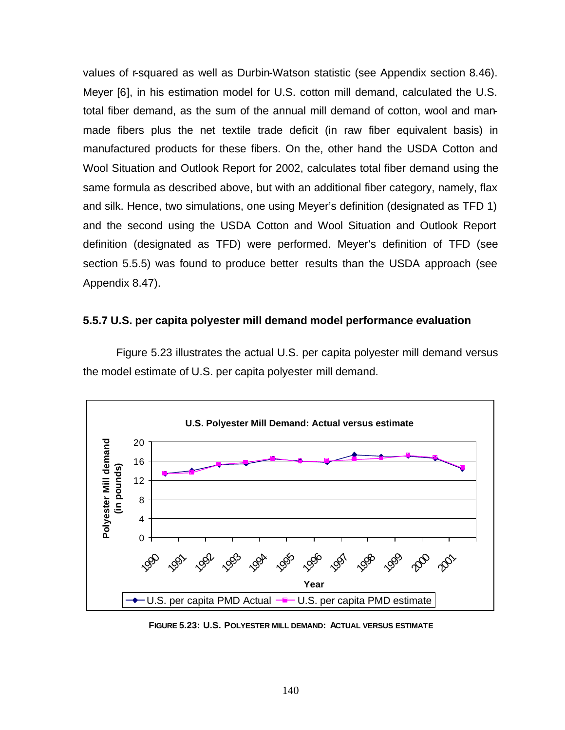values of r-squared as well as Durbin-Watson statistic (see Appendix section 8.46). Meyer [6], in his estimation model for U.S. cotton mill demand, calculated the U.S. total fiber demand, as the sum of the annual mill demand of cotton, wool and manmade fibers plus the net textile trade deficit (in raw fiber equivalent basis) in manufactured products for these fibers. On the, other hand the USDA Cotton and Wool Situation and Outlook Report for 2002, calculates total fiber demand using the same formula as described above, but with an additional fiber category, namely, flax and silk. Hence, two simulations, one using Meyer's definition (designated as TFD 1) and the second using the USDA Cotton and Wool Situation and Outlook Report definition (designated as TFD) were performed. Meyer's definition of TFD (see section 5.5.5) was found to produce better results than the USDA approach (see Appendix 8.47).

#### **5.5.7 U.S. per capita polyester mill demand model performance evaluation**

Figure 5.23 illustrates the actual U.S. per capita polyester mill demand versus the model estimate of U.S. per capita polyester mill demand.



**FIGURE 5.23: U.S. POLYESTER MILL DEMAND: ACTUAL VERSUS ESTIMATE**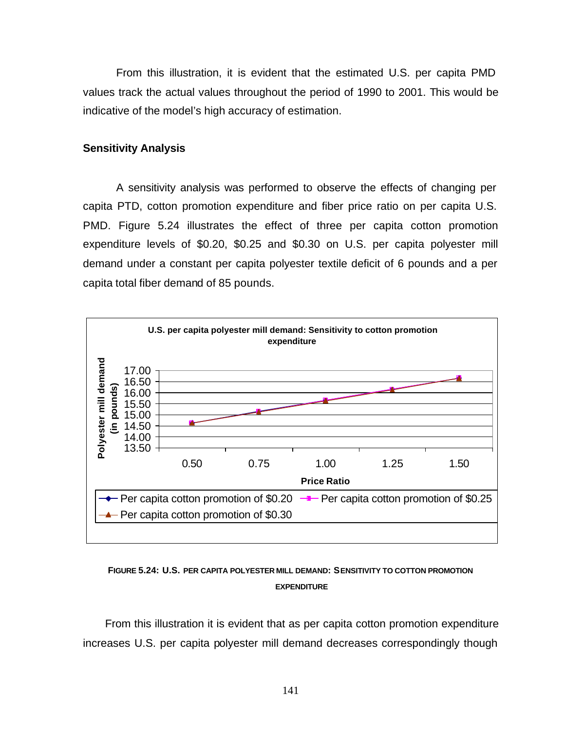From this illustration, it is evident that the estimated U.S. per capita PMD values track the actual values throughout the period of 1990 to 2001. This would be indicative of the model's high accuracy of estimation.

### **Sensitivity Analysis**

A sensitivity analysis was performed to observe the effects of changing per capita PTD, cotton promotion expenditure and fiber price ratio on per capita U.S. PMD. Figure 5.24 illustrates the effect of three per capita cotton promotion expenditure levels of \$0.20, \$0.25 and \$0.30 on U.S. per capita polyester mill demand under a constant per capita polyester textile deficit of 6 pounds and a per capita total fiber demand of 85 pounds.



## **FIGURE 5.24: U.S. PER CAPITA POLYESTER MILL DEMAND: SENSITIVITY TO COTTON PROMOTION EXPENDITURE**

From this illustration it is evident that as per capita cotton promotion expenditure increases U.S. per capita polyester mill demand decreases correspondingly though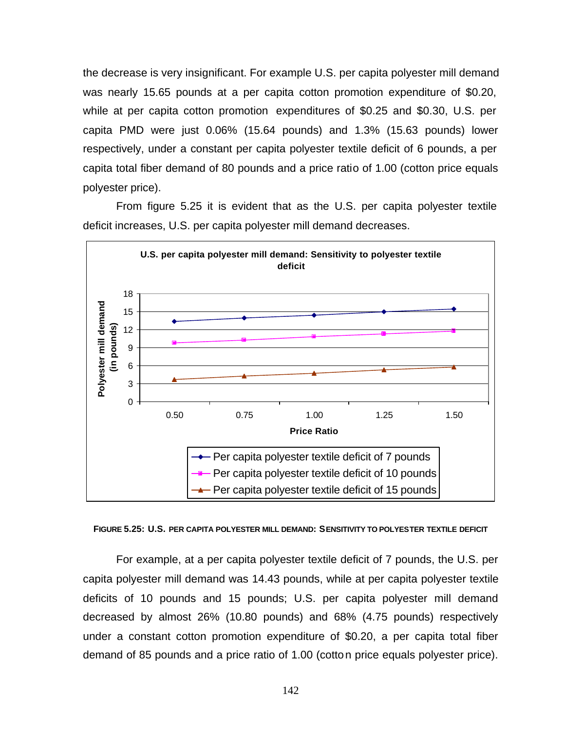the decrease is very insignificant. For example U.S. per capita polyester mill demand was nearly 15.65 pounds at a per capita cotton promotion expenditure of \$0.20, while at per capita cotton promotion expenditures of \$0.25 and \$0.30, U.S. per capita PMD were just 0.06% (15.64 pounds) and 1.3% (15.63 pounds) lower respectively, under a constant per capita polyester textile deficit of 6 pounds, a per capita total fiber demand of 80 pounds and a price ratio of 1.00 (cotton price equals polyester price).

From figure 5.25 it is evident that as the U.S. per capita polyester textile deficit increases, U.S. per capita polyester mill demand decreases.



#### **FIGURE 5.25: U.S. PER CAPITA POLYESTER MILL DEMAND: SENSITIVITY TO POLYESTER TEXTILE DEFICIT**

For example, at a per capita polyester textile deficit of 7 pounds, the U.S. per capita polyester mill demand was 14.43 pounds, while at per capita polyester textile deficits of 10 pounds and 15 pounds; U.S. per capita polyester mill demand decreased by almost 26% (10.80 pounds) and 68% (4.75 pounds) respectively under a constant cotton promotion expenditure of \$0.20, a per capita total fiber demand of 85 pounds and a price ratio of 1.00 (cotton price equals polyester price).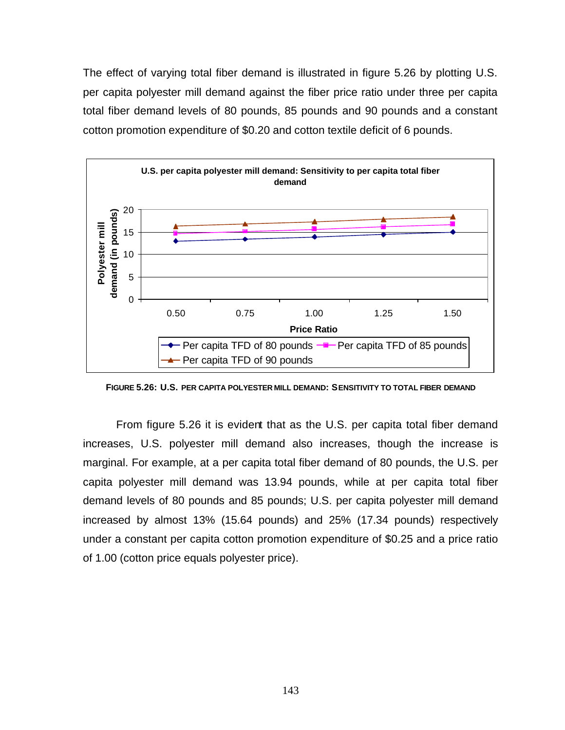The effect of varying total fiber demand is illustrated in figure 5.26 by plotting U.S. per capita polyester mill demand against the fiber price ratio under three per capita total fiber demand levels of 80 pounds, 85 pounds and 90 pounds and a constant cotton promotion expenditure of \$0.20 and cotton textile deficit of 6 pounds.



**FIGURE 5.26: U.S. PER CAPITA POLYESTER MILL DEMAND: SENSITIVITY TO TOTAL FIBER DEMAND**

From figure 5.26 it is evident that as the U.S. per capita total fiber demand increases, U.S. polyester mill demand also increases, though the increase is marginal. For example, at a per capita total fiber demand of 80 pounds, the U.S. per capita polyester mill demand was 13.94 pounds, while at per capita total fiber demand levels of 80 pounds and 85 pounds; U.S. per capita polyester mill demand increased by almost 13% (15.64 pounds) and 25% (17.34 pounds) respectively under a constant per capita cotton promotion expenditure of \$0.25 and a price ratio of 1.00 (cotton price equals polyester price).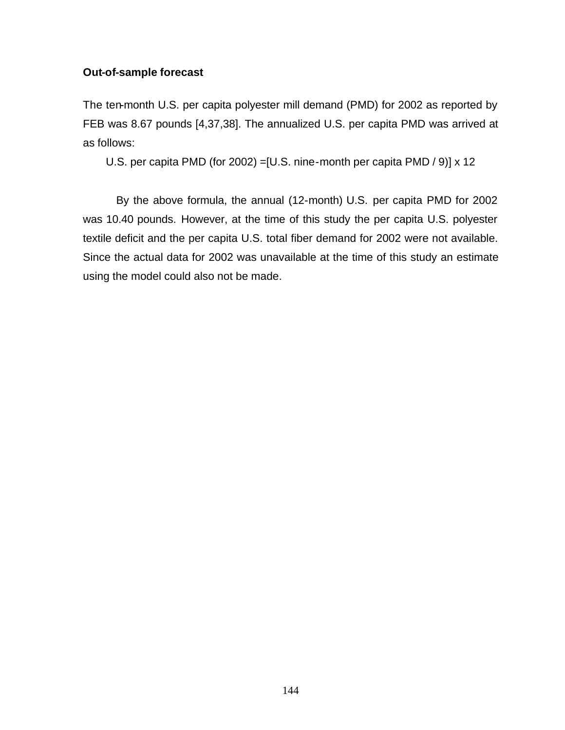## **Out-of-sample forecast**

The ten-month U.S. per capita polyester mill demand (PMD) for 2002 as reported by FEB was 8.67 pounds [4,37,38]. The annualized U.S. per capita PMD was arrived at as follows:

U.S. per capita PMD (for 2002) =[U.S. nine-month per capita PMD / 9)] x 12

By the above formula, the annual (12-month) U.S. per capita PMD for 2002 was 10.40 pounds. However, at the time of this study the per capita U.S. polyester textile deficit and the per capita U.S. total fiber demand for 2002 were not available. Since the actual data for 2002 was unavailable at the time of this study an estimate using the model could also not be made.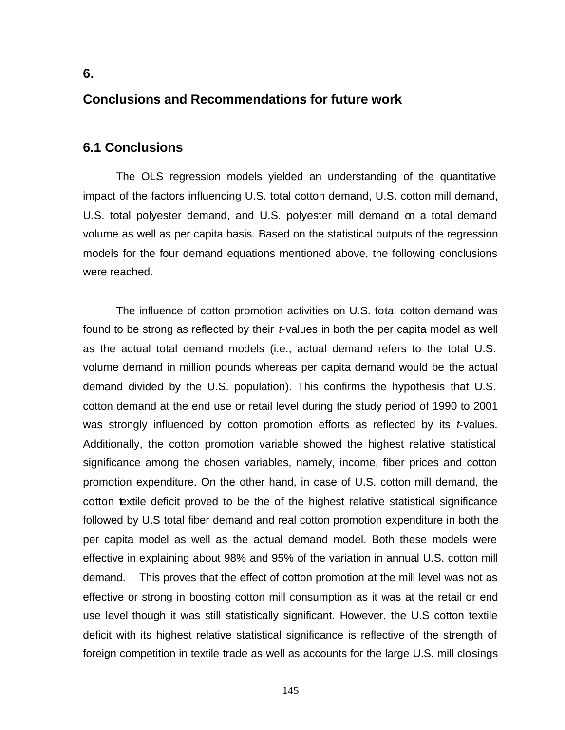# **Conclusions and Recommendations for future work**

# **6.1 Conclusions**

**6.** 

The OLS regression models yielded an understanding of the quantitative impact of the factors influencing U.S. total cotton demand, U.S. cotton mill demand, U.S. total polyester demand, and U.S. polyester mill demand on a total demand volume as well as per capita basis. Based on the statistical outputs of the regression models for the four demand equations mentioned above, the following conclusions were reached.

The influence of cotton promotion activities on U.S. total cotton demand was found to be strong as reflected by their *t*-values in both the per capita model as well as the actual total demand models (i.e., actual demand refers to the total U.S. volume demand in million pounds whereas per capita demand would be the actual demand divided by the U.S. population). This confirms the hypothesis that U.S. cotton demand at the end use or retail level during the study period of 1990 to 2001 was strongly influenced by cotton promotion efforts as reflected by its *t*-values. Additionally, the cotton promotion variable showed the highest relative statistical significance among the chosen variables, namely, income, fiber prices and cotton promotion expenditure. On the other hand, in case of U.S. cotton mill demand, the cotton textile deficit proved to be the of the highest relative statistical significance followed by U.S total fiber demand and real cotton promotion expenditure in both the per capita model as well as the actual demand model. Both these models were effective in explaining about 98% and 95% of the variation in annual U.S. cotton mill demand. This proves that the effect of cotton promotion at the mill level was not as effective or strong in boosting cotton mill consumption as it was at the retail or end use level though it was still statistically significant. However, the U.S cotton textile deficit with its highest relative statistical significance is reflective of the strength of foreign competition in textile trade as well as accounts for the large U.S. mill closings

145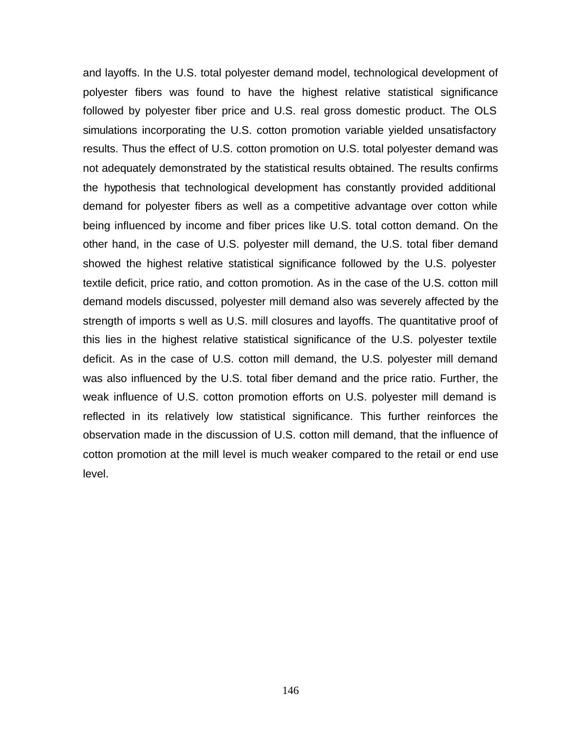and layoffs. In the U.S. total polyester demand model, technological development of polyester fibers was found to have the highest relative statistical significance followed by polyester fiber price and U.S. real gross domestic product. The OLS simulations incorporating the U.S. cotton promotion variable yielded unsatisfactory results. Thus the effect of U.S. cotton promotion on U.S. total polyester demand was not adequately demonstrated by the statistical results obtained. The results confirms the hypothesis that technological development has constantly provided additional demand for polyester fibers as well as a competitive advantage over cotton while being influenced by income and fiber prices like U.S. total cotton demand. On the other hand, in the case of U.S. polyester mill demand, the U.S. total fiber demand showed the highest relative statistical significance followed by the U.S. polyester textile deficit, price ratio, and cotton promotion. As in the case of the U.S. cotton mill demand models discussed, polyester mill demand also was severely affected by the strength of imports s well as U.S. mill closures and layoffs. The quantitative proof of this lies in the highest relative statistical significance of the U.S. polyester textile deficit. As in the case of U.S. cotton mill demand, the U.S. polyester mill demand was also influenced by the U.S. total fiber demand and the price ratio. Further, the weak influence of U.S. cotton promotion efforts on U.S. polyester mill demand is reflected in its relatively low statistical significance. This further reinforces the observation made in the discussion of U.S. cotton mill demand, that the influence of cotton promotion at the mill level is much weaker compared to the retail or end use level.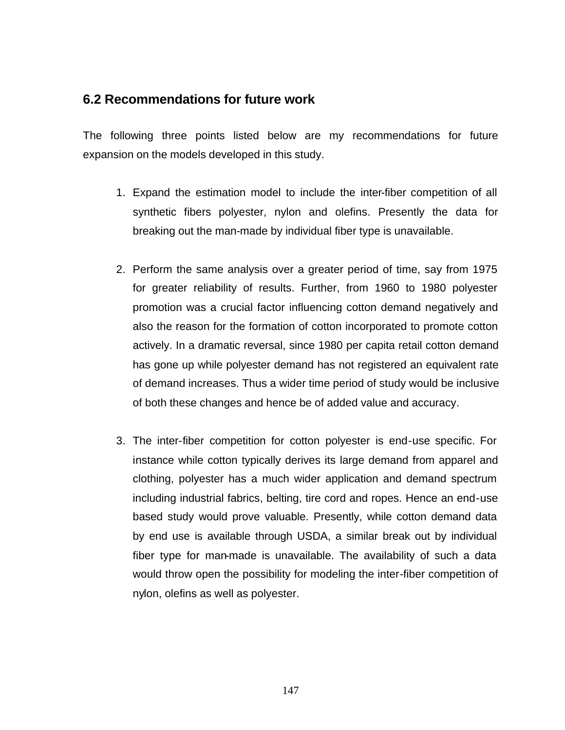# **6.2 Recommendations for future work**

The following three points listed below are my recommendations for future expansion on the models developed in this study.

- 1. Expand the estimation model to include the inter-fiber competition of all synthetic fibers polyester, nylon and olefins. Presently the data for breaking out the man-made by individual fiber type is unavailable.
- 2. Perform the same analysis over a greater period of time, say from 1975 for greater reliability of results. Further, from 1960 to 1980 polyester promotion was a crucial factor influencing cotton demand negatively and also the reason for the formation of cotton incorporated to promote cotton actively. In a dramatic reversal, since 1980 per capita retail cotton demand has gone up while polyester demand has not registered an equivalent rate of demand increases. Thus a wider time period of study would be inclusive of both these changes and hence be of added value and accuracy.
- 3. The inter-fiber competition for cotton polyester is end-use specific. For instance while cotton typically derives its large demand from apparel and clothing, polyester has a much wider application and demand spectrum including industrial fabrics, belting, tire cord and ropes. Hence an end-use based study would prove valuable. Presently, while cotton demand data by end use is available through USDA, a similar break out by individual fiber type for man-made is unavailable. The availability of such a data would throw open the possibility for modeling the inter-fiber competition of nylon, olefins as well as polyester.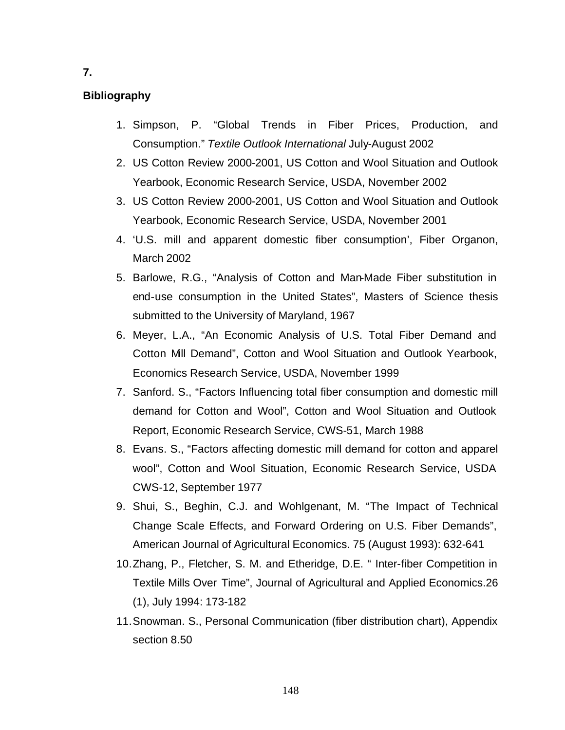## **Bibliography**

- 1. Simpson, P. "Global Trends in Fiber Prices, Production, and Consumption." *Textile Outlook International* July-August 2002
- 2. US Cotton Review 2000-2001, US Cotton and Wool Situation and Outlook Yearbook, Economic Research Service, USDA, November 2002
- 3. US Cotton Review 2000-2001, US Cotton and Wool Situation and Outlook Yearbook, Economic Research Service, USDA, November 2001
- 4. 'U.S. mill and apparent domestic fiber consumption', Fiber Organon, March 2002
- 5. Barlowe, R.G., "Analysis of Cotton and Man-Made Fiber substitution in end-use consumption in the United States", Masters of Science thesis submitted to the University of Maryland, 1967
- 6. Meyer, L.A., "An Economic Analysis of U.S. Total Fiber Demand and Cotton Mill Demand", Cotton and Wool Situation and Outlook Yearbook, Economics Research Service, USDA, November 1999
- 7. Sanford. S., "Factors Influencing total fiber consumption and domestic mill demand for Cotton and Wool", Cotton and Wool Situation and Outlook Report, Economic Research Service, CWS-51, March 1988
- 8. Evans. S., "Factors affecting domestic mill demand for cotton and apparel wool", Cotton and Wool Situation, Economic Research Service, USDA CWS-12, September 1977
- 9. Shui, S., Beghin, C.J. and Wohlgenant, M. "The Impact of Technical Change Scale Effects, and Forward Ordering on U.S. Fiber Demands", American Journal of Agricultural Economics. 75 (August 1993): 632-641
- 10.Zhang, P., Fletcher, S. M. and Etheridge, D.E. " Inter-fiber Competition in Textile Mills Over Time", Journal of Agricultural and Applied Economics.26 (1), July 1994: 173-182
- 11.Snowman. S., Personal Communication (fiber distribution chart), Appendix section 8.50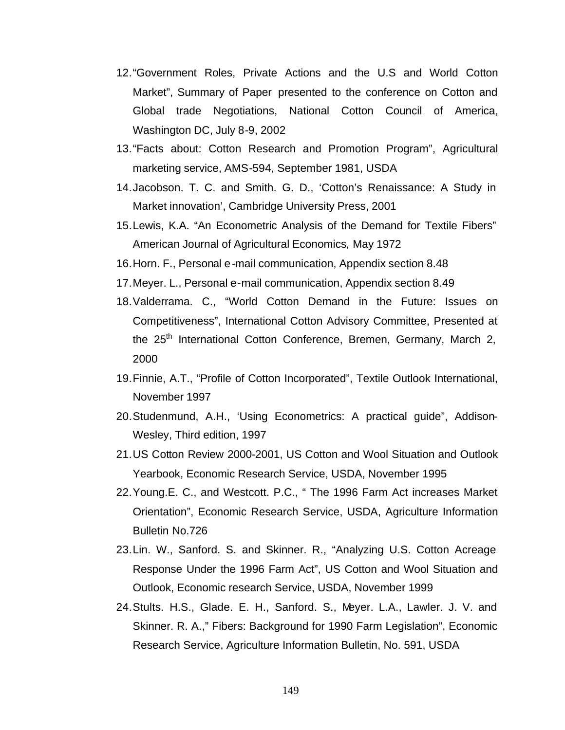- 12."Government Roles, Private Actions and the U.S and World Cotton Market", Summary of Paper presented to the conference on Cotton and Global trade Negotiations, National Cotton Council of America, Washington DC, July 8-9, 2002
- 13."Facts about: Cotton Research and Promotion Program", Agricultural marketing service, AMS-594, September 1981, USDA
- 14.Jacobson. T. C. and Smith. G. D., 'Cotton's Renaissance: A Study in Market innovation', Cambridge University Press, 2001
- 15.Lewis, K.A. "An Econometric Analysis of the Demand for Textile Fibers" American Journal of Agricultural Economics*,* May 1972
- 16.Horn. F., Personal e-mail communication, Appendix section 8.48
- 17.Meyer. L., Personal e-mail communication, Appendix section 8.49
- 18.Valderrama. C., "World Cotton Demand in the Future: Issues on Competitiveness", International Cotton Advisory Committee, Presented at the 25<sup>th</sup> International Cotton Conference, Bremen, Germany, March 2, 2000
- 19.Finnie, A.T., "Profile of Cotton Incorporated", Textile Outlook International, November 1997
- 20.Studenmund, A.H., 'Using Econometrics: A practical guide", Addison-Wesley, Third edition, 1997
- 21.US Cotton Review 2000-2001, US Cotton and Wool Situation and Outlook Yearbook, Economic Research Service, USDA, November 1995
- 22.Young.E. C., and Westcott. P.C., " The 1996 Farm Act increases Market Orientation", Economic Research Service, USDA, Agriculture Information Bulletin No.726
- 23.Lin. W., Sanford. S. and Skinner. R., "Analyzing U.S. Cotton Acreage Response Under the 1996 Farm Act", US Cotton and Wool Situation and Outlook, Economic research Service, USDA, November 1999
- 24.Stults. H.S., Glade. E. H., Sanford. S., Meyer. L.A., Lawler. J. V. and Skinner. R. A.," Fibers: Background for 1990 Farm Legislation", Economic Research Service, Agriculture Information Bulletin, No. 591, USDA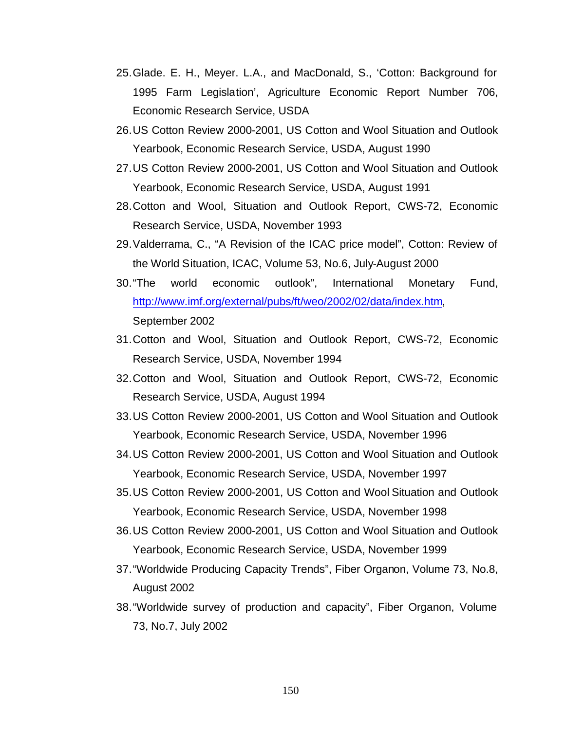- 25.Glade. E. H., Meyer. L.A., and MacDonald, S., 'Cotton: Background for 1995 Farm Legislation', Agriculture Economic Report Number 706, Economic Research Service, USDA
- 26.US Cotton Review 2000-2001, US Cotton and Wool Situation and Outlook Yearbook, Economic Research Service, USDA, August 1990
- 27.US Cotton Review 2000-2001, US Cotton and Wool Situation and Outlook Yearbook, Economic Research Service, USDA, August 1991
- 28.Cotton and Wool, Situation and Outlook Report, CWS-72, Economic Research Service, USDA, November 1993
- 29.Valderrama, C., "A Revision of the ICAC price model", Cotton: Review of the World Situation, ICAC, Volume 53, No.6, July-August 2000
- 30."The world economic outlook", International Monetary Fund, http://www.imf.org/external/pubs/ft/weo/2002/02/data/index.htm, September 2002
- 31.Cotton and Wool, Situation and Outlook Report, CWS-72, Economic Research Service, USDA, November 1994
- 32.Cotton and Wool, Situation and Outlook Report, CWS-72, Economic Research Service, USDA, August 1994
- 33.US Cotton Review 2000-2001, US Cotton and Wool Situation and Outlook Yearbook, Economic Research Service, USDA, November 1996
- 34.US Cotton Review 2000-2001, US Cotton and Wool Situation and Outlook Yearbook, Economic Research Service, USDA, November 1997
- 35.US Cotton Review 2000-2001, US Cotton and Wool Situation and Outlook Yearbook, Economic Research Service, USDA, November 1998
- 36.US Cotton Review 2000-2001, US Cotton and Wool Situation and Outlook Yearbook, Economic Research Service, USDA, November 1999
- 37."Worldwide Producing Capacity Trends", Fiber Organon, Volume 73, No.8, August 2002
- 38."Worldwide survey of production and capacity", Fiber Organon, Volume 73, No.7, July 2002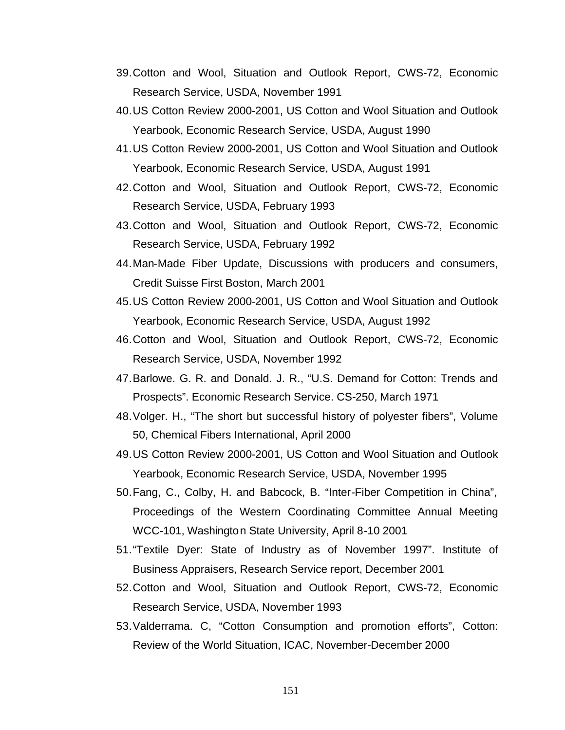- 39.Cotton and Wool, Situation and Outlook Report, CWS-72, Economic Research Service, USDA, November 1991
- 40.US Cotton Review 2000-2001, US Cotton and Wool Situation and Outlook Yearbook, Economic Research Service, USDA, August 1990
- 41.US Cotton Review 2000-2001, US Cotton and Wool Situation and Outlook Yearbook, Economic Research Service, USDA, August 1991
- 42.Cotton and Wool, Situation and Outlook Report, CWS-72, Economic Research Service, USDA, February 1993
- 43.Cotton and Wool, Situation and Outlook Report, CWS-72, Economic Research Service, USDA, February 1992
- 44.Man-Made Fiber Update, Discussions with producers and consumers, Credit Suisse First Boston, March 2001
- 45.US Cotton Review 2000-2001, US Cotton and Wool Situation and Outlook Yearbook, Economic Research Service, USDA, August 1992
- 46.Cotton and Wool, Situation and Outlook Report, CWS-72, Economic Research Service, USDA, November 1992
- 47.Barlowe. G. R. and Donald. J. R., "U.S. Demand for Cotton: Trends and Prospects". Economic Research Service. CS-250, March 1971
- 48.Volger. H., "The short but successful history of polyester fibers", Volume 50, Chemical Fibers International, April 2000
- 49.US Cotton Review 2000-2001, US Cotton and Wool Situation and Outlook Yearbook, Economic Research Service, USDA, November 1995
- 50.Fang, C., Colby, H. and Babcock, B. "Inter-Fiber Competition in China", Proceedings of the Western Coordinating Committee Annual Meeting WCC-101, Washington State University, April 8-10 2001
- 51."Textile Dyer: State of Industry as of November 1997". Institute of Business Appraisers, Research Service report, December 2001
- 52.Cotton and Wool, Situation and Outlook Report, CWS-72, Economic Research Service, USDA, November 1993
- 53.Valderrama. C, "Cotton Consumption and promotion efforts", Cotton: Review of the World Situation, ICAC, November-December 2000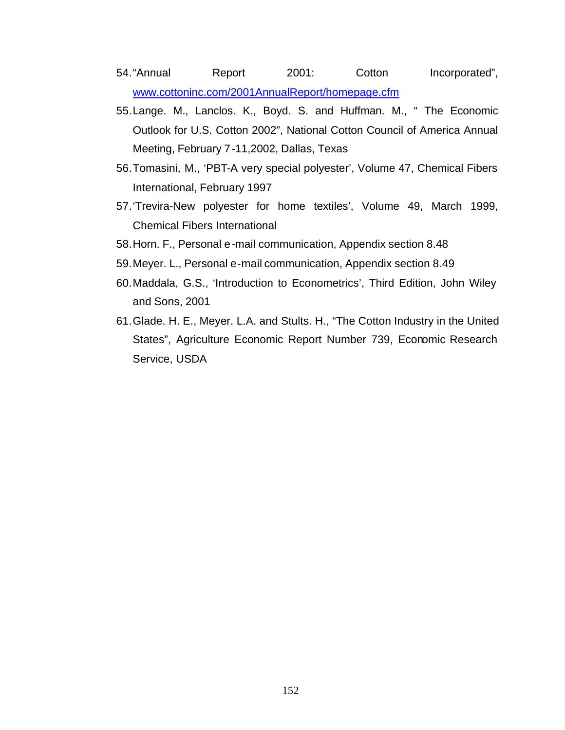54."Annual Report 2001: Cotton Incorporated", www.cottoninc.com/2001AnnualReport/homepage.cfm

- 55.Lange. M., Lanclos. K., Boyd. S. and Huffman. M., " The Economic Outlook for U.S. Cotton 2002", National Cotton Council of America Annual Meeting, February 7-11,2002, Dallas, Texas
- 56.Tomasini, M., 'PBT-A very special polyester', Volume 47, Chemical Fibers International, February 1997
- 57.'Trevira-New polyester for home textiles', Volume 49, March 1999, Chemical Fibers International
- 58.Horn. F., Personal e-mail communication, Appendix section 8.48
- 59.Meyer. L., Personal e-mail communication, Appendix section 8.49
- 60.Maddala, G.S., 'Introduction to Econometrics', Third Edition, John Wiley and Sons, 2001
- 61.Glade. H. E., Meyer. L.A. and Stults. H., "The Cotton Industry in the United States", Agriculture Economic Report Number 739, Economic Research Service, USDA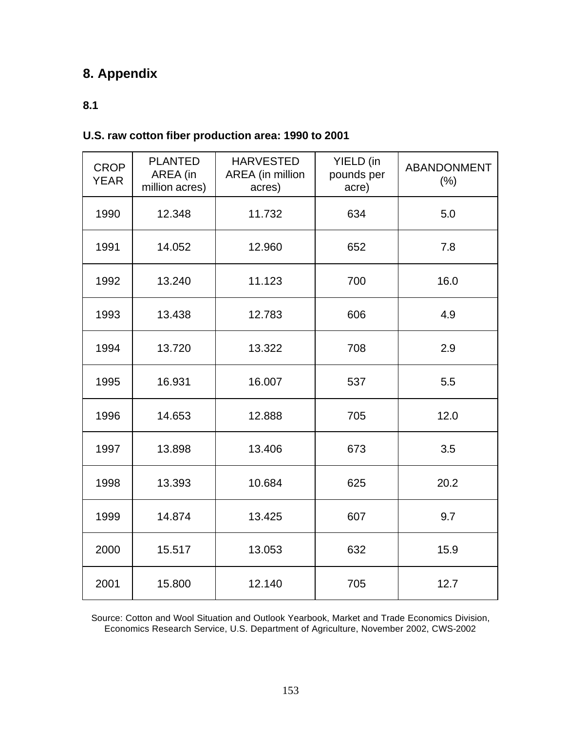# **8. Appendix**

# **8.1**

## **U.S. raw cotton fiber production area: 1990 to 2001**

| <b>CROP</b><br><b>YEAR</b> | <b>PLANTED</b><br>AREA (in<br>million acres) | <b>HARVESTED</b><br>AREA (in million<br>acres) | YIELD (in<br>pounds per<br>acre) | <b>ABANDONMENT</b><br>(% ) |
|----------------------------|----------------------------------------------|------------------------------------------------|----------------------------------|----------------------------|
| 1990                       | 12.348                                       | 11.732                                         | 634                              | 5.0                        |
| 1991                       | 14.052                                       | 12.960                                         | 652                              | 7.8                        |
| 1992                       | 13.240                                       | 11.123                                         | 700                              | 16.0                       |
| 1993                       | 13.438                                       | 12.783                                         | 606                              | 4.9                        |
| 1994                       | 13.720                                       | 13.322                                         | 708                              | 2.9                        |
| 1995                       | 16.931                                       | 16.007                                         | 537                              | 5.5                        |
| 1996                       | 14.653                                       | 12.888                                         | 705                              | 12.0                       |
| 1997                       | 13.898                                       | 13.406                                         | 673                              | 3.5                        |
| 1998                       | 13.393                                       | 10.684                                         | 625                              | 20.2                       |
| 1999                       | 14.874                                       | 13.425                                         | 607                              | 9.7                        |
| 2000                       | 15.517                                       | 13.053                                         | 632                              | 15.9                       |
| 2001                       | 15.800                                       | 12.140                                         | 705                              | 12.7                       |

Source: Cotton and Wool Situation and Outlook Yearbook, Market and Trade Economics Division, Economics Research Service, U.S. Department of Agriculture, November 2002, CWS-2002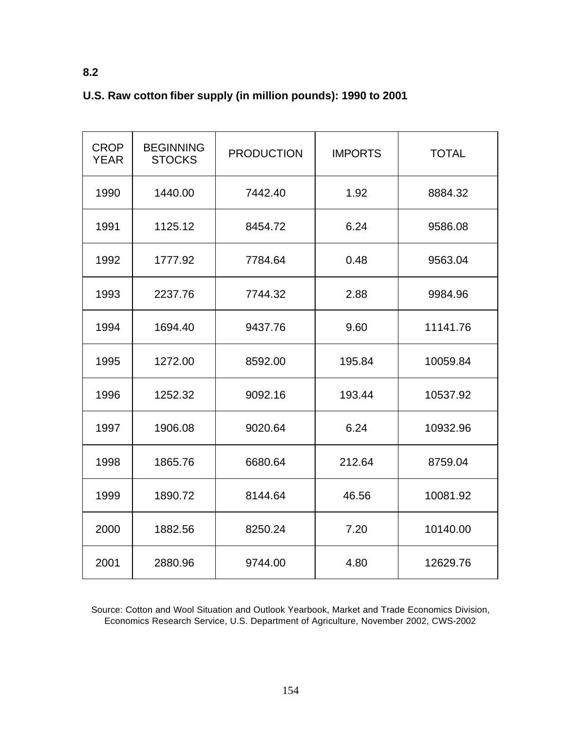| <b>CROP</b><br><b>YEAR</b> | <b>BEGINNING</b><br><b>STOCKS</b> | <b>PRODUCTION</b> | <b>IMPORTS</b> | <b>TOTAL</b> |
|----------------------------|-----------------------------------|-------------------|----------------|--------------|
| 1990                       | 1440.00                           | 7442.40           | 1.92           | 8884.32      |
| 1991                       | 1125.12                           | 8454.72           | 6.24           | 9586.08      |
| 1992                       | 1777.92                           | 7784.64           | 0.48           | 9563.04      |
| 1993                       | 2237.76                           | 7744.32           | 2.88           | 9984.96      |
| 1994                       | 1694.40                           | 9437.76           | 9.60           | 11141.76     |
| 1995                       | 1272.00                           | 8592.00           | 195.84         | 10059.84     |
| 1996                       | 1252.32                           | 9092.16           | 193.44         | 10537.92     |
| 1997                       | 1906.08                           | 9020.64           | 6.24           | 10932.96     |
| 1998                       | 1865.76                           | 6680.64           | 212.64         | 8759.04      |
| 1999                       | 1890.72                           | 8144.64           | 46.56          | 10081.92     |
| 2000                       | 1882.56                           | 8250.24           | 7.20           | 10140.00     |
| 2001                       | 2880.96                           | 9744.00           | 4.80           | 12629.76     |

# **U.S. Raw cotton fiber supply (in million pounds): 1990 to 2001**

**8.2** 

Source: Cotton and Wool Situation and Outlook Yearbook, Market and Trade Economics Division, Economics Research Service, U.S. Department of Agriculture, November 2002, CWS-2002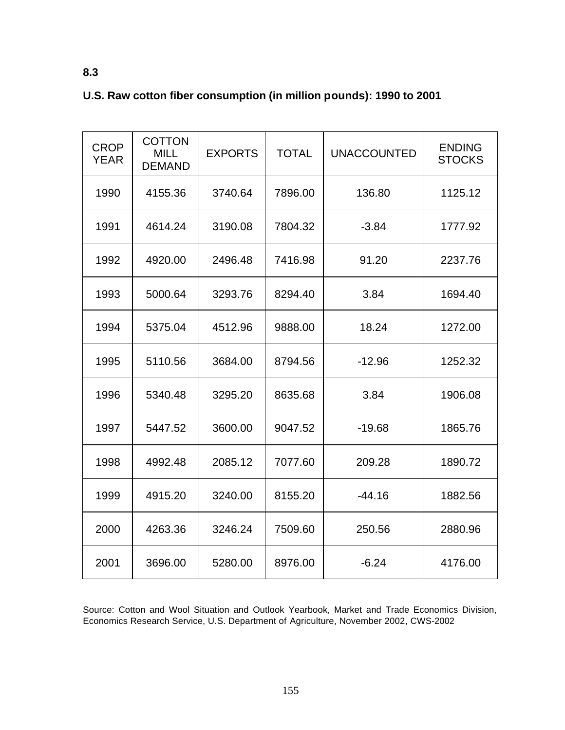| <b>CROP</b><br><b>YEAR</b> | <b>COTTON</b><br><b>MILL</b><br><b>DEMAND</b> | <b>EXPORTS</b> | <b>TOTAL</b> | <b>UNACCOUNTED</b> | <b>ENDING</b><br><b>STOCKS</b> |
|----------------------------|-----------------------------------------------|----------------|--------------|--------------------|--------------------------------|
| 1990                       | 4155.36                                       | 3740.64        | 7896.00      | 136.80             | 1125.12                        |
| 1991                       | 4614.24                                       | 3190.08        | 7804.32      | $-3.84$            | 1777.92                        |
| 1992                       | 4920.00                                       | 2496.48        | 7416.98      | 91.20              | 2237.76                        |
| 1993                       | 5000.64                                       | 3293.76        | 8294.40      | 3.84               | 1694.40                        |
| 1994                       | 5375.04                                       | 4512.96        | 9888.00      | 18.24              | 1272.00                        |
| 1995                       | 5110.56                                       | 3684.00        | 8794.56      | $-12.96$           | 1252.32                        |
| 1996                       | 5340.48                                       | 3295.20        | 8635.68      | 3.84               | 1906.08                        |
| 1997                       | 5447.52                                       | 3600.00        | 9047.52      | $-19.68$           | 1865.76                        |
| 1998                       | 4992.48                                       | 2085.12        | 7077.60      | 209.28             | 1890.72                        |
| 1999                       | 4915.20                                       | 3240.00        | 8155.20      | $-44.16$           | 1882.56                        |
| 2000                       | 4263.36                                       | 3246.24        | 7509.60      | 250.56             | 2880.96                        |
| 2001                       | 3696.00                                       | 5280.00        | 8976.00      | $-6.24$            | 4176.00                        |

# **U.S. Raw cotton fiber consumption (in million pounds): 1990 to 2001**

**8.3** 

Source: Cotton and Wool Situation and Outlook Yearbook, Market and Trade Economics Division, Economics Research Service, U.S. Department of Agriculture, November 2002, CWS-2002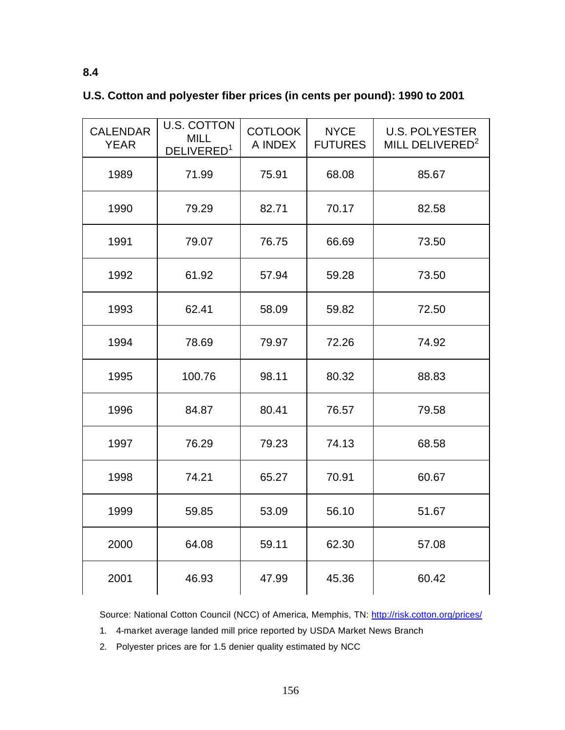| <b>CALENDAR</b><br><b>YEAR</b> | <b>U.S. COTTON</b><br><b>MILL</b><br>DELIVERED <sup>1</sup> | <b>COTLOOK</b><br>A INDEX | <b>NYCE</b><br><b>FUTURES</b> | <b>U.S. POLYESTER</b><br>MILL DELIVERED <sup>2</sup> |
|--------------------------------|-------------------------------------------------------------|---------------------------|-------------------------------|------------------------------------------------------|
| 1989                           | 71.99                                                       | 75.91                     | 68.08                         | 85.67                                                |
| 1990                           | 79.29                                                       | 82.71                     | 70.17                         | 82.58                                                |
| 1991                           | 79.07                                                       | 76.75                     | 66.69                         | 73.50                                                |
| 1992                           | 61.92                                                       | 57.94                     | 59.28                         | 73.50                                                |
| 1993                           | 62.41                                                       | 58.09                     | 59.82                         | 72.50                                                |
| 1994                           | 78.69                                                       | 79.97                     | 72.26                         | 74.92                                                |
| 1995                           | 100.76                                                      | 98.11                     | 80.32                         | 88.83                                                |
| 1996                           | 84.87                                                       | 80.41                     | 76.57                         | 79.58                                                |
| 1997                           | 76.29                                                       | 79.23                     | 74.13                         | 68.58                                                |
| 1998                           | 74.21                                                       | 65.27                     | 70.91                         | 60.67                                                |
| 1999                           | 59.85                                                       | 53.09                     | 56.10                         | 51.67                                                |
| 2000                           | 64.08                                                       | 59.11                     | 62.30                         | 57.08                                                |
| 2001                           | 46.93                                                       | 47.99                     | 45.36                         | 60.42                                                |

# **U.S. Cotton and polyester fiber prices (in cents per pound): 1990 to 2001**

**8.4** 

Source: National Cotton Council (NCC) of America, Memphis, TN: http://risk.cotton.org/prices/

1. 4-market average landed mill price reported by USDA Market News Branch

2. Polyester prices are for 1.5 denier quality estimated by NCC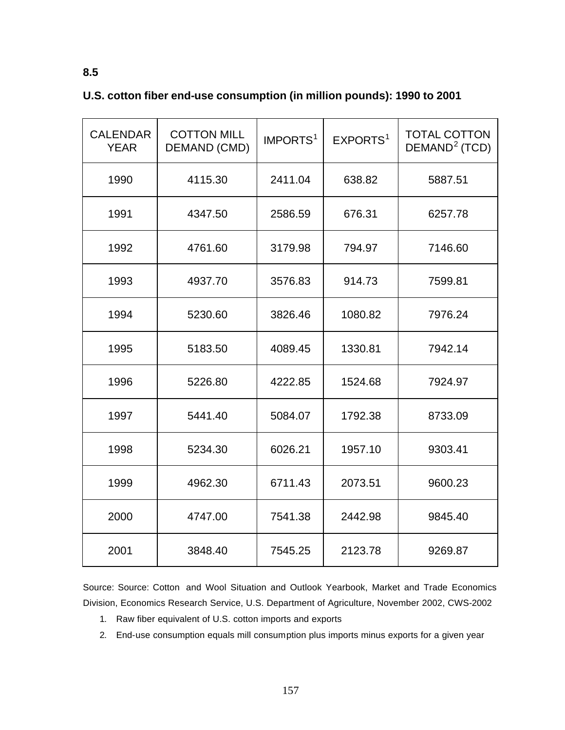| <b>CALENDAR</b><br><b>YEAR</b> | <b>COTTON MILL</b><br><b>DEMAND (CMD)</b> | IMPORTS <sup>1</sup> | EXPORTS <sup>1</sup> | <b>TOTAL COTTON</b><br>DEMAND <sup>2</sup> (TCD) |
|--------------------------------|-------------------------------------------|----------------------|----------------------|--------------------------------------------------|
| 1990                           | 4115.30                                   | 2411.04              | 638.82               | 5887.51                                          |
| 1991                           | 4347.50                                   | 2586.59              | 676.31               | 6257.78                                          |
| 1992                           | 4761.60                                   | 3179.98              | 794.97               | 7146.60                                          |
| 1993                           | 4937.70                                   | 3576.83              | 914.73               | 7599.81                                          |
| 1994                           | 5230.60                                   | 3826.46              | 1080.82              | 7976.24                                          |
| 1995                           | 5183.50                                   | 4089.45              | 1330.81              | 7942.14                                          |
| 1996                           | 5226.80                                   | 4222.85              | 1524.68              | 7924.97                                          |
| 1997                           | 5441.40                                   | 5084.07              | 1792.38              | 8733.09                                          |
| 1998                           | 5234.30                                   | 6026.21              | 1957.10              | 9303.41                                          |
| 1999                           | 4962.30                                   | 6711.43              | 2073.51              | 9600.23                                          |
| 2000                           | 4747.00                                   | 7541.38              | 2442.98              | 9845.40                                          |
| 2001                           | 3848.40                                   | 7545.25              | 2123.78              | 9269.87                                          |

# **U.S. cotton fiber end-use consumption (in million pounds): 1990 to 2001**

Source: Source: Cotton and Wool Situation and Outlook Yearbook, Market and Trade Economics Division, Economics Research Service, U.S. Department of Agriculture, November 2002, CWS-2002

- 1. Raw fiber equivalent of U.S. cotton imports and exports
- 2. End-use consumption equals mill consumption plus imports minus exports for a given year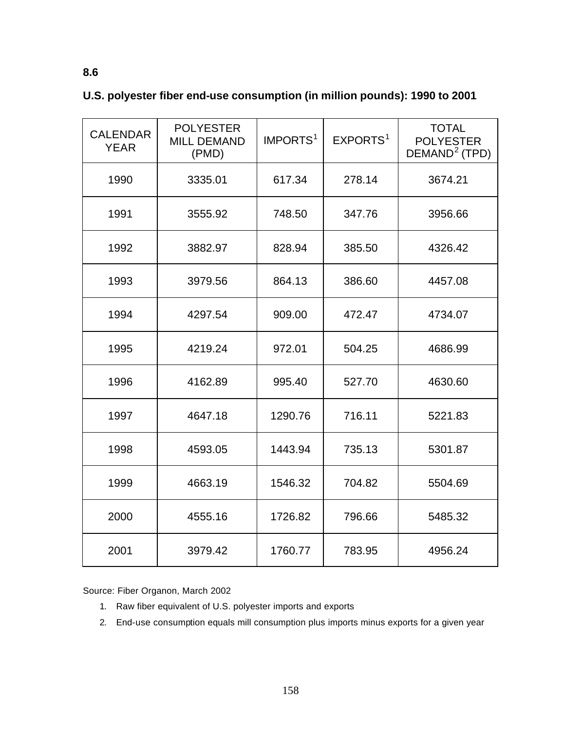| <b>CALENDAR</b><br><b>YEAR</b> | <b>POLYESTER</b><br><b>MILL DEMAND</b><br>(PMD) | IMPORTS <sup>1</sup> | EXPORTS <sup>1</sup> | <b>TOTAL</b><br><b>POLYESTER</b><br>DEMAND <sup>2</sup> (TPD) |
|--------------------------------|-------------------------------------------------|----------------------|----------------------|---------------------------------------------------------------|
| 1990                           | 3335.01                                         | 617.34               | 278.14               | 3674.21                                                       |
| 1991                           | 3555.92                                         | 748.50               | 347.76               | 3956.66                                                       |
| 1992                           | 3882.97                                         | 828.94               | 385.50               | 4326.42                                                       |
| 1993                           | 3979.56                                         | 864.13               | 386.60               | 4457.08                                                       |
| 1994                           | 4297.54                                         | 909.00               | 472.47               | 4734.07                                                       |
| 1995                           | 4219.24                                         | 972.01               | 504.25               | 4686.99                                                       |
| 1996                           | 4162.89                                         | 995.40               | 527.70               | 4630.60                                                       |
| 1997                           | 4647.18                                         | 1290.76              | 716.11               | 5221.83                                                       |
| 1998                           | 4593.05                                         | 1443.94              | 735.13               | 5301.87                                                       |
| 1999                           | 4663.19                                         | 1546.32              | 704.82               | 5504.69                                                       |
| 2000                           | 4555.16                                         | 1726.82              | 796.66               | 5485.32                                                       |
| 2001                           | 3979.42                                         | 1760.77              | 783.95               | 4956.24                                                       |

# **U.S. polyester fiber end-use consumption (in million pounds): 1990 to 2001**

Source: Fiber Organon, March 2002

- 1. Raw fiber equivalent of U.S. polyester imports and exports
- 2. End-use consumption equals mill consumption plus imports minus exports for a given year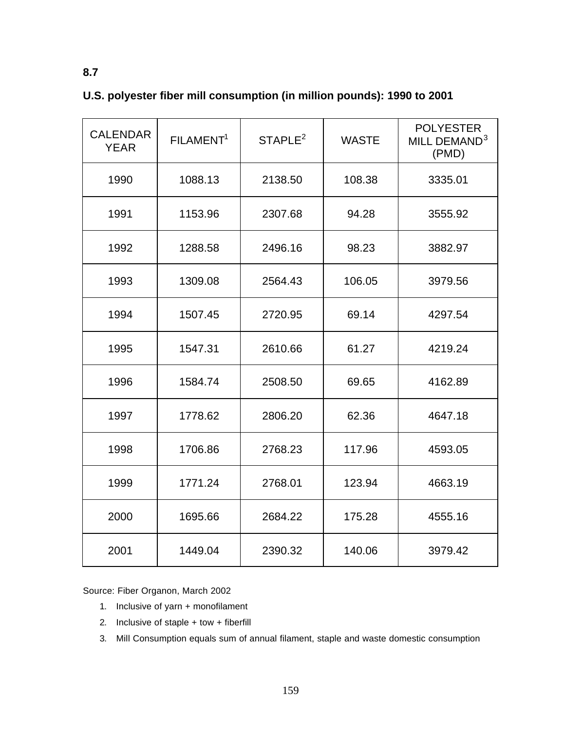| <b>CALENDAR</b><br><b>YEAR</b> | FILAMENT <sup>1</sup> | STAPLE <sup>2</sup> | <b>WASTE</b> | <b>POLYESTER</b><br>MILL DEMAND <sup>3</sup><br>(PMD) |
|--------------------------------|-----------------------|---------------------|--------------|-------------------------------------------------------|
| 1990                           | 1088.13               | 2138.50             | 108.38       | 3335.01                                               |
| 1991                           | 1153.96               | 2307.68             | 94.28        | 3555.92                                               |
| 1992                           | 1288.58               | 2496.16             | 98.23        | 3882.97                                               |
| 1993                           | 1309.08               | 2564.43             | 106.05       | 3979.56                                               |
| 1994                           | 1507.45               | 2720.95             | 69.14        | 4297.54                                               |
| 1995                           | 1547.31               | 2610.66             | 61.27        | 4219.24                                               |
| 1996                           | 1584.74               | 2508.50             | 69.65        | 4162.89                                               |
| 1997                           | 1778.62               | 2806.20             | 62.36        | 4647.18                                               |
| 1998                           | 1706.86               | 2768.23             | 117.96       | 4593.05                                               |
| 1999                           | 1771.24               | 2768.01             | 123.94       | 4663.19                                               |
| 2000                           | 1695.66               | 2684.22             | 175.28       | 4555.16                                               |
| 2001                           | 1449.04               | 2390.32             | 140.06       | 3979.42                                               |

# **U.S. polyester fiber mill consumption (in million pounds): 1990 to 2001**

Source: Fiber Organon, March 2002

- 1. Inclusive of yarn + monofilament
- 2. Inclusive of staple + tow + fiberfill
- 3. Mill Consumption equals sum of annual filament, staple and waste domestic consumption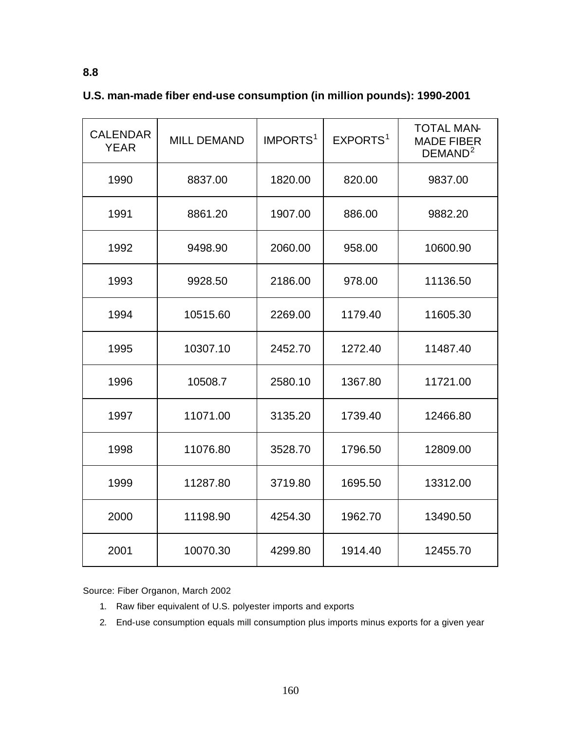| <b>CALENDAR</b><br><b>YEAR</b> | <b>MILL DEMAND</b> | IMPORTS <sup>1</sup> | EXPORTS <sup>1</sup> | <b>TOTAL MAN-</b><br><b>MADE FIBER</b><br>DEMAND <sup>2</sup> |
|--------------------------------|--------------------|----------------------|----------------------|---------------------------------------------------------------|
| 1990                           | 8837.00            | 1820.00              | 820.00               | 9837.00                                                       |
| 1991                           | 8861.20            | 1907.00              | 886.00               | 9882.20                                                       |
| 1992                           | 9498.90            | 2060.00              | 958.00               | 10600.90                                                      |
| 1993                           | 9928.50            | 2186.00              | 978.00               | 11136.50                                                      |
| 1994                           | 10515.60           | 2269.00              | 1179.40              | 11605.30                                                      |
| 1995                           | 10307.10           | 2452.70              | 1272.40              | 11487.40                                                      |
| 1996                           | 10508.7            | 2580.10              | 1367.80              | 11721.00                                                      |
| 1997                           | 11071.00           | 3135.20              | 1739.40              | 12466.80                                                      |
| 1998                           | 11076.80           | 3528.70              | 1796.50              | 12809.00                                                      |
| 1999                           | 11287.80           | 3719.80              | 1695.50              | 13312.00                                                      |
| 2000                           | 11198.90           | 4254.30              | 1962.70              | 13490.50                                                      |
| 2001                           | 10070.30           | 4299.80              | 1914.40              | 12455.70                                                      |

## **U.S. man-made fiber end-use consumption (in million pounds): 1990-2001**

Source: Fiber Organon, March 2002

- 1. Raw fiber equivalent of U.S. polyester imports and exports
- 2. End-use consumption equals mill consumption plus imports minus exports for a given year

**8.8**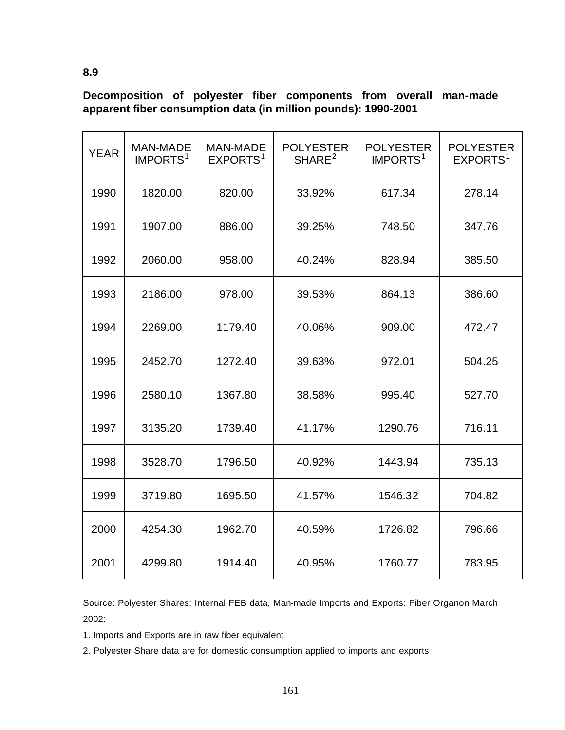**Decomposition of polyester fiber components from overall man-made apparent fiber consumption data (in million pounds): 1990-2001**

| <b>YEAR</b> | <b>MAN-MADE</b><br>IMPORTS <sup>1</sup> | <b>MAN-MADE</b><br>EXPORTS <sup>1</sup> | <b>POLYESTER</b><br>SHARE <sup>2</sup> | <b>POLYESTER</b><br>IMPORTS <sup>1</sup> | <b>POLYESTER</b><br>EXPORTS <sup>1</sup> |
|-------------|-----------------------------------------|-----------------------------------------|----------------------------------------|------------------------------------------|------------------------------------------|
| 1990        | 1820.00                                 | 820.00                                  | 33.92%                                 | 617.34                                   | 278.14                                   |
| 1991        | 1907.00                                 | 886.00                                  | 39.25%                                 | 748.50                                   | 347.76                                   |
| 1992        | 2060.00                                 | 958.00                                  | 40.24%                                 | 828.94                                   | 385.50                                   |
| 1993        | 2186.00                                 | 978.00                                  | 39.53%                                 | 864.13                                   | 386.60                                   |
| 1994        | 2269.00                                 | 1179.40                                 | 40.06%                                 | 909.00                                   | 472.47                                   |
| 1995        | 2452.70                                 | 1272.40                                 | 39.63%                                 | 972.01                                   | 504.25                                   |
| 1996        | 2580.10                                 | 1367.80                                 | 38.58%                                 | 995.40                                   | 527.70                                   |
| 1997        | 3135.20                                 | 1739.40                                 | 41.17%                                 | 1290.76                                  | 716.11                                   |
| 1998        | 3528.70                                 | 1796.50                                 | 40.92%                                 | 1443.94                                  | 735.13                                   |
| 1999        | 3719.80                                 | 1695.50                                 | 41.57%                                 | 1546.32                                  | 704.82                                   |
| 2000        | 4254.30                                 | 1962.70                                 | 40.59%                                 | 1726.82                                  | 796.66                                   |
| 2001        | 4299.80                                 | 1914.40                                 | 40.95%                                 | 1760.77                                  | 783.95                                   |

Source: Polyester Shares: Internal FEB data, Man-made Imports and Exports: Fiber Organon March 2002:

1. Imports and Exports are in raw fiber equivalent

2. Polyester Share data are for domestic consumption applied to imports and exports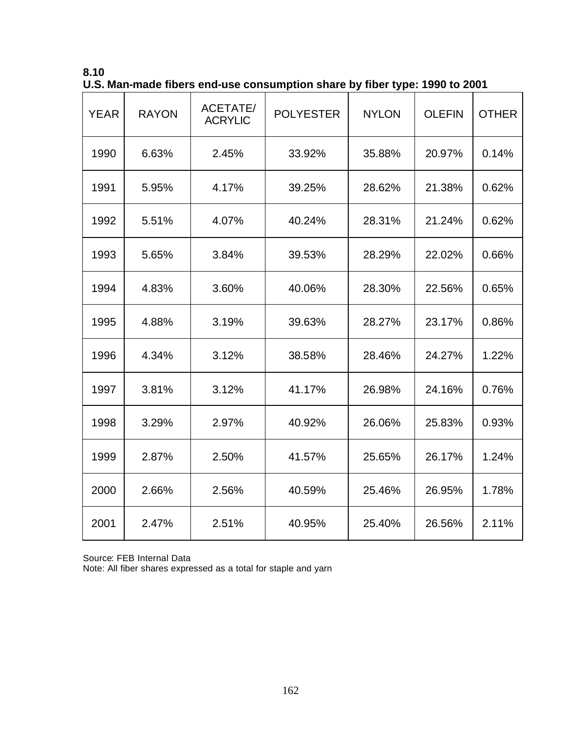| 8.10                                                                       |  |
|----------------------------------------------------------------------------|--|
| U.S. Man-made fibers end-use consumption share by fiber type: 1990 to 2001 |  |

| <b>YEAR</b> | <b>RAYON</b> | <b>ACETATE/</b><br><b>ACRYLIC</b> | <b>POLYESTER</b> | <b>NYLON</b> | <b>OLEFIN</b> | <b>OTHER</b> |
|-------------|--------------|-----------------------------------|------------------|--------------|---------------|--------------|
| 1990        | 6.63%        | 2.45%                             | 33.92%           | 35.88%       | 20.97%        | 0.14%        |
| 1991        | 5.95%        | 4.17%                             | 39.25%           | 28.62%       | 21.38%        | 0.62%        |
| 1992        | 5.51%        | 4.07%                             | 40.24%           | 28.31%       | 21.24%        | 0.62%        |
| 1993        | 5.65%        | 3.84%                             | 39.53%           | 28.29%       | 22.02%        | 0.66%        |
| 1994        | 4.83%        | 3.60%                             | 40.06%           | 28.30%       | 22.56%        | 0.65%        |
| 1995        | 4.88%        | 3.19%                             | 39.63%           | 28.27%       | 23.17%        | 0.86%        |
| 1996        | 4.34%        | 3.12%                             | 38.58%           | 28.46%       | 24.27%        | 1.22%        |
| 1997        | 3.81%        | 3.12%                             | 41.17%           | 26.98%       | 24.16%        | 0.76%        |
| 1998        | 3.29%        | 2.97%                             | 40.92%           | 26.06%       | 25.83%        | 0.93%        |
| 1999        | 2.87%        | 2.50%                             | 41.57%           | 25.65%       | 26.17%        | 1.24%        |
| 2000        | 2.66%        | 2.56%                             | 40.59%           | 25.46%       | 26.95%        | 1.78%        |
| 2001        | 2.47%        | 2.51%                             | 40.95%           | 25.40%       | 26.56%        | 2.11%        |

Source: FEB Internal Data

Note: All fiber shares expressed as a total for staple and yarn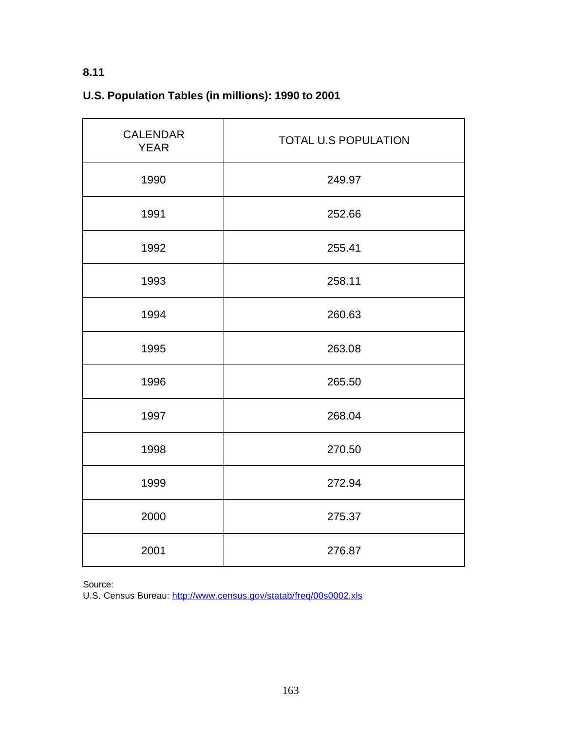# **U.S. Population Tables (in millions): 1990 to 2001**

| <b>CALENDAR</b><br><b>YEAR</b> | <b>TOTAL U.S POPULATION</b> |  |  |
|--------------------------------|-----------------------------|--|--|
| 1990                           | 249.97                      |  |  |
| 1991                           | 252.66                      |  |  |
| 1992                           | 255.41                      |  |  |
| 1993                           | 258.11                      |  |  |
| 1994                           | 260.63                      |  |  |
| 1995                           | 263.08                      |  |  |
| 1996                           | 265.50                      |  |  |
| 1997                           | 268.04                      |  |  |
| 1998                           | 270.50                      |  |  |
| 1999                           | 272.94                      |  |  |
| 2000                           | 275.37                      |  |  |
| 2001                           | 276.87                      |  |  |

Source:

U.S. Census Bureau: http://www.census.gov/statab/freq/00s0002.xls

# **8.11**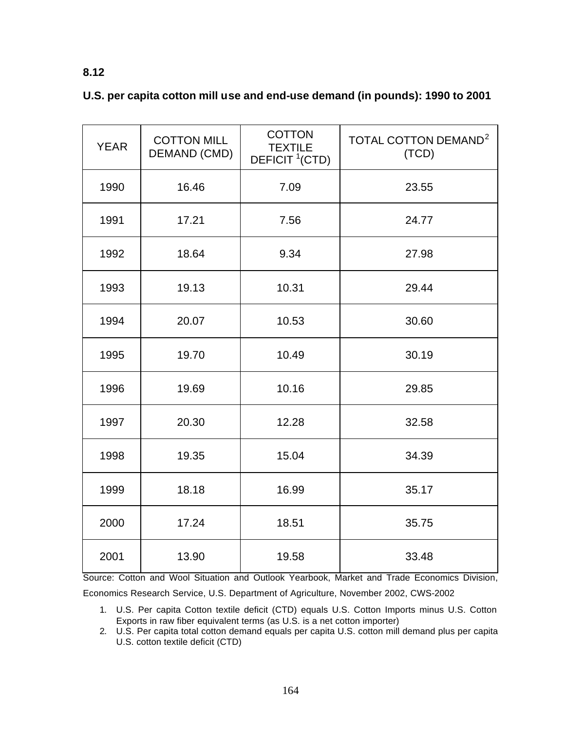# **8.12**

|  |  |  | U.S. per capita cotton mill use and end-use demand (in pounds): 1990 to 2001 |  |  |  |
|--|--|--|------------------------------------------------------------------------------|--|--|--|
|  |  |  |                                                                              |  |  |  |

| <b>YEAR</b> | <b>COTTON MILL</b><br>DEMAND (CMD) | <b>COTTON</b><br><b>TEXTILE</b><br>DEFICIT <sup>1</sup> (CTD) | TOTAL COTTON DEMAND <sup>2</sup><br>(TCD) |
|-------------|------------------------------------|---------------------------------------------------------------|-------------------------------------------|
| 1990        | 16.46                              | 7.09                                                          | 23.55                                     |
| 1991        | 17.21                              | 7.56                                                          | 24.77                                     |
| 1992        | 18.64                              | 9.34                                                          | 27.98                                     |
| 1993        | 19.13                              | 10.31                                                         | 29.44                                     |
| 1994        | 20.07                              | 10.53                                                         | 30.60                                     |
| 1995        | 19.70                              | 10.49                                                         | 30.19                                     |
| 1996        | 19.69                              | 10.16                                                         | 29.85                                     |
| 1997        | 20.30                              | 12.28                                                         | 32.58                                     |
| 1998        | 19.35                              | 15.04                                                         | 34.39                                     |
| 1999        | 18.18                              | 16.99                                                         | 35.17                                     |
| 2000        | 17.24                              | 18.51                                                         | 35.75                                     |
| 2001        | 13.90                              | 19.58                                                         | 33.48                                     |

Source: Cotton and Wool Situation and Outlook Yearbook, Market and Trade Economics Division, Economics Research Service, U.S. Department of Agriculture, November 2002, CWS-2002

1. U.S. Per capita Cotton textile deficit (CTD) equals U.S. Cotton Imports minus U.S. Cotton Exports in raw fiber equivalent terms (as U.S. is a net cotton importer)

2. U.S. Per capita total cotton demand equals per capita U.S. cotton mill demand plus per capita U.S. cotton textile deficit (CTD)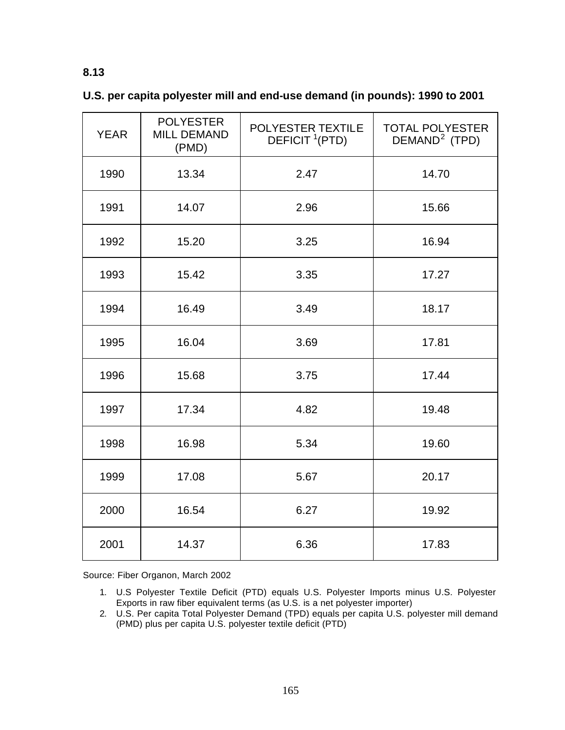| U.S. per capita polyester mill and end-use demand (in pounds): 1990 to 2001 |  |  |
|-----------------------------------------------------------------------------|--|--|
|-----------------------------------------------------------------------------|--|--|

| <b>YEAR</b> | <b>POLYESTER</b><br><b>MILL DEMAND</b><br>(PMD) | POLYESTER TEXTILE<br>DEFICIT <sup>1</sup> (PTD) | <b>TOTAL POLYESTER</b><br>DEMAND <sup>2</sup> (TPD) |
|-------------|-------------------------------------------------|-------------------------------------------------|-----------------------------------------------------|
| 1990        | 13.34                                           | 2.47                                            | 14.70                                               |
| 1991        | 14.07                                           | 2.96                                            | 15.66                                               |
| 1992        | 15.20                                           | 3.25                                            | 16.94                                               |
| 1993        | 15.42                                           | 3.35                                            | 17.27                                               |
| 1994        | 16.49                                           | 3.49                                            | 18.17                                               |
| 1995        | 16.04                                           | 3.69                                            | 17.81                                               |
| 1996        | 15.68                                           | 3.75                                            | 17.44                                               |
| 1997        | 17.34                                           | 4.82                                            | 19.48                                               |
| 1998        | 16.98                                           | 5.34                                            | 19.60                                               |
| 1999        | 17.08                                           | 5.67                                            | 20.17                                               |
| 2000        | 16.54                                           | 6.27                                            | 19.92                                               |
| 2001        | 14.37                                           | 6.36                                            | 17.83                                               |

Source: Fiber Organon, March 2002

- 1. U.S Polyester Textile Deficit (PTD) equals U.S. Polyester Imports minus U.S. Polyester Exports in raw fiber equivalent terms (as U.S. is a net polyester importer)
- 2. U.S. Per capita Total Polyester Demand (TPD) equals per capita U.S. polyester mill demand (PMD) plus per capita U.S. polyester textile deficit (PTD)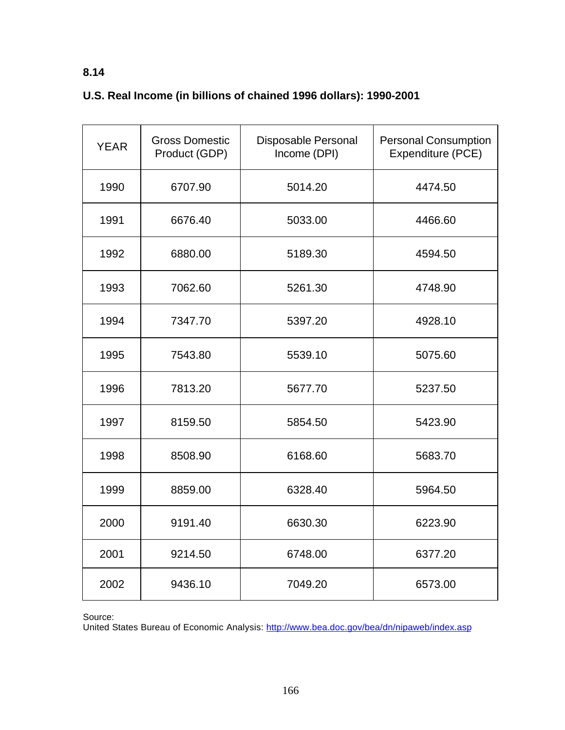# **8.14**

# **U.S. Real Income (in billions of chained 1996 dollars): 1990-2001**

| <b>YEAR</b> | <b>Gross Domestic</b><br>Product (GDP) | Disposable Personal<br>Income (DPI) | <b>Personal Consumption</b><br>Expenditure (PCE) |
|-------------|----------------------------------------|-------------------------------------|--------------------------------------------------|
| 1990        | 6707.90                                | 5014.20                             | 4474.50                                          |
| 1991        | 6676.40                                | 5033.00                             | 4466.60                                          |
| 1992        | 6880.00                                | 5189.30                             | 4594.50                                          |
| 1993        | 7062.60                                | 5261.30                             | 4748.90                                          |
| 1994        | 7347.70                                | 5397.20                             | 4928.10                                          |
| 1995        | 7543.80                                | 5539.10                             | 5075.60                                          |
| 1996        | 7813.20                                | 5677.70                             | 5237.50                                          |
| 1997        | 8159.50                                | 5854.50                             | 5423.90                                          |
| 1998        | 8508.90                                | 6168.60                             | 5683.70                                          |
| 1999        | 8859.00                                | 6328.40                             | 5964.50                                          |
| 2000        | 9191.40                                | 6630.30                             | 6223.90                                          |
| 2001        | 9214.50                                | 6748.00                             | 6377.20                                          |
| 2002        | 9436.10                                | 7049.20                             | 6573.00                                          |

Source:

United States Bureau of Economic Analysis: http://www.bea.doc.gov/bea/dn/nipaweb/index.asp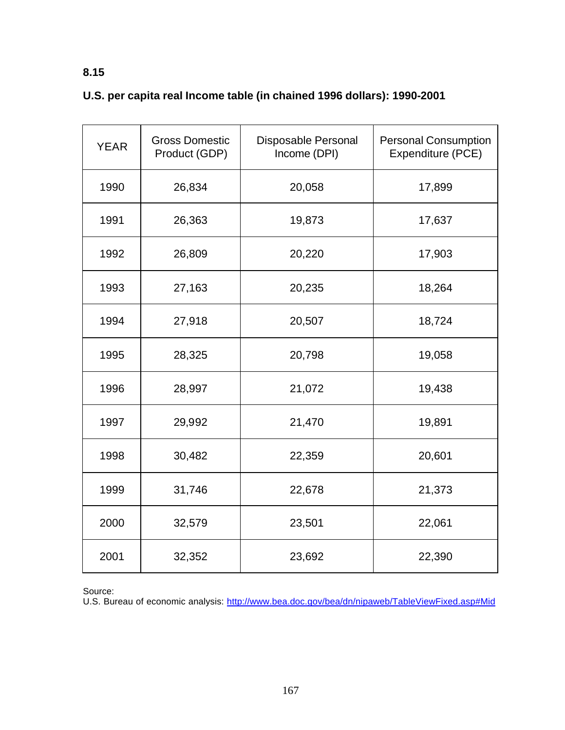# **U.S. per capita real Income table (in chained 1996 dollars): 1990-2001**

| <b>YEAR</b> | <b>Gross Domestic</b><br>Product (GDP) | Disposable Personal<br>Income (DPI) | <b>Personal Consumption</b><br>Expenditure (PCE) |
|-------------|----------------------------------------|-------------------------------------|--------------------------------------------------|
| 1990        | 26,834                                 | 20,058                              | 17,899                                           |
| 1991        | 26,363                                 | 19,873                              | 17,637                                           |
| 1992        | 26,809                                 | 20,220                              | 17,903                                           |
| 1993        | 27,163                                 | 20,235                              | 18,264                                           |
| 1994        | 27,918                                 | 20,507                              | 18,724                                           |
| 1995        | 28,325                                 | 20,798                              | 19,058                                           |
| 1996        | 28,997                                 | 21,072                              | 19,438                                           |
| 1997        | 29,992                                 | 21,470                              | 19,891                                           |
| 1998        | 30,482                                 | 22,359                              | 20,601                                           |
| 1999        | 31,746                                 | 22,678                              | 21,373                                           |
| 2000        | 32,579                                 | 23,501                              | 22,061                                           |
| 2001        | 32,352                                 | 23,692                              | 22,390                                           |

Source:

U.S. Bureau of economic analysis: http://www.bea.doc.gov/bea/dn/nipaweb/TableViewFixed.asp#Mid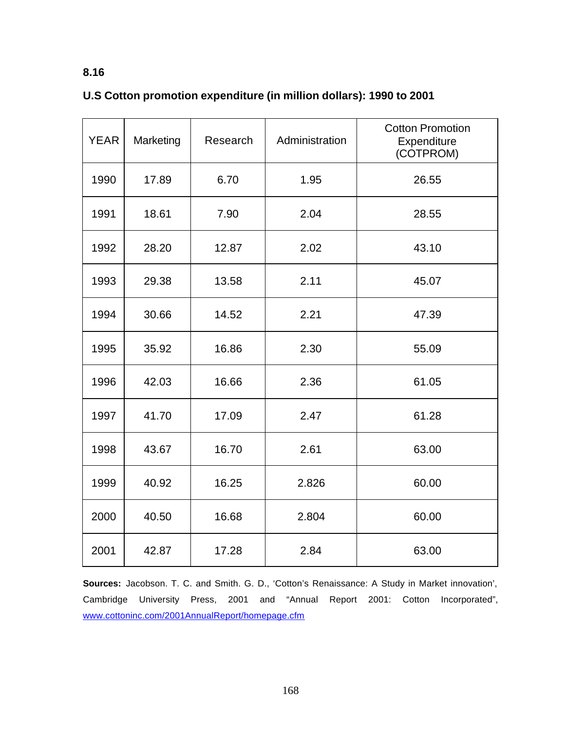| <b>YEAR</b> | Marketing | Research | Administration | <b>Cotton Promotion</b><br>Expenditure<br>(COTPROM) |
|-------------|-----------|----------|----------------|-----------------------------------------------------|
| 1990        | 17.89     | 6.70     | 1.95           | 26.55                                               |
| 1991        | 18.61     | 7.90     | 2.04           | 28.55                                               |
| 1992        | 28.20     | 12.87    | 2.02           | 43.10                                               |
| 1993        | 29.38     | 13.58    | 2.11           | 45.07                                               |
| 1994        | 30.66     | 14.52    | 2.21           | 47.39                                               |
| 1995        | 35.92     | 16.86    | 2.30           | 55.09                                               |
| 1996        | 42.03     | 16.66    | 2.36           | 61.05                                               |
| 1997        | 41.70     | 17.09    | 2.47           | 61.28                                               |
| 1998        | 43.67     | 16.70    | 2.61           | 63.00                                               |
| 1999        | 40.92     | 16.25    | 2.826          | 60.00                                               |
| 2000        | 40.50     | 16.68    | 2.804          | 60.00                                               |
| 2001        | 42.87     | 17.28    | 2.84           | 63.00                                               |

## **U.S Cotton promotion expenditure (in million dollars): 1990 to 2001**

**Sources:** Jacobson. T. C. and Smith. G. D., 'Cotton's Renaissance: A Study in Market innovation', Cambridge University Press, 2001 and "Annual Report 2001: Cotton Incorporated", www.cottoninc.com/2001AnnualReport/homepage.cfm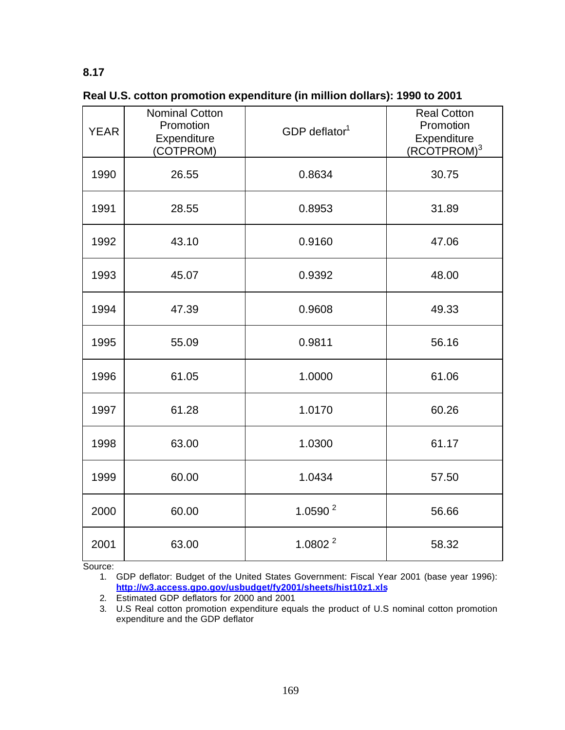**Real U.S. cotton promotion expenditure (in million dollars): 1990 to 2001**

| <b>YEAR</b> | <b>Nominal Cotton</b><br>Promotion<br>Expenditure<br>(COTPROM) | GDP deflator $1$ | <b>Real Cotton</b><br>Promotion<br>Expenditure<br>(RCOTPROM) <sup>3</sup> |
|-------------|----------------------------------------------------------------|------------------|---------------------------------------------------------------------------|
| 1990        | 26.55                                                          | 0.8634           | 30.75                                                                     |
| 1991        | 28.55                                                          | 0.8953           | 31.89                                                                     |
| 1992        | 43.10                                                          | 0.9160           | 47.06                                                                     |
| 1993        | 45.07                                                          | 0.9392           | 48.00                                                                     |
| 1994        | 47.39                                                          | 0.9608           | 49.33                                                                     |
| 1995        | 55.09                                                          | 0.9811           | 56.16                                                                     |
| 1996        | 61.05                                                          | 1.0000           | 61.06                                                                     |
| 1997        | 61.28                                                          | 1.0170           | 60.26                                                                     |
| 1998        | 63.00                                                          | 1.0300           | 61.17                                                                     |
| 1999        | 60.00                                                          | 1.0434           | 57.50                                                                     |
| 2000        | 60.00                                                          | 1.0590 $^2$      | 56.66                                                                     |
| 2001        | 63.00                                                          | 1.0802 $^2$      | 58.32                                                                     |

Source:

1. GDP deflator: Budget of the United States Government: Fiscal Year 2001 (base year 1996): **http://w3.access.gpo.gov/usbudget/fy2001/sheets/hist10z1.xls**

2. Estimated GDP deflators for 2000 and 2001

3. U.S Real cotton promotion expenditure equals the product of U.S nominal cotton promotion expenditure and the GDP deflator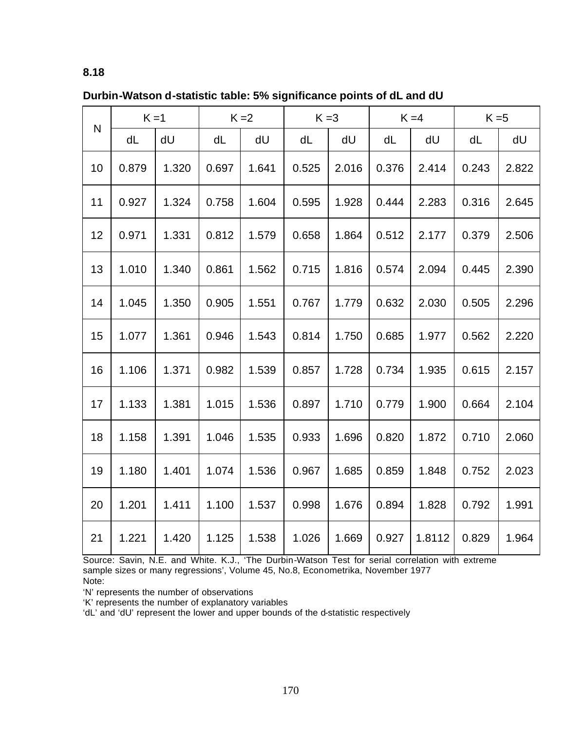| Durbin-Watson d-statistic table: 5% significance points of dL and dU |  |  |  |  |  |
|----------------------------------------------------------------------|--|--|--|--|--|
|----------------------------------------------------------------------|--|--|--|--|--|

| N  | $K = 1$ |       | $K = 2$ |       | $K = 3$ |       | $K = 4$ |        | $K = 5$ |       |
|----|---------|-------|---------|-------|---------|-------|---------|--------|---------|-------|
|    | dL      | dU    | dL      | dU    | dL      | dU    | dL      | dU     | dL      | dU    |
| 10 | 0.879   | 1.320 | 0.697   | 1.641 | 0.525   | 2.016 | 0.376   | 2.414  | 0.243   | 2.822 |
| 11 | 0.927   | 1.324 | 0.758   | 1.604 | 0.595   | 1.928 | 0.444   | 2.283  | 0.316   | 2.645 |
| 12 | 0.971   | 1.331 | 0.812   | 1.579 | 0.658   | 1.864 | 0.512   | 2.177  | 0.379   | 2.506 |
| 13 | 1.010   | 1.340 | 0.861   | 1.562 | 0.715   | 1.816 | 0.574   | 2.094  | 0.445   | 2.390 |
| 14 | 1.045   | 1.350 | 0.905   | 1.551 | 0.767   | 1.779 | 0.632   | 2.030  | 0.505   | 2.296 |
| 15 | 1.077   | 1.361 | 0.946   | 1.543 | 0.814   | 1.750 | 0.685   | 1.977  | 0.562   | 2.220 |
| 16 | 1.106   | 1.371 | 0.982   | 1.539 | 0.857   | 1.728 | 0.734   | 1.935  | 0.615   | 2.157 |
| 17 | 1.133   | 1.381 | 1.015   | 1.536 | 0.897   | 1.710 | 0.779   | 1.900  | 0.664   | 2.104 |
| 18 | 1.158   | 1.391 | 1.046   | 1.535 | 0.933   | 1.696 | 0.820   | 1.872  | 0.710   | 2.060 |
| 19 | 1.180   | 1.401 | 1.074   | 1.536 | 0.967   | 1.685 | 0.859   | 1.848  | 0.752   | 2.023 |
| 20 | 1.201   | 1.411 | 1.100   | 1.537 | 0.998   | 1.676 | 0.894   | 1.828  | 0.792   | 1.991 |
| 21 | 1.221   | 1.420 | 1.125   | 1.538 | 1.026   | 1.669 | 0.927   | 1.8112 | 0.829   | 1.964 |

Source: Savin, N.E. and White. K.J., 'The Durbin-Watson Test for serial correlation with extreme sample sizes or many regressions', Volume 45, No.8, Econometrika, November 1977 Note:

'N' represents the number of observations

'K' represents the number of explanatory variables

'dL' and 'dU' represent the lower and upper bounds of the d-statistic respectively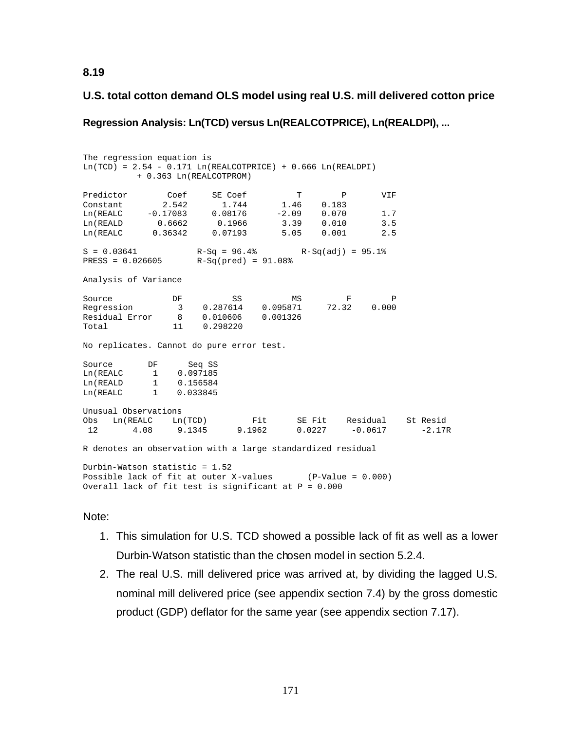## **U.S. total cotton demand OLS model using real U.S. mill delivered cotton price**

**Regression Analysis: Ln(TCD) versus Ln(REALCOTPRICE), Ln(REALDPI), ...**

The regression equation is  $Ln(TCD) = 2.54 - 0.171 Ln(REALCOTPRICE) + 0.666 Ln(REALDPI)$  + 0.363 Ln(REALCOTPROM) Predictor Coef SE Coef T P VIF Constant 2.542 1.744 1.46 0.183 Ln(REALC -0.17083 0.08176 -2.09 0.070 1.7 Ln(REALD 0.6662 0.1966 3.39 0.010 3.5 Ln(REALC 0.36342 0.07193 5.05 0.001 2.5  $S = 0.03641$   $R-Sq = 96.4%$   $R-Sq(adj) = 95.1%$ <br> $RESS = 0.026605$   $R-Sq(pred) = 91.08%$  $R-Sq(pred) = 91.08%$ Analysis of Variance Source **DF** SS MS F P Regression 3 0.287614 0.095871 72.32 0.000 Residual Error 8 0.010606 0.001326  $0.298220$ No replicates. Cannot do pure error test. Source DF Seq SS Ln(REALC 1 0.097185 Ln(REALD 1 0.156584 Ln(REALC 1 0.033845 Unusual Observations<br>Obs Ln(REALC Ln(TCD) Obs Ln(REALC Ln(TCD) Fit SE Fit Residual St Resid 12 4.08 9.1345 9.1962 0.0227 -0.0617 -2.17R R denotes an observation with a large standardized residual Durbin-Watson statistic = 1.52 Possible lack of fit at outer X-values (P-Value = 0.000) Overall lack of fit test is significant at P = 0.000

## Note:

- 1. This simulation for U.S. TCD showed a possible lack of fit as well as a lower Durbin-Watson statistic than the chosen model in section 5.2.4.
- 2. The real U.S. mill delivered price was arrived at, by dividing the lagged U.S. nominal mill delivered price (see appendix section 7.4) by the gross domestic product (GDP) deflator for the same year (see appendix section 7.17).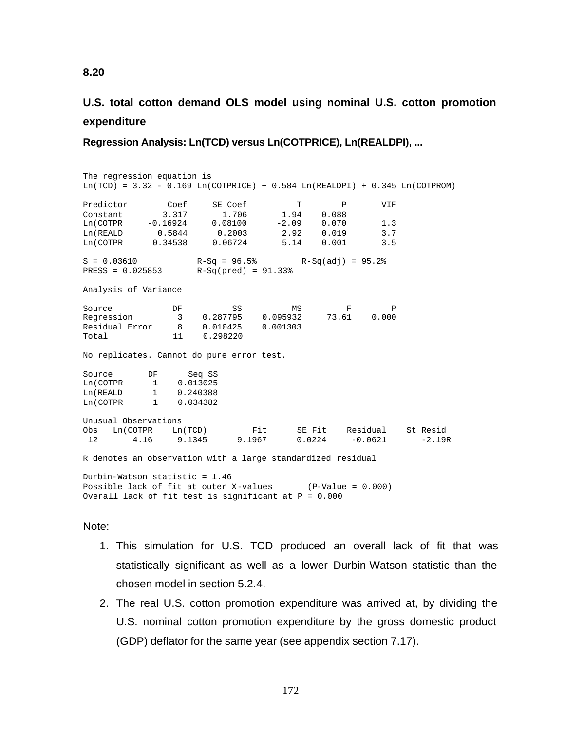# **U.S. total cotton demand OLS model using nominal U.S. cotton promotion expenditure**

**Regression Analysis: Ln(TCD) versus Ln(COTPRICE), Ln(REALDPI), ...**

The regression equation is  $Ln(TCD) = 3.32 - 0.169$   $Ln(COTPRICE) + 0.584$   $Ln(REALDPI) + 0.345$   $Ln(COTPROM)$ Predictor Coef SE Coef T P VIF Constant 3.317 1.706 1.94 0.088 Ln(COTPR -0.16924 0.08100 -2.09 0.070 1.3 Ln(REALD 0.5844 0.2003 2.92 0.019 3.7 Ln(COTPR 0.34538 0.06724 5.14 0.001 3.5  $S = 0.03610$  R-Sq = 96.5% R-Sq(adj) = 95.2% PRESS = 0.025853 R-Sq(pred) = 91.33% Analysis of Variance Source **DF** SS MS F P Regression 3 0.287795 0.095932 73.61 0.000 Residual Error 8 0.010425 0.001303 Total 11 0.298 No replicates. Cannot do pure error test. Source DF Seq SS Ln(COTPR 1 0.013025 Ln(REALD 1 0.240388 Ln(COTPR 1 0.034382 Unusual Observations<br>Obs Ln(COTPR Ln(TCD) Obs Ln(COTPR Ln(TCD) Fit SE Fit Residual St Resid 12 4.16 9.1345 9.1967 0.0224 -0.0621 -2.19R R denotes an observation with a large standardized residual Durbin-Watson statistic = 1.46 Possible lack of fit at outer X-values (P-Value = 0.000) Overall lack of fit test is significant at  $P = 0.000$ 

### Note:

- 1. This simulation for U.S. TCD produced an overall lack of fit that was statistically significant as well as a lower Durbin-Watson statistic than the chosen model in section 5.2.4.
- 2. The real U.S. cotton promotion expenditure was arrived at, by dividing the U.S. nominal cotton promotion expenditure by the gross domestic product (GDP) deflator for the same year (see appendix section 7.17).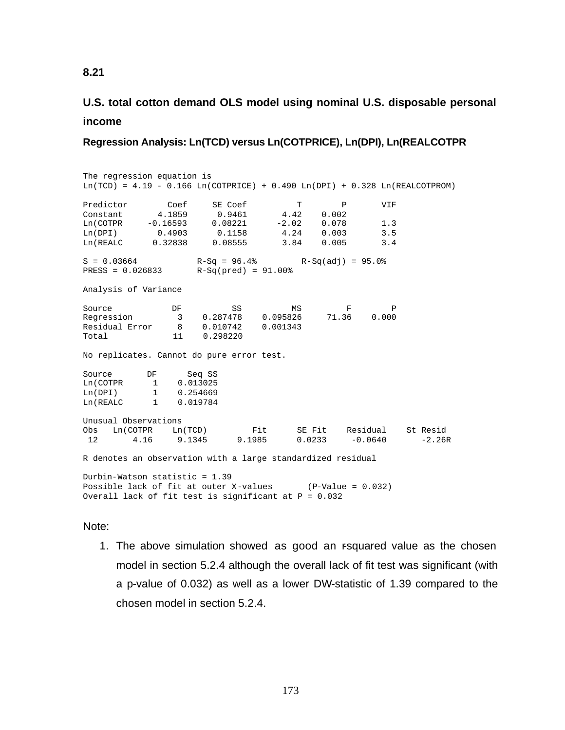# **U.S. total cotton demand OLS model using nominal U.S. disposable personal income**

### **Regression Analysis: Ln(TCD) versus Ln(COTPRICE), Ln(DPI), Ln(REALCOTPR**

The regression equation is  $Ln(TCD) = 4.19 - 0.166$   $Ln(COTPRICE) + 0.490$   $Ln(DPI) + 0.328$   $Ln(REALCOTPROM)$ Predictor Coef SE Coef T P VIF Constant 4.1859 0.9461 4.42 0.002 Ln(COTPR -0.16593 0.08221 -2.02 0.078 1.3 Ln(DPI) 0.4903 0.1158 4.24 0.003 3.5 Ln(REALC 0.32838 0.08555 3.84 0.005 3.4  $S = 0.03664$  R-Sq = 96.4% R-Sq(adj) = 95.0% PRESS = 0.026833 R-Sq(pred) = 91.00% Analysis of Variance Source **DF** SS MS F P Regression 3 0.287478 0.095826 71.36 0.000 Residual Error 8 0.010742 0.001343 Total 11 0.298 No replicates. Cannot do pure error test. Source DF Seq SS Ln(COTPR 1 0.013025 Ln(DPI) 1 0.254669 Ln(REALC 1 0.019784 Unusual Observations<br>Obs Ln(COTPR Ln(TCD) Obs Ln(COTPR Ln(TCD) Fit SE Fit Residual St Resid 12 4.16 9.1345 9.1985 0.0233 -0.0640 -2.26R R denotes an observation with a large standardized residual Durbin-Watson statistic = 1.39 Possible lack of fit at outer X-values (P-Value = 0.032) Overall lack of fit test is significant at  $P = 0.032$ 

### Note:

1. The above simulation showed as good an rsquared value as the chosen model in section 5.2.4 although the overall lack of fit test was significant (with a p-value of 0.032) as well as a lower DW-statistic of 1.39 compared to the chosen model in section 5.2.4.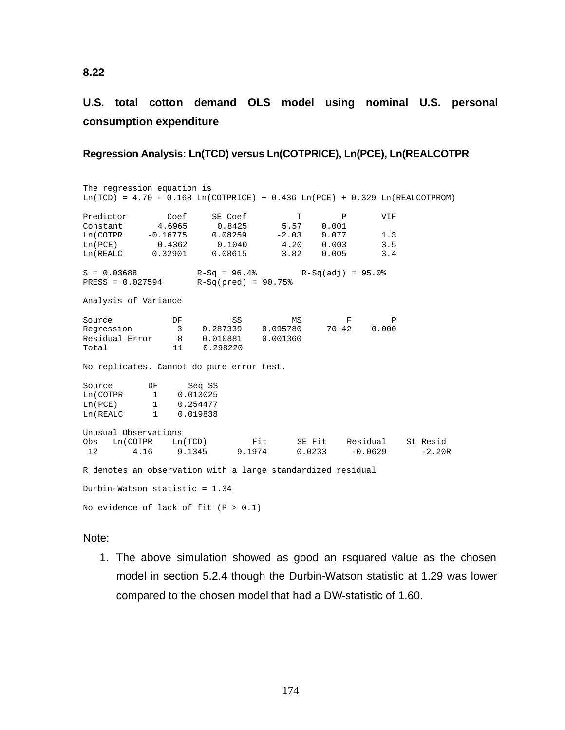# **U.S. total cotton demand OLS model using nominal U.S. personal consumption expenditure**

### **Regression Analysis: Ln(TCD) versus Ln(COTPRICE), Ln(PCE), Ln(REALCOTPR**

The regression equation is  $Ln(TCD) = 4.70 - 0.168$   $Ln(COTPRICE) + 0.436$   $Ln(PCE) + 0.329$   $Ln(REALCOTPROM)$ Predictor Coef SE Coef T P VIF Constant 4.6965 0.8425 5.57 0.001 Ln(COTPR -0.16775 0.08259 -2.03 0.077 1.3 Constant 4.0905 0.03259 -2.03 0.077 1.3<br>
Ln(COTPR -0.16775 0.08259 -2.03 0.077 1.3<br>
Ln(PCE) 0.4362 0.1040 4.20 0.003 3.5<br>
Ln(REALC 0.32901 0.08615 3.82 0.005 3.4  $0.732$  0.32901  $S = 0.03688$ <br>  $R-Sq = 96.4%$ <br>  $R-Sq(30.027594)$ <br>  $R-Sq(pred) = 90.75%$ <br>  $R-Sq(40.027594)$  $R-Sq(pred) = 90.75%$ Analysis of Variance Source **DF** SS MS F P Regression 3 0.287339 0.095780 70.42 0.000 Regression 3 0.287339 0.095780<br>Residual Error 8 0.010881 0.001360<br>Total 11 0.298220 0.298220 No replicates. Cannot do pure error test. Source DF Seq SS<br>
Ln(COTPR 1 0.013025 Ln(COTPR 1 0.013025<br>
Ln(PCE) 1 0.254477<br>
Ln(REALC 1 0.019838 1 0.254477 1 0.019838 Unusual Observations Obs Ln(COTPR Ln(TCD) Fit SE Fit Residual St Resid 12 4.16 9.1345 9.1974 0.0233 -0.0629 R denotes an observation with a large standardized residual Durbin-Watson statistic = 1.34 No evidence of lack of fit  $(P > 0.1)$ 

### Note:

1. The above simulation showed as good an rsquared value as the chosen model in section 5.2.4 though the Durbin-Watson statistic at 1.29 was lower compared to the chosen model that had a DW-statistic of 1.60.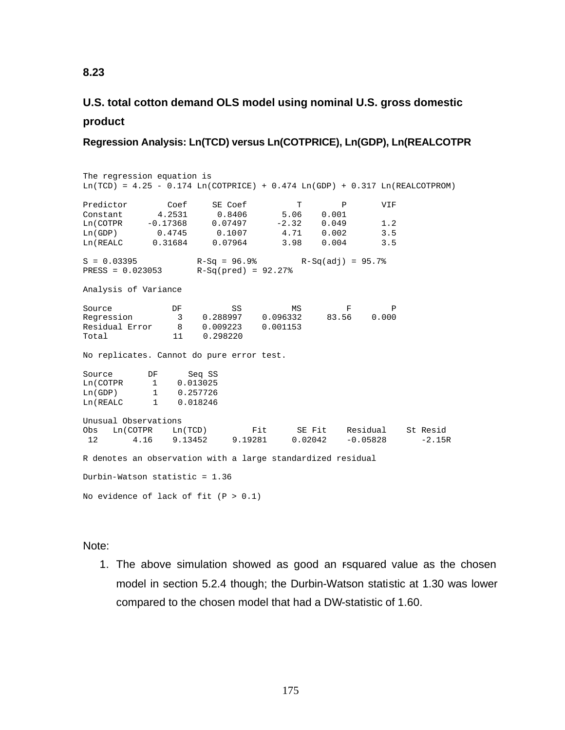# **U.S. total cotton demand OLS model using nominal U.S. gross domestic product**

**Regression Analysis: Ln(TCD) versus Ln(COTPRICE), Ln(GDP), Ln(REALCOTPR**

The regression equation is  $Ln(TCD) = 4.25 - 0.174$   $Ln(COTPRICE) + 0.474$   $Ln(GDP) + 0.317$   $Ln(REALCCTPROM)$ Predictor Coef SE Coef T P VIF Constant 4.2531 0.8406 5.06 0.001 Ln(COTPR -0.17368 0.07497 -2.32 0.049 1.2 Ln(GDP) 0.4745 0.1007 4.71 0.002 3.5 Ln(REALC 0.31684 0.07964 3.98 0.004 3.5  $S = 0.03395$  R-Sq = 96.9% R-Sq(adj) = 95.7% PRESS = 0.023053 R-Sq(pred) = 92.27% Analysis of Variance Source **DF** SS MS F P Regression 3 0.288997 0.096332 83.56 0.000 Residual Error 8 0.009223 0.001153 Total 11 0.298220 No replicates. Cannot do pure error test. Source DF Seq SS Ln(COTPR 1 0.013025 Ln(GDP) 1 0.257726 Ln(REALC 1 0.018246 Unusual Observations<br>Obs Ln(COTPR Ln(TCD) Fit SE Fit Residual St Resid<br>9.19281 0.02042 -0.05828 -2.15 12 4.16 9.13452 9.19281 0.02042 -0.05828 -2.15R R denotes an observation with a large standardized residual Durbin-Watson statistic = 1.36 No evidence of lack of fit  $(P > 0.1)$ 

Note:

1. The above simulation showed as good an rsquared value as the chosen model in section 5.2.4 though; the Durbin-Watson statistic at 1.30 was lower compared to the chosen model that had a DW-statistic of 1.60.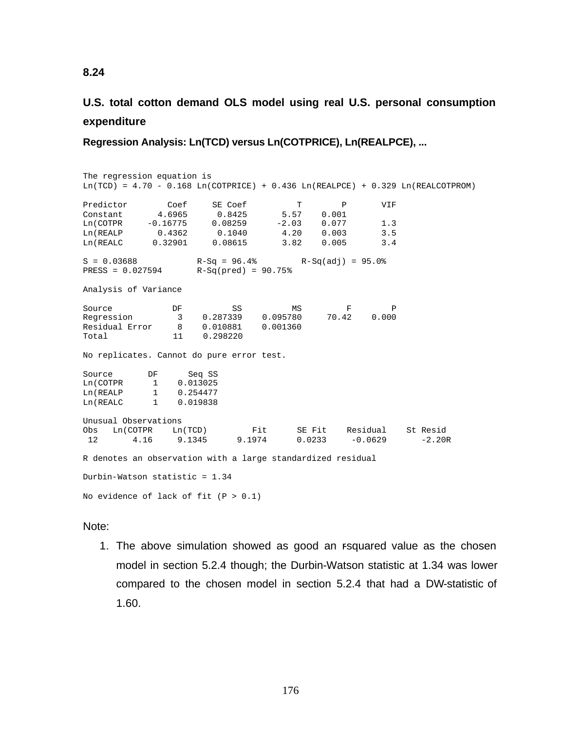# **U.S. total cotton demand OLS model using real U.S. personal consumption expenditure**

**Regression Analysis: Ln(TCD) versus Ln(COTPRICE), Ln(REALPCE), ...**

The regression equation is  $Ln(TCD) = 4.70 - 0.168$   $Ln(COTPRICE) + 0.436$   $Ln(REALPCE) + 0.329$   $Ln(REALCOTPROM)$ Predictor Coef SE Coef T P VIF Constant 4.6965 0.8425 5.57 0.001 Ln(COTPR -0.16775 0.08259 -2.03 0.077 1.3 Ln(REALP 0.4362 0.1040 4.20 0.003 3.5 Ln(REALC 0.32901 0.08615 3.82 0.005 3.4  $S = 0.03688$ <br>  $R-Sq = 96.4%$ <br>  $R-Sq(30.027594)$ <br>  $R-Sq(pred) = 90.75%$  $PRESS = 0.027594$ Analysis of Variance Source **DF** SS MS F P Regression 3 0.287339 0.095780 70.42 0.000 Residual Error 8 0.010881 0.001360 Total 11 0.298220 No replicates. Cannot do pure error test. Source DF Seq SS Ln(COTPR 1 0.013025 Ln(REALP 1 0.254477 Ln(REALC 1 0.019838 Unusual Observations<br>Obs Ln(COTPR Ln(TCD) Fit SEFit Residual StResid<br>9.1974 0.0233 -0.0629 -2.201 12 4.16 9.1345 9.1974 0.0233 -0.0629 -2.20R R denotes an observation with a large standardized residual Durbin-Watson statistic = 1.34 No evidence of lack of fit  $(P > 0.1)$ 

### Note:

1. The above simulation showed as good an rsquared value as the chosen model in section 5.2.4 though; the Durbin-Watson statistic at 1.34 was lower compared to the chosen model in section 5.2.4 that had a DW-statistic of 1.60.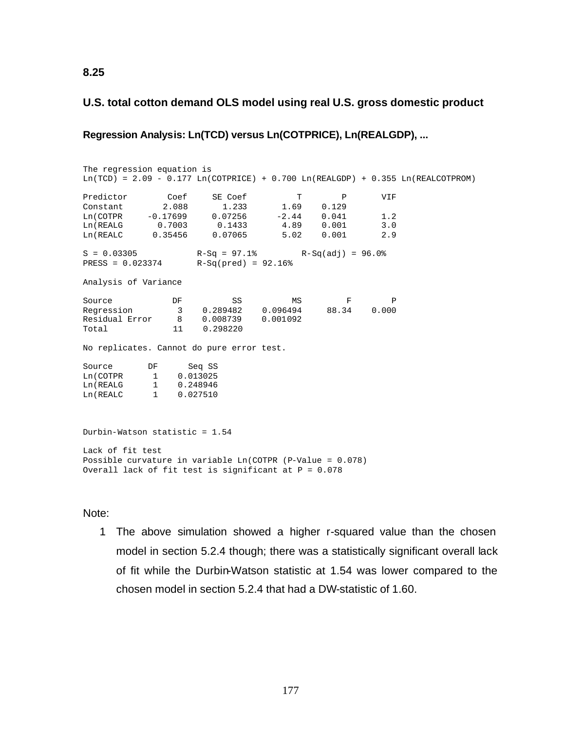## **U.S. total cotton demand OLS model using real U.S. gross domestic product**

## **Regression Analysis: Ln(TCD) versus Ln(COTPRICE), Ln(REALGDP), ...**

The regression equation is Ln(TCD) =  $2.09 - 0.177$  Ln(COTPRICE) + 0.700 Ln(REALGDP) + 0.355 Ln(REALCOTPROM) Predictor Coef SE Coef T P VIF Constant 2.088 1.233 1.69 0.129 Ln(COTPR -0.17699 0.07256 -2.44 0.041 1.2<br>
Ln(REALG 0.7003 0.1433 4.89 0.001 3.0 Ln(REALG 0.7003 0.1433 4.89 0.001 3.0 Ln(REALC 0.35456 0.07065 5.02 0.001 2.9  $S = 0.03305$ <br>  $R-Sq = 97.1%$ <br>  $R-Sq(168) = 92.16%$ <br>  $R-Sq(23374) = 96.0%$  $R-Sq(pred) = 92.16%$ Analysis of Variance Source DF SS MS F P<br>Regression 3 0.289482 0.096494 88.34 0.000  $R = \begin{bmatrix} 3 & 0.289482 & 0.096494 & 88.34 & 0.0001092 \end{bmatrix}$ Residual Error 8<br>Total 11 Total 11 0.298220 No replicates. Cannot do pure error test. Source DF Seq SS Ln(COTPR 1 0.013025 Ln(REALG 1 0.248946 Ln(REALC 1 0.027510 Durbin-Watson statistic = 1.54 Lack of fit test Possible curvature in variable Ln(COTPR (P-Value = 0.078) Overall lack of fit test is significant at P = 0.078

### Note:

1 The above simulation showed a higher r-squared value than the chosen model in section 5.2.4 though; there was a statistically significant overall lack of fit while the Durbin-Watson statistic at 1.54 was lower compared to the chosen model in section 5.2.4 that had a DW-statistic of 1.60.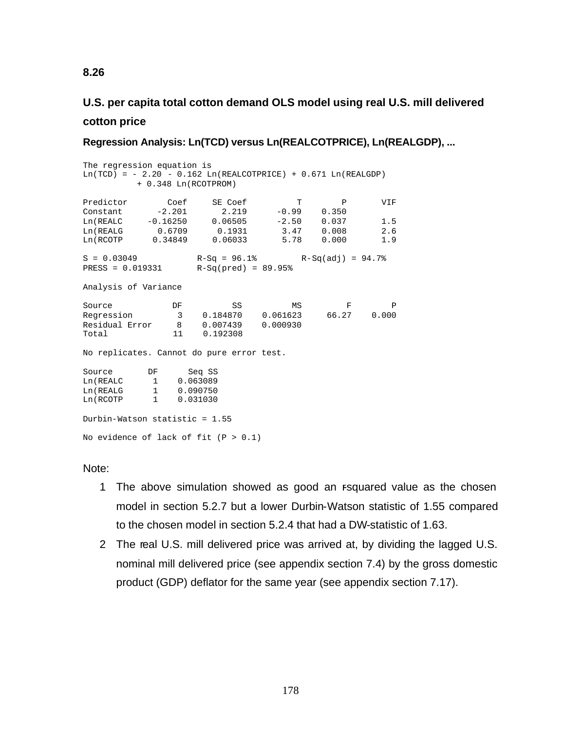# **U.S. per capita total cotton demand OLS model using real U.S. mill delivered cotton price**

**Regression Analysis: Ln(TCD) versus Ln(REALCOTPRICE), Ln(REALGDP), ...**

The regression equation is  $Ln(TCD) = -2.20 - 0.162 Ln(REALCOTPRICE) + 0.671 Ln(REALGDP)$  + 0.348 Ln(RCOTPROM) Predictor Coef SE Coef T P VIF Constant -2.201 2.219 -0.99 0.350 Ln(REALC -0.16250 0.06505 -2.50 0.037 1.5 Ln(REALG 0.6709 0.1931 3.47 0.008 2.6 Ln(REALG 0.6709 0.1931 3.47 0.008 2.6<br>
Ln(RCOTP 0.34849 0.06033 5.78 0.000 1.9  $S = 0.03049$  R-Sq = 96.1% R-Sq(adj) = 94.7% PRESS = 0.019331 R-Sq(pred) = 89.95% Analysis of Variance Source **DF** SS MS F P Regression 3 0.184870 0.061623 66.27 0.000 Residual Error 8 0.007439 0.000930 Total 11 0.192308 No replicates. Cannot do pure error test. Source DF Seq SS Ln(REALC 1 0.063089 Ln(REALG 1 0.090750 Ln(RCOTP 1 0.031030 Durbin-Watson statistic = 1.55

Note:

No evidence of lack of fit  $(P > 0.1)$ 

- 1 The above simulation showed as good an rsquared value as the chosen model in section 5.2.7 but a lower Durbin-Watson statistic of 1.55 compared to the chosen model in section 5.2.4 that had a DW-statistic of 1.63.
- 2 The real U.S. mill delivered price was arrived at, by dividing the lagged U.S. nominal mill delivered price (see appendix section 7.4) by the gross domestic product (GDP) deflator for the same year (see appendix section 7.17).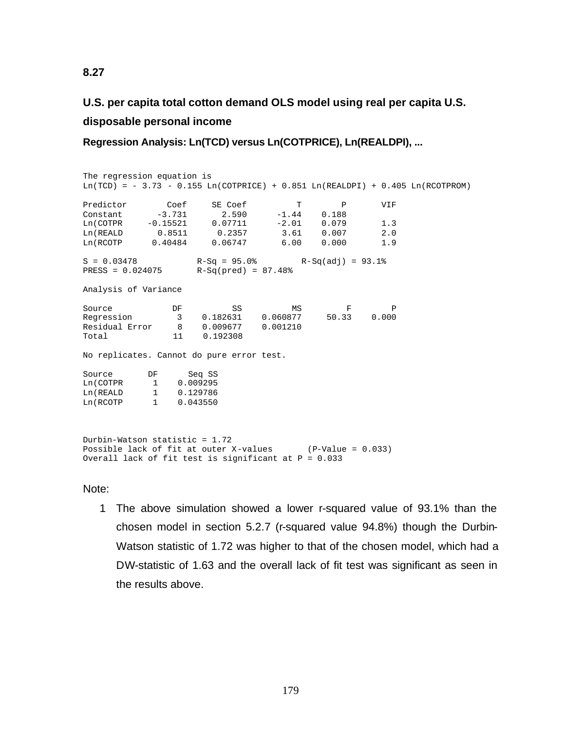# **U.S. per capita total cotton demand OLS model using real per capita U.S. disposable personal income**

**Regression Analysis: Ln(TCD) versus Ln(COTPRICE), Ln(REALDPI), ...**

The regression equation is  $Ln(TCD) = -3.73 - 0.155 Ln(COTPRICE) + 0.851 Ln(REALDFI) + 0.405 Ln(RCOTPROM)$ Predictor Coef SE Coef T P VIF Constant -3.731 2.590 -1.44 0.188 Ln(COTPR -0.15521 0.07711 -2.01 0.079 1.3 Ln(REALD 0.8511 0.2357 3.61 0.007 2.0 Ln(RCOTP 0.40484 0.06747 6.00 0.000 1.9  $S = 0.03478$  R-Sq = 95.0% R-Sq(adj) = 93.1% PRESS = 0.024075 R-Sq(pred) = 87.48% Analysis of Variance Source **DF** SS MS F P Regression 3 0.182631 0.060877 50.33 0.000 Residual Error 8 0.009677 0.001210 Total 11 0.192308 No replicates. Cannot do pure error test. Source DF Seq SS Ln(COTPR 1 0.009295 Ln(REALD 1 0.129786 Ln(RCOTP 1 0.043550 Durbin-Watson statistic = 1.72 Possible lack of fit at outer X-values (P-Value = 0.033) Overall lack of fit test is significant at  $P = 0.033$ 

Note:

1 The above simulation showed a lower r-squared value of 93.1% than the chosen model in section 5.2.7 (r-squared value 94.8%) though the Durbin-Watson statistic of 1.72 was higher to that of the chosen model, which had a DW-statistic of 1.63 and the overall lack of fit test was significant as seen in the results above.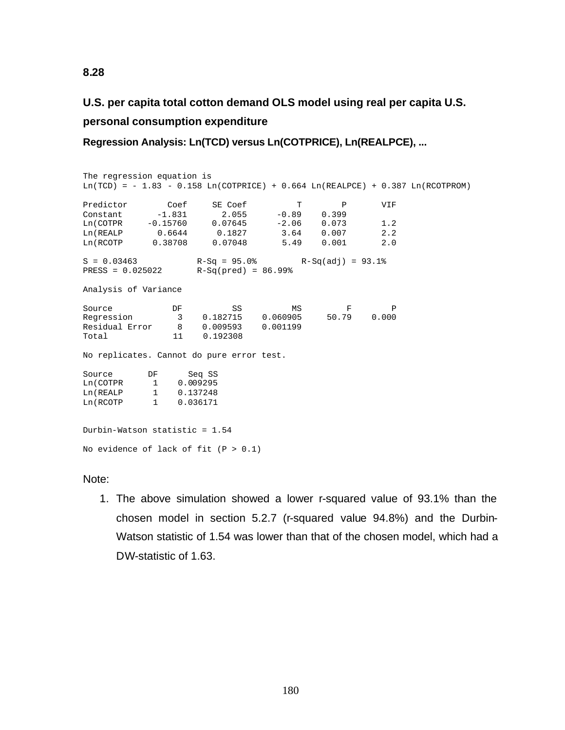# **U.S. per capita total cotton demand OLS model using real per capita U.S. personal consumption expenditure**

**Regression Analysis: Ln(TCD) versus Ln(COTPRICE), Ln(REALPCE), ...**

The regression equation is Ln(TCD) =  $- 1.83 - 0.158$  Ln(COTPRICE) + 0.664 Ln(REALPCE) + 0.387 Ln(RCOTPROM) Predictor Coef SE Coef T P VIF Constant -1.831 2.055 -0.89 0.399 Ln(COTPR -0.15760 0.07645 -2.06 0.073 1.2 Ln(REALP 0.6644 0.1827 3.64 0.007 2.2 Ln(RCOTP 0.38708 0.07048 5.49 0.001 2.0  $S = 0.03463$  R-Sq = 95.0% R-Sq(adj) = 93.1% PRESS = 0.025022 R-Sq(pred) = 86.99% Analysis of Variance Source **DF** SS MS F P Regression 3 0.182715 0.060905 50.79 0.000 Residual Error 8 0.009593 0.001199 Total 11 0.192308 No replicates. Cannot do pure error test. Source DF Seq SS Ln(COTPR 1 0.009295 Ln(REALP 1 0.137248 Ln(RCOTP 1 0.036171 Durbin-Watson statistic = 1.54 No evidence of lack of fit  $(P > 0.1)$ 

Note:

1. The above simulation showed a lower r-squared value of 93.1% than the chosen model in section 5.2.7 (r-squared value 94.8%) and the Durbin-Watson statistic of 1.54 was lower than that of the chosen model, which had a DW-statistic of 1.63.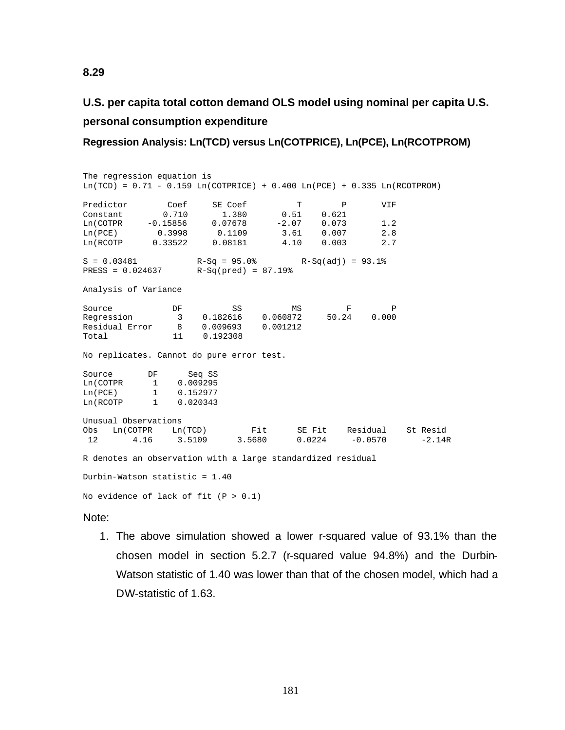# **U.S. per capita total cotton demand OLS model using nominal per capita U.S. personal consumption expenditure**

**Regression Analysis: Ln(TCD) versus Ln(COTPRICE), Ln(PCE), Ln(RCOTPROM)**

The regression equation is  $Ln(TCD) = 0.71 - 0.159$   $Ln(COTPRICE) + 0.400$   $Ln(PCE) + 0.335$   $Ln(RCOTPROM)$ Predictor Coef SE Coef T P VIF Constant 0.710 1.380 0.51 0.621 Ln(COTPR -0.15856 0.07678 -2.07 0.073 1.2 Ln(PCE) 0.3998 0.1109 3.61 0.007 2.8 Ln(RCOTP 0.33522 0.08181 4.10 0.003 2.7  $S = 0.03481$  R-Sq = 95.0% R-Sq(adj) = 93.1% PRESS = 0.024637 R-Sq(pred) = 87.19% Analysis of Variance Source **DF** SS MS F P Regression 3 0.182616 0.060872 50.24 0.000 Residual Error 8 0.009693 0.001212 Total 11 0.192308 No replicates. Cannot do pure error test. Source DF Seq SS<br>
Ln(COTPR 1 0.009295 Ln(COTPR 1 0.009295 Ln(PCE) 1 0.152977 Ln(RCOTP 1 0.020343 Unusual Observations<br>Obs Ln(COTPR Ln(TCD) Fit SE Fit Residual St Resid<br>3.5680 0.0224 -0.0570 -2.14F 12 4.16 3.5109 3.5680 0.0224 -0.0570 -2.14R R denotes an observation with a large standardized residual Durbin-Watson statistic = 1.40 No evidence of lack of fit  $(P > 0.1)$ 

### Note:

1. The above simulation showed a lower r-squared value of 93.1% than the chosen model in section 5.2.7 (r-squared value 94.8%) and the Durbin-Watson statistic of 1.40 was lower than that of the chosen model, which had a DW-statistic of 1.63.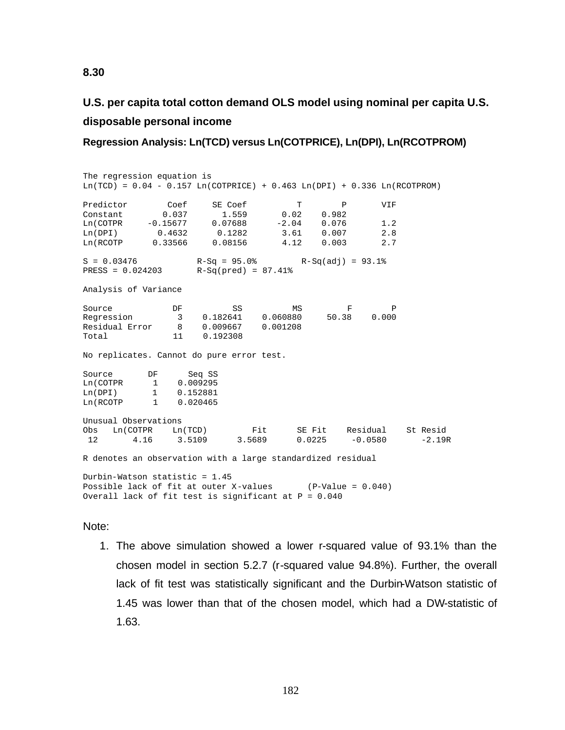# **U.S. per capita total cotton demand OLS model using nominal per capita U.S. disposable personal income**

**Regression Analysis: Ln(TCD) versus Ln(COTPRICE), Ln(DPI), Ln(RCOTPROM)**

The regression equation is  $Ln(TCD) = 0.04 - 0.157$   $Ln(COTPRICE) + 0.463$   $Ln(DPI) + 0.336$   $Ln(RCOTPROM)$ Predictor Coef SE Coef T P VIF Constant 0.037 1.559 0.02 0.982 Ln(COTPR -0.15677 0.07688 -2.04 0.076 1.2 Ln(DPI) 0.4632 0.1282 3.61 0.007 2.8 Ln(RCOTP 0.33566 0.08156 4.12 0.003 2.7  $S = 0.03476$  R-Sq = 95.0% R-Sq(adj) = 93.1% PRESS = 0.024203 R-Sq(pred) = 87.41% Analysis of Variance Source **DF** SS MS F P Regression 3 0.182641 0.060880 50.38 0.000 Residual Error 8 0.009667 0.001208 Total 11 0.1923 No replicates. Cannot do pure error test. Source DF Seq SS Ln(COTPR 1 0.009295 Ln(DPI) 1 0.152881 Ln(RCOTP 1 0.020465 Unusual Observations<br>Obs Ln(COTPR Ln(TCD) Fit SE Fit Residual St Resid 12 4.16 3.5109 3.5689 0.0225 -0.0580 -2.19R R denotes an observation with a large standardized residual Durbin-Watson statistic = 1.45 Possible lack of fit at outer X-values (P-Value = 0.040) Overall lack of fit test is significant at  $P = 0.040$ 

### Note:

1. The above simulation showed a lower r-squared value of 93.1% than the chosen model in section 5.2.7 (r-squared value 94.8%). Further, the overall lack of fit test was statistically significant and the Durbin-Watson statistic of 1.45 was lower than that of the chosen model, which had a DW-statistic of 1.63.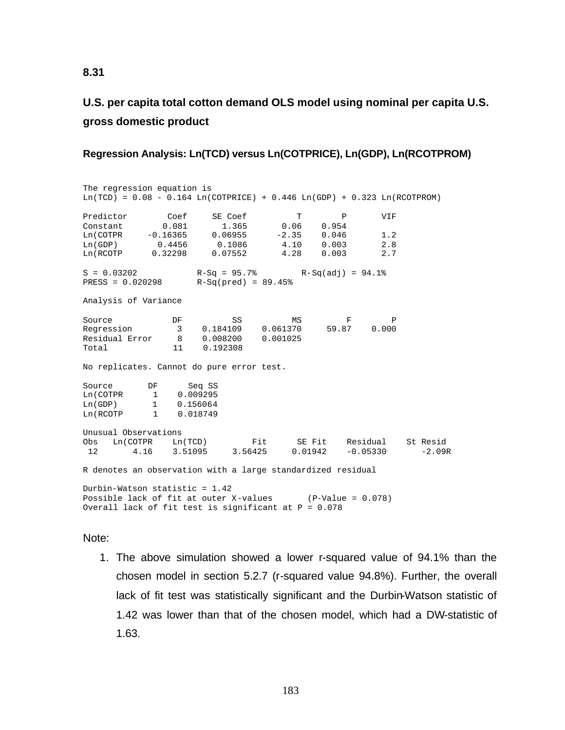# **U.S. per capita total cotton demand OLS model using nominal per capita U.S. gross domestic product**

### **Regression Analysis: Ln(TCD) versus Ln(COTPRICE), Ln(GDP), Ln(RCOTPROM)**

The regression equation is  $Ln(TCD) = 0.08 - 0.164$   $Ln(COTPRICE) + 0.446$   $Ln(GDP) + 0.323$   $Ln(RCOTPROM)$ Predictor Coef SE Coef T P VIF Constant 0.081 1.365 0.06 0.954 Ln(COTPR -0.16365 0.06955 -2.35 0.046 1.2 Ln(GDP) 0.4456 0.1086 4.10 0.003 2.8 Ln(RCOTP 0.32298 0.07552 4.28 0.003 2.7  $S = 0.03202$   $R-Sq = 95.7%$   $R-Sq(adj) = 94.1%$ <br>PRESS = 0.020298  $R-Sq(pred) = 89.45%$  $R-Sq(pred) = 89.45%$ Analysis of Variance Source **DF** SS MS F P Regression 3 0.184109 0.061370 59.87 0.000 External Regression<br>
Residual Error 8 0.008200 0.001025<br>
Total 11 0.192308 0.192308 No replicates. Cannot do pure error test. Source DF Seq SS Ln(COTPR 1 0.009295 Ln(GDP) 1 0.156064<br>
Ln(RCOTP 1 0.018749 1 0.018749 Unusual Observations<br>Obs Ln(COTPR Ln(TCD) Obs Ln(COTPR Ln(TCD) Fit SE Fit Residual St Resid 12 4.16 3.51095 3.56425 0.01942 -0.05330 -2.09R R denotes an observation with a large standardized residual Durbin-Watson statistic = 1.42 Possible lack of fit at outer X-values (P-Value = 0.078) Overall lack of fit test is significant at P = 0.078

### Note:

1. The above simulation showed a lower r-squared value of 94.1% than the chosen model in section 5.2.7 (r-squared value 94.8%). Further, the overall lack of fit test was statistically significant and the Durbin-Watson statistic of 1.42 was lower than that of the chosen model, which had a DW-statistic of 1.63.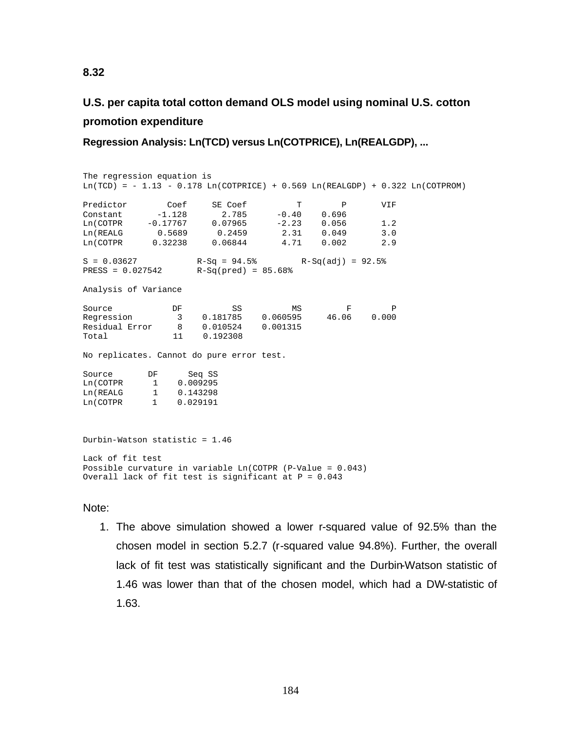# **U.S. per capita total cotton demand OLS model using nominal U.S. cotton promotion expenditure**

**Regression Analysis: Ln(TCD) versus Ln(COTPRICE), Ln(REALGDP), ...**

The regression equation is  $Ln(TCD) = -1.13 - 0.178$   $Ln(COTPRICE) + 0.569$   $Ln(REALGDP) + 0.322$   $Ln(COTPROM)$ Predictor Coef SE Coef T P VIF Constant -1.128 2.785 -0.40 0.696 Ln(COTPR -0.17767 0.07965 -2.23 0.056 1.2 Ln(REALG 0.5689 0.2459 2.31 0.049 3.0 Ln(COTPR 0.32238 0.06844 4.71 0.002 2.9  $S = 0.03627$  R-Sq = 94.5% R-Sq(adj) = 92.5% PRESS = 0.027542 R-Sq(pred) = 85.68% Analysis of Variance Source **DF** SS MS F P Regression 3 0.181785 0.060595 46.06 0.000 Residual Error 8 0.010524 0.001315 Total 11 0.192308 No replicates. Cannot do pure error test. Source DF Seq SS Ln(COTPR 1 0.009295 Ln(REALG 1 0.143298 Ln(COTPR 1 0.029191 Durbin-Watson statistic = 1.46 Lack of fit test Possible curvature in variable Ln(COTPR (P-Value = 0.043) Overall lack of fit test is significant at  $P = 0.043$ 

## Note:

1. The above simulation showed a lower r-squared value of 92.5% than the chosen model in section 5.2.7 (r-squared value 94.8%). Further, the overall lack of fit test was statistically significant and the Durbin-Watson statistic of 1.46 was lower than that of the chosen model, which had a DW-statistic of 1.63.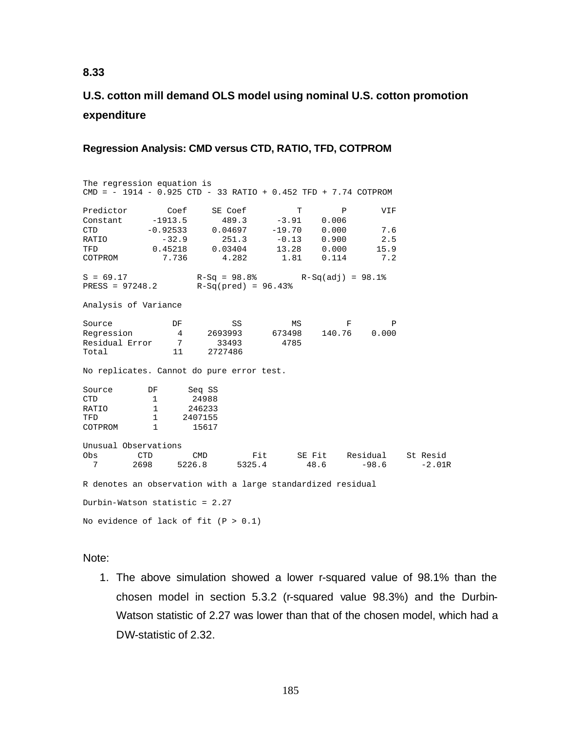# **U.S. cotton mill demand OLS model using nominal U.S. cotton promotion expenditure**

## **Regression Analysis: CMD versus CTD, RATIO, TFD, COTPROM**

The regression equation is CMD = - 1914 - 0.925 CTD - 33 RATIO + 0.452 TFD + 7.74 COTPROM Predictor Coef SE Coef T P VIF Constant -1913.5 489.3 -3.91 0.006 CTD -0.92533 0.04697 -19.70 0.000 7.6 RATIO -32.9 251.3 -0.13 0.900 2.5 TFD 0.45218 0.03404 13.28 0.000 15.9 COTPROM 7.736 4.282 1.81 0.114 7.2  $S = 69.17$  R-Sq = 98.8% R-Sq(adj) = 98.1%  $S = 09.17$ <br>PRESS = 97248.2 R-Sq(pred) = 96.43% Analysis of Variance Source **DF** SS MS F P Regression 4 2693993 673498 140.76 0.000 Residual Error 7 33493 4785 Total 11 2727486 No replicates. Cannot do pure error test. Source DF Seq SS<br>
CTD 1 24988 24988 PATIO 1 246233<br>
PED 1 2407155 TFD 1 2407155<br>
COTPROM 1 15617 COTPROM 1 15617 Unusual Observations Obs CTD CMD Fit SE Fit Residual St Resid 5325.4 R denotes an observation with a large standardized residual Durbin-Watson statistic = 2.27 No evidence of lack of fit  $(P > 0.1)$ 

### Note:

1. The above simulation showed a lower r-squared value of 98.1% than the chosen model in section 5.3.2 (r-squared value 98.3%) and the Durbin-Watson statistic of 2.27 was lower than that of the chosen model, which had a DW-statistic of 2.32.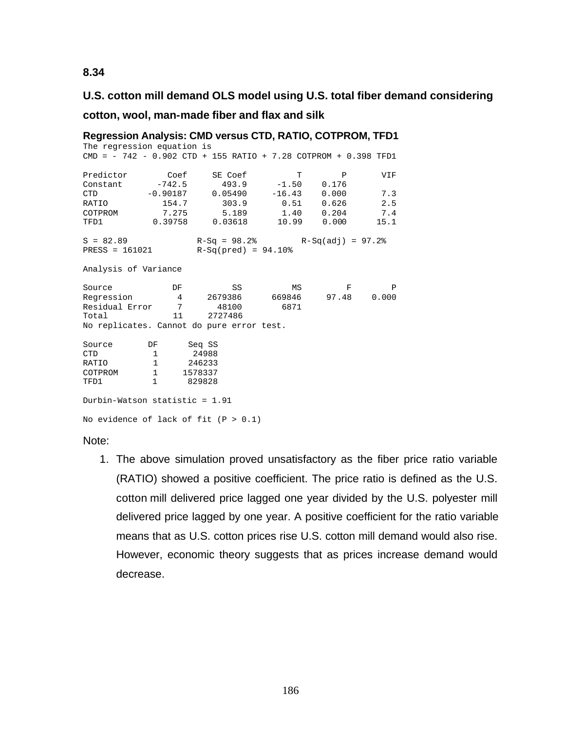## **U.S. cotton mill demand OLS model using U.S. total fiber demand considering**

**cotton, wool, man-made fiber and flax and silk**

The regression equation is CMD = - 742 - 0.902 CTD + 155 RATIO + 7.28 COTPROM + 0.398 TFD1 Predictor Coef SE Coef T P VIF<br>
Constant -742.5 493.9 -1.50 0.176<br>
0.0187 0.05490 -16.43 0.000 7.3<br>
2.5 Constant -742.5 493.9 -1.50 0.176 CTD -0.90187 0.05490 -16.43 0.000 7.3 RATIO 154.7 303.9 0.51 0.626 2.5<br>
COTPROM 7.275 5.189 1.40 0.204 7.4 COTPROM 7.275 5.189 1.40 0.204 7.4 TFD1 0.39758 0.03618 10.99 0.000 15.1  $S = 82.89$  R-Sq = 98.2% R-Sq(adj) = 97.2% PRESS = 161021 R-Sq(pred) = 94.10% Analysis of Variance Source DF SS MS F P<br>Regression 4 2679386 669846 97.48 0.000  $\begin{array}{ccccccc} 2.6 & 0.000 & 0.000 & 0.000 & 0.000 & 0.000 & 0.000 & 0.000 & 0.000 & 0.000 & 0.000 & 0.000 & 0.000 & 0.000 & 0.000 & 0.000 & 0.000 & 0.000 & 0.000 & 0.000 & 0.000 & 0.000 & 0.000 & 0.000 & 0.000 & 0.000 & 0.000 & 0.000 & 0.000 & 0.000 & 0.0$ Residual Error 7 48100<br>Total 11 2727486  $\begin{array}{ccc}\n & \dots & \dots & \dots & \dots & \dots \\
\text{Total} & & & 11\n\end{array}$ No replicates. Cannot do pure error test. Source DF Seq SS<br>
CTD 1 24988 CTD 1 24988<br>RATIO 1 246233 RATIO COTPROM 1 1578337<br>TFD1 1 829828 TFD1 1 829828 Durbin-Watson statistic = 1.91 No evidence of lack of fit  $(P > 0.1)$ 

Note:

1. The above simulation proved unsatisfactory as the fiber price ratio variable (RATIO) showed a positive coefficient. The price ratio is defined as the U.S. cotton mill delivered price lagged one year divided by the U.S. polyester mill delivered price lagged by one year. A positive coefficient for the ratio variable means that as U.S. cotton prices rise U.S. cotton mill demand would also rise. However, economic theory suggests that as prices increase demand would decrease.

# **Regression Analysis: CMD versus CTD, RATIO, COTPROM, TFD1**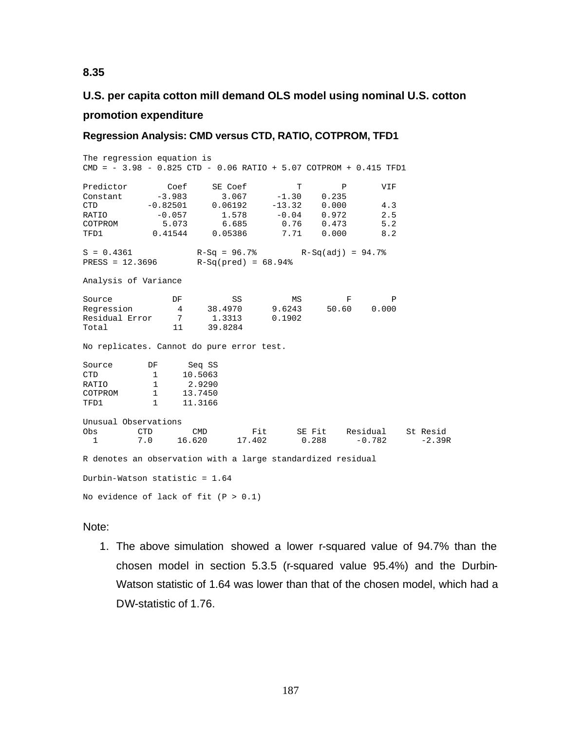# **U.S. per capita cotton mill demand OLS model using nominal U.S. cotton promotion expenditure**

## **Regression Analysis: CMD versus CTD, RATIO, COTPROM, TFD1**

The regression equation is CMD = - 3.98 - 0.825 CTD - 0.06 RATIO + 5.07 COTPROM + 0.415 TFD1 Predictor Coef SE Coef T P VIF<br>Constant -3.983 3.067 -1.30 0.235 Constant -3.983 3.067 -1.30 0.235<br>CTD -0.82501 0.06192 -13.32 0.000 CTD -0.82501 0.06192 -13.32 0.000 4.3 RATIO -0.057 1.578 -0.04 0.972 2.5 COTPROM 5.073 6.685 0.76 0.473 5.2<br>TFD1 0.41544 0.05386 7.71 0.000 8.2 TFD1 0.41544 0.05386 7.71 0.000 8.2  $S = 0.4361$  R-Sq = 96.7% R-Sq(adj) = 94.7% PRESS = 12.3696 R-Sq(pred) = 68.94% Analysis of Variance Source **DF** SS MS F P Regression 4 38.4970 9.6243 50.60 0.000 Residual Error 7 1.3313 0.1902 Total 11 39.8284 No replicates. Cannot do pure error test. Source DF Seq SS<br>
CTD 1 10.5063 CTD 1 10.5063<br>RATIO 1 2.9290 RATIO 1 2.9290<br>COTPROM 1 13.7450 1 13.7450<br>1 11.3166 TFD1 1 11.3166 Unusual Observations Obs CTD CMD Fit SE Fit Residual St Resid<br>1 7.0 16.620 17.402 0.288 -0.782 -2.39R 17.402 R denotes an observation with a large standardized residual Durbin-Watson statistic = 1.64 No evidence of lack of fit  $(P > 0.1)$ 

### Note:

1. The above simulation showed a lower r-squared value of 94.7% than the chosen model in section 5.3.5 (r-squared value 95.4%) and the Durbin-Watson statistic of 1.64 was lower than that of the chosen model, which had a DW-statistic of 1.76.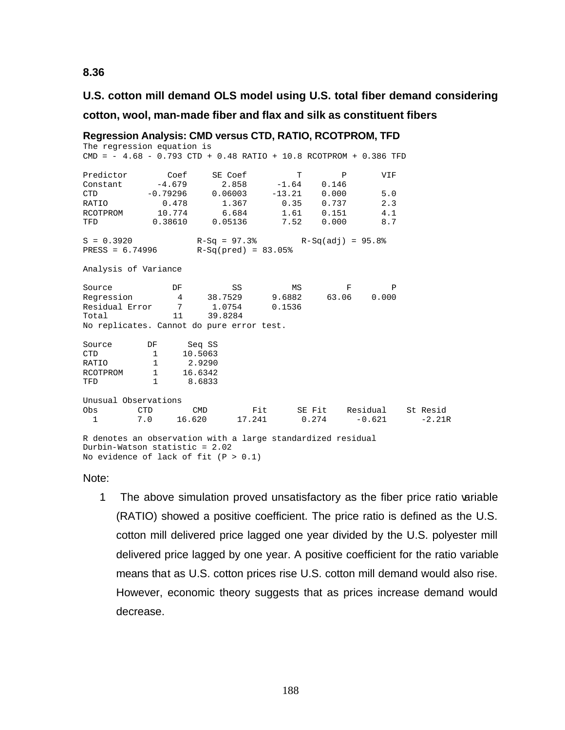## **U.S. cotton mill demand OLS model using U.S. total fiber demand considering**

### **cotton, wool, man-made fiber and flax and silk as constituent fibers**

```
CMD = - 4.68 - 0.793 CTD + 0.48 RATIO + 10.8 RCOTPROM + 0.386 TFD
Predictor Coef SE Coef T P VIF
Constant -4.679 2.858 -1.64 0.146
CTD -0.79296 0.06003 -13.21 0.000 5.0
RATIO 0.478 1.367 0.35 0.737 2.3
RCOTPROM 10.774 6.684 1.61 0.151 4.1
           0.38610 0.05136S = 0.3920 R-Sq = 97.3% R-Sq(adj) = 95.8%
PRESS = 6.74996 R-Sq(pred) = 83.05%
Analysis of Variance
Source DF SS MS F P<br>Regression 4 38.7529 9.6882 63.06 0.000
               Regression 4 38.7529 9.6882 63.06 0.000
Residual Error 7 1.0754 0.1536<br>Total 11 39.8284
Total 11 39.8284
No replicates. Cannot do pure error test.
Source DF Seq SS<br>
CTD 1 10.5063
CTD 1 10.5063<br>RATIO 1 2.9290
RATIO
RCOTPROM 1 16.6342<br>TFD 1 8.6833
TFD 1 8.6833
Unusual Observations<br>Obs CTD CMD
         CTD CMD Fit SE Fit Residual St Resid<br>7.0 16.620 17.241 0.274 -0.621 -2.21R
 1 7.0 16.620
R denotes an observation with a large standardized residual
Durbin-Watson statistic = 2.02
No evidence of lack of fit (P > 0.1)
```
**Regression Analysis: CMD versus CTD, RATIO, RCOTPROM, TFD** The regression equation is

### Note:

1 The above simulation proved unsatisfactory as the fiber price ratio variable (RATIO) showed a positive coefficient. The price ratio is defined as the U.S. cotton mill delivered price lagged one year divided by the U.S. polyester mill delivered price lagged by one year. A positive coefficient for the ratio variable means that as U.S. cotton prices rise U.S. cotton mill demand would also rise. However, economic theory suggests that as prices increase demand would decrease.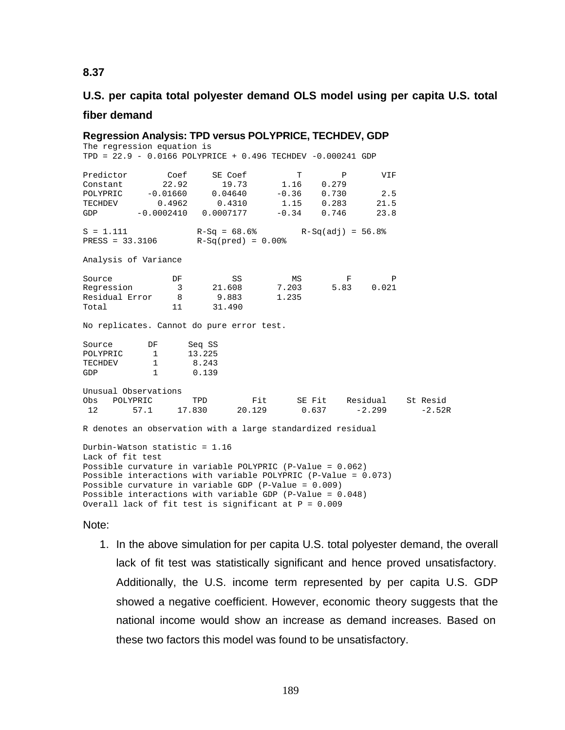# **U.S. per capita total polyester demand OLS model using per capita U.S. total**

### **fiber demand**

**Regression Analysis: TPD versus POLYPRICE, TECHDEV, GDP** The regression equation is TPD = 22.9 - 0.0166 POLYPRICE + 0.496 TECHDEV -0.000241 GDP Predictor Coef SE Coef T P VIF<br>
Constant 22.92 19.73 1.16 0.279<br>
POLYPRIC -0.01660 0.04640 -0.36 0.730 2.5<br>
TECEDENY COLORED CONSISTENCY Constant 22.92 19.73 1.16 0.279 POLYPRIC -0.01660 0.04640 -0.36 0.730 2.5 TECHDEV 0.4962 0.4310 1.15 0.283 21.5  $-0.0002410$   $0.0007177$   $-0.34$   $0.746$  23.8  $S = 1.111$   $R-Sq = 68.6%$   $R-Sq(adj) = 56.8%$ <br>  $RESS = 33.3106$   $R-Sq(pred) = 0.00%$  $R-Sq(pred) = 0.00%$ Analysis of Variance Source **DF** SS MS F P Regression 3 21.608 7.203 5.83 0.021 Residual Error 8 9.883 1.235 Total 11 31.490 No replicates. Cannot do pure error test. Source DF Seq SS<br>POLYPRIC 1 13.225 POLYPRIC 1 13.225<br>TECHDEV 1 8.243 TECHDEV GDP 1 0.139 Unusual Observations<br>Obs POLYPRIC TPD Obs POLYPRIC TPD Fit SE Fit Residual St Resid 12 57.1 17.830 20.129 0.637 -2.299 -2.52R R denotes an observation with a large standardized residual Durbin-Watson statistic = 1.16 Lack of fit test Possible curvature in variable POLYPRIC (P-Value = 0.062) Possible interactions with variable POLYPRIC (P-Value = 0.073) Possible curvature in variable GDP (P-Value = 0.009) Possible interactions with variable GDP (P-Value = 0.048) Overall lack of fit test is significant at P = 0.009

Note:

1. In the above simulation for per capita U.S. total polyester demand, the overall lack of fit test was statistically significant and hence proved unsatisfactory. Additionally, the U.S. income term represented by per capita U.S. GDP showed a negative coefficient. However, economic theory suggests that the national income would show an increase as demand increases. Based on these two factors this model was found to be unsatisfactory.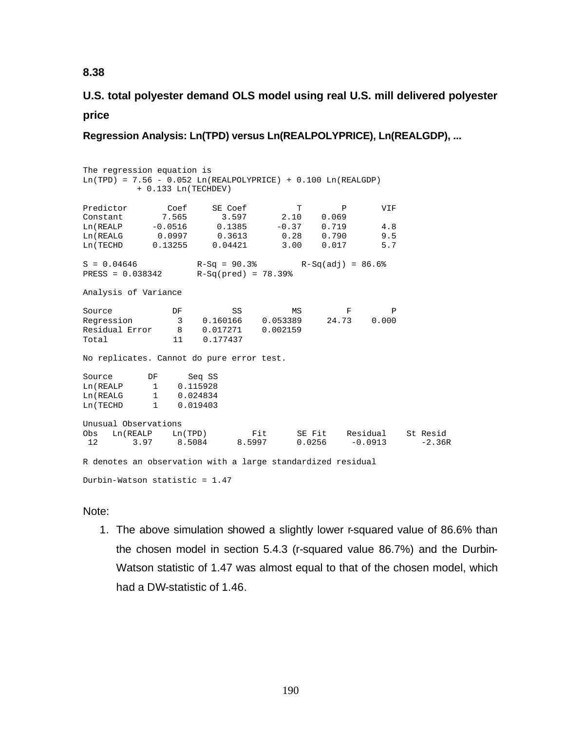# **U.S. total polyester demand OLS model using real U.S. mill delivered polyester price**

**Regression Analysis: Ln(TPD) versus Ln(REALPOLYPRICE), Ln(REALGDP), ...**

The regression equation is  $Ln(TPD) = 7.56 - 0.052 Ln(REALPOLYPRICE) + 0.100 Ln(REALGDP)$  + 0.133 Ln(TECHDEV) Predictor Coef SE Coef T P VIF Constant 7.565 3.597 2.10 0.069 Ln(REALP -0.0516 0.1385 -0.37 0.719 4.8 Ln(REALG 0.0997 0.3613 0.28 0.790 9.5 Ln(TECHD 0.13255 0.04421 3.00 0.017 5.7  $S = 0.04646$  R-Sq = 90.3% R-Sq(adj) = 86.6% PRESS = 0.038342 R-Sq(pred) = 78.39% Analysis of Variance Source **DF** SS MS F P Regression 3 0.160166 0.053389 24.73 0.000 Residual Error 8 0.017271 0.002159 Total 11 0.177437 No replicates. Cannot do pure error test. Source DF Seq SS Ln(REALP 1 0.115928<br>
Ln(REALG 1 0.024834 Ln(REALG 1 0.024834<br>
Ln(TECHD 1 0.019403 1 0.019403 Unusual Observations<br>Obs Ln(REALP Ln(TPD) Obs Ln(REALP Ln(TPD) Fit SE Fit Residual St Resid 12 3.97 8.5084 8.5997 0.0256 -0.0913 -2.36R R denotes an observation with a large standardized residual Durbin-Watson statistic = 1.47

## Note:

1. The above simulation showed a slightly lower r-squared value of 86.6% than the chosen model in section 5.4.3 (r-squared value 86.7%) and the Durbin-Watson statistic of 1.47 was almost equal to that of the chosen model, which had a DW-statistic of 1.46.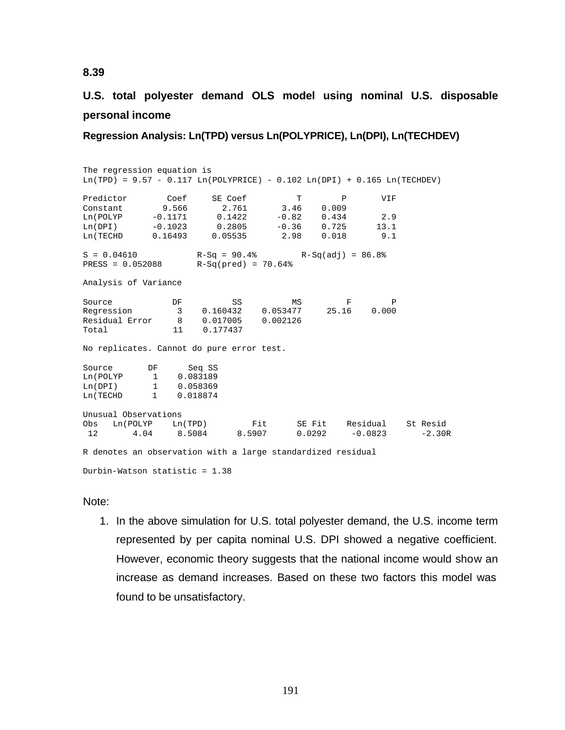**U.S. total polyester demand OLS model using nominal U.S. disposable personal income**

**Regression Analysis: Ln(TPD) versus Ln(POLYPRICE), Ln(DPI), Ln(TECHDEV)**

The regression equation is  $\text{Ln}(\text{TPD}) = 9.57 - 0.117 \text{ Ln}(\text{POLYPRICE}) - 0.102 \text{ Ln}(\text{DPI}) + 0.165 \text{ Ln}(\text{TECHDEV})$ Predictor Coef SE Coef T P VIF Constant 9.566 2.761 3.46 0.009 Ln(POLYP -0.1171 0.1422 -0.82 0.434 2.9 Ln(DPI) -0.1023 0.2805 -0.36 0.725 13.1 Ln(TECHD 0.16493 0.05535 2.98 0.018 9.1  $S = 0.04610$   $R-Sq = 90.4%$   $R-Sq(adj) = 86.8%$ <br>PRESS = 0.052088  $R-Sq(pred) = 70.64%$  $PRESS = 0.052088$ Analysis of Variance Source **DF** SS MS F P Regression 3 0.160432 0.053477 25.16 0.000 Residual Error 8 0.017005 0.002126 Total 11 0.177437 No replicates. Cannot do pure error test. Source DF Seq SS Ln(POLYP 1 0.083189 Ln(DPI) 1 0.058369 Ln(TECHD 1 0.018874 Unusual Observations<br>Obs Ln(POLYP Ln(TPD) Ln(TPD) Fit SE Fit Residual St Resid<br>8.5084 8.5907 0.0292 -0.0823 -2.30R 12 4.04 8.5084 8.5907 0.0292 -0.0823 R denotes an observation with a large standardized residual

Durbin-Watson statistic = 1.38

### Note:

1. In the above simulation for U.S. total polyester demand, the U.S. income term represented by per capita nominal U.S. DPI showed a negative coefficient. However, economic theory suggests that the national income would show an increase as demand increases. Based on these two factors this model was found to be unsatisfactory.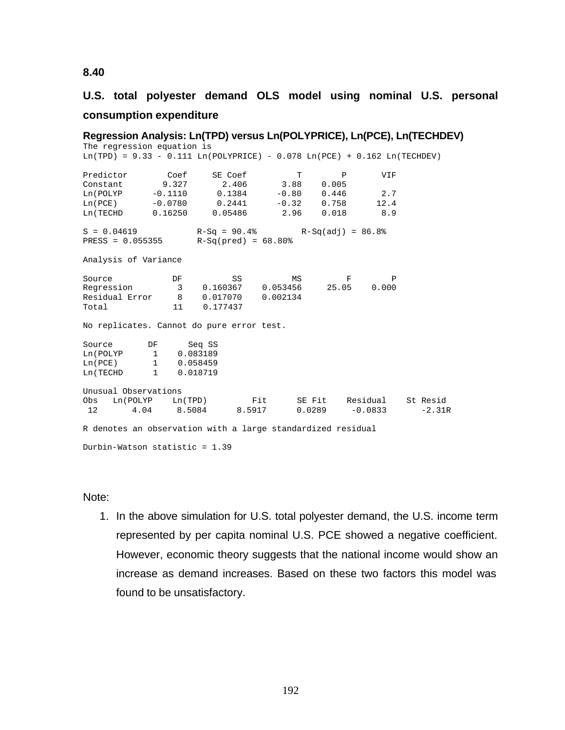# **U.S. total polyester demand OLS model using nominal U.S. personal consumption expenditure**

**Regression Analysis: Ln(TPD) versus Ln(POLYPRICE), Ln(PCE), Ln(TECHDEV)** The regression equation is  $Ln(TPD) = 9.33 - 0.111 Ln(POLYPRICE) - 0.078 Ln(PCE) + 0.162 Ln(TECHDEV)$ Predictor Coef SE Coef T P VIF<br>Constant 9.327 2.406 3.88 0.005 Constant 9.327 2.406 3.88 0.005<br>
Ln(POLYP −0.1110 0.1384 −0.80 0.446 Ln(POLYP -0.1110 0.1384 -0.80 0.446 2.7<br>
Ln(PCE) -0.0780 0.2441 -0.32 0.758 12.4 Ln(PCE) -0.0780 0.2441 -0.32 0.758 12.4<br>
Ln(TECHD 0.16250 0.05486 2.96 0.018 8.9 0.16250 0.05486 2.96 0.018 8.9  $S = 0.04619$   $R-Sq = 90.4%$   $R-Sq(adj) = 86.8%$ <br>  $RESS = 0.055355$   $R-Sq(pred) = 68.80%$  $R-Sq(pred) = 68.80%$ Analysis of Variance Source **DF** SS MS F P Regression 3 0.160367 0.053456 25.05 0.000 Regression 3 0.160367 0.053456<br>Residual Error 8 0.017070 0.002134 Total 11 0.177437 No replicates. Cannot do pure error test. Source DF Seq SS Ln(POLYP 1 0.083189<br>
Ln(PCE) 1 0.058459 Ln(PCE) 1 0.058459<br>
Ln(TECHD 1 0.018719 1 0.018719 Unusual Observations<br>Obs Ln(POLYP Ln(TPD) Obs Ln(POLYP Ln(TPD) Fit SE Fit Residual St Resid  $-0.0833$ R denotes an observation with a large standardized residual Durbin-Watson statistic = 1.39

Note:

1. In the above simulation for U.S. total polyester demand, the U.S. income term represented by per capita nominal U.S. PCE showed a negative coefficient. However, economic theory suggests that the national income would show an increase as demand increases. Based on these two factors this model was found to be unsatisfactory.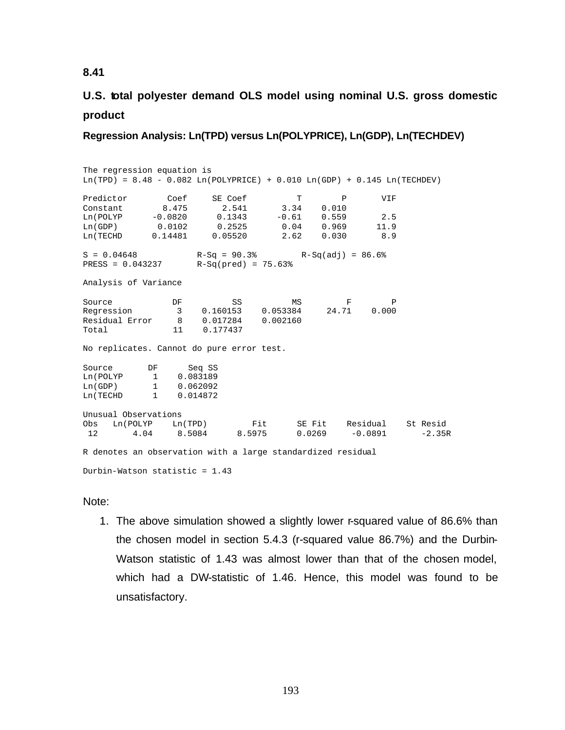# **U.S. total polyester demand OLS model using nominal U.S. gross domestic product**

**Regression Analysis: Ln(TPD) versus Ln(POLYPRICE), Ln(GDP), Ln(TECHDEV)**

The regression equation is  $\text{Ln}(\text{TPD}) = 8.48 - 0.082 \text{ Ln}(\text{POLYPRICE}) + 0.010 \text{ Ln}(\text{GDP}) + 0.145 \text{ Ln}(\text{TECHDEV})$ Predictor Coef SE Coef T P VIF<br>Constant 8.475 2.541 3.34 0.010 Constant 8.475 2.541 3.34 0.010 Ln(POLYP -0.0820 0.1343 -0.61 0.559 2.5 Ln(GDP) 0.0102 0.2525 0.04 0.969 11.9 0.14481 0.05520  $S = 0.04648$ <br>  $R-Sq = 90.3$   $R-Sq(\text{pred}) = 75.63$   $R-Sq(\text{add}) = 86.6$ <br>
RESS = 0.043237  $R-Sq(\text{pred}) = 75.63$  $R-Sq(pred) = 75.63%$ Analysis of Variance Source **DF** SS MS F P Regression 3 0.160153 0.053384 24.71 0.000 Regression 3 0.160153 0.053384<br>
Residual Error 8 0.017284 0.002160<br>
Total 11 0.177437 Total 11 0.177437 No replicates. Cannot do pure error test. Source DF Seq SS<br>
Ln(POLYP 1 0.083189 1 0.083189 Ln(GDP) 1 0.062092<br>
Ln(TECHD 1 0.014872 1 0.014872 Unusual Observations<br>Obs Ln(POLYP Ln(TPD) Ln(TPD) Fit SE Fit Residual St Resid<br>8.5084 8.5975 0.0269 -0.0891 -2.35R 12 4.04 8.5084 8.5975 0.0269 -0.0891 R denotes an observation with a large standardized residual

Durbin-Watson statistic = 1.43

### Note:

1. The above simulation showed a slightly lower r-squared value of 86.6% than the chosen model in section 5.4.3 (r-squared value 86.7%) and the Durbin-Watson statistic of 1.43 was almost lower than that of the chosen model, which had a DW-statistic of 1.46. Hence, this model was found to be unsatisfactory.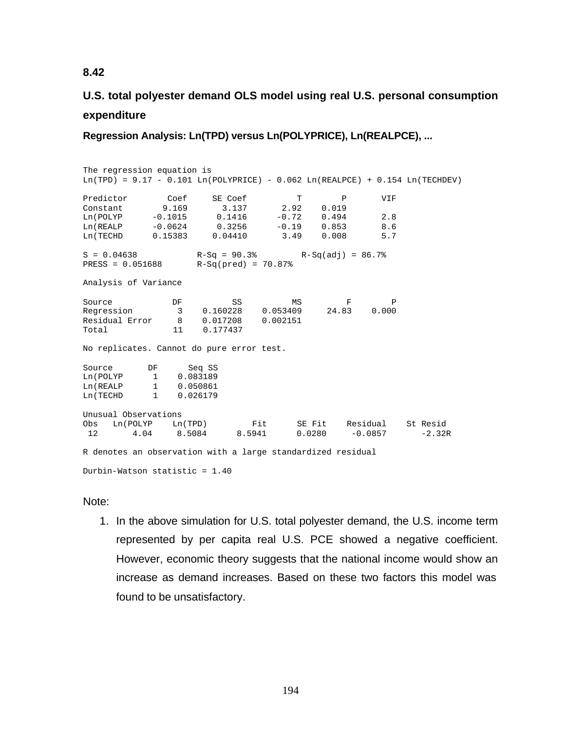# **U.S. total polyester demand OLS model using real U.S. personal consumption expenditure**

**Regression Analysis: Ln(TPD) versus Ln(POLYPRICE), Ln(REALPCE), ...**

The regression equation is  $Ln(TPD) = 9.17 - 0.101 Ln(POLYPRICE) - 0.062 Ln(REALPCE) + 0.154 Ln(TECHDEV)$ Predictor Coef SE Coef T P VIF Constant 9.169 3.137 2.92 0.019 Ln(POLYP -0.1015 0.1416 -0.72 0.494 2.8 Ln(REALP -0.0624 0.3256 -0.19 0.853 8.6 Ln(TECHD 0.15383 0.04410 3.49 0.008 5.7  $S = 0.04638$ <br>  $R-Sq = 90.3$   $R-Sq(\text{pred}) = 70.87$   $R-Sq(\text{adj}) = 86.7$   $R-Sq(\text{pred}) = 70.87$  $PRESS = 0.051688$ Analysis of Variance Source **DF** SS MS F P Regression 3 0.160228 0.053409 24.83 0.000 Residual Error 8 0.017208 0.002151 Total 11 0.177437 No replicates. Cannot do pure error test. Source DF Seq SS<br>
Ln(POLYP 1 0.083189 1 0.083189 Ln(REALP 1 0.050861<br>
Ln(TECHD 1 0.026179 1 0.026179 Unusual Observations<br>Obs Ln(POLYP Ln(TPD) Obs Ln(POLYP Ln(TPD) Fit SE Fit Residual St Resid 12 4.04 8.5084 8.5941 0.0280 -0.0857 -2.32R R denotes an observation with a large standardized residual

Durbin-Watson statistic = 1.40

Note:

1. In the above simulation for U.S. total polyester demand, the U.S. income term represented by per capita real U.S. PCE showed a negative coefficient. However, economic theory suggests that the national income would show an increase as demand increases. Based on these two factors this model was found to be unsatisfactory.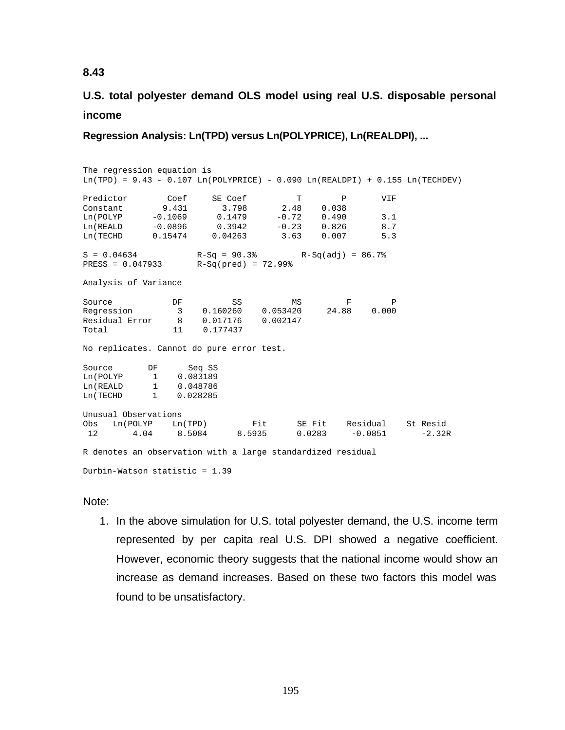# **U.S. total polyester demand OLS model using real U.S. disposable personal income**

**Regression Analysis: Ln(TPD) versus Ln(POLYPRICE), Ln(REALDPI), ...**

The regression equation is  $Ln(TPD) = 9.43 - 0.107 Ln(POLYPRICE) - 0.090 Ln(REALDPI) + 0.155 Ln(TECHDEV)$ Predictor Coef SE Coef T P VIF Constant 9.431 3.798 2.48 0.038 Ln(POLYP -0.1069 0.1479 -0.72 0.490 3.1 Ln(REALD -0.0896 0.3942 -0.23 0.826 8.7 Ln(TECHD 0.15474 0.04263 3.63 0.007 5.3  $S = 0.04634$ <br> $R-Sq = 90.3$ <sup>%</sup><br> $R-Sq(pred) = 72.99$ <sup>%</sup><br> $R-Sq(add) = 86.7$ <sup>%</sup>  $PRESS = 0.047933$ Analysis of Variance Source **DF** SS MS F P Regression 3 0.160260 0.053420 24.88 0.000 Residual Error 8 0.017176 0.002147 Total 11 0.177437 No replicates. Cannot do pure error test. Source DF Seq SS<br>
Ln(POLYP 1 0.083189 1 0.083189 Ln(REALD 1 0.048786 Ln(TECHD 1 0.028285 Unusual Observations<br>Obs Ln(POLYP Ln(TPD) Obs Ln(POLYP Ln(TPD) Fit SE Fit Residual St Resid 12 4.04 8.5084 8.5935 0.0283 -0.0851 -2.32R R denotes an observation with a large standardized residual

Durbin-Watson statistic = 1.39

## Note:

1. In the above simulation for U.S. total polyester demand, the U.S. income term represented by per capita real U.S. DPI showed a negative coefficient. However, economic theory suggests that the national income would show an increase as demand increases. Based on these two factors this model was found to be unsatisfactory.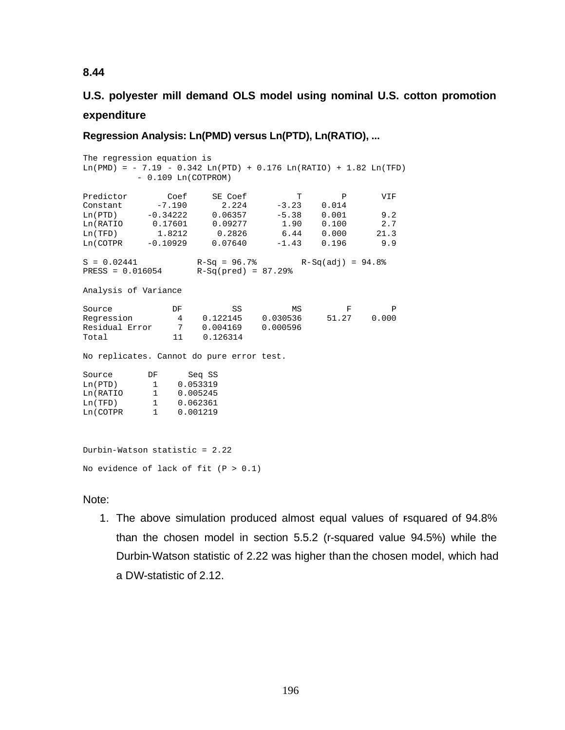# **U.S. polyester mill demand OLS model using nominal U.S. cotton promotion expenditure**

**Regression Analysis: Ln(PMD) versus Ln(PTD), Ln(RATIO), ...**

The regression equation is  $Ln(PMD) = -7.19 - 0.342 Ln(PTD) + 0.176 Ln(RATIO) + 1.82 Ln(TFD)$  - 0.109 Ln(COTPROM) Predictor Coef SE Coef T P VIF<br>
Constant -7.190 2.224 -3.23 0.014<br>
Ln(PTD) -0.34222 0.06357 -5.38 0.001 9.2<br>
-0.34222 0.06357 -5.38 0.001 9.2 Constant -7.190 2.224 -3.23 0.014 Ln(PTD) -0.34222 0.06357 -5.38 0.001 9.2 Ln(RATIO 0.17601 0.09277 1.90 0.100 2.7 Ln(TFD) 1.8212 0.2826 6.44 0.000 21.3 Ln(COTPR -0.10929 0.07640 -1.43 0.196 9.9  $S = 0.02441$  R-Sq = 96.7% R-Sq(adj) = 94.8% PRESS = 0.016054 R-Sq(pred) = 87.29% Analysis of Variance Source **DF** SS MS F P Regression 4 0.122145 0.030536 51.27 0.000 MS<br>Regression 4 0.122145 0.030536<br>Residual Error 7 0.004169 0.000596 Total 11 0.126314 No replicates. Cannot do pure error test. Source DF Seq SS Ln(PTD) 1 0.053319 Ln(RATIO 1 0.005245 Ln(TFD) 1 0.062361 Ln(COTPR 1 0.001219 Durbin-Watson statistic = 2.22

No evidence of lack of fit  $(P > 0.1)$ 

Note:

1. The above simulation produced almost equal values of rsquared of 94.8% than the chosen model in section 5.5.2 (r-squared value 94.5%) while the Durbin-Watson statistic of 2.22 was higher than the chosen model, which had a DW-statistic of 2.12.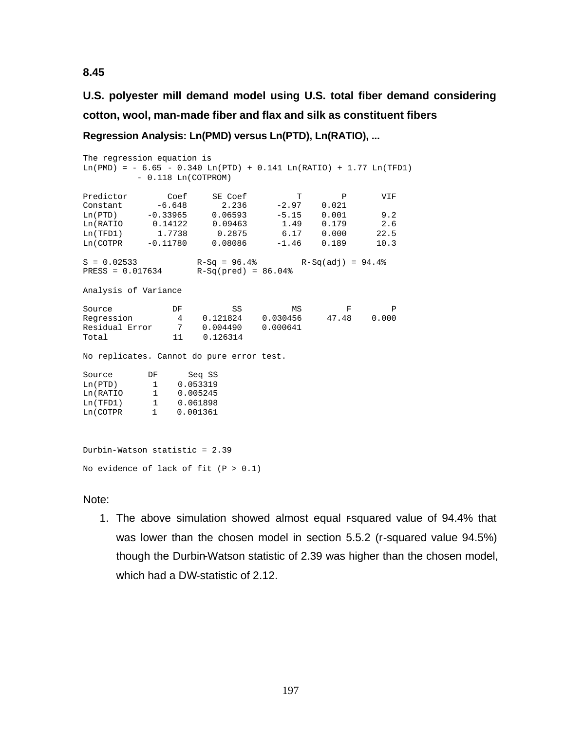**U.S. polyester mill demand model using U.S. total fiber demand considering cotton, wool, man-made fiber and flax and silk as constituent fibers**

```
Regression Analysis: Ln(PMD) versus Ln(PTD), Ln(RATIO), ...
```
The regression equation is  $Ln(PMD) = -6.65 - 0.340$   $Ln(PTD) + 0.141$   $Ln(RATIO) + 1.77$   $Ln(TFD1)$  - 0.118 Ln(COTPROM) Predictor Coef SE Coef T P VIF<br>
Constant -6.648 2.236 -2.97 0.021<br>
Ln(PTD) -0.33965 0.06593 -5.15 0.001 9.2 Constant -6.648 2.236 -2.97 0.021 Ln(PTD) -0.33965 0.06593 -5.15 0.001 9.2 Ln(RATIO 0.14122 0.09463 1.49 0.179 2.6 Ln(TFD1) 1.7738 0.2875 6.17 0.000 22.5 Ln(COTPR -0.11780 0.08086 -1.46 0.189 10.3  $S = 0.02533$  R-Sq = 96.4% R-Sq(adj) = 94.4% PRESS = 0.017634 R-Sq(pred) = 86.04% Analysis of Variance Source **DF** SS MS F P Regression 4 0.121824 0.030456 47.48 0.000 MS<br>Regression 4 0.121824 0.030456<br>Residual Error 7 0.004490 0.000641 Total 11 0.126314 No replicates. Cannot do pure error test. Source DF Seq SS<br>
Ln(PTD) 1 0.053319 Ln(PTD) 1 0.053319 Ln(RATIO 1 0.005245 Ln(TFD1) 1 0.061898 Ln(COTPR 1 0.001361

Durbin-Watson statistic = 2.39 No evidence of lack of fit  $(P > 0.1)$ 

Note:

1. The above simulation showed almost equal r-squared value of 94.4% that was lower than the chosen model in section 5.5.2 (r-squared value 94.5%) though the Durbin-Watson statistic of 2.39 was higher than the chosen model, which had a DW-statistic of 2.12.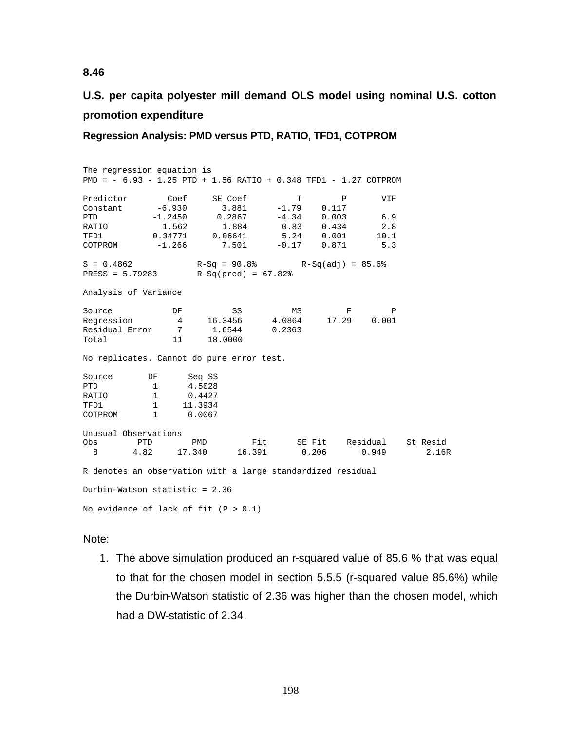# **U.S. per capita polyester mill demand OLS model using nominal U.S. cotton promotion expenditure**

**Regression Analysis: PMD versus PTD, RATIO, TFD1, COTPROM**

| The regression equation is<br>PMD = - 6.93 - 1.25 PTD + 1.56 RATIO + 0.348 TFD1 - 1.27 COTPROM |                                   |         |               |                                      |            |          |
|------------------------------------------------------------------------------------------------|-----------------------------------|---------|---------------|--------------------------------------|------------|----------|
| Predictor                                                                                      | Coef                              | SE Coef | T             | P                                    | <b>VIF</b> |          |
| Constant $-6.930$ 3.881                                                                        |                                   |         | $-1.79$       | 0.117                                |            |          |
| <b>PTD</b>                                                                                     | $-1.2450$ 0.2867 $-4.34$          |         |               | 0.003                                | 6.9        |          |
| RATIO                                                                                          | 1.562 1.884 0.83                  |         |               | 0.434                                | 2.8        |          |
| TFD1                                                                                           | $0.34771$ 0.06641  5.24  0.001    |         |               |                                      | 10.1       |          |
| $COTPROM$ $-1.266$                                                                             |                                   |         | $7.501 -0.17$ | 0.871                                | 5.3        |          |
| $S = 0.4862$                                                                                   |                                   |         |               | $R-Sq = 90.8$ % $R-Sq(adj) = 85.6$ % |            |          |
| PRESS = $5.79283$ R-Sq(pred) = $67.82$ <sup>9</sup>                                            |                                   |         |               |                                      |            |          |
| Analysis of Variance                                                                           |                                   |         |               |                                      |            |          |
| Source                                                                                         | DF                                | SS      | MS            | $\mathbf{F}$                         | Ρ          |          |
| Regression                                                                                     | 4 16.3456                         |         | 4.0864        | 17.29                                | 0.001      |          |
| Residual Error 7 1.6544                                                                        |                                   |         | 0.2363        |                                      |            |          |
| Total                                                                                          | 11 —                              | 18.0000 |               |                                      |            |          |
| No replicates. Cannot do pure error test.                                                      |                                   |         |               |                                      |            |          |
| Source                                                                                         | DF                                | Seq SS  |               |                                      |            |          |
| PTD                                                                                            | 1 4.5028                          |         |               |                                      |            |          |
| RATIO                                                                                          | 10.4427                           |         |               |                                      |            |          |
| TFD1                                                                                           | $1 \quad \blacksquare$<br>11.3934 |         |               |                                      |            |          |
| COTPROM                                                                                        | 1 0.0067                          |         |               |                                      |            |          |
| Unusual Observations                                                                           |                                   |         |               |                                      |            |          |
| Obs                                                                                            | <b>PTD</b><br>PMD                 |         | Fit           | SE Fit Residual                      |            | St Resid |
| 8                                                                                              | 4.82                              |         |               | 17.340  16.391  0.206                | 0.949      | 2.16R    |
| R denotes an observation with a large standardized residual                                    |                                   |         |               |                                      |            |          |
| Durbin-Watson statistic = 2.36                                                                 |                                   |         |               |                                      |            |          |
| No evidence of lack of fit $(P > 0.1)$                                                         |                                   |         |               |                                      |            |          |

Note:

1. The above simulation produced an r-squared value of 85.6 % that was equal to that for the chosen model in section 5.5.5 (r-squared value 85.6%) while the Durbin-Watson statistic of 2.36 was higher than the chosen model, which had a DW-statistic of 2.34.